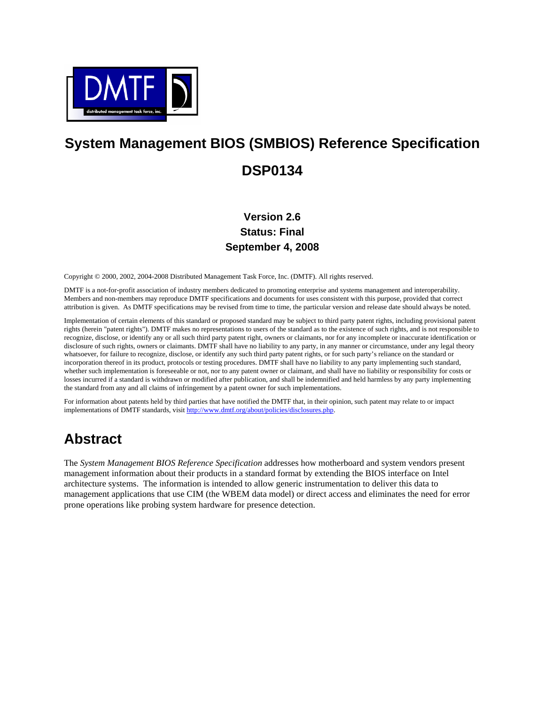

# **System Management BIOS (SMBIOS) Reference Specification DSP0134**

## **Version 2.6 Status: Final September 4, 2008**

Copyright © 2000, 2002, 2004-2008 Distributed Management Task Force, Inc. (DMTF). All rights reserved.

DMTF is a not-for-profit association of industry members dedicated to promoting enterprise and systems management and interoperability. Members and non-members may reproduce DMTF specifications and documents for uses consistent with this purpose, provided that correct attribution is given. As DMTF specifications may be revised from time to time, the particular version and release date should always be noted.

Implementation of certain elements of this standard or proposed standard may be subject to third party patent rights, including provisional patent rights (herein "patent rights"). DMTF makes no representations to users of the standard as to the existence of such rights, and is not responsible to recognize, disclose, or identify any or all such third party patent right, owners or claimants, nor for any incomplete or inaccurate identification or disclosure of such rights, owners or claimants. DMTF shall have no liability to any party, in any manner or circumstance, under any legal theory whatsoever, for failure to recognize, disclose, or identify any such third party patent rights, or for such party's reliance on the standard or incorporation thereof in its product, protocols or testing procedures. DMTF shall have no liability to any party implementing such standard, whether such implementation is foreseeable or not, nor to any patent owner or claimant, and shall have no liability or responsibility for costs or losses incurred if a standard is withdrawn or modified after publication, and shall be indemnified and held harmless by any party implementing the standard from any and all claims of infringement by a patent owner for such implementations.

For information about patents held by third parties that have notified the DMTF that, in their opinion, such patent may relate to or impact implementations of DMTF standards, visit [http://www.dmtf.org/about/policies/disclosures.php.](http://www.dmtf.org/about/policies/disclosures.php)

# **Abstract**

The *System Management BIOS Reference Specification* addresses how motherboard and system vendors present management information about their products in a standard format by extending the BIOS interface on Intel architecture systems. The information is intended to allow generic instrumentation to deliver this data to management applications that use CIM (the WBEM data model) or direct access and eliminates the need for error prone operations like probing system hardware for presence detection.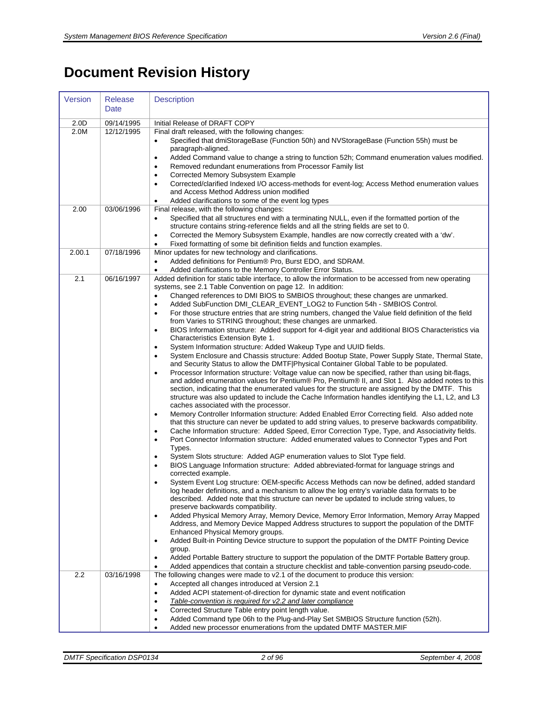# **Document Revision History**

| Version | <b>Release</b><br>Date | <b>Description</b>                                                                                                                                                                                                                                                                                                                                                                                                                                                                                                                                                                                                                                                                                                                                                                                                                                                                                                                                                                                                                                                                                                                                                                                                                                                                                                                                                                                                                                                                                                                                                                                                                                                                                                                                                                                                                                                                                                                                                                                                                                                                                                                                                                                                                                                                                                                                                                                                                                                                                                                                                                                                                                                                                                                                                                                                                                                                                                                                                                                                                  |
|---------|------------------------|-------------------------------------------------------------------------------------------------------------------------------------------------------------------------------------------------------------------------------------------------------------------------------------------------------------------------------------------------------------------------------------------------------------------------------------------------------------------------------------------------------------------------------------------------------------------------------------------------------------------------------------------------------------------------------------------------------------------------------------------------------------------------------------------------------------------------------------------------------------------------------------------------------------------------------------------------------------------------------------------------------------------------------------------------------------------------------------------------------------------------------------------------------------------------------------------------------------------------------------------------------------------------------------------------------------------------------------------------------------------------------------------------------------------------------------------------------------------------------------------------------------------------------------------------------------------------------------------------------------------------------------------------------------------------------------------------------------------------------------------------------------------------------------------------------------------------------------------------------------------------------------------------------------------------------------------------------------------------------------------------------------------------------------------------------------------------------------------------------------------------------------------------------------------------------------------------------------------------------------------------------------------------------------------------------------------------------------------------------------------------------------------------------------------------------------------------------------------------------------------------------------------------------------------------------------------------------------------------------------------------------------------------------------------------------------------------------------------------------------------------------------------------------------------------------------------------------------------------------------------------------------------------------------------------------------------------------------------------------------------------------------------------------------|
| 2.0D    | 09/14/1995             | Initial Release of DRAFT COPY                                                                                                                                                                                                                                                                                                                                                                                                                                                                                                                                                                                                                                                                                                                                                                                                                                                                                                                                                                                                                                                                                                                                                                                                                                                                                                                                                                                                                                                                                                                                                                                                                                                                                                                                                                                                                                                                                                                                                                                                                                                                                                                                                                                                                                                                                                                                                                                                                                                                                                                                                                                                                                                                                                                                                                                                                                                                                                                                                                                                       |
| 2.0M    | 12/12/1995             | Final draft released, with the following changes:<br>Specified that dmiStorageBase (Function 50h) and NVStorageBase (Function 55h) must be<br>paragraph-aligned.<br>Added Command value to change a string to function 52h; Command enumeration values modified.<br>$\bullet$<br>Removed redundant enumerations from Processor Family list<br>$\bullet$<br>Corrected Memory Subsystem Example<br>$\bullet$<br>Corrected/clarified Indexed I/O access-methods for event-log; Access Method enumeration values<br>and Access Method Address union modified<br>Added clarifications to some of the event log types                                                                                                                                                                                                                                                                                                                                                                                                                                                                                                                                                                                                                                                                                                                                                                                                                                                                                                                                                                                                                                                                                                                                                                                                                                                                                                                                                                                                                                                                                                                                                                                                                                                                                                                                                                                                                                                                                                                                                                                                                                                                                                                                                                                                                                                                                                                                                                                                                     |
| 2.00    | 03/06/1996             | Final release, with the following changes:<br>Specified that all structures end with a terminating NULL, even if the formatted portion of the<br>$\bullet$<br>structure contains string-reference fields and all the string fields are set to 0.<br>Corrected the Memory Subsystem Example, handles are now correctly created with a 'dw'.<br>$\bullet$<br>Fixed formatting of some bit definition fields and function examples.<br>$\bullet$                                                                                                                                                                                                                                                                                                                                                                                                                                                                                                                                                                                                                                                                                                                                                                                                                                                                                                                                                                                                                                                                                                                                                                                                                                                                                                                                                                                                                                                                                                                                                                                                                                                                                                                                                                                                                                                                                                                                                                                                                                                                                                                                                                                                                                                                                                                                                                                                                                                                                                                                                                                       |
| 2.00.1  | 07/18/1996             | Minor updates for new technology and clarifications.<br>Added definitions for Pentium® Pro, Burst EDO, and SDRAM.<br>$\bullet$<br>Added clarifications to the Memory Controller Error Status.<br>$\bullet$                                                                                                                                                                                                                                                                                                                                                                                                                                                                                                                                                                                                                                                                                                                                                                                                                                                                                                                                                                                                                                                                                                                                                                                                                                                                                                                                                                                                                                                                                                                                                                                                                                                                                                                                                                                                                                                                                                                                                                                                                                                                                                                                                                                                                                                                                                                                                                                                                                                                                                                                                                                                                                                                                                                                                                                                                          |
| 2.1     | 06/16/1997             | Added definition for static table interface, to allow the information to be accessed from new operating<br>systems, see 2.1 Table Convention on page 12. In addition:<br>Changed references to DMI BIOS to SMBIOS throughout; these changes are unmarked.<br>$\bullet$<br>Added SubFunction DMI_CLEAR_EVENT_LOG2 to Function 54h - SMBIOS Control.<br>$\bullet$<br>For those structure entries that are string numbers, changed the Value field definition of the field<br>$\bullet$<br>from Varies to STRING throughout; these changes are unmarked.<br>BIOS Information structure: Added support for 4-digit year and additional BIOS Characteristics via<br>$\bullet$<br>Characteristics Extension Byte 1.<br>System Information structure: Added Wakeup Type and UUID fields.<br>$\bullet$<br>System Enclosure and Chassis structure: Added Bootup State, Power Supply State, Thermal State,<br>and Security Status to allow the DMTF Physical Container Global Table to be populated.<br>Processor Information structure: Voltage value can now be specified, rather than using bit-flags,<br>$\bullet$<br>and added enumeration values for Pentium® Pro, Pentium® II, and Slot 1. Also added notes to this<br>section, indicating that the enumerated values for the structure are assigned by the DMTF. This<br>structure was also updated to include the Cache Information handles identifying the L1, L2, and L3<br>caches associated with the processor.<br>Memory Controller Information structure: Added Enabled Error Correcting field. Also added note<br>$\bullet$<br>that this structure can never be updated to add string values, to preserve backwards compatibility.<br>Cache Information structure: Added Speed, Error Correction Type, Type, and Associativity fields.<br>$\bullet$<br>Port Connector Information structure: Added enumerated values to Connector Types and Port<br>$\bullet$<br>Types.<br>System Slots structure: Added AGP enumeration values to Slot Type field.<br>BIOS Language Information structure: Added abbreviated-format for language strings and<br>$\bullet$<br>corrected example.<br>System Event Log structure: OEM-specific Access Methods can now be defined, added standard<br>log header definitions, and a mechanism to allow the log entry's variable data formats to be<br>described. Added note that this structure can never be updated to include string values, to<br>preserve backwards compatibility.<br>Added Physical Memory Array, Memory Device, Memory Error Information, Memory Array Mapped<br>Address, and Memory Device Mapped Address structures to support the population of the DMTF<br>Enhanced Physical Memory groups.<br>Added Built-in Pointing Device structure to support the population of the DMTF Pointing Device<br>$\bullet$<br>group.<br>Added Portable Battery structure to support the population of the DMTF Portable Battery group.<br>Added appendices that contain a structure checklist and table-convention parsing pseudo-code. |
| 2.2     | 03/16/1998             | The following changes were made to v2.1 of the document to produce this version:<br>Accepted all changes introduced at Version 2.1<br>$\bullet$<br>Added ACPI statement-of-direction for dynamic state and event notification<br>$\bullet$<br>Table-convention is required for v2.2 and later compliance<br>$\bullet$<br>Corrected Structure Table entry point length value.<br>$\bullet$<br>Added Command type 06h to the Plug-and-Play Set SMBIOS Structure function (52h).<br>$\bullet$<br>Added new processor enumerations from the updated DMTF MASTER.MIF<br>$\bullet$                                                                                                                                                                                                                                                                                                                                                                                                                                                                                                                                                                                                                                                                                                                                                                                                                                                                                                                                                                                                                                                                                                                                                                                                                                                                                                                                                                                                                                                                                                                                                                                                                                                                                                                                                                                                                                                                                                                                                                                                                                                                                                                                                                                                                                                                                                                                                                                                                                                        |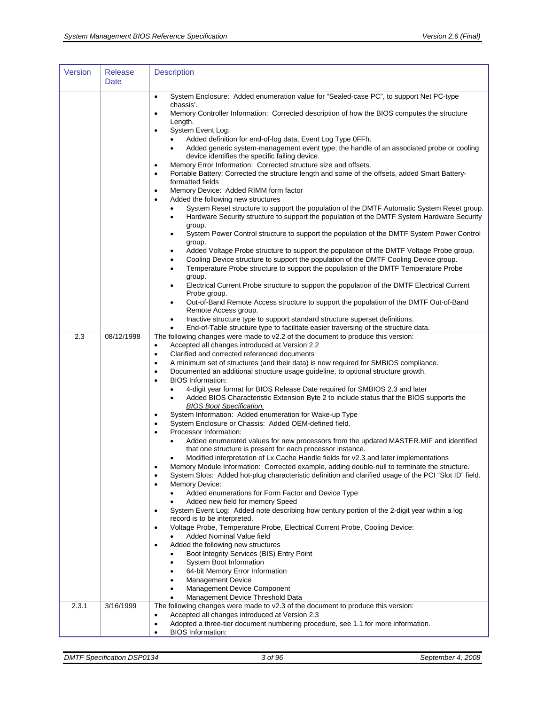| Version | <b>Release</b><br>Date | <b>Description</b>                                                                                                                                                                                                                                                                                                                                                                                                                                                                                                                                                                                                                                                                                                                                                                                                                                                                                                                                                                                                                                                                                                                                                                                                                                                                                                                                                                                                                                                                                                                                                                                                                                                                                                                                                                                                                                                                                                                                                  |
|---------|------------------------|---------------------------------------------------------------------------------------------------------------------------------------------------------------------------------------------------------------------------------------------------------------------------------------------------------------------------------------------------------------------------------------------------------------------------------------------------------------------------------------------------------------------------------------------------------------------------------------------------------------------------------------------------------------------------------------------------------------------------------------------------------------------------------------------------------------------------------------------------------------------------------------------------------------------------------------------------------------------------------------------------------------------------------------------------------------------------------------------------------------------------------------------------------------------------------------------------------------------------------------------------------------------------------------------------------------------------------------------------------------------------------------------------------------------------------------------------------------------------------------------------------------------------------------------------------------------------------------------------------------------------------------------------------------------------------------------------------------------------------------------------------------------------------------------------------------------------------------------------------------------------------------------------------------------------------------------------------------------|
|         |                        | System Enclosure: Added enumeration value for "Sealed-case PC", to support Net PC-type<br>$\bullet$<br>chassis'.<br>Memory Controller Information: Corrected description of how the BIOS computes the structure<br>$\bullet$<br>Length.<br>System Event Log:<br>$\bullet$<br>Added definition for end-of-log data, Event Log Type 0FFh.<br>Added generic system-management event type; the handle of an associated probe or cooling<br>$\bullet$<br>device identifies the specific failing device.<br>Memory Error Information: Corrected structure size and offsets.<br>٠<br>Portable Battery: Corrected the structure length and some of the offsets, added Smart Battery-<br>$\bullet$<br>formatted fields<br>Memory Device: Added RIMM form factor<br>$\bullet$<br>Added the following new structures<br>$\bullet$<br>System Reset structure to support the population of the DMTF Automatic System Reset group.<br>Hardware Security structure to support the population of the DMTF System Hardware Security<br>$\bullet$<br>group.<br>System Power Control structure to support the population of the DMTF System Power Control<br>٠<br>group.<br>Added Voltage Probe structure to support the population of the DMTF Voltage Probe group.<br>٠<br>Cooling Device structure to support the population of the DMTF Cooling Device group.<br>٠<br>Temperature Probe structure to support the population of the DMTF Temperature Probe<br>٠<br>group.<br>Electrical Current Probe structure to support the population of the DMTF Electrical Current<br>٠<br>Probe group.<br>Out-of-Band Remote Access structure to support the population of the DMTF Out-of-Band<br>٠<br>Remote Access group.<br>Inactive structure type to support standard structure superset definitions.<br>٠<br>End-of-Table structure type to facilitate easier traversing of the structure data.<br>$\bullet$                                                                          |
| 2.3     | 08/12/1998             | The following changes were made to v2.2 of the document to produce this version:<br>Accepted all changes introduced at Version 2.2<br>$\bullet$<br>Clarified and corrected referenced documents<br>$\bullet$<br>A minimum set of structures (and their data) is now required for SMBIOS compliance.<br>٠<br>Documented an additional structure usage guideline, to optional structure growth.<br>$\bullet$<br><b>BIOS</b> Information:<br>٠<br>4-digit year format for BIOS Release Date required for SMBIOS 2.3 and later<br>Added BIOS Characteristic Extension Byte 2 to include status that the BIOS supports the<br>٠<br><b>BIOS Boot Specification.</b><br>System Information: Added enumeration for Wake-up Type<br>$\bullet$<br>System Enclosure or Chassis: Added OEM-defined field.<br>$\bullet$<br>Processor Information:<br>٠<br>Added enumerated values for new processors from the updated MASTER. MIF and identified<br>that one structure is present for each processor instance.<br>Modified interpretation of Lx Cache Handle fields for v2.3 and later implementations<br>٠<br>Memory Module Information: Corrected example, adding double-null to terminate the structure.<br>$\bullet$<br>System Slots: Added hot-plug characteristic definition and clarified usage of the PCI "Slot ID" field.<br>$\bullet$<br><b>Memory Device:</b><br>٠<br>Added enumerations for Form Factor and Device Type<br>Added new field for memory Speed<br>System Event Log: Added note describing how century portion of the 2-digit year within a log<br>$\bullet$<br>record is to be interpreted.<br>Voltage Probe, Temperature Probe, Electrical Current Probe, Cooling Device:<br>$\bullet$<br>Added Nominal Value field<br>Added the following new structures<br>$\bullet$<br>Boot Integrity Services (BIS) Entry Point<br>System Boot Information<br>64-bit Memory Error Information<br><b>Management Device</b><br>٠<br>Management Device Component<br>٠ |
| 2.3.1   | 3/16/1999              | Management Device Threshold Data<br>The following changes were made to v2.3 of the document to produce this version:<br>Accepted all changes introduced at Version 2.3<br>$\bullet$<br>Adopted a three-tier document numbering procedure, see 1.1 for more information.<br>$\bullet$<br><b>BIOS</b> Information:<br>$\bullet$                                                                                                                                                                                                                                                                                                                                                                                                                                                                                                                                                                                                                                                                                                                                                                                                                                                                                                                                                                                                                                                                                                                                                                                                                                                                                                                                                                                                                                                                                                                                                                                                                                       |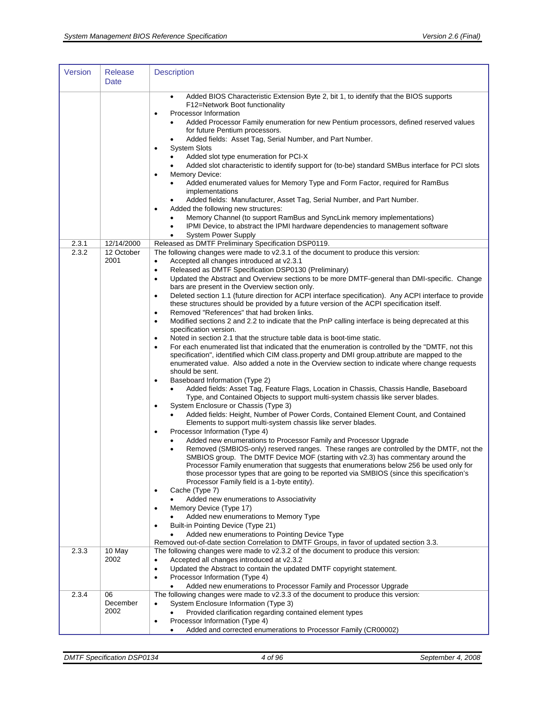| Version | <b>Release</b><br>Date | <b>Description</b>                                                                                                                                                                                                                                                                                                                                                                                                                                                                                                                                                                                                                                                                                                                                                                                                                                                                                                                                                                                                                                                                                                                                                                                                                                                                                                                                                                                                                                                                                                                                                                                                                                                                                                                                                                                                                                                                                                                                                                                                                                                                                                                                                                                                                                                                                                                                                                                                                                                                                                                                         |
|---------|------------------------|------------------------------------------------------------------------------------------------------------------------------------------------------------------------------------------------------------------------------------------------------------------------------------------------------------------------------------------------------------------------------------------------------------------------------------------------------------------------------------------------------------------------------------------------------------------------------------------------------------------------------------------------------------------------------------------------------------------------------------------------------------------------------------------------------------------------------------------------------------------------------------------------------------------------------------------------------------------------------------------------------------------------------------------------------------------------------------------------------------------------------------------------------------------------------------------------------------------------------------------------------------------------------------------------------------------------------------------------------------------------------------------------------------------------------------------------------------------------------------------------------------------------------------------------------------------------------------------------------------------------------------------------------------------------------------------------------------------------------------------------------------------------------------------------------------------------------------------------------------------------------------------------------------------------------------------------------------------------------------------------------------------------------------------------------------------------------------------------------------------------------------------------------------------------------------------------------------------------------------------------------------------------------------------------------------------------------------------------------------------------------------------------------------------------------------------------------------------------------------------------------------------------------------------------------------|
|         |                        | Added BIOS Characteristic Extension Byte 2, bit 1, to identify that the BIOS supports<br>F12=Network Boot functionality<br>Processor Information<br>$\bullet$<br>Added Processor Family enumeration for new Pentium processors, defined reserved values<br>for future Pentium processors.<br>Added fields: Asset Tag, Serial Number, and Part Number.<br><b>System Slots</b><br>$\bullet$<br>Added slot type enumeration for PCI-X<br>Added slot characteristic to identify support for (to-be) standard SMBus interface for PCI slots<br><b>Memory Device:</b><br>$\bullet$<br>Added enumerated values for Memory Type and Form Factor, required for RamBus<br>implementations<br>Added fields: Manufacturer, Asset Tag, Serial Number, and Part Number.<br>Added the following new structures:<br>Memory Channel (to support RamBus and SyncLink memory implementations)<br>IPMI Device, to abstract the IPMI hardware dependencies to management software<br>٠<br><b>System Power Supply</b><br>$\bullet$                                                                                                                                                                                                                                                                                                                                                                                                                                                                                                                                                                                                                                                                                                                                                                                                                                                                                                                                                                                                                                                                                                                                                                                                                                                                                                                                                                                                                                                                                                                                               |
| 2.3.1   | 12/14/2000             | Released as DMTF Preliminary Specification DSP0119.                                                                                                                                                                                                                                                                                                                                                                                                                                                                                                                                                                                                                                                                                                                                                                                                                                                                                                                                                                                                                                                                                                                                                                                                                                                                                                                                                                                                                                                                                                                                                                                                                                                                                                                                                                                                                                                                                                                                                                                                                                                                                                                                                                                                                                                                                                                                                                                                                                                                                                        |
| 2.3.2   | 12 October<br>2001     | The following changes were made to v2.3.1 of the document to produce this version:<br>Accepted all changes introduced at v2.3.1<br>$\bullet$<br>Released as DMTF Specification DSP0130 (Preliminary)<br>٠<br>Updated the Abstract and Overview sections to be more DMTF-general than DMI-specific. Change<br>$\bullet$<br>bars are present in the Overview section only.<br>Deleted section 1.1 (future direction for ACPI interface specification). Any ACPI interface to provide<br>$\bullet$<br>these structures should be provided by a future version of the ACPI specification itself.<br>Removed "References" that had broken links.<br>٠<br>Modified sections 2 and 2.2 to indicate that the PnP calling interface is being deprecated at this<br>$\bullet$<br>specification version.<br>Noted in section 2.1 that the structure table data is boot-time static.<br>$\bullet$<br>For each enumerated list that indicated that the enumeration is controlled by the "DMTF, not this<br>$\bullet$<br>specification", identified which CIM class.property and DMI group.attribute are mapped to the<br>enumerated value. Also added a note in the Overview section to indicate where change requests<br>should be sent.<br>Baseboard Information (Type 2)<br>٠<br>Added fields: Asset Tag, Feature Flags, Location in Chassis, Chassis Handle, Baseboard<br>Type, and Contained Objects to support multi-system chassis like server blades.<br>System Enclosure or Chassis (Type 3)<br>$\bullet$<br>Added fields: Height, Number of Power Cords, Contained Element Count, and Contained<br>$\bullet$<br>Elements to support multi-system chassis like server blades.<br>Processor Information (Type 4)<br>$\bullet$<br>Added new enumerations to Processor Family and Processor Upgrade<br>Removed (SMBIOS-only) reserved ranges. These ranges are controlled by the DMTF, not the<br>SMBIOS group. The DMTF Device MOF (starting with v2.3) has commentary around the<br>Processor Family enumeration that suggests that enumerations below 256 be used only for<br>those processor types that are going to be reported via SMBIOS (since this specification's<br>Processor Family field is a 1-byte entity).<br>Cache (Type 7)<br>٠<br>Added new enumerations to Associativity<br>Memory Device (Type 17)<br>Added new enumerations to Memory Type<br>Built-in Pointing Device (Type 21)<br>$\bullet$<br>Added new enumerations to Pointing Device Type<br>Removed out-of-date section Correlation to DMTF Groups, in favor of updated section 3.3. |
| 2.3.3   | 10 May<br>2002         | The following changes were made to v2.3.2 of the document to produce this version:<br>Accepted all changes introduced at v2.3.2<br>٠<br>Updated the Abstract to contain the updated DMTF copyright statement.<br>$\bullet$<br>Processor Information (Type 4)<br>$\bullet$<br>Added new enumerations to Processor Family and Processor Upgrade                                                                                                                                                                                                                                                                                                                                                                                                                                                                                                                                                                                                                                                                                                                                                                                                                                                                                                                                                                                                                                                                                                                                                                                                                                                                                                                                                                                                                                                                                                                                                                                                                                                                                                                                                                                                                                                                                                                                                                                                                                                                                                                                                                                                              |
| 2.3.4   | 06<br>December<br>2002 | The following changes were made to v2.3.3 of the document to produce this version:<br>System Enclosure Information (Type 3)<br>٠<br>Provided clarification regarding contained element types<br>Processor Information (Type 4)<br>$\bullet$<br>Added and corrected enumerations to Processor Family (CR00002)<br>٠                                                                                                                                                                                                                                                                                                                                                                                                                                                                                                                                                                                                                                                                                                                                                                                                                                                                                                                                                                                                                                                                                                                                                                                                                                                                                                                                                                                                                                                                                                                                                                                                                                                                                                                                                                                                                                                                                                                                                                                                                                                                                                                                                                                                                                         |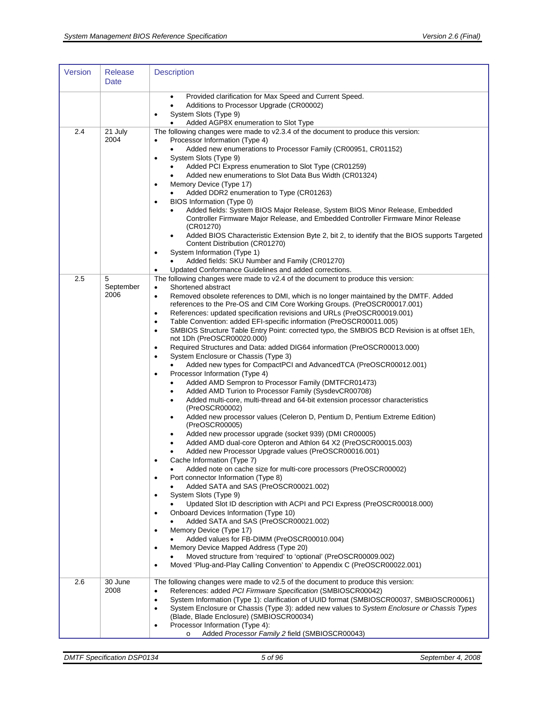| Version | <b>Release</b><br>Date | <b>Description</b>                                                                                                                                                                                                                                                                                                                                                                                                                                                                                                                                                                                                                                                                                                                                                                                                                                                                                                                                                                                                                                                                                                                                                                                                                                                                                                                                                                                                                                                                                                                                                                                                                                                                                                                                                                                                                                                                                                                                                                                                                                                                                                                      |
|---------|------------------------|-----------------------------------------------------------------------------------------------------------------------------------------------------------------------------------------------------------------------------------------------------------------------------------------------------------------------------------------------------------------------------------------------------------------------------------------------------------------------------------------------------------------------------------------------------------------------------------------------------------------------------------------------------------------------------------------------------------------------------------------------------------------------------------------------------------------------------------------------------------------------------------------------------------------------------------------------------------------------------------------------------------------------------------------------------------------------------------------------------------------------------------------------------------------------------------------------------------------------------------------------------------------------------------------------------------------------------------------------------------------------------------------------------------------------------------------------------------------------------------------------------------------------------------------------------------------------------------------------------------------------------------------------------------------------------------------------------------------------------------------------------------------------------------------------------------------------------------------------------------------------------------------------------------------------------------------------------------------------------------------------------------------------------------------------------------------------------------------------------------------------------------------|
|         |                        | Provided clarification for Max Speed and Current Speed.<br>٠<br>Additions to Processor Upgrade (CR00002)<br>$\bullet$<br>System Slots (Type 9)<br>Added AGP8X enumeration to Slot Type<br>$\bullet$                                                                                                                                                                                                                                                                                                                                                                                                                                                                                                                                                                                                                                                                                                                                                                                                                                                                                                                                                                                                                                                                                                                                                                                                                                                                                                                                                                                                                                                                                                                                                                                                                                                                                                                                                                                                                                                                                                                                     |
| 2.4     | 21 July<br>2004        | The following changes were made to v2.3.4 of the document to produce this version:<br>Processor Information (Type 4)<br>Added new enumerations to Processor Family (CR00951, CR01152)<br>System Slots (Type 9)<br>$\bullet$<br>Added PCI Express enumeration to Slot Type (CR01259)<br>Added new enumerations to Slot Data Bus Width (CR01324)<br>٠<br>Memory Device (Type 17)<br>$\bullet$<br>Added DDR2 enumeration to Type (CR01263)<br>BIOS Information (Type 0)<br>$\bullet$<br>Added fields: System BIOS Major Release, System BIOS Minor Release, Embedded<br>Controller Firmware Major Release, and Embedded Controller Firmware Minor Release<br>(CR01270)<br>Added BIOS Characteristic Extension Byte 2, bit 2, to identify that the BIOS supports Targeted<br>Content Distribution (CR01270)<br>System Information (Type 1)<br>$\bullet$<br>Added fields: SKU Number and Family (CR01270)<br>Updated Conformance Guidelines and added corrections.                                                                                                                                                                                                                                                                                                                                                                                                                                                                                                                                                                                                                                                                                                                                                                                                                                                                                                                                                                                                                                                                                                                                                                           |
| 2.5     | 5<br>September<br>2006 | The following changes were made to v2.4 of the document to produce this version:<br>Shortened abstract<br>$\bullet$<br>Removed obsolete references to DMI, which is no longer maintained by the DMTF. Added<br>$\bullet$<br>references to the Pre-OS and CIM Core Working Groups. (PreOSCR00017.001)<br>References: updated specification revisions and URLs (PreOSCR00019.001)<br>$\bullet$<br>Table Convention: added EFI-specific information (PreOSCR00011.005)<br>$\bullet$<br>SMBIOS Structure Table Entry Point: corrected typo, the SMBIOS BCD Revision is at offset 1Eh,<br>$\bullet$<br>not 1Dh (PreOSCR00020.000)<br>Required Structures and Data: added DIG64 information (PreOSCR00013.000)<br>$\bullet$<br>System Enclosure or Chassis (Type 3)<br>$\bullet$<br>Added new types for CompactPCI and AdvancedTCA (PreOSCR00012.001)<br>Processor Information (Type 4)<br>$\bullet$<br>Added AMD Sempron to Processor Family (DMTFCR01473)<br>٠<br>Added AMD Turion to Processor Family (SysdevCR00708)<br>٠<br>Added multi-core, multi-thread and 64-bit extension processor characteristics<br>٠<br>(PreOSCR00002)<br>Added new processor values (Celeron D, Pentium D, Pentium Extreme Edition)<br>٠<br>(PreOSCR00005)<br>Added new processor upgrade (socket 939) (DMI CR00005)<br>Added AMD dual-core Opteron and Athlon 64 X2 (PreOSCR00015.003)<br>Added new Processor Upgrade values (PreOSCR00016.001)<br>Cache Information (Type 7)<br>Added note on cache size for multi-core processors (PreOSCR00002)<br>٠<br>Port connector Information (Type 8)<br>$\bullet$<br>Added SATA and SAS (PreOSCR00021.002)<br>System Slots (Type 9)<br>$\bullet$<br>Updated Slot ID description with ACPI and PCI Express (PreOSCR00018.000)<br>Onboard Devices Information (Type 10)<br>$\bullet$<br>Added SATA and SAS (PreOSCR00021.002)<br>Memory Device (Type 17)<br>Added values for FB-DIMM (PreOSCR00010.004)<br>Memory Device Mapped Address (Type 20)<br>٠<br>Moved structure from 'required' to 'optional' (PreOSCR00009.002)<br>Moved 'Plug-and-Play Calling Convention' to Appendix C (PreOSCR00022.001)<br>$\bullet$ |
| 2.6     | 30 June<br>2008        | The following changes were made to v2.5 of the document to produce this version:<br>References: added PCI Firmware Specification (SMBIOSCR00042)<br>$\bullet$<br>System Information (Type 1): clarification of UUID format (SMBIOSCR00037, SMBIOSCR00061)<br>$\bullet$<br>System Enclosure or Chassis (Type 3): added new values to System Enclosure or Chassis Types<br>$\bullet$<br>(Blade, Blade Enclosure) (SMBIOSCR00034)<br>Processor Information (Type 4):<br>$\bullet$<br>Added Processor Family 2 field (SMBIOSCR00043)<br>$\circ$                                                                                                                                                                                                                                                                                                                                                                                                                                                                                                                                                                                                                                                                                                                                                                                                                                                                                                                                                                                                                                                                                                                                                                                                                                                                                                                                                                                                                                                                                                                                                                                             |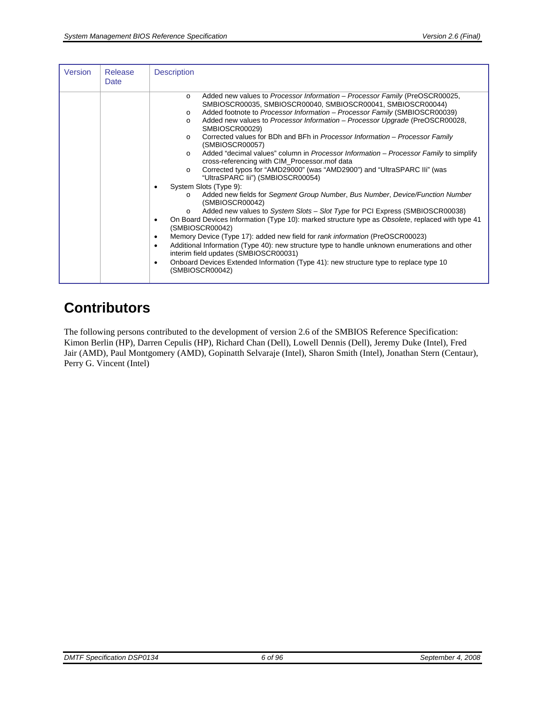| Version | Release<br>Date | <b>Description</b>                                                                                                                                                                                                                                                                                                                                                                                                                                                                                                                                                                                                                                                                                                                                                                                                                                                                                                                                                                                                                                                                                                                                                                                                                                                                                                                                                                                                                                                                                                |
|---------|-----------------|-------------------------------------------------------------------------------------------------------------------------------------------------------------------------------------------------------------------------------------------------------------------------------------------------------------------------------------------------------------------------------------------------------------------------------------------------------------------------------------------------------------------------------------------------------------------------------------------------------------------------------------------------------------------------------------------------------------------------------------------------------------------------------------------------------------------------------------------------------------------------------------------------------------------------------------------------------------------------------------------------------------------------------------------------------------------------------------------------------------------------------------------------------------------------------------------------------------------------------------------------------------------------------------------------------------------------------------------------------------------------------------------------------------------------------------------------------------------------------------------------------------------|
|         |                 | Added new values to Processor Information - Processor Family (PreOSCR00025,<br>$\circ$<br>SMBIOSCR00035, SMBIOSCR00040, SMBIOSCR00041, SMBIOSCR00044)<br>Added footnote to Processor Information - Processor Family (SMBIOSCR00039)<br>$\circ$<br>Added new values to Processor Information - Processor Upgrade (PreOSCR00028,<br>$\circ$<br>SMBIOSCR00029)<br>Corrected values for BDh and BFh in Processor Information - Processor Family<br>$\Omega$<br>(SMBIOSCR00057)<br>Added "decimal values" column in Processor Information - Processor Family to simplify<br>$\Omega$<br>cross-referencing with CIM_Processor.mof data<br>Corrected typos for "AMD29000" (was "AMD2900") and "UltraSPARC IIi" (was<br>$\circ$<br>"UltraSPARC lii") (SMBIOSCR00054)<br>System Slots (Type 9):<br>Added new fields for Segment Group Number, Bus Number, Device/Function Number<br>$\circ$<br>(SMBIOSCR00042)<br>Added new values to System Slots – Slot Type for PCI Express (SMBIOSCR00038)<br>$\circ$<br>On Board Devices Information (Type 10): marked structure type as Obsolete, replaced with type 41<br>$\bullet$<br>(SMBIOSCR00042)<br>Memory Device (Type 17): added new field for rank information (PreOSCR00023)<br>$\bullet$<br>Additional Information (Type 40): new structure type to handle unknown enumerations and other<br>$\bullet$<br>interim field updates (SMBIOSCR00031)<br>Onboard Devices Extended Information (Type 41): new structure type to replace type 10<br>$\bullet$<br>(SMBIOSCR00042) |

# **Contributors**

The following persons contributed to the development of version 2.6 of the SMBIOS Reference Specification: Kimon Berlin (HP), Darren Cepulis (HP), Richard Chan (Dell), Lowell Dennis (Dell), Jeremy Duke (Intel), Fred Jair (AMD), Paul Montgomery (AMD), Gopinatth Selvaraje (Intel), Sharon Smith (Intel), Jonathan Stern (Centaur), Perry G. Vincent (Intel)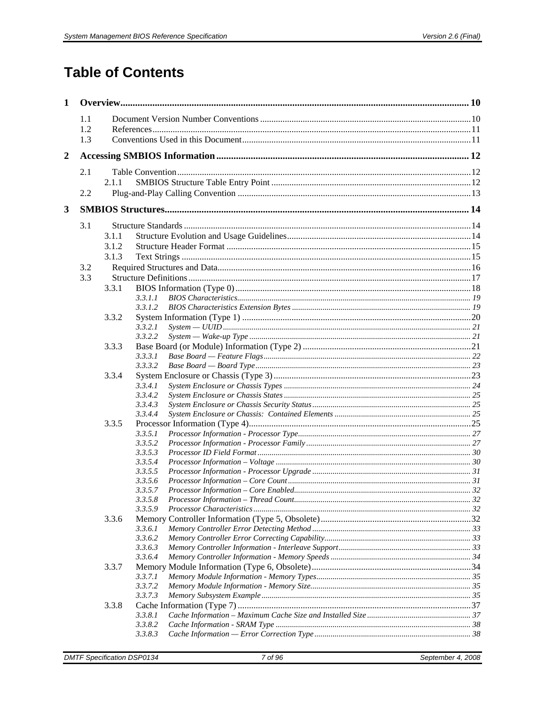# **Table of Contents**

| $\mathbf{1}$     |     |       |                    |  |
|------------------|-----|-------|--------------------|--|
|                  | 1.1 |       |                    |  |
|                  | 1.2 |       |                    |  |
|                  | 1.3 |       |                    |  |
| $\boldsymbol{2}$ |     |       |                    |  |
|                  | 2.1 |       |                    |  |
|                  |     | 2.1.1 |                    |  |
|                  | 2.2 |       |                    |  |
| 3                |     |       |                    |  |
|                  | 3.1 |       |                    |  |
|                  |     | 3.1.1 |                    |  |
|                  |     | 3.1.2 |                    |  |
|                  |     | 3.1.3 |                    |  |
|                  | 3.2 |       |                    |  |
|                  | 3.3 |       |                    |  |
|                  |     | 3.3.1 |                    |  |
|                  |     |       | 3.3.1.1<br>3.3.1.2 |  |
|                  |     | 3.3.2 |                    |  |
|                  |     |       | 3.3.2.1            |  |
|                  |     |       | 3.3.2.2            |  |
|                  |     | 3.3.3 |                    |  |
|                  |     |       | 3.3.3.1            |  |
|                  |     |       | 3.3.3.2            |  |
|                  |     | 3.3.4 |                    |  |
|                  |     |       | 3.3.4.1            |  |
|                  |     |       | 3.3.4.2            |  |
|                  |     |       | 3.3.4.3<br>3.3.4.4 |  |
|                  |     | 3.3.5 |                    |  |
|                  |     |       | 3.3.5.1            |  |
|                  |     |       | 3.3.5.2            |  |
|                  |     |       | 3.3.5.3            |  |
|                  |     |       | 3.3.5.4            |  |
|                  |     |       | 3.3.5.5            |  |
|                  |     |       | 3.3.5.6            |  |
|                  |     |       | 3.3.5.7            |  |
|                  |     |       | 3.3.5.8<br>3.3.5.9 |  |
|                  |     | 3.3.6 |                    |  |
|                  |     |       | 3.3.6.1            |  |
|                  |     |       | 3.3.6.2            |  |
|                  |     |       | 3.3.6.3            |  |
|                  |     |       | 3.3.6.4            |  |
|                  |     | 3.3.7 |                    |  |
|                  |     |       | 3.3.7.1            |  |
|                  |     |       | 3.3.7.2            |  |
|                  |     |       | 3.3.7.3            |  |
|                  |     | 3.3.8 |                    |  |
|                  |     |       | 3.3.8.1<br>3.3.8.2 |  |
|                  |     |       | 3.3.8.3            |  |
|                  |     |       |                    |  |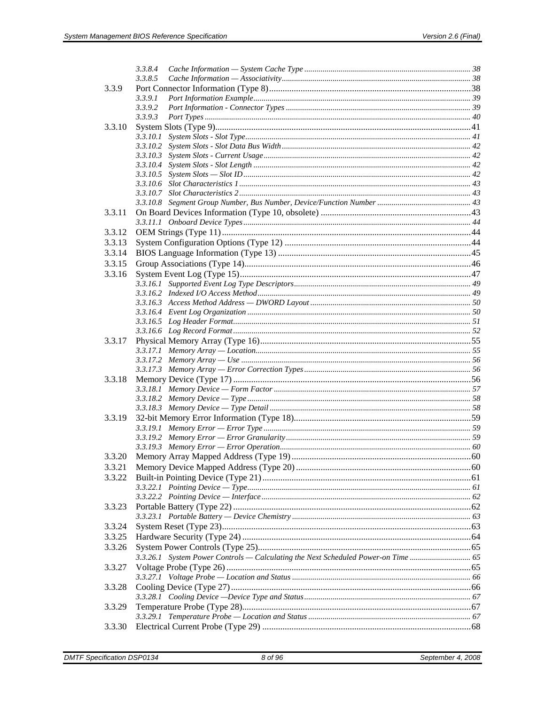|        | 3.3.8.4                                                                       |  |
|--------|-------------------------------------------------------------------------------|--|
|        | 3.3.8.5                                                                       |  |
| 3.3.9  |                                                                               |  |
|        | 3.3.9.1                                                                       |  |
|        | 3.3.9.2                                                                       |  |
|        | 3.3.9.3                                                                       |  |
| 3.3.10 |                                                                               |  |
|        |                                                                               |  |
|        |                                                                               |  |
|        |                                                                               |  |
|        |                                                                               |  |
|        |                                                                               |  |
|        |                                                                               |  |
|        |                                                                               |  |
|        |                                                                               |  |
| 3.3.11 |                                                                               |  |
|        |                                                                               |  |
| 3.3.12 |                                                                               |  |
| 3.3.13 |                                                                               |  |
| 3.3.14 |                                                                               |  |
| 3.3.15 |                                                                               |  |
| 3.3.16 |                                                                               |  |
|        |                                                                               |  |
|        |                                                                               |  |
|        |                                                                               |  |
|        |                                                                               |  |
|        |                                                                               |  |
|        |                                                                               |  |
| 3.3.17 |                                                                               |  |
|        |                                                                               |  |
|        |                                                                               |  |
|        |                                                                               |  |
| 3.3.18 |                                                                               |  |
|        |                                                                               |  |
|        |                                                                               |  |
|        |                                                                               |  |
| 3.3.19 |                                                                               |  |
|        |                                                                               |  |
|        |                                                                               |  |
|        |                                                                               |  |
| 3.3.20 |                                                                               |  |
| 3.3.21 |                                                                               |  |
| 3.3.22 |                                                                               |  |
|        |                                                                               |  |
|        |                                                                               |  |
| 3.3.23 |                                                                               |  |
|        |                                                                               |  |
| 3.3.24 |                                                                               |  |
| 3.3.25 |                                                                               |  |
| 3.3.26 |                                                                               |  |
|        | 3.3.26.1 System Power Controls — Calculating the Next Scheduled Power-on Time |  |
| 3.3.27 |                                                                               |  |
|        |                                                                               |  |
| 3.3.28 |                                                                               |  |
|        |                                                                               |  |
| 3.3.29 |                                                                               |  |
|        |                                                                               |  |
| 3.3.30 |                                                                               |  |
|        |                                                                               |  |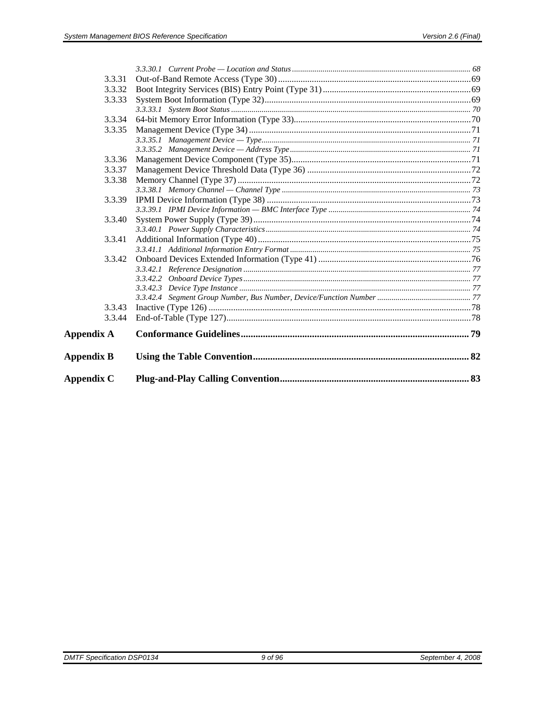| <b>Appendix C</b> |  |
|-------------------|--|
| <b>Appendix B</b> |  |
| <b>Appendix A</b> |  |
| 3.3.44            |  |
| 3.3.43            |  |
|                   |  |
|                   |  |
|                   |  |
|                   |  |
| 3.3.42            |  |
|                   |  |
| 3.3.41            |  |
| 3.3.40            |  |
|                   |  |
| 3.3.39            |  |
|                   |  |
| 3.3.38            |  |
| 3.3.37            |  |
| 3.3.36            |  |
|                   |  |
|                   |  |
| 3.3.35            |  |
| 3.3.34            |  |
| 3.3.33            |  |
| 3.3.32            |  |
| 3.3.31            |  |
|                   |  |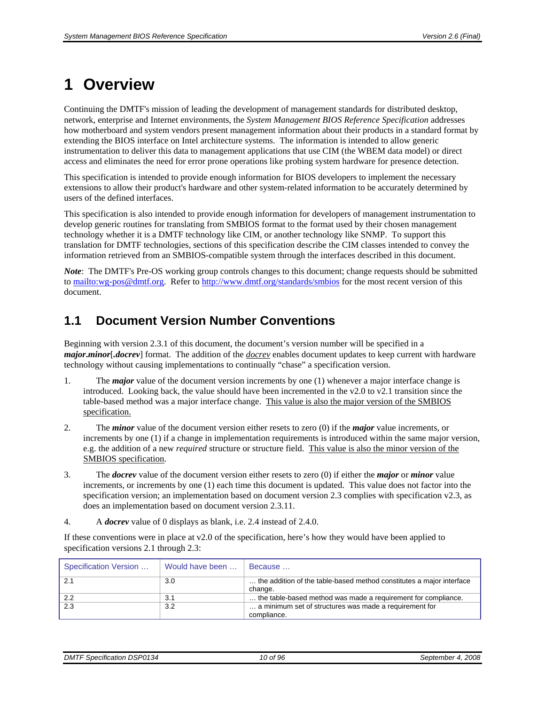# <span id="page-9-2"></span><span id="page-9-1"></span>**1 Overview**

Continuing the DMTF's mission of leading the development of management standards for distributed desktop, network, enterprise and Internet environments, the *System Management BIOS Reference Specification* addresses how motherboard and system vendors present management information about their products in a standard format by extending the BIOS interface on Intel architecture systems. The information is intended to allow generic instrumentation to deliver this data to management applications that use CIM (the WBEM data model) or direct access and eliminates the need for error prone operations like probing system hardware for presence detection.

This specification is intended to provide enough information for BIOS developers to implement the necessary extensions to allow their product's hardware and other system-related information to be accurately determined by users of the defined interfaces.

This specification is also intended to provide enough information for developers of management instrumentation to develop generic routines for translating from SMBIOS format to the format used by their chosen management technology whether it is a DMTF technology like CIM, or another technology like SNMP. To support this translation for DMTF technologies, sections of this specification describe the CIM classes intended to convey the information retrieved from an SMBIOS-compatible system through the interfaces described in this document.

*Note*: The DMTF's Pre-OS working group controls changes to this document; change requests should be submitted to<mailto:wg-pos@dmtf.org>. Refer to <http://www.dmtf.org/standards/smbios>for the most recent version of this document.

## <span id="page-9-0"></span>**1.1 Document Version Number Conventions**

Beginning with version 2.3.1 of this document, the document's version number will be specified in a *major***.***minor*[*.docrev*] format. The addition of the *docrev* enables document updates to keep current with hardware technology without causing implementations to continually "chase" a specification version.

- 1. The *major* value of the document version increments by one (1) whenever a major interface change is introduced. Looking back, the value should have been incremented in the v2.0 to v2.1 transition since the table-based method was a major interface change. This value is also the major version of the SMBIOS specification.
- 2. The *minor* value of the document version either resets to zero (0) if the *major* value increments, or increments by one (1) if a change in implementation requirements is introduced within the same major version, e.g. the addition of a new *required* structure or structure field. This value is also the minor version of the SMBIOS specification.
- 3. The *docrev* value of the document version either resets to zero (0) if either the *major* or *minor* value increments, or increments by one (1) each time this document is updated. This value does not factor into the specification version; an implementation based on document version 2.3 complies with specification v2.3, as does an implementation based on document version 2.3.11.
- 4. A *docrev* value of 0 displays as blank, i.e. 2.4 instead of 2.4.0.

If these conventions were in place at v2.0 of the specification, here's how they would have been applied to specification versions 2.1 through 2.3:

| Specification Version | Would have been | l Because                                                            |
|-----------------------|-----------------|----------------------------------------------------------------------|
| 2.1                   | 3.0             | the addition of the table-based method constitutes a major interface |
|                       |                 | change.                                                              |
| 2.2                   | 3.1             | the table-based method was made a requirement for compliance.        |
| 2.3                   | 3.2             | a minimum set of structures was made a requirement for               |
|                       |                 | compliance.                                                          |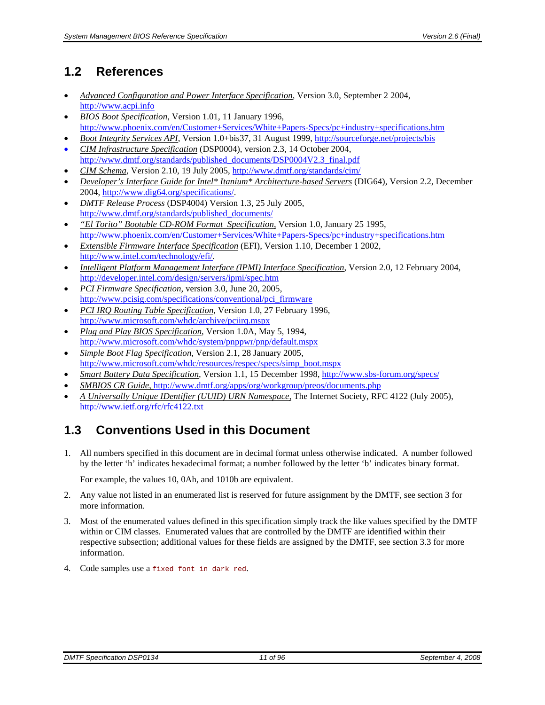# <span id="page-10-1"></span><span id="page-10-0"></span>**1.2 References**

- *Advanced Configuration and Power Interface Specification*, Version 3.0, September 2 2004, [http://www.acpi.info](http://www.acpi.info/)
- *BIOS Boot Specification*, Version 1.01, 11 January 1996, <http://www.phoenix.com/en/Customer+Services/White+Papers-Specs/pc+industry+specifications.htm>
- *Boot Integrity Services API*, Version 1.0+bis37, 31 August 1999, <http://sourceforge.net/projects/bis> • *CIM Infrastructure Specification* (DSP0004), version 2.3, 14 October 2004,
- [http://www.dmtf.org/standards/published\\_documents/DSP0004V2.3\\_final.pdf](http://www.dmtf.org/standards/published_documents/DSP0004V2.3_final.pdf)
- *CIM Schema*, Version 2.10, 19 July 2005,<http://www.dmtf.org/standards/cim/>
- *Developer's Interface Guide for Intel\* Itanium\* Architecture-based Servers* (DIG64), Version 2.2, December 2004, [http://www.dig64.org/specifications/.](http://www.dig64.org/specifications/)
- *DMTF Release Process* (DSP4004) Version 1.3, 25 July 2005, [http://www.dmtf.org/standards/published\\_documents/](http://www.dmtf.org/standards/published_documents/)
- *"El Torito" Bootable CD-ROM Format Specification*, Version 1.0, January 25 1995, <http://www.phoenix.com/en/Customer+Services/White+Papers-Specs/pc+industry+specifications.htm>
- *Extensible Firmware Interface Specification* (EFI), Version 1.10, December 1 2002, <http://www.intel.com/technology/efi/>.
- *Intelligent Platform Management Interface (IPMI) Interface Specification*, Version 2.0, 12 February 2004, <http://developer.intel.com/design/servers/ipmi/spec.htm>
- *PCI Firmware Specification*, version 3.0, June 20, 2005, [http://www.pcisig.com/specifications/conventional/pci\\_firmware](http://www.pcisig.com/specifications/conventional/pci_firmware)
- *PCI IRQ Routing Table Specification*, Version 1.0, 27 February 1996, <http://www.microsoft.com/whdc/archive/pciirq.mspx>
- *Plug and Play BIOS Specification*, Version 1.0A, May 5, 1994, <http://www.microsoft.com/whdc/system/pnppwr/pnp/default.mspx>
- *Simple Boot Flag Specification*, Version 2.1, 28 January 2005, [http://www.microsoft.com/whdc/resources/respec/specs/simp\\_boot.mspx](http://www.microsoft.com/whdc/resources/respec/specs/simp_boot.mspx)
- *Smart Battery Data Specification*, Version 1.1, 15 December 1998, <http://www.sbs-forum.org/specs/>
- *SMBIOS CR Guide*, <http://www.dmtf.org/apps/org/workgroup/preos/documents.php>
- *A Universally Unique IDentifier (UUID) URN Namespace,* The Internet Society, RFC 4122 (July 2005), <http://www.ietf.org/rfc/rfc4122.txt>

# <span id="page-10-2"></span>**1.3 Conventions Used in this Document**

1. All numbers specified in this document are in decimal format unless otherwise indicated. A number followed by the letter 'h' indicates hexadecimal format; a number followed by the letter 'b' indicates binary format.

For example, the values 10, 0Ah, and 1010b are equivalent.

- 2. Any value not listed in an enumerated list is reserved for future assignment by the DMTF, see section [3](#page-13-4) for more information.
- 3. Most of the enumerated values defined in this specification simply track the like values specified by the DMTF within or CIM classes. Enumerated values that are controlled by the DMTF are identified within their respective subsection; additional values for these fields are assigned by the DMTF, see section [3.3](#page-16-1) for more information.
- 4. Code samples use a fixed font in dark red.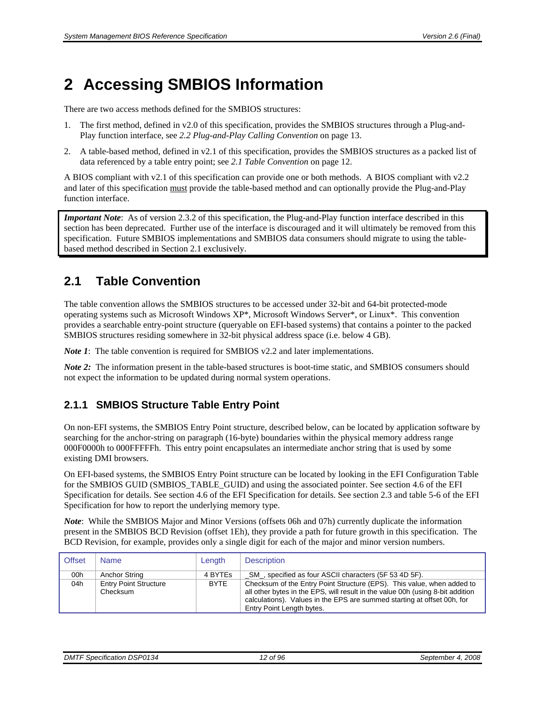# <span id="page-11-2"></span><span id="page-11-1"></span>**2 Accessing SMBIOS Information**

There are two access methods defined for the SMBIOS structures:

- 1. The first method, defined in v2.0 of this specification, provides the SMBIOS structures through a Plug-and-Play function interface, see *[2.2](#page-12-1) [Plug-and-Play Calling Convention](#page-12-1)* on page [13.](#page-12-1)
- 2. A table-based method, defined in v2.1 of this specification, provides the SMBIOS structures as a packed list of data referenced by a table entry point; see *[2.1](#page-11-0) [Table Convention](#page-11-0)* on page [12](#page-11-0).

A BIOS compliant with v2.1 of this specification can provide one or both methods. A BIOS compliant with v2.2 and later of this specification must provide the table-based method and can optionally provide the Plug-and-Play function interface.

*Important Note*: As of version 2.3.2 of this specification, the Plug-and-Play function interface described in this section has been deprecated. Further use of the interface is discouraged and it will ultimately be removed from this specification. Future SMBIOS implementations and SMBIOS data consumers should migrate to using the tablebased method described in Section [2.1](#page-11-0) exclusively.

# <span id="page-11-0"></span>**2.1 Table Convention**

The table convention allows the SMBIOS structures to be accessed under 32-bit and 64-bit protected-mode operating systems such as Microsoft Windows XP\*, Microsoft Windows Server\*, or Linux\*. This convention provides a searchable entry-point structure (queryable on EFI-based systems) that contains a pointer to the packed SMBIOS structures residing somewhere in 32-bit physical address space (i.e. below 4 GB).

*Note 1*: The table convention is required for SMBIOS v2.2 and later implementations.

*Note 2*: The information present in the table-based structures is boot-time static, and SMBIOS consumers should not expect the information to be updated during normal system operations.

## <span id="page-11-3"></span>**2.1.1 SMBIOS Structure Table Entry Point**

On non-EFI systems, the SMBIOS Entry Point structure, described below, can be located by application software by searching for the anchor-string on paragraph (16-byte) boundaries within the physical memory address range 000F0000h to 000FFFFFh. This entry point encapsulates an intermediate anchor string that is used by some existing DMI browsers.

On EFI-based systems, the SMBIOS Entry Point structure can be located by looking in the EFI Configuration Table for the SMBIOS GUID (SMBIOS\_TABLE\_GUID) and using the associated pointer. See section 4.6 of the EFI Specification for details. See section 4.6 of the EFI Specification for details. See section 2.3 and table 5-6 of the EFI Specification for how to report the underlying memory type.

*Note*: While the SMBIOS Major and Minor Versions (offsets 06h and 07h) currently duplicate the information present in the SMBIOS BCD Revision (offset 1Eh), they provide a path for future growth in this specification. The BCD Revision, for example, provides only a single digit for each of the major and minor version numbers.

| <b>Offset</b> | <b>Name</b>                              | Length      | <b>Description</b>                                                                                                                                                                                                                                               |
|---------------|------------------------------------------|-------------|------------------------------------------------------------------------------------------------------------------------------------------------------------------------------------------------------------------------------------------------------------------|
| 00h           | Anchor String                            | 4 BYTEs     | SM, specified as four ASCII characters (5F 53 4D 5F).                                                                                                                                                                                                            |
| 04h           | <b>Entry Point Structure</b><br>Checksum | <b>BYTE</b> | Checksum of the Entry Point Structure (EPS). This value, when added to<br>all other bytes in the EPS, will result in the value 00h (using 8-bit addition<br>calculations). Values in the EPS are summed starting at offset 00h, for<br>Entry Point Length bytes. |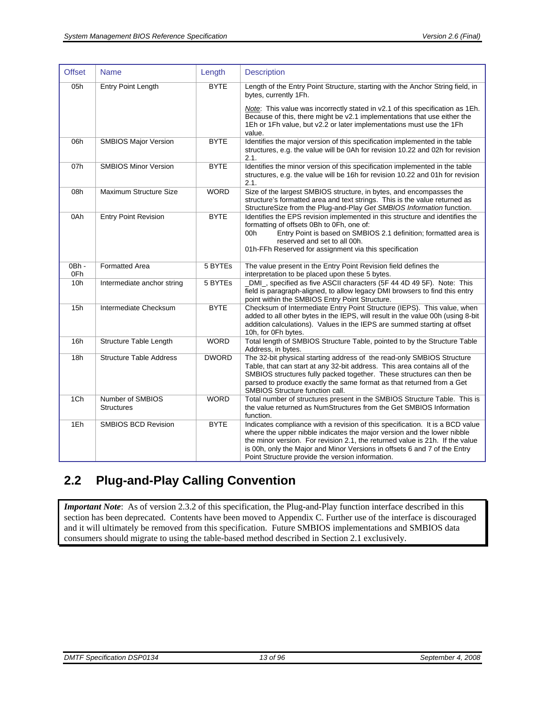<span id="page-12-0"></span>

| <b>Offset</b>  | <b>Name</b>                           | Length       | <b>Description</b>                                                                                                                                                                                                                                                                                                                                                        |
|----------------|---------------------------------------|--------------|---------------------------------------------------------------------------------------------------------------------------------------------------------------------------------------------------------------------------------------------------------------------------------------------------------------------------------------------------------------------------|
| 05h            | <b>Entry Point Length</b>             | <b>BYTE</b>  | Length of the Entry Point Structure, starting with the Anchor String field, in<br>bytes, currently 1Fh.                                                                                                                                                                                                                                                                   |
|                |                                       |              | Note: This value was incorrectly stated in v2.1 of this specification as 1Eh.<br>Because of this, there might be v2.1 implementations that use either the<br>1Eh or 1Fh value, but v2.2 or later implementations must use the 1Fh<br>value.                                                                                                                               |
| 06h            | <b>SMBIOS Major Version</b>           | <b>BYTE</b>  | Identifies the major version of this specification implemented in the table<br>structures, e.g. the value will be 0Ah for revision 10.22 and 02h for revision<br>2.1.                                                                                                                                                                                                     |
| 07h            | <b>SMBIOS Minor Version</b>           | <b>BYTE</b>  | Identifies the minor version of this specification implemented in the table<br>structures, e.g. the value will be 16h for revision 10.22 and 01h for revision<br>2.1.                                                                                                                                                                                                     |
| 08h            | Maximum Structure Size                | <b>WORD</b>  | Size of the largest SMBIOS structure, in bytes, and encompasses the<br>structure's formatted area and text strings. This is the value returned as<br>StructureSize from the Plug-and-Play Get SMBIOS Information function.                                                                                                                                                |
| 0Ah            | <b>Entry Point Revision</b>           | <b>BYTE</b>  | Identifies the EPS revision implemented in this structure and identifies the<br>formatting of offsets 0Bh to 0Fh, one of:<br>Entry Point is based on SMBIOS 2.1 definition; formatted area is<br>00h<br>reserved and set to all 00h.<br>01h-FFh Reserved for assignment via this specification                                                                            |
| $0Bh -$<br>0Fh | <b>Formatted Area</b>                 | 5 BYTEs      | The value present in the Entry Point Revision field defines the<br>interpretation to be placed upon these 5 bytes.                                                                                                                                                                                                                                                        |
| 10h            | Intermediate anchor string            | 5 BYTEs      | DMI_, specified as five ASCII characters (5F 44 4D 49 5F). Note: This<br>field is paragraph-aligned, to allow legacy DMI browsers to find this entry<br>point within the SMBIOS Entry Point Structure.                                                                                                                                                                    |
| 15h            | Intermediate Checksum                 | <b>BYTE</b>  | Checksum of Intermediate Entry Point Structure (IEPS). This value, when<br>added to all other bytes in the IEPS, will result in the value 00h (using 8-bit<br>addition calculations). Values in the IEPS are summed starting at offset<br>10h, for 0Fh bytes.                                                                                                             |
| 16h            | Structure Table Length                | <b>WORD</b>  | Total length of SMBIOS Structure Table, pointed to by the Structure Table<br>Address, in bytes.                                                                                                                                                                                                                                                                           |
| 18h            | <b>Structure Table Address</b>        | <b>DWORD</b> | The 32-bit physical starting address of the read-only SMBIOS Structure<br>Table, that can start at any 32-bit address. This area contains all of the<br>SMBIOS structures fully packed together. These structures can then be<br>parsed to produce exactly the same format as that returned from a Get<br>SMBIOS Structure function call.                                 |
| 1Ch            | Number of SMBIOS<br><b>Structures</b> | <b>WORD</b>  | Total number of structures present in the SMBIOS Structure Table. This is<br>the value returned as NumStructures from the Get SMBIOS Information<br>function.                                                                                                                                                                                                             |
| 1Eh            | <b>SMBIOS BCD Revision</b>            | <b>BYTE</b>  | Indicates compliance with a revision of this specification. It is a BCD value<br>where the upper nibble indicates the major version and the lower nibble<br>the minor version. For revision 2.1, the returned value is 21h. If the value<br>is 00h, only the Major and Minor Versions in offsets 6 and 7 of the Entry<br>Point Structure provide the version information. |

# <span id="page-12-1"></span>**2.2 Plug-and-Play Calling Convention**

*Important Note*: As of version 2.3.2 of this specification, the Plug-and-Play function interface described in this section has been deprecated. Contents have been moved to Appendix C. Further use of the interface is discouraged and it will ultimately be removed from this specification. Future SMBIOS implementations and SMBIOS data consumers should migrate to using the table-based method described in Section [2.1](#page-11-0) exclusively.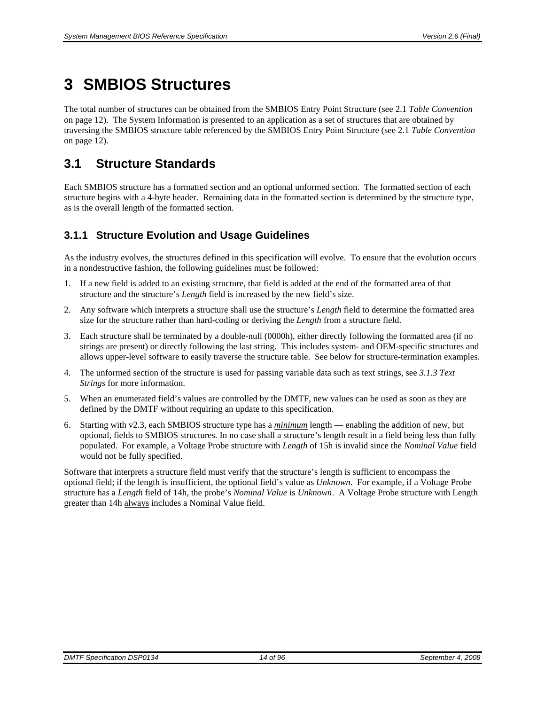# <span id="page-13-1"></span><span id="page-13-0"></span>**3 SMBIOS Structures**

The total number of structures can be obtained from the SMBIOS Entry Point Structure (see [2.1](#page-11-0) *[Table Convention](#page-11-0)* on page [12](#page-11-0)). The System Information is presented to an application as a set of structures that are obtained by traversing the SMBIOS structure table referenced by the SMBIOS Entry Point Structure (see [2.1](#page-11-0) *[Table Convention](#page-11-0)* on page [12](#page-11-0)).

## <span id="page-13-2"></span>**3.1 Structure Standards**

Each SMBIOS structure has a formatted section and an optional unformed section. The formatted section of each structure begins with a 4-byte header. Remaining data in the formatted section is determined by the structure type, as is the overall length of the formatted section.

## <span id="page-13-3"></span>**3.1.1 Structure Evolution and Usage Guidelines**

As the industry evolves, the structures defined in this specification will evolve. To ensure that the evolution occurs in a nondestructive fashion, the following guidelines must be followed:

- 1. If a new field is added to an existing structure, that field is added at the end of the formatted area of that structure and the structure's *Length* field is increased by the new field's size.
- 2. Any software which interprets a structure shall use the structure's *Length* field to determine the formatted area size for the structure rather than hard-coding or deriving the *Length* from a structure field.
- 3. Each structure shall be terminated by a double-null (0000h), either directly following the formatted area (if no strings are present) or directly following the last string. This includes system- and OEM-specific structures and allows upper-level software to easily traverse the structure table. See below for structure-termination examples.
- 4. The unformed section of the structure is used for passing variable data such as text strings, see *[3.1.3](#page-14-2) [Text](#page-14-2)  [Strings](#page-14-2)* for more information.
- 5. When an enumerated field's values are controlled by the DMTF, new values can be used as soon as they are defined by the DMTF without requiring an update to this specification.
- 6. Starting with v2.3, each SMBIOS structure type has a *minimum* length enabling the addition of new, but optional, fields to SMBIOS structures. In no case shall a structure's length result in a field being less than fully populated. For example, a Voltage Probe structure with *Length* of 15h is invalid since the *Nominal Value* field would not be fully specified.

<span id="page-13-4"></span>Software that interprets a structure field must verify that the structure's length is sufficient to encompass the optional field; if the length is insufficient, the optional field's value as *Unknown*. For example, if a Voltage Probe structure has a *Length* field of 14h, the probe's *Nominal Value* is *Unknown*. A Voltage Probe structure with Length greater than 14h always includes a Nominal Value field.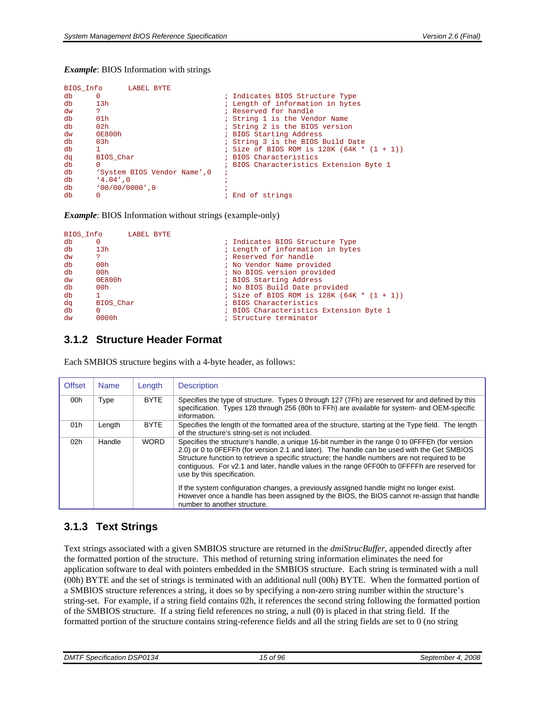#### <span id="page-14-0"></span>*Example*: BIOS Information with strings

|    | BIOS Info          | LABEL BYTE |                              |                                              |
|----|--------------------|------------|------------------------------|----------------------------------------------|
| db | 0                  |            |                              | ; Indicates BIOS Structure Type              |
| db | 13h                |            |                              | ; Length of information in bytes             |
| dw | ?                  |            |                              | ; Reserved for handle                        |
| db | 01 <sub>h</sub>    |            |                              | ; String 1 is the Vendor Name                |
| db | 02 <sub>h</sub>    |            |                              | ; String 2 is the BIOS version               |
| dw | 0E800h             |            |                              | ; BIOS Starting Address                      |
| db | 03h                |            |                              | ; String 3 is the BIOS Build Date            |
| db | 1                  |            |                              | ; Size of BIOS ROM is $128K (64K * (1 + 1))$ |
| dq | BIOS Char          |            |                              | ; BIOS Characteristics                       |
| db | 0                  |            |                              | ; BIOS Characteristics Extension Byte 1      |
| db |                    |            | 'System BIOS Vendor Name', 0 |                                              |
| db | $'4.04'$ , 0       |            |                              |                                              |
| db | $'00/00/00000'$ .0 |            |                              |                                              |
| db | 0                  |            |                              | ; End of strings                             |

*Example*: BIOS Information without strings (example-only)

|    | BIOS Info       | LABEL BYTE |  |                                              |
|----|-----------------|------------|--|----------------------------------------------|
| db | 0               |            |  | ; Indicates BIOS Structure Type              |
| db | 13h             |            |  | ; Length of information in bytes             |
| dw | 2               |            |  | ; Reserved for handle                        |
| db | 00h             |            |  | ; No Vendor Name provided                    |
| db | 00h             |            |  | ; No BIOS version provided                   |
| dw | 0E800h          |            |  | ; BIOS Starting Address                      |
| db | 00 <sub>h</sub> |            |  | ; No BIOS Build Date provided                |
| db |                 |            |  | ; Size of BIOS ROM is $128K (64K * (1 + 1))$ |
| dq | BIOS Char       |            |  | ; BIOS Characteristics                       |
| db | 0               |            |  | ; BIOS Characteristics Extension Byte 1      |
| dw | 0000h           |            |  | ; Structure terminator                       |

#### <span id="page-14-1"></span>**3.1.2 Structure Header Format**

Each SMBIOS structure begins with a 4-byte header, as follows:

| <b>Offset</b>   | <b>Name</b> | Length      | <b>Description</b>                                                                                                                                                                                                                                                                                                                                                                                                                                                                                                                                                                                                      |
|-----------------|-------------|-------------|-------------------------------------------------------------------------------------------------------------------------------------------------------------------------------------------------------------------------------------------------------------------------------------------------------------------------------------------------------------------------------------------------------------------------------------------------------------------------------------------------------------------------------------------------------------------------------------------------------------------------|
| 00h             | Type        | <b>BYTE</b> | Specifies the type of structure. Types 0 through 127 (7Fh) are reserved for and defined by this<br>specification. Types 128 through 256 (80h to FFh) are available for system- and OEM-specific<br>information.                                                                                                                                                                                                                                                                                                                                                                                                         |
| 01h             | Length      | <b>BYTE</b> | Specifies the length of the formatted area of the structure, starting at the Type field. The length<br>of the structure's string-set is not included.                                                                                                                                                                                                                                                                                                                                                                                                                                                                   |
| 02 <sub>h</sub> | Handle      | <b>WORD</b> | Specifies the structure's handle, a unique 16-bit number in the range 0 to 0FFFEh (for version<br>2.0) or 0 to 0FEFFh (for version 2.1 and later). The handle can be used with the Get SMBIOS<br>Structure function to retrieve a specific structure; the handle numbers are not required to be<br>contiguous. For v2.1 and later, handle values in the range 0FF00h to 0FFFFh are reserved for<br>use by this specification.<br>If the system configuration changes, a previously assigned handle might no longer exist.<br>However once a handle has been assigned by the BIOS, the BIOS cannot re-assign that handle |

### <span id="page-14-2"></span>**3.1.3 Text Strings**

Text strings associated with a given SMBIOS structure are returned in the *dmiStrucBuffer*, appended directly after the formatted portion of the structure. This method of returning string information eliminates the need for application software to deal with pointers embedded in the SMBIOS structure. Each string is terminated with a null (00h) BYTE and the set of strings is terminated with an additional null (00h) BYTE. When the formatted portion of a SMBIOS structure references a string, it does so by specifying a non-zero string number within the structure's string-set. For example, if a string field contains 02h, it references the second string following the formatted portion of the SMBIOS structure. If a string field references no string, a null (0) is placed in that string field. If the formatted portion of the structure contains string-reference fields and all the string fields are set to 0 (no string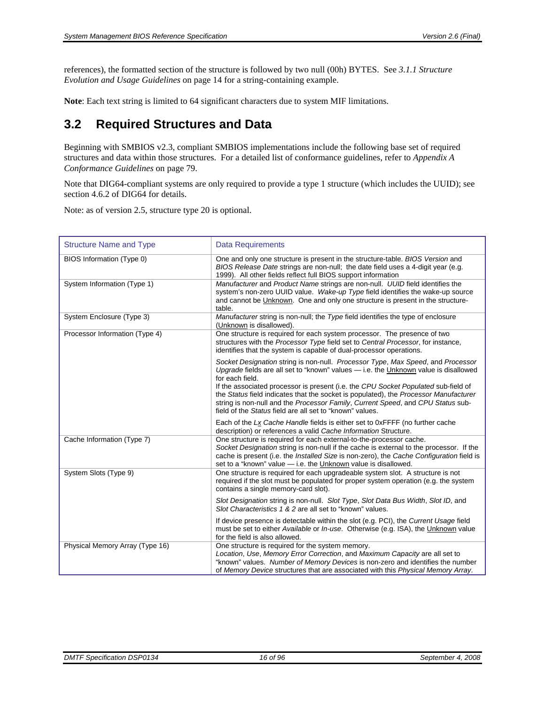<span id="page-15-0"></span>references), the formatted section of the structure is followed by two null (00h) BYTES. See *[3.1.1](#page-13-3) [Structure](#page-13-3)  [Evolution and Usage Guidelines](#page-13-3)* on page [14](#page-13-3) for a string-containing example.

**Note**: Each text string is limited to 64 significant characters due to system MIF limitations.

## <span id="page-15-1"></span>**3.2 Required Structures and Data**

Beginning with SMBIOS v2.3, compliant SMBIOS implementations include the following base set of required structures and data within those structures. For a detailed list of conformance guidelines, refer to *[Appendix A](#page-78-1)  [Conformance Guidelines](#page-78-1)* on page [79](#page-78-1).

Note that DIG64-compliant systems are only required to provide a type 1 structure (which includes the UUID); see section 4.6.2 of DIG64 for details.

Note: as of version 2.5, structure type 20 is optional.

| <b>Structure Name and Type</b>  | <b>Data Requirements</b>                                                                                                                                                                                                                                                                                                                                                                                                                                                                                               |  |  |  |
|---------------------------------|------------------------------------------------------------------------------------------------------------------------------------------------------------------------------------------------------------------------------------------------------------------------------------------------------------------------------------------------------------------------------------------------------------------------------------------------------------------------------------------------------------------------|--|--|--|
| BIOS Information (Type 0)       | One and only one structure is present in the structure-table. BIOS Version and<br>BIOS Release Date strings are non-null; the date field uses a 4-digit year (e.g.<br>1999). All other fields reflect full BIOS support information                                                                                                                                                                                                                                                                                    |  |  |  |
| System Information (Type 1)     | Manufacturer and Product Name strings are non-null. UUID field identifies the<br>system's non-zero UUID value. Wake-up Type field identifies the wake-up source<br>and cannot be Unknown. One and only one structure is present in the structure-<br>table.                                                                                                                                                                                                                                                            |  |  |  |
| System Enclosure (Type 3)       | Manufacturer string is non-null; the Type field identifies the type of enclosure<br>(Unknown is disallowed).                                                                                                                                                                                                                                                                                                                                                                                                           |  |  |  |
| Processor Information (Type 4)  | One structure is required for each system processor. The presence of two<br>structures with the Processor Type field set to Central Processor, for instance,<br>identifies that the system is capable of dual-processor operations.                                                                                                                                                                                                                                                                                    |  |  |  |
|                                 | Socket Designation string is non-null. Processor Type, Max Speed, and Processor<br>Upgrade fields are all set to "known" values - i.e. the Unknown value is disallowed<br>for each field.<br>If the associated processor is present (i.e. the CPU Socket Populated sub-field of<br>the Status field indicates that the socket is populated), the Processor Manufacturer<br>string is non-null and the Processor Family, Current Speed, and CPU Status sub-<br>field of the Status field are all set to "known" values. |  |  |  |
|                                 | Each of the Lx Cache Handle fields is either set to 0xFFFF (no further cache<br>description) or references a valid Cache Information Structure.                                                                                                                                                                                                                                                                                                                                                                        |  |  |  |
| Cache Information (Type 7)      | One structure is required for each external-to-the-processor cache.<br>Socket Designation string is non-null if the cache is external to the processor. If the<br>cache is present (i.e. the Installed Size is non-zero), the Cache Configuration field is<br>set to a "known" value - i.e. the Unknown value is disallowed.                                                                                                                                                                                           |  |  |  |
| System Slots (Type 9)           | One structure is required for each upgradeable system slot. A structure is not<br>required if the slot must be populated for proper system operation (e.g. the system<br>contains a single memory-card slot).                                                                                                                                                                                                                                                                                                          |  |  |  |
|                                 | Slot Designation string is non-null. Slot Type, Slot Data Bus Width, Slot ID, and<br>Slot Characteristics 1 & 2 are all set to "known" values.                                                                                                                                                                                                                                                                                                                                                                         |  |  |  |
|                                 | If device presence is detectable within the slot (e.g. PCI), the Current Usage field<br>must be set to either Available or In-use. Otherwise (e.g. ISA), the Unknown value<br>for the field is also allowed.                                                                                                                                                                                                                                                                                                           |  |  |  |
| Physical Memory Array (Type 16) | One structure is required for the system memory.<br>Location, Use, Memory Error Correction, and Maximum Capacity are all set to<br>"known" values. Number of Memory Devices is non-zero and identifies the number<br>of Memory Device structures that are associated with this Physical Memory Array.                                                                                                                                                                                                                  |  |  |  |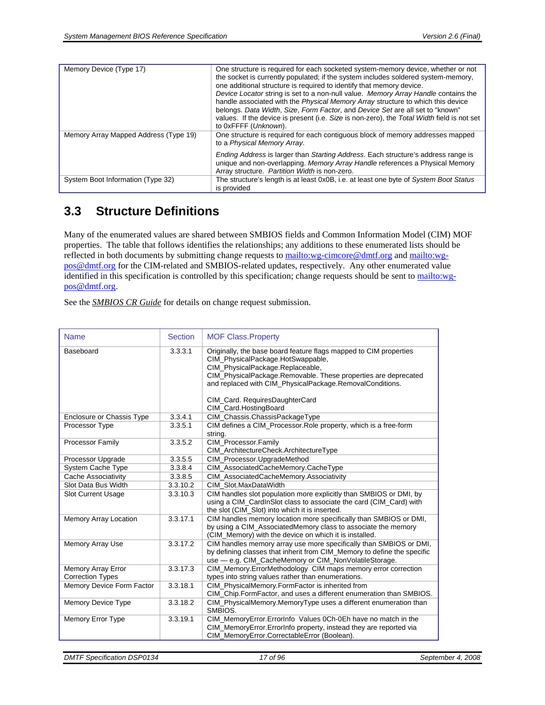<span id="page-16-0"></span>

| Memory Device (Type 17)               | One structure is required for each socketed system-memory device, whether or not<br>the socket is currently populated; if the system includes soldered system-memory,<br>one additional structure is required to identify that memory device.<br>Device Locator string is set to a non-null value. Memory Array Handle contains the<br>handle associated with the Physical Memory Array structure to which this device<br>belongs. Data Width, Size, Form Factor, and Device Set are all set to "known"<br>values. If the device is present (i.e. Size is non-zero), the Total Width field is not set<br>to 0xFFFF (Unknown). |
|---------------------------------------|-------------------------------------------------------------------------------------------------------------------------------------------------------------------------------------------------------------------------------------------------------------------------------------------------------------------------------------------------------------------------------------------------------------------------------------------------------------------------------------------------------------------------------------------------------------------------------------------------------------------------------|
| Memory Array Mapped Address (Type 19) | One structure is required for each contiguous block of memory addresses mapped<br>to a Physical Memory Array.                                                                                                                                                                                                                                                                                                                                                                                                                                                                                                                 |
|                                       | Ending Address is larger than Starting Address. Each structure's address range is<br>unique and non-overlapping. Memory Array Handle references a Physical Memory<br>Array structure. Partition Width is non-zero.                                                                                                                                                                                                                                                                                                                                                                                                            |
| System Boot Information (Type 32)     | The structure's length is at least 0x0B, i.e. at least one byte of System Boot Status<br>is provided                                                                                                                                                                                                                                                                                                                                                                                                                                                                                                                          |

# <span id="page-16-1"></span>**3.3 Structure Definitions**

Many of the enumerated values are shared between SMBIOS fields and Common Information Model (CIM) MOF properties. The table that follows identifies the relationships; any additions to these enumerated lists should be reflected in both documents by submitting change requests to <mailto:wg-cimcore@dmtf.org>and [mailto:wg](mailto:wg-pos@dmtf.org)[pos@dmtf.org](mailto:wg-pos@dmtf.org) for the CIM-related and SMBIOS-related updates, respectively. Any other enumerated value identified in this specification is controlled by this specification; change requests should be sent to [mailto:wg](mailto:wg-pos@dmtf.org)[pos@dmtf.org](mailto:wg-pos@dmtf.org).

See the *SMBIOS CR Guide* for details on change request submission.

| <b>Name</b>                                          | <b>Section</b> | <b>MOF Class.Property</b>                                                                                                                                                                                                                                                                                                           |  |
|------------------------------------------------------|----------------|-------------------------------------------------------------------------------------------------------------------------------------------------------------------------------------------------------------------------------------------------------------------------------------------------------------------------------------|--|
| Baseboard                                            | 3.3.3.1        | Originally, the base board feature flags mapped to CIM properties<br>CIM PhysicalPackage.HotSwappable,<br>CIM_PhysicalPackage.Replaceable,<br>CIM_PhysicalPackage.Removable. These properties are deprecated<br>and replaced with CIM_PhysicalPackage.RemovalConditions.<br>CIM_Card. RequiresDaughterCard<br>CIM Card.HostingBoard |  |
| Enclosure or Chassis Type                            | 3.3.4.1        | CIM_Chassis.ChassisPackageType                                                                                                                                                                                                                                                                                                      |  |
| Processor Type                                       | 3.3.5.1        | CIM defines a CIM_Processor.Role property, which is a free-form<br>string.                                                                                                                                                                                                                                                          |  |
| <b>Processor Family</b>                              | 3.3.5.2        | CIM_Processor.Family<br>CIM_ArchitectureCheck.ArchitectureType                                                                                                                                                                                                                                                                      |  |
| Processor Upgrade                                    | 3.3.5.5        | CIM_Processor.UpgradeMethod                                                                                                                                                                                                                                                                                                         |  |
| <b>System Cache Type</b>                             | 3.3.8.4        | CIM_AssociatedCacheMemory.CacheType                                                                                                                                                                                                                                                                                                 |  |
| Cache Associativity                                  | 3.3.8.5        | CIM_AssociatedCacheMemory.Associativity                                                                                                                                                                                                                                                                                             |  |
| Slot Data Bus Width                                  | 3.3.10.2       | CIM Slot.MaxDataWidth                                                                                                                                                                                                                                                                                                               |  |
| <b>Slot Current Usage</b>                            | 3.3.10.3       | CIM handles slot population more explicitly than SMBIOS or DMI, by<br>using a CIM_CardInSlot class to associate the card (CIM_Card) with<br>the slot (CIM_Slot) into which it is inserted.                                                                                                                                          |  |
| <b>Memory Array Location</b>                         | 3.3.17.1       | CIM handles memory location more specifically than SMBIOS or DMI,<br>by using a CIM_AssociatedMemory class to associate the memory<br>(CIM Memory) with the device on which it is installed.                                                                                                                                        |  |
| <b>Memory Array Use</b>                              | 3.3.17.2       | CIM handles memory array use more specifically than SMBIOS or DMI,<br>by defining classes that inherit from CIM_Memory to define the specific<br>use - e.g. CIM_CacheMemory or CIM_NonVolatileStorage.                                                                                                                              |  |
| <b>Memory Array Error</b><br><b>Correction Types</b> | 3.3.17.3       | CIM_Memory.ErrorMethodology CIM maps memory error correction<br>types into string values rather than enumerations.                                                                                                                                                                                                                  |  |
| Memory Device Form Factor                            | 3.3.18.1       | CIM PhysicalMemory.FormFactor is inherited from<br>CIM_Chip.FormFactor, and uses a different enumeration than SMBIOS.                                                                                                                                                                                                               |  |
| Memory Device Type                                   | 3.3.18.2       | CIM_PhysicalMemory.MemoryType uses a different enumeration than<br>SMBIOS.                                                                                                                                                                                                                                                          |  |
| Memory Error Type                                    | 3.3.19.1       | CIM_MemoryError.ErrorInfo Values 0Ch-0Eh have no match in the<br>CIM_MemoryError.ErrorInfo property, instead they are reported via<br>CIM_MemoryError.CorrectableError (Boolean).                                                                                                                                                   |  |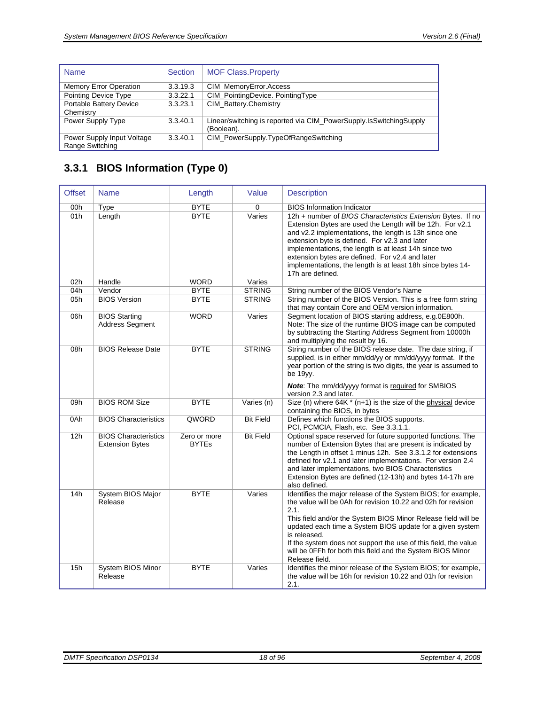<span id="page-17-0"></span>

| <b>Name</b>                                   | <b>Section</b> | <b>MOF Class.Property</b>                                                           |  |
|-----------------------------------------------|----------------|-------------------------------------------------------------------------------------|--|
| <b>Memory Error Operation</b>                 | 3.3.19.3       | CIM MemoryError.Access                                                              |  |
| Pointing Device Type                          | 3.3.22.1       | CIM_PointingDevice. PointingType                                                    |  |
| Portable Battery Device                       | 3.3.23.1       | CIM Battery.Chemistry                                                               |  |
| Chemistry                                     |                |                                                                                     |  |
| Power Supply Type                             | 3.3.40.1       | Linear/switching is reported via CIM PowerSupply. Is Switching Supply<br>(Boolean). |  |
| Power Supply Input Voltage<br>Range Switching | 3.3.40.1       | CIM_PowerSupply.TypeOfRangeSwitching                                                |  |

# <span id="page-17-1"></span>**3.3.1 BIOS Information (Type 0)**

| <b>Offset</b> | Length<br><b>Name</b>                                 |                              | Value            | <b>Description</b>                                                                                                                                                                                                                                                                                                                                                                                                                      |
|---------------|-------------------------------------------------------|------------------------------|------------------|-----------------------------------------------------------------------------------------------------------------------------------------------------------------------------------------------------------------------------------------------------------------------------------------------------------------------------------------------------------------------------------------------------------------------------------------|
| 00h           | <b>Type</b>                                           | <b>BYTE</b>                  | $\mathbf 0$      | <b>BIOS</b> Information Indicator                                                                                                                                                                                                                                                                                                                                                                                                       |
| 01h           | Length                                                | <b>BYTE</b>                  | Varies           | 12h + number of BIOS Characteristics Extension Bytes. If no<br>Extension Bytes are used the Length will be 12h. For v2.1<br>and v2.2 implementations, the length is 13h since one<br>extension byte is defined. For v2.3 and later<br>implementations, the length is at least 14h since two<br>extension bytes are defined. For v2.4 and later<br>implementations, the length is at least 18h since bytes 14-<br>17h are defined.       |
| 02h           | Handle                                                | <b>WORD</b>                  | Varies           |                                                                                                                                                                                                                                                                                                                                                                                                                                         |
| 04h           | Vendor                                                | <b>BYTE</b>                  | <b>STRING</b>    | String number of the BIOS Vendor's Name                                                                                                                                                                                                                                                                                                                                                                                                 |
| 05h           | <b>BIOS Version</b>                                   | <b>BYTE</b>                  | <b>STRING</b>    | String number of the BIOS Version. This is a free form string<br>that may contain Core and OEM version information.                                                                                                                                                                                                                                                                                                                     |
| 06h           | <b>BIOS Starting</b><br><b>Address Segment</b>        | <b>WORD</b>                  | Varies           | Segment location of BIOS starting address, e.g.0E800h.<br>Note: The size of the runtime BIOS image can be computed<br>by subtracting the Starting Address Segment from 10000h<br>and multiplying the result by 16.                                                                                                                                                                                                                      |
| 08h           | <b>BIOS Release Date</b>                              | <b>BYTE</b>                  | <b>STRING</b>    | String number of the BIOS release date. The date string, if<br>supplied, is in either mm/dd/yy or mm/dd/yyyy format. If the<br>year portion of the string is two digits, the year is assumed to<br>be 19yy.<br>Note: The mm/dd/yyyy format is required for SMBIOS<br>version 2.3 and later.                                                                                                                                             |
| 09h           | <b>BIOS ROM Size</b>                                  | <b>BYTE</b>                  | Varies (n)       | Size (n) where 64K * (n+1) is the size of the physical device<br>containing the BIOS, in bytes                                                                                                                                                                                                                                                                                                                                          |
| 0Ah           | <b>BIOS Characteristics</b>                           | QWORD                        | <b>Bit Field</b> | Defines which functions the BIOS supports.<br>PCI, PCMCIA, Flash, etc. See 3.3.1.1.                                                                                                                                                                                                                                                                                                                                                     |
| 12h           | <b>BIOS Characteristics</b><br><b>Extension Bytes</b> | Zero or more<br><b>BYTEs</b> | <b>Bit Field</b> | Optional space reserved for future supported functions. The<br>number of Extension Bytes that are present is indicated by<br>the Length in offset 1 minus 12h. See 3.3.1.2 for extensions<br>defined for v2.1 and later implementations. For version 2.4<br>and later implementations, two BIOS Characteristics<br>Extension Bytes are defined (12-13h) and bytes 14-17h are<br>also defined.                                           |
| 14h           | System BIOS Major<br>Release                          | <b>BYTE</b>                  | Varies           | Identifies the major release of the System BIOS; for example,<br>the value will be 0Ah for revision 10.22 and 02h for revision<br>2.1.<br>This field and/or the System BIOS Minor Release field will be<br>updated each time a System BIOS update for a given system<br>is released.<br>If the system does not support the use of this field, the value<br>will be 0FFh for both this field and the System BIOS Minor<br>Release field. |
| 15h           | System BIOS Minor<br>Release                          | <b>BYTE</b>                  | Varies           | Identifies the minor release of the System BIOS; for example,<br>the value will be 16h for revision 10.22 and 01h for revision<br>2.1.                                                                                                                                                                                                                                                                                                  |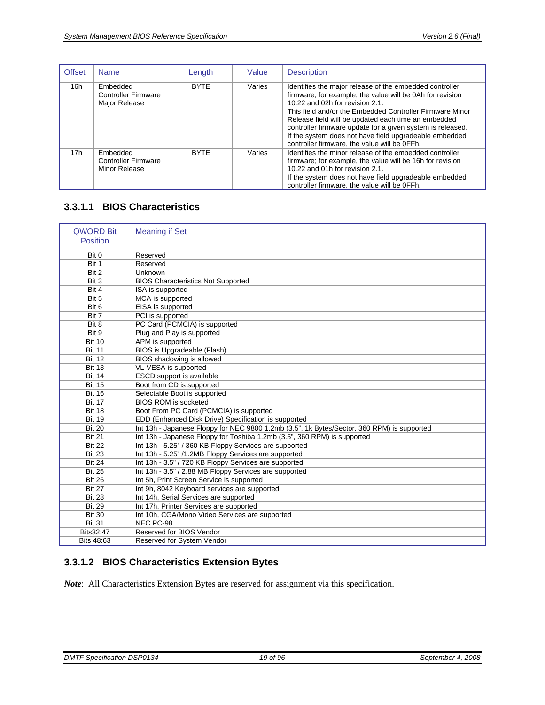<span id="page-18-0"></span>

| <b>Offset</b>   | <b>Name</b>                                             | Length                |        | <b>Description</b>                                                                                                                                                                                                                                                                                                                                                                                                                                 |
|-----------------|---------------------------------------------------------|-----------------------|--------|----------------------------------------------------------------------------------------------------------------------------------------------------------------------------------------------------------------------------------------------------------------------------------------------------------------------------------------------------------------------------------------------------------------------------------------------------|
| 16h             | Embedded<br><b>Controller Firmware</b><br>Major Release | Varies<br><b>BYTE</b> |        | Identifies the major release of the embedded controller<br>firmware; for example, the value will be 0Ah for revision<br>10.22 and 02h for revision 2.1.<br>This field and/or the Embedded Controller Firmware Minor<br>Release field will be updated each time an embedded<br>controller firmware update for a given system is released.<br>If the system does not have field upgradeable embedded<br>controller firmware, the value will be OFFh. |
| 17 <sub>h</sub> | Embedded<br><b>Controller Firmware</b><br>Minor Release | <b>BYTF</b>           | Varies | Identifies the minor release of the embedded controller<br>firmware; for example, the value will be 16h for revision<br>10.22 and 01h for revision 2.1.<br>If the system does not have field upgradeable embedded<br>controller firmware, the value will be OFFh.                                                                                                                                                                                  |

### <span id="page-18-1"></span>**3.3.1.1 BIOS Characteristics**

| <b>QWORD Bit</b><br>Position | <b>Meaning if Set</b>                                                                      |
|------------------------------|--------------------------------------------------------------------------------------------|
| Bit 0                        | Reserved                                                                                   |
| Bit 1                        | Reserved                                                                                   |
| Bit 2                        | Unknown                                                                                    |
| Bit 3                        | <b>BIOS Characteristics Not Supported</b>                                                  |
| Bit 4                        | ISA is supported                                                                           |
| Bit 5                        | MCA is supported                                                                           |
| Bit 6                        | EISA is supported                                                                          |
| Bit 7                        | PCI is supported                                                                           |
| Bit 8                        | PC Card (PCMCIA) is supported                                                              |
| Bit 9                        | Plug and Play is supported                                                                 |
| <b>Bit 10</b>                | APM is supported                                                                           |
| <b>Bit 11</b>                | BIOS is Upgradeable (Flash)                                                                |
| <b>Bit 12</b>                | BIOS shadowing is allowed                                                                  |
| <b>Bit 13</b>                | VL-VESA is supported                                                                       |
| <b>Bit 14</b>                | ESCD support is available                                                                  |
| <b>Bit 15</b>                | Boot from CD is supported                                                                  |
| <b>Bit 16</b>                | Selectable Boot is supported                                                               |
| <b>Bit 17</b>                | <b>BIOS ROM is socketed</b>                                                                |
| <b>Bit 18</b>                | Boot From PC Card (PCMCIA) is supported                                                    |
| <b>Bit 19</b>                | EDD (Enhanced Disk Drive) Specification is supported                                       |
| <b>Bit 20</b>                | Int 13h - Japanese Floppy for NEC 9800 1.2mb (3.5", 1k Bytes/Sector, 360 RPM) is supported |
| <b>Bit 21</b>                | Int 13h - Japanese Floppy for Toshiba 1.2mb (3.5", 360 RPM) is supported                   |
| <b>Bit 22</b>                | Int 13h - 5.25" / 360 KB Floppy Services are supported                                     |
| <b>Bit 23</b>                | Int 13h - 5.25" /1.2MB Floppy Services are supported                                       |
| <b>Bit 24</b>                | Int 13h - 3.5" / 720 KB Floppy Services are supported                                      |
| <b>Bit 25</b>                | Int 13h - 3.5" / 2.88 MB Floppy Services are supported                                     |
| <b>Bit 26</b>                | Int 5h, Print Screen Service is supported                                                  |
| <b>Bit 27</b>                | Int 9h, 8042 Keyboard services are supported                                               |
| <b>Bit 28</b>                | Int 14h, Serial Services are supported                                                     |
| <b>Bit 29</b>                | Int 17h, Printer Services are supported                                                    |
| <b>Bit 30</b>                | Int 10h, CGA/Mono Video Services are supported                                             |
| <b>Bit 31</b>                | NEC PC-98                                                                                  |
| Bits32:47                    | Reserved for BIOS Vendor                                                                   |
| Bits 48:63                   | Reserved for System Vendor                                                                 |

#### <span id="page-18-2"></span>**3.3.1.2 BIOS Characteristics Extension Bytes**

*Note*: All Characteristics Extension Bytes are reserved for assignment via this specification.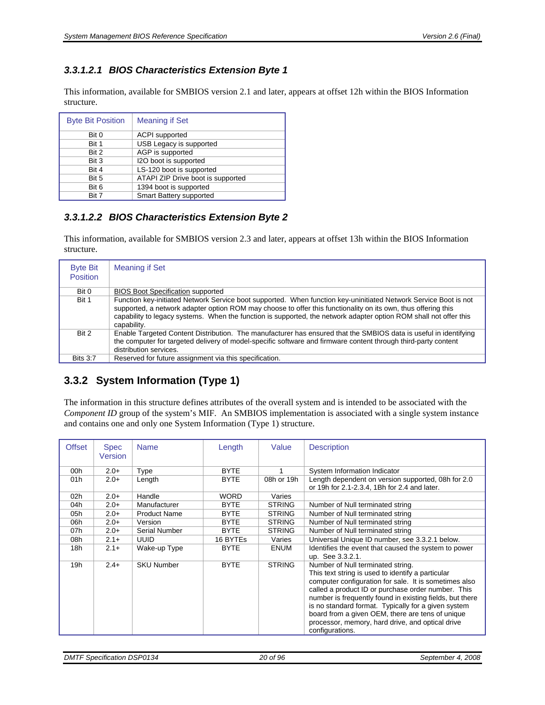#### <span id="page-19-0"></span>*3.3.1.2.1 BIOS Characteristics Extension Byte 1*

This information, available for SMBIOS version 2.1 and later, appears at offset 12h within the BIOS Information structure.

| <b>Byte Bit Position</b> | <b>Meaning if Set</b>             |
|--------------------------|-----------------------------------|
| Bit 0                    | <b>ACPI</b> supported             |
| Bit 1                    | USB Legacy is supported           |
| Bit 2                    | AGP is supported                  |
| Bit 3                    | I2O boot is supported             |
| Bit 4                    | LS-120 boot is supported          |
| Bit 5                    | ATAPI ZIP Drive boot is supported |
| Bit 6                    | 1394 boot is supported            |
| Bit 7                    | Smart Battery supported           |

#### *3.3.1.2.2 BIOS Characteristics Extension Byte 2*

This information, available for SMBIOS version 2.3 and later, appears at offset 13h within the BIOS Information structure.

| <b>Byte Bit</b><br><b>Position</b> | <b>Meaning if Set</b>                                                                                                                                                                                                                                                                                                                                                 |
|------------------------------------|-----------------------------------------------------------------------------------------------------------------------------------------------------------------------------------------------------------------------------------------------------------------------------------------------------------------------------------------------------------------------|
| Bit 0                              | <b>BIOS Boot Specification supported</b>                                                                                                                                                                                                                                                                                                                              |
| Bit 1                              | Function key-initiated Network Service boot supported. When function key-uninitiated Network Service Boot is not<br>supported, a network adapter option ROM may choose to offer this functionality on its own, thus offering this<br>capability to legacy systems. When the function is supported, the network adapter option ROM shall not offer this<br>capability. |
| Bit 2                              | Enable Targeted Content Distribution. The manufacturer has ensured that the SMBIOS data is useful in identifying<br>the computer for targeted delivery of model-specific software and firmware content through third-party content<br>distribution services.                                                                                                          |
| <b>Bits 3.7</b>                    | Reserved for future assignment via this specification.                                                                                                                                                                                                                                                                                                                |

### <span id="page-19-1"></span>**3.3.2 System Information (Type 1)**

The information in this structure defines attributes of the overall system and is intended to be associated with the *Component ID* group of the system's MIF. An SMBIOS implementation is associated with a single system instance and contains one and only one System Information (Type 1) structure.

| <b>Offset</b> | <b>Spec</b><br>Version | <b>Name</b>         | Length      | Value         | <b>Description</b>                                                                                                                                                                                                                                                                                                                                                                                                                                  |
|---------------|------------------------|---------------------|-------------|---------------|-----------------------------------------------------------------------------------------------------------------------------------------------------------------------------------------------------------------------------------------------------------------------------------------------------------------------------------------------------------------------------------------------------------------------------------------------------|
| 00h           | $2.0+$                 | Type                | <b>BYTE</b> |               | System Information Indicator                                                                                                                                                                                                                                                                                                                                                                                                                        |
| 01h           | $2.0+$                 | Length              | <b>BYTE</b> | 08h or 19h    | Length dependent on version supported, 08h for 2.0<br>or 19h for 2.1-2.3.4, 1Bh for 2.4 and later.                                                                                                                                                                                                                                                                                                                                                  |
| 02h           | $2.0+$                 | Handle              | <b>WORD</b> | Varies        |                                                                                                                                                                                                                                                                                                                                                                                                                                                     |
| 04h           | $2.0+$                 | Manufacturer        | <b>BYTE</b> | <b>STRING</b> | Number of Null terminated string                                                                                                                                                                                                                                                                                                                                                                                                                    |
| 05h           | $2.0+$                 | <b>Product Name</b> | <b>BYTE</b> | <b>STRING</b> | Number of Null terminated string                                                                                                                                                                                                                                                                                                                                                                                                                    |
| 06h           | $2.0+$                 | Version             | <b>BYTE</b> | <b>STRING</b> | Number of Null terminated string                                                                                                                                                                                                                                                                                                                                                                                                                    |
| 07h           | $2.0 +$                | Serial Number       | <b>BYTE</b> | <b>STRING</b> | Number of Null terminated string                                                                                                                                                                                                                                                                                                                                                                                                                    |
| 08h           | $2.1+$                 | <b>UUID</b>         | 16 BYTEs    | Varies        | Universal Unique ID number, see 3.3.2.1 below.                                                                                                                                                                                                                                                                                                                                                                                                      |
| 18h           | $2.1+$                 | Wake-up Type        | <b>BYTE</b> | <b>ENUM</b>   | Identifies the event that caused the system to power<br>up. See 3.3.2.1.                                                                                                                                                                                                                                                                                                                                                                            |
| 19h           | $2.4+$                 | <b>SKU Number</b>   | <b>BYTE</b> | <b>STRING</b> | Number of Null terminated string.<br>This text string is used to identify a particular<br>computer configuration for sale. It is sometimes also<br>called a product ID or purchase order number. This<br>number is frequently found in existing fields, but there<br>is no standard format. Typically for a given system<br>board from a given OEM, there are tens of unique<br>processor, memory, hard drive, and optical drive<br>configurations. |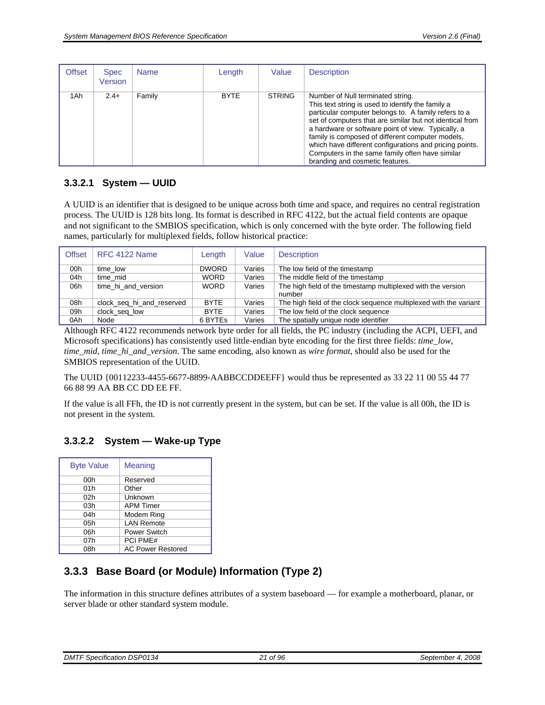<span id="page-20-0"></span>

| <b>Offset</b> | <b>Spec</b><br>Version | <b>Name</b> | Length      | Value         | <b>Description</b>                                                                                                                                                                                                                                                                                                                                                                                                                                                    |
|---------------|------------------------|-------------|-------------|---------------|-----------------------------------------------------------------------------------------------------------------------------------------------------------------------------------------------------------------------------------------------------------------------------------------------------------------------------------------------------------------------------------------------------------------------------------------------------------------------|
| 1Ah           | $2.4+$                 | Family      | <b>BYTE</b> | <b>STRING</b> | Number of Null terminated string.<br>This text string is used to identify the family a<br>particular computer belongs to. A family refers to a<br>set of computers that are similar but not identical from<br>a hardware or software point of view. Typically, a<br>family is composed of different computer models,<br>which have different configurations and pricing points.<br>Computers in the same family often have similar<br>branding and cosmetic features. |

### <span id="page-20-1"></span>**3.3.2.1 System — UUID**

A UUID is an identifier that is designed to be unique across both time and space, and requires no central registration process. The UUID is 128 bits long. Its format is described in RFC 4122, but the actual field contents are opaque and not significant to the SMBIOS specification, which is only concerned with the byte order. The following field names, particularly for multiplexed fields, follow historical practice:

| <b>Offset</b> | RFC 4122 Name             | Length      | Value  | <b>Description</b>                                                     |
|---------------|---------------------------|-------------|--------|------------------------------------------------------------------------|
| 00h           | time low                  | DWORD.      | Varies | The low field of the timestamp                                         |
| 04h           | time mid                  | <b>WORD</b> | Varies | The middle field of the timestamp                                      |
| 06h           | time hi and version       | <b>WORD</b> | Varies | The high field of the timestamp multiplexed with the version<br>number |
| 08h           | clock_seq_hi_and_reserved | <b>BYTE</b> | Varies | The high field of the clock sequence multiplexed with the variant      |
| 09h           | clock_seq_low             | <b>BYTE</b> | Varies | The low field of the clock sequence                                    |
| 0Ah           | Node                      | 6 BYTES     | Varies | The spatially unique node identifier                                   |

Although RFC 4122 recommends network byte order for all fields, the PC industry (including the ACPI, UEFI, and Microsoft specifications) has consistently used little-endian byte encoding for the first three fields: *time\_low*, *time\_mid*, *time\_hi\_and\_version*. The same encoding, also known as *wire format*, should also be used for the SMBIOS representation of the UUID.

The UUID {00112233-4455-6677-8899-AABBCCDDEEFF} would thus be represented as 33 22 11 00 55 44 77 66 88 99 AA BB CC DD EE FF.

If the value is all FFh, the ID is not currently present in the system, but can be set. If the value is all 00h, the ID is not present in the system.

#### <span id="page-20-2"></span>**3.3.2.2 System — Wake-up Type**

| <b>Byte Value</b> | Meaning                  |
|-------------------|--------------------------|
| 00h               | Reserved                 |
| 01h               | Other                    |
| 02 <sub>h</sub>   | Unknown                  |
| 03h               | <b>APM Timer</b>         |
| 04h               | Modem Ring               |
| 05h               | <b>LAN Remote</b>        |
| 06h               | <b>Power Switch</b>      |
| 07h               | <b>PCI PME#</b>          |
| 08h               | <b>AC Power Restored</b> |

## <span id="page-20-3"></span>**3.3.3 Base Board (or Module) Information (Type 2)**

The information in this structure defines attributes of a system baseboard — for example a motherboard, planar, or server blade or other standard system module.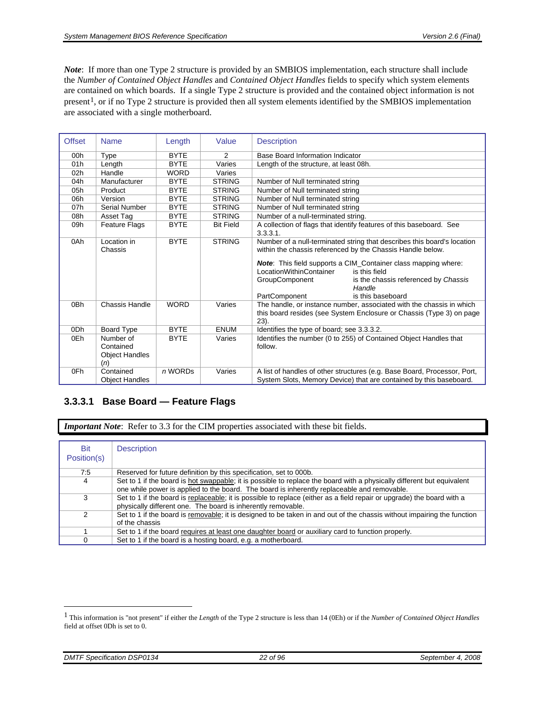<span id="page-21-0"></span>*Note*: If more than one Type 2 structure is provided by an SMBIOS implementation, each structure shall include the *Number of Contained Object Handles* and *Contained Object Handles* fields to specify which system elements are contained on which boards. If a single Type 2 structure is provided and the contained object information is not present[1,](#page-21-2) or if no Type 2 structure is provided then all system elements identified by the SMBIOS implementation are associated with a single motherboard.

| <b>Offset</b> | <b>Name</b>                                            | Length      | Value            | <b>Description</b>                                                                                                                             |  |
|---------------|--------------------------------------------------------|-------------|------------------|------------------------------------------------------------------------------------------------------------------------------------------------|--|
| 00h           | Type                                                   | <b>BYTE</b> | 2                | Base Board Information Indicator                                                                                                               |  |
| 01h           | Length                                                 | <b>BYTE</b> | Varies           | Length of the structure, at least 08h.                                                                                                         |  |
| 02h           | Handle                                                 | <b>WORD</b> | Varies           |                                                                                                                                                |  |
| 04h           | Manufacturer                                           | <b>BYTE</b> | <b>STRING</b>    | Number of Null terminated string                                                                                                               |  |
| 05h           | Product                                                | <b>BYTE</b> | <b>STRING</b>    | Number of Null terminated string                                                                                                               |  |
| 06h           | Version                                                | <b>BYTE</b> | <b>STRING</b>    | Number of Null terminated string                                                                                                               |  |
| 07h           | Serial Number                                          | <b>BYTE</b> | <b>STRING</b>    | Number of Null terminated string                                                                                                               |  |
| 08h           | Asset Tag                                              | <b>BYTE</b> | <b>STRING</b>    | Number of a null-terminated string.                                                                                                            |  |
| 09h           | Feature Flags                                          | <b>BYTE</b> | <b>Bit Field</b> | A collection of flags that identify features of this baseboard. See                                                                            |  |
|               |                                                        |             |                  | 3.3.3.1.                                                                                                                                       |  |
| 0Ah           | Location in<br>Chassis                                 | <b>BYTE</b> | <b>STRING</b>    | Number of a null-terminated string that describes this board's location<br>within the chassis referenced by the Chassis Handle below.          |  |
|               |                                                        |             |                  | <b>Note:</b> This field supports a CIM_Container class mapping where:<br>LocationWithinContainer<br>is this field                              |  |
|               |                                                        |             |                  | GroupComponent<br>is the chassis referenced by Chassis<br>Handle                                                                               |  |
|               |                                                        |             |                  | PartComponent<br>is this baseboard                                                                                                             |  |
| 0Bh           | Chassis Handle                                         | <b>WORD</b> | Varies           | The handle, or instance number, associated with the chassis in which                                                                           |  |
|               |                                                        |             |                  | this board resides (see System Enclosure or Chassis (Type 3) on page<br>$23$ ).                                                                |  |
| 0Dh           | <b>Board Type</b>                                      | <b>BYTE</b> | <b>ENUM</b>      | Identifies the type of board; see 3.3.3.2.                                                                                                     |  |
| 0Eh           | Number of<br>Contained<br><b>Object Handles</b><br>(n) | <b>BYTE</b> | Varies           | Identifies the number (0 to 255) of Contained Object Handles that<br>follow.                                                                   |  |
| 0Fh           | Contained<br><b>Object Handles</b>                     | n WORDs     | Varies           | A list of handles of other structures (e.g. Base Board, Processor, Port,<br>System Slots, Memory Device) that are contained by this baseboard. |  |

### <span id="page-21-1"></span>**3.3.3.1 Base Board — Feature Flags**

*Important Note*: Refer to [3.3](#page-16-1) for the CIM properties associated with these bit fields.

| Bit<br>Position(s) | <b>Description</b>                                                                                                                                                                                                    |
|--------------------|-----------------------------------------------------------------------------------------------------------------------------------------------------------------------------------------------------------------------|
| 7:5                | Reserved for future definition by this specification, set to 000b.                                                                                                                                                    |
| 4                  | Set to 1 if the board is hot swappable; it is possible to replace the board with a physically different but equivalent<br>one while power is applied to the board. The board is inherently replaceable and removable. |
| 3                  | Set to 1 if the board is replaceable; it is possible to replace (either as a field repair or upgrade) the board with a<br>physically different one. The board is inherently removable.                                |
| 2                  | Set to 1 if the board is removable; it is designed to be taken in and out of the chassis without impairing the function<br>of the chassis                                                                             |
|                    | Set to 1 if the board requires at least one daughter board or auxiliary card to function properly.                                                                                                                    |
| 0                  | Set to 1 if the board is a hosting board, e.g. a motherboard.                                                                                                                                                         |

 $\overline{a}$ 

<span id="page-21-2"></span><sup>1</sup> This information is "not present" if either the *Length* of the Type 2 structure is less than 14 (0Eh) or if the *Number of Contained Object Handles* field at offset 0Dh is set to 0.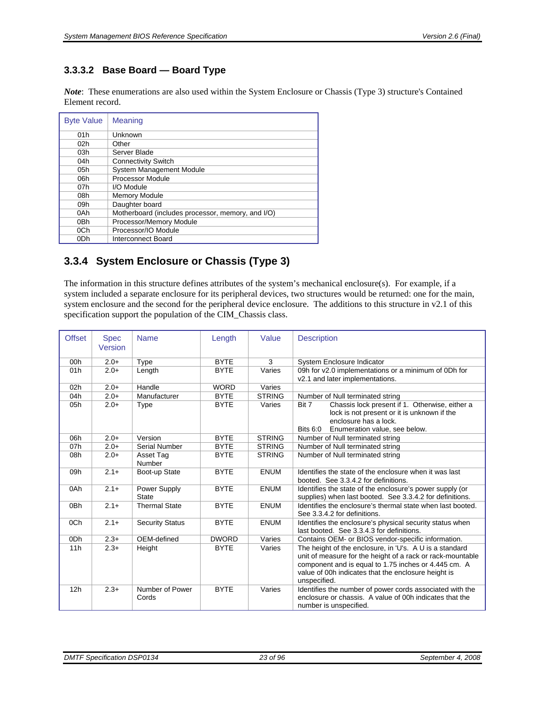### <span id="page-22-1"></span><span id="page-22-0"></span>**3.3.3.2 Base Board — Board Type**

*Note*: These enumerations are also used within the [System Enclosure or Chassis \(Type 3\)](#page-22-2) structure's Contained Element record.

| <b>Byte Value</b> | <b>Meaning</b>                                    |
|-------------------|---------------------------------------------------|
| 01h               | Unknown                                           |
| 02h               | Other                                             |
| 03h               | Server Blade                                      |
| 04h               | <b>Connectivity Switch</b>                        |
| 05h               | System Management Module                          |
| 06h               | <b>Processor Module</b>                           |
| 07h               | I/O Module                                        |
| 08h               | <b>Memory Module</b>                              |
| 09h               | Daughter board                                    |
| 0Ah               | Motherboard (includes processor, memory, and I/O) |
| 0 <sub>Bh</sub>   | Processor/Memory Module                           |
| 0 <sub>Ch</sub>   | Processor/IO Module                               |
| 0 <sub>Dh</sub>   | Interconnect Board                                |

## <span id="page-22-2"></span>**3.3.4 System Enclosure or Chassis (Type 3)**

The information in this structure defines attributes of the system's mechanical enclosure(s). For example, if a system included a separate enclosure for its peripheral devices, two structures would be returned: one for the main, system enclosure and the second for the peripheral device enclosure. The additions to this structure in v2.1 of this specification support the population of the CIM\_Chassis class.

| <b>Offset</b>   | <b>Spec</b><br>Version | <b>Name</b>            | Length       | Value         | <b>Description</b>                                                                                                  |
|-----------------|------------------------|------------------------|--------------|---------------|---------------------------------------------------------------------------------------------------------------------|
|                 |                        |                        |              |               |                                                                                                                     |
| 00h             | $2.0+$                 | Type                   | <b>BYTE</b>  | 3             | System Enclosure Indicator                                                                                          |
| 01h             | $2.0+$                 | Length                 | <b>BYTE</b>  | Varies        | 09h for v2.0 implementations or a minimum of 0Dh for                                                                |
|                 |                        |                        |              |               | v2.1 and later implementations.                                                                                     |
| 02h             | $2.0+$                 | Handle                 | <b>WORD</b>  | Varies        |                                                                                                                     |
| 04h             | $2.0+$                 | Manufacturer           | <b>BYTE</b>  | <b>STRING</b> | Number of Null terminated string                                                                                    |
| 05h             | $2.0+$                 | Type                   | <b>BYTE</b>  | Varies        | Chassis lock present if 1. Otherwise, either a<br>Bit 7                                                             |
|                 |                        |                        |              |               | lock is not present or it is unknown if the                                                                         |
|                 |                        |                        |              |               | enclosure has a lock.                                                                                               |
|                 |                        |                        |              |               | Enumeration value, see below.<br><b>Bits 6:0</b>                                                                    |
| 06h             | $2.0+$                 | Version                | <b>BYTE</b>  | <b>STRING</b> | Number of Null terminated string                                                                                    |
| 07h             | $2.0+$                 | Serial Number          | <b>BYTE</b>  | <b>STRING</b> | Number of Null terminated string                                                                                    |
| 08h             | $2.0+$                 | Asset Tag              | <b>BYTE</b>  | <b>STRING</b> | Number of Null terminated string                                                                                    |
|                 |                        | Number                 |              |               |                                                                                                                     |
| 09h             | $2.1 +$                | Boot-up State          | <b>BYTE</b>  | <b>ENUM</b>   | Identifies the state of the enclosure when it was last                                                              |
|                 |                        |                        |              |               | booted. See 3.3.4.2 for definitions.                                                                                |
| 0Ah             | $2.1 +$                | Power Supply           | <b>BYTE</b>  | <b>ENUM</b>   | Identifies the state of the enclosure's power supply (or                                                            |
|                 |                        | <b>State</b>           |              |               | supplies) when last booted. See 3.3.4.2 for definitions.                                                            |
| 0Bh             | $2.1+$                 | <b>Thermal State</b>   | <b>BYTE</b>  | <b>ENUM</b>   | Identifies the enclosure's thermal state when last booted.                                                          |
|                 |                        |                        |              |               | See 3.3.4.2 for definitions.                                                                                        |
| 0Ch             | $2.1 +$                | <b>Security Status</b> | <b>BYTE</b>  | <b>ENUM</b>   | Identifies the enclosure's physical security status when                                                            |
|                 |                        |                        |              |               | last booted. See 3.3.4.3 for definitions.                                                                           |
| 0 <sub>Dh</sub> | $2.3+$                 | OEM-defined            | <b>DWORD</b> | Varies        | Contains OEM- or BIOS vendor-specific information.                                                                  |
| 11h             | $2.3+$                 | Height                 | <b>BYTE</b>  | Varies        | The height of the enclosure, in 'U's. A U is a standard                                                             |
|                 |                        |                        |              |               | unit of measure for the height of a rack or rack-mountable                                                          |
|                 |                        |                        |              |               | component and is equal to 1.75 inches or 4.445 cm. A                                                                |
|                 |                        |                        |              |               | value of 00h indicates that the enclosure height is                                                                 |
|                 | $2.3+$                 | Number of Power        | <b>BYTE</b>  | Varies        | unspecified.                                                                                                        |
| 12h             |                        | Cords                  |              |               | Identifies the number of power cords associated with the<br>enclosure or chassis. A value of 00h indicates that the |
|                 |                        |                        |              |               |                                                                                                                     |
|                 |                        |                        |              |               | number is unspecified.                                                                                              |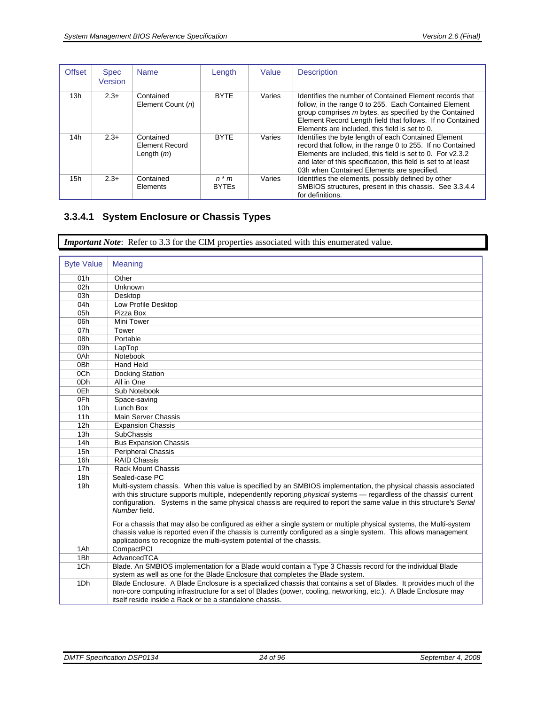<span id="page-23-0"></span>

| <b>Offset</b> | <b>Spec</b><br>Version | <b>Name</b>                                        | Length                       | Value  | <b>Description</b>                                                                                                                                                                                                                                                                              |
|---------------|------------------------|----------------------------------------------------|------------------------------|--------|-------------------------------------------------------------------------------------------------------------------------------------------------------------------------------------------------------------------------------------------------------------------------------------------------|
| 13h           | $2.3+$                 | Contained<br>Element Count (n)                     | <b>BYTE</b>                  | Varies | Identifies the number of Contained Element records that<br>follow, in the range 0 to 255. Each Contained Element<br>group comprises m bytes, as specified by the Contained<br>Element Record Length field that follows. If no Contained<br>Elements are included, this field is set to 0.       |
| 14h           | $2.3+$                 | Contained<br><b>Element Record</b><br>Length $(m)$ | <b>BYTE</b>                  | Varies | Identifies the byte length of each Contained Element<br>record that follow, in the range 0 to 255. If no Contained<br>Elements are included, this field is set to 0. For v2.3.2<br>and later of this specification, this field is set to at least<br>03h when Contained Elements are specified. |
| 15h           | $2.3+$                 | Contained<br>Elements                              | $n \times m$<br><b>BYTES</b> | Varies | Identifies the elements, possibly defined by other<br>SMBIOS structures, present in this chassis. See 3.3.4.4<br>for definitions.                                                                                                                                                               |

## <span id="page-23-1"></span>**3.3.4.1 System Enclosure or Chassis Types**

*Important Note*: Refer to [3.3](#page-16-1) for the CIM properties associated with this enumerated value.

| <b>Byte Value</b> | <b>Meaning</b>                                                                                                       |
|-------------------|----------------------------------------------------------------------------------------------------------------------|
| 01h               | Other                                                                                                                |
| 02h               | Unknown                                                                                                              |
| 03h               | Desktop                                                                                                              |
| 04h               | Low Profile Desktop                                                                                                  |
| 05h               | Pizza Box                                                                                                            |
| 06h               | Mini Tower                                                                                                           |
| 07h               | Tower                                                                                                                |
| 08h               | Portable                                                                                                             |
| 09h               | LapTop                                                                                                               |
| 0Ah               | Notebook                                                                                                             |
| 0Bh               | <b>Hand Held</b>                                                                                                     |
| 0 <sub>Ch</sub>   | Docking Station                                                                                                      |
| 0Dh               | All in One                                                                                                           |
| 0Eh               | Sub Notebook                                                                                                         |
| 0Fh               | Space-saving                                                                                                         |
| 10 <sub>h</sub>   | Lunch Box                                                                                                            |
| 11h               | Main Server Chassis                                                                                                  |
| 12h               | <b>Expansion Chassis</b>                                                                                             |
| 13h               | <b>SubChassis</b>                                                                                                    |
| 14h               | <b>Bus Expansion Chassis</b>                                                                                         |
| 15h               | <b>Peripheral Chassis</b>                                                                                            |
| 16h               | <b>RAID Chassis</b>                                                                                                  |
| 17h               | <b>Rack Mount Chassis</b>                                                                                            |
| 18h               | Sealed-case PC                                                                                                       |
| 19h               | Multi-system chassis. When this value is specified by an SMBIOS implementation, the physical chassis associated      |
|                   | with this structure supports multiple, independently reporting physical systems - regardless of the chassis' current |
|                   | configuration. Systems in the same physical chassis are required to report the same value in this structure's Serial |
|                   | Number field.                                                                                                        |
|                   | For a chassis that may also be configured as either a single system or multiple physical systems, the Multi-system   |
|                   | chassis value is reported even if the chassis is currently configured as a single system. This allows management     |
|                   | applications to recognize the multi-system potential of the chassis.                                                 |
| 1Ah               | CompactPCI                                                                                                           |
| 1Bh               | AdvancedTCA                                                                                                          |
| 1Ch               | Blade. An SMBIOS implementation for a Blade would contain a Type 3 Chassis record for the individual Blade           |
|                   | system as well as one for the Blade Enclosure that completes the Blade system.                                       |
| 1Dh               | Blade Enclosure. A Blade Enclosure is a specialized chassis that contains a set of Blades. It provides much of the   |
|                   | non-core computing infrastructure for a set of Blades (power, cooling, networking, etc.). A Blade Enclosure may      |
|                   | itself reside inside a Rack or be a standalone chassis.                                                              |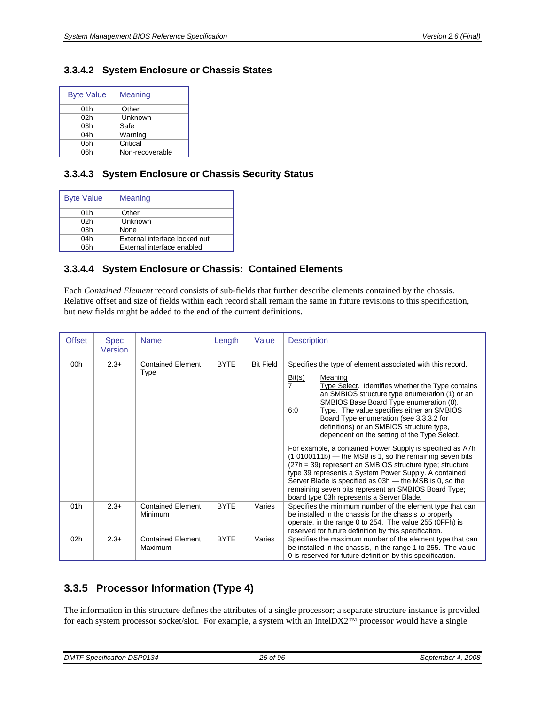#### <span id="page-24-1"></span><span id="page-24-0"></span>**3.3.4.2 System Enclosure or Chassis States**

| <b>Byte Value</b> | Meaning         |
|-------------------|-----------------|
| 01h               | Other           |
| 02 <sub>h</sub>   | Unknown         |
| 03h               | Safe            |
| 04h               | Warning         |
| 05h               | Critical        |
| 06h               | Non-recoverable |

#### <span id="page-24-2"></span>**3.3.4.3 System Enclosure or Chassis Security Status**

| <b>Byte Value</b> | Meaning                       |
|-------------------|-------------------------------|
| 01h               | Other                         |
| 02 <sub>h</sub>   | Unknown                       |
| 03h               | None                          |
| 04h               | External interface locked out |
| 05h               | External interface enabled    |

#### <span id="page-24-3"></span>**3.3.4.4 System Enclosure or Chassis: Contained Elements**

Each *Contained Element* record consists of sub-fields that further describe elements contained by the chassis. Relative offset and size of fields within each record shall remain the same in future revisions to this specification, but new fields might be added to the end of the current definitions.

| <b>Offset</b> | <b>Spec</b><br>Version | <b>Name</b>                         | Length      | Value            | <b>Description</b>                                                                                                                                                                                                                                                                                                                                                                                                                                                                                                                                                                                                                                                                                                                                                                                                  |
|---------------|------------------------|-------------------------------------|-------------|------------------|---------------------------------------------------------------------------------------------------------------------------------------------------------------------------------------------------------------------------------------------------------------------------------------------------------------------------------------------------------------------------------------------------------------------------------------------------------------------------------------------------------------------------------------------------------------------------------------------------------------------------------------------------------------------------------------------------------------------------------------------------------------------------------------------------------------------|
| 00h           | $2.3+$                 | <b>Contained Element</b><br>Type    | <b>BYTE</b> | <b>Bit Field</b> | Specifies the type of element associated with this record.<br>Bit(s)<br>Meaning<br>$\overline{7}$<br>Type Select. Identifies whether the Type contains<br>an SMBIOS structure type enumeration (1) or an<br>SMBIOS Base Board Type enumeration (0).<br>Type. The value specifies either an SMBIOS<br>6:0<br>Board Type enumeration (see 3.3.3.2 for<br>definitions) or an SMBIOS structure type,<br>dependent on the setting of the Type Select.<br>For example, a contained Power Supply is specified as A7h<br>(1 0100111b) - the MSB is 1, so the remaining seven bits<br>$(27h = 39)$ represent an SMBIOS structure type; structure<br>type 39 represents a System Power Supply. A contained<br>Server Blade is specified as 03h - the MSB is 0, so the<br>remaining seven bits represent an SMBIOS Board Type; |
| 01h           | $2.3+$                 | <b>Contained Element</b><br>Minimum | <b>BYTE</b> | Varies           | board type 03h represents a Server Blade.<br>Specifies the minimum number of the element type that can<br>be installed in the chassis for the chassis to properly<br>operate, in the range 0 to 254. The value 255 (0FFh) is<br>reserved for future definition by this specification.                                                                                                                                                                                                                                                                                                                                                                                                                                                                                                                               |
| 02h           | $2.3+$                 | <b>Contained Element</b><br>Maximum | <b>BYTE</b> | Varies           | Specifies the maximum number of the element type that can<br>be installed in the chassis, in the range 1 to 255. The value<br>0 is reserved for future definition by this specification.                                                                                                                                                                                                                                                                                                                                                                                                                                                                                                                                                                                                                            |

## <span id="page-24-4"></span>**3.3.5 Processor Information (Type 4)**

The information in this structure defines the attributes of a single processor; a separate structure instance is provided for each system processor socket/slot. For example, a system with an IntelDX2™ processor would have a single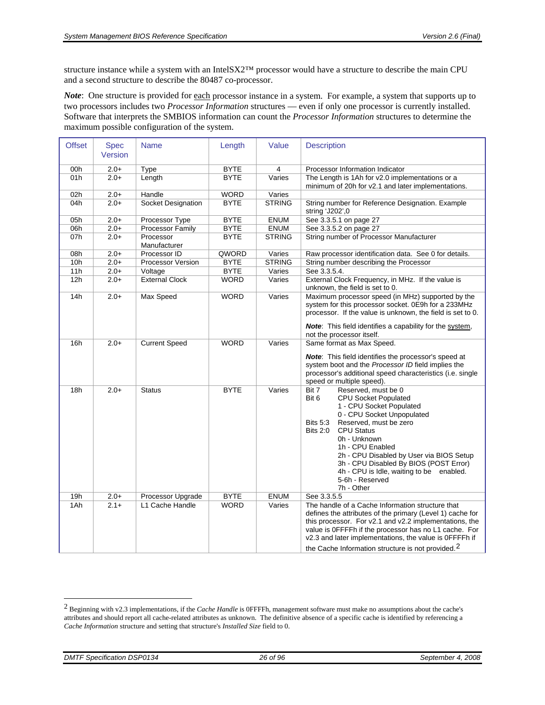structure instance while a system with an IntelSX2™ processor would have a structure to describe the main CPU and a second structure to describe the 80487 co-processor.

*Note*: One structure is provided for <u>each</u> processor instance in a system. For example, a system that supports up to two processors includes two *Processor Information* structures — even if only one processor is currently installed. Software that interprets the SMBIOS information can count the *Processor Information* structures to determine the maximum possible configuration of the system.

| <b>Offset</b> | <b>Spec</b><br>Version | <b>Name</b>              | Length      | Value         | <b>Description</b>                                                                                                                                                                                                                                                                                                                                                                                                         |
|---------------|------------------------|--------------------------|-------------|---------------|----------------------------------------------------------------------------------------------------------------------------------------------------------------------------------------------------------------------------------------------------------------------------------------------------------------------------------------------------------------------------------------------------------------------------|
| 00h           | $2.0+$                 | Type                     | <b>BYTE</b> | 4             | Processor Information Indicator                                                                                                                                                                                                                                                                                                                                                                                            |
| 01h           | $2.0+$                 | Length                   | <b>BYTE</b> | Varies        | The Length is 1Ah for v2.0 implementations or a                                                                                                                                                                                                                                                                                                                                                                            |
|               |                        |                          |             |               | minimum of 20h for v2.1 and later implementations.                                                                                                                                                                                                                                                                                                                                                                         |
| 02h           | $2.0+$                 | Handle                   | <b>WORD</b> | Varies        |                                                                                                                                                                                                                                                                                                                                                                                                                            |
| 04h           | $2.0+$                 | Socket Designation       | <b>BYTE</b> | <b>STRING</b> | String number for Reference Designation. Example                                                                                                                                                                                                                                                                                                                                                                           |
|               |                        |                          |             |               | string 'J202',0                                                                                                                                                                                                                                                                                                                                                                                                            |
| 05h           | $2.0+$                 | Processor Type           | <b>BYTE</b> | <b>ENUM</b>   | See 3.3.5.1 on page 27                                                                                                                                                                                                                                                                                                                                                                                                     |
| 06h           | $2.0+$                 | Processor Family         | <b>BYTE</b> | <b>ENUM</b>   | See 3.3.5.2 on page 27                                                                                                                                                                                                                                                                                                                                                                                                     |
| 07h           | $2.0+$                 | Processor                | <b>BYTE</b> | <b>STRING</b> | String number of Processor Manufacturer                                                                                                                                                                                                                                                                                                                                                                                    |
|               |                        | Manufacturer             |             |               |                                                                                                                                                                                                                                                                                                                                                                                                                            |
| 08h           | $2.0+$                 | Processor ID             | QWORD       | Varies        | Raw processor identification data. See 0 for details.                                                                                                                                                                                                                                                                                                                                                                      |
| 10h           | $2.0+$                 | <b>Processor Version</b> | <b>BYTE</b> | <b>STRING</b> | String number describing the Processor                                                                                                                                                                                                                                                                                                                                                                                     |
| 11h           | $2.0+$                 | Voltage                  | <b>BYTE</b> | Varies        | See 3.3.5.4.                                                                                                                                                                                                                                                                                                                                                                                                               |
| 12h           | $2.0+$                 | <b>External Clock</b>    | <b>WORD</b> | Varies        | External Clock Frequency, in MHz. If the value is<br>unknown, the field is set to 0.                                                                                                                                                                                                                                                                                                                                       |
| 14h           | $2.0+$                 | Max Speed                | <b>WORD</b> | Varies        | Maximum processor speed (in MHz) supported by the<br>system for this processor socket. 0E9h for a 233MHz<br>processor. If the value is unknown, the field is set to 0.<br><b>Note:</b> This field identifies a capability for the system,<br>not the processor itself.                                                                                                                                                     |
| 16h           | $2.0+$                 | <b>Current Speed</b>     | <b>WORD</b> | Varies        | Same format as Max Speed.                                                                                                                                                                                                                                                                                                                                                                                                  |
|               |                        |                          |             |               | <b>Note:</b> This field identifies the processor's speed at<br>system boot and the Processor ID field implies the<br>processor's additional speed characteristics (i.e. single<br>speed or multiple speed).                                                                                                                                                                                                                |
| 18h           | $2.0+$                 | <b>Status</b>            | <b>BYTE</b> | Varies        | Bit 7<br>Reserved, must be 0<br>Bit 6<br><b>CPU Socket Populated</b><br>1 - CPU Socket Populated<br>0 - CPU Socket Unpopulated<br>Reserved, must be zero<br><b>Bits 5:3</b><br><b>CPU Status</b><br><b>Bits 2:0</b><br>0h - Unknown<br>1h - CPU Enabled<br>2h - CPU Disabled by User via BIOS Setup<br>3h - CPU Disabled By BIOS (POST Error)<br>4h - CPU is Idle, waiting to be enabled.<br>5-6h - Reserved<br>7h - Other |
| 19h           | $2.0+$                 | Processor Upgrade        | <b>BYTE</b> | <b>ENUM</b>   | See 3.3.5.5                                                                                                                                                                                                                                                                                                                                                                                                                |
| 1Ah           | $2.1+$                 | L1 Cache Handle          | <b>WORD</b> | Varies        | The handle of a Cache Information structure that<br>defines the attributes of the primary (Level 1) cache for<br>this processor. For v2.1 and v2.2 implementations, the<br>value is OFFFFh if the processor has no L1 cache. For<br>v2.3 and later implementations, the value is 0FFFFh if<br>the Cache Information structure is not provided. <sup>2</sup>                                                                |

<span id="page-25-1"></span> $\overline{a}$ 

<span id="page-25-0"></span><sup>2</sup> Beginning with v2.3 implementations, if the *Cache Handle* is 0FFFFh, management software must make no assumptions about the cache's attributes and should report all cache-related attributes as unknown. The definitive absence of a specific cache is identified by referencing a *Cache Information* structure and setting that structure's *Installed Size* field to 0.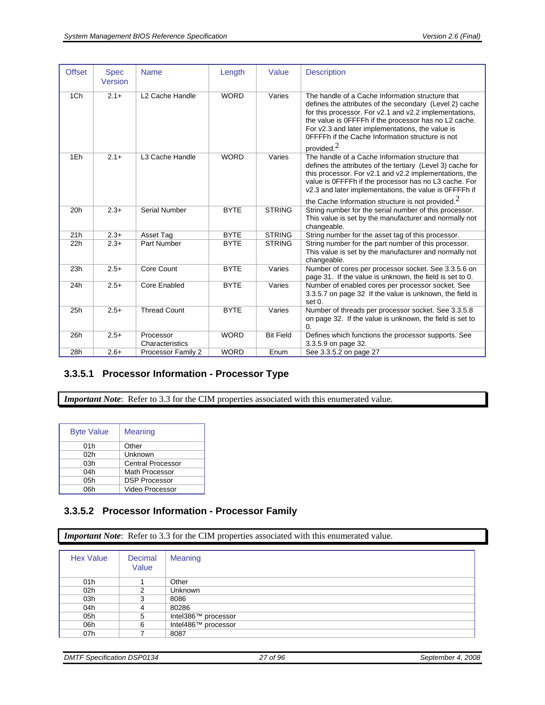<span id="page-26-0"></span>

| <b>Offset</b> | <b>Spec</b><br>Version | <b>Name</b>                  | Length      | Value            | <b>Description</b>                                                                                                                                                                                                                                                                                                                                      |
|---------------|------------------------|------------------------------|-------------|------------------|---------------------------------------------------------------------------------------------------------------------------------------------------------------------------------------------------------------------------------------------------------------------------------------------------------------------------------------------------------|
| 1Ch           | $2.1+$                 | L <sub>2</sub> Cache Handle  | <b>WORD</b> | Varies           | The handle of a Cache Information structure that<br>defines the attributes of the secondary (Level 2) cache<br>for this processor. For v2.1 and v2.2 implementations,<br>the value is OFFFFh if the processor has no L2 cache.<br>For v2.3 and later implementations, the value is<br>OFFFFh if the Cache Information structure is not<br>provided. $2$ |
| 1Eh           | $2.1 +$                | L3 Cache Handle              | <b>WORD</b> | Varies           | The handle of a Cache Information structure that<br>defines the attributes of the tertiary (Level 3) cache for<br>this processor. For v2.1 and v2.2 implementations, the<br>value is OFFFFh if the processor has no L3 cache. For<br>v2.3 and later implementations, the value is 0FFFFh if                                                             |
|               | $2.3+$                 | <b>Serial Number</b>         | <b>BYTE</b> | <b>STRING</b>    | the Cache Information structure is not provided. $2$                                                                                                                                                                                                                                                                                                    |
| 20h           |                        |                              |             |                  | String number for the serial number of this processor.<br>This value is set by the manufacturer and normally not<br>changeable.                                                                                                                                                                                                                         |
| 21h           | $2.3+$                 | Asset Tag                    | <b>BYTE</b> | <b>STRING</b>    | String number for the asset tag of this processor.                                                                                                                                                                                                                                                                                                      |
| 22h           | $2.3+$                 | Part Number                  | <b>BYTE</b> | <b>STRING</b>    | String number for the part number of this processor.<br>This value is set by the manufacturer and normally not<br>changeable.                                                                                                                                                                                                                           |
| 23h           | $2.5+$                 | Core Count                   | <b>BYTE</b> | Varies           | Number of cores per processor socket. See 3.3.5.6 on<br>page 31. If the value is unknown, the field is set to 0.                                                                                                                                                                                                                                        |
| 24h           | $2.5+$                 | Core Enabled                 | <b>BYTE</b> | Varies           | Number of enabled cores per processor socket. See<br>3.3.5.7 on page 32 If the value is unknown, the field is<br>set 0.                                                                                                                                                                                                                                 |
| 25h           | $2.5+$                 | <b>Thread Count</b>          | <b>BYTE</b> | Varies           | Number of threads per processor socket. See 3.3.5.8<br>on page 32. If the value is unknown, the field is set to<br>$\Omega$                                                                                                                                                                                                                             |
| 26h           | $2.5+$                 | Processor<br>Characteristics | <b>WORD</b> | <b>Bit Field</b> | Defines which functions the processor supports. See<br>3.3.5.9 on page 32.                                                                                                                                                                                                                                                                              |
| 28h           | $2.6+$                 | Processor Family 2           | <b>WORD</b> | Enum             | See 3.3.5.2 on page 27                                                                                                                                                                                                                                                                                                                                  |

## <span id="page-26-1"></span>**3.3.5.1 Processor Information - Processor Type**

*Important Note*: Refer to [3.3](#page-16-1) for the CIM properties associated with this enumerated value.

| <b>Byte Value</b> | Meaning                  |  |  |
|-------------------|--------------------------|--|--|
| 01h               | Other                    |  |  |
| 02h               | Unknown                  |  |  |
| 03h               | <b>Central Processor</b> |  |  |
| 04h               | Math Processor           |  |  |
| 05h               | <b>DSP Processor</b>     |  |  |
| 06h               | Video Processor          |  |  |

### <span id="page-26-2"></span>**3.3.5.2 Processor Information - Processor Family**

*Important Note*: Refer to [3.3](#page-16-1) for the CIM properties associated with this enumerated value.

| <b>Hex Value</b> | Decimal<br>Value | <b>Meaning</b>      |
|------------------|------------------|---------------------|
| 01h              |                  | Other               |
| 02 <sub>h</sub>  | 2                | <b>Unknown</b>      |
| 03h              | 3                | 8086                |
| 04h              | 4                | 80286               |
| 05h              | 5                | Intel386™ processor |
| 06h              | 6                | Intel486™ processor |
| 07h              |                  | 8087                |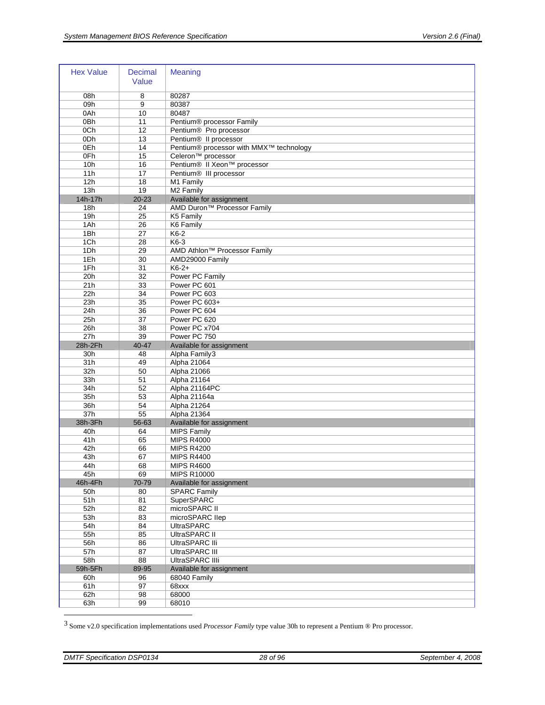| <b>Hex Value</b> | <b>Decimal</b><br>Value | <b>Meaning</b>                           |
|------------------|-------------------------|------------------------------------------|
| 08h              | 8                       | 80287                                    |
| 09h              | 9                       | 80387                                    |
| 0Ah              | 10                      | 80487                                    |
| 0Bh              | 11                      | Pentium® processor Family                |
| 0Ch              | 12                      | Pentium® Pro processor                   |
| ODh              | 13                      | Pentium <sup>®</sup> Il processor        |
| 0Eh              | 14                      | Pentium® processor with MMX™ technology  |
| OFh              | 15                      | Celeron <sup>™</sup> processor           |
| 10h              | 16                      | Pentium® II Xeon™ processor              |
| 11h              | 17                      | Pentium <sup>®</sup> III processor       |
| 12h              | 18                      | M1 Family                                |
| 13h              | 19                      | M2 Family                                |
| 14h-17h          | $20 - 23$               | Available for assignment                 |
| 18h              | 24                      | AMD Duron <sup>™</sup> Processor Family  |
| 19h              | 25                      | K5 Family                                |
| 1Ah              | 26                      | K6 Family                                |
| 1Bh              | 27                      | $K6-2$                                   |
| 1Ch              | 28                      | K6-3                                     |
| 1Dh              | 29                      | AMD Athlon <sup>™</sup> Processor Family |
| 1Eh              | 30                      | AMD29000 Family                          |
| 1Fh              | 31                      | $K6-2+$                                  |
| 20h              | 32                      | Power PC Family                          |
| 21h              | 33                      | Power PC 601                             |
| 22h              | 34                      | Power PC 603                             |
| 23h              | 35                      | Power PC 603+                            |
| 24h              | 36                      | Power PC 604                             |
| 25h              | 37                      | Power PC 620                             |
| 26h              | 38                      | Power PC x704                            |
| 27h              | 39                      | Power PC 750                             |
| 28h-2Fh          | 40-47                   | Available for assignment                 |
| 30h<br>31h       | 48<br>49                | Alpha Family3<br>Alpha 21064             |
| 32h              | 50                      | Alpha 21066                              |
| 33h              | 51                      | Alpha 21164                              |
| 34h              | 52                      | Alpha 21164PC                            |
| 35h              | 53                      | Alpha 21164a                             |
| 36h              | 54                      | Alpha 21264                              |
| 37h              | 55                      | Alpha 21364                              |
| 38h-3Fh          | 56-63                   | Available for assignment                 |
| 40h              | 64                      | <b>MIPS Family</b>                       |
| 41h              | 65                      |                                          |
| 42h              |                         |                                          |
|                  | 66                      | <b>MIPS R4000</b><br><b>MIPS R4200</b>   |
| 43h              | 67                      | <b>MIPS R4400</b>                        |
|                  |                         |                                          |
| 44h<br>45h       | 68<br>69                | <b>MIPS R4600</b><br><b>MIPS R10000</b>  |
| 46h-4Fh          | 70-79                   | Available for assignment                 |
| 50h              | 80                      | <b>SPARC Family</b>                      |
| 51h              | 81                      | SuperSPARC                               |
| 52h              | 82                      | microSPARC II                            |
| 53h              | 83                      | microSPARC IIep                          |
| 54h              | 84                      | <b>UltraSPARC</b>                        |
| 55h              | 85                      | UltraSPARC II                            |
| 56h              | 86                      | UltraSPARC IIi                           |
| 57h              | 87                      | UltraSPARC III                           |
| 58h              | 88                      | <b>UltraSPARC IIIi</b>                   |
| 59h-5Fh          | 89-95                   | Available for assignment                 |
| 60h              | 96                      | 68040 Family                             |
| 61h              | 97                      | 68xxx                                    |
| 62h              | 98                      | 68000                                    |
| 63h              | 99                      | 68010                                    |

<span id="page-27-0"></span>3 Some v2.0 specification implementations used *Processor Family* type value 30h to represent a Pentium ® Pro processor.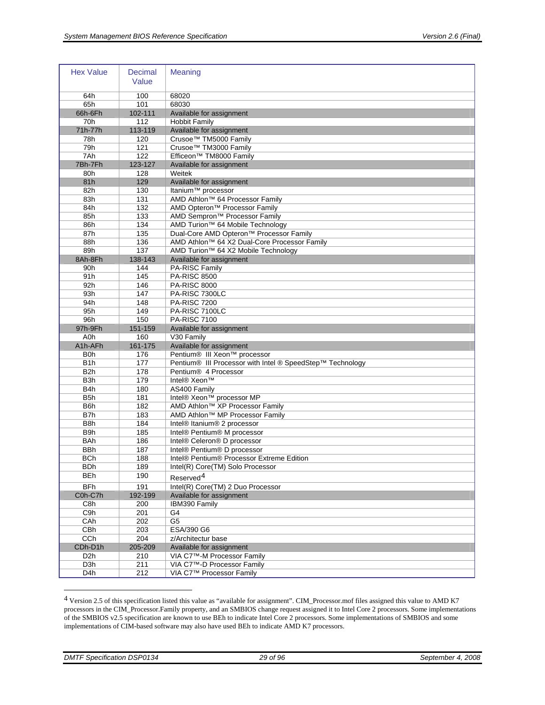| <b>Hex Value</b> | <b>Decimal</b><br>Value | Meaning                                                   |
|------------------|-------------------------|-----------------------------------------------------------|
| 64h              | 100                     | 68020                                                     |
| 65h              | 101                     | 68030                                                     |
| 66h-6Fh          | 102-111                 | Available for assignment                                  |
| 70h              | 112                     | <b>Hobbit Family</b>                                      |
| 71h-77h          | 113-119                 | Available for assignment                                  |
| 78h              | 120                     | Crusoe™ TM5000 Family                                     |
| 79h              | 121                     | Crusoe™ TM3000 Family                                     |
| 7Ah              | 122                     | Efficeon™ TM8000 Family                                   |
| 7Bh-7Fh          | 123-127                 | Available for assignment                                  |
| 80h              | 128                     | Weitek                                                    |
| 81h              | 129                     | Available for assignment                                  |
| 82h              | 130                     | Itanium <sup>™</sup> processor                            |
| 83h              | 131                     | AMD Athlon™ 64 Processor Family                           |
| 84h              | 132                     | AMD Opteron <sup>™</sup> Processor Family                 |
| 85h              | 133                     | AMD Sempron <sup>™</sup> Processor Family                 |
| 86h              | 134                     | AMD Turion™ 64 Mobile Technology                          |
| 87h              | 135                     | Dual-Core AMD Opteron™ Processor Family                   |
| 88h              | 136                     | AMD Athlon™ 64 X2 Dual-Core Processor Family              |
| 89h              | 137                     | AMD Turion <sup>™</sup> 64 X2 Mobile Technology           |
| 8Ah-8Fh          | 138-143                 | Available for assignment                                  |
| 90h              | 144                     | PA-RISC Family                                            |
| 91 <sub>h</sub>  | 145                     | <b>PA-RISC 8500</b>                                       |
| 92h              | 146                     | <b>PA-RISC 8000</b>                                       |
| 93h              | 147                     | PA-RISC 7300LC                                            |
| 94h              | 148                     | <b>PA-RISC 7200</b>                                       |
| 95h<br>96h       | 149<br>150              | PA-RISC 7100LC<br><b>PA-RISC 7100</b>                     |
|                  |                         |                                                           |
|                  |                         |                                                           |
| 97h-9Fh          | 151-159                 | Available for assignment                                  |
| A <sub>0</sub> h | 160                     | V30 Family                                                |
| A1h-AFh          | 161-175                 | Available for assignment                                  |
| <b>B0h</b>       | 176                     | Pentium® III Xeon™ processor                              |
| B <sub>1</sub> h | 177                     | Pentium® III Processor with Intel ® SpeedStep™ Technology |
| B2h              | 178                     | Pentium® 4 Processor                                      |
| B <sub>3</sub> h | 179                     | Intel® Xeon™                                              |
| B4h              | 180                     | AS400 Family                                              |
| B <sub>5</sub> h | 181                     | Intel® Xeon™ processor MP                                 |
| B <sub>6</sub> h | 182                     | AMD Athlon™ XP Processor Family                           |
| B7h              | 183                     | AMD Athlon™ MP Processor Family                           |
| B8h              | 184                     | Intel® Itanium® 2 processor                               |
| B9h              | 185                     | Intel® Pentium® M processor                               |
| <b>BAh</b>       | 186                     | Intel® Celeron® D processor                               |
| <b>BBh</b>       | 187<br>188              | Intel® Pentium® D processor                               |
| <b>BCh</b>       |                         | Intel® Pentium® Processor Extreme Edition                 |
| <b>BDh</b>       | 189                     | Intel(R) Core(TM) Solo Processor                          |
| <b>BEh</b>       | 190                     | Reserved <sup>4</sup>                                     |
| <b>BFh</b>       | 191                     | Intel(R) Core(TM) 2 Duo Processor                         |
| C0h-C7h          | 192-199                 | Available for assignment                                  |
| C8h              | 200                     | IBM390 Family                                             |
| C9h              | 201                     | G4                                                        |
| CAh              | 202                     | $\overline{G5}$                                           |
| <b>CBh</b>       | 203                     | ESA/390 G6                                                |
| CCh              | 204                     | z/Architectur base                                        |
| CDh-D1h          | 205-209                 | Available for assignment                                  |
| D <sub>2</sub> h | 210                     | VIA C7™-M Processor Family                                |
| D3h<br>D4h       | 211<br>212              | VIA C7™-D Processor Family<br>VIA C7™ Processor Family    |

<span id="page-28-0"></span><sup>4</sup> Version 2.5 of this specification listed this value as "available for assignment". CIM\_Processor.mof files assigned this value to AMD K7 processors in the CIM\_Processor.Family property, and an SMBIOS change request assigned it to Intel Core 2 processors. Some implementations of the SMBIOS v2.5 specification are known to use BEh to indicate Intel Core 2 processors. Some implementations of SMBIOS and some implementations of CIM-based software may also have used BEh to indicate AMD K7 processors.

 $\overline{a}$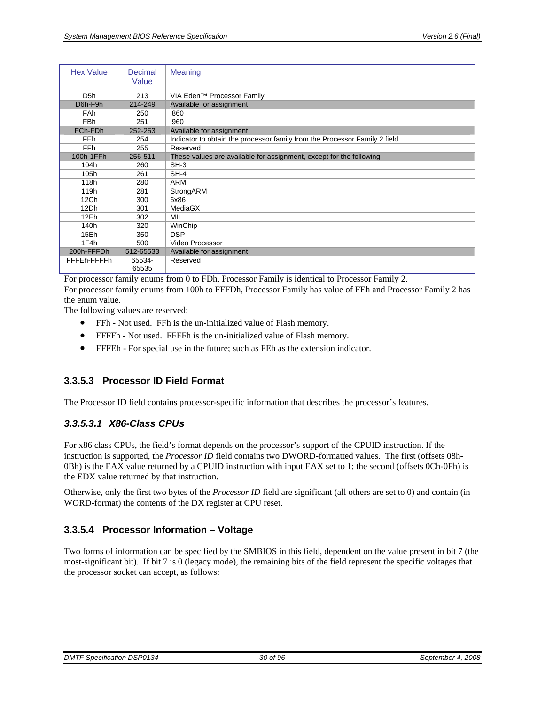<span id="page-29-0"></span>

| <b>Hex Value</b> | Decimal<br>Value | <b>Meaning</b>                                                              |
|------------------|------------------|-----------------------------------------------------------------------------|
| D <sub>5</sub> h | 213              | VIA Eden™ Processor Family                                                  |
| D6h-F9h          | 214-249          | Available for assignment                                                    |
| <b>FAh</b>       | 250              | i860                                                                        |
| <b>FBh</b>       | 251              | i960                                                                        |
| FCh-FDh          | 252-253          | Available for assignment                                                    |
| <b>FEh</b>       | 254              | Indicator to obtain the processor family from the Processor Family 2 field. |
| FF <sub>h</sub>  | 255              | Reserved                                                                    |
| 100h-1FFh        | 256-511          | These values are available for assignment, except for the following:        |
| 104h             | 260              | $SH-3$                                                                      |
| 105h             | 261              | $SH-4$                                                                      |
| 118h             | 280              | <b>ARM</b>                                                                  |
| 119h             | 281              | StrongARM                                                                   |
| 12 <sub>Ch</sub> | 300              | 6x86                                                                        |
| 12Dh             | 301              | MediaGX                                                                     |
| 12Eh             | 302              | MII                                                                         |
| 140h             | 320              | WinChip                                                                     |
| 15Eh             | 350              | <b>DSP</b>                                                                  |
| 1F4h             | 500              | Video Processor                                                             |
| 200h-FFFDh       | 512-65533        | Available for assignment                                                    |
| FFFEh-FFFFh      | 65534-<br>65535  | Reserved                                                                    |

<span id="page-29-3"></span>For processor family enums from 0 to FDh, Processor Family is identical to Processor Family 2.

For processor family enums from 100h to FFFDh, Processor Family has value of FEh and Processor Family 2 has the enum value.

The following values are reserved:

- FFh Not used. FFh is the un-initialized value of Flash memory.
- FFFFh Not used. FFFFh is the un-initialized value of Flash memory.
- FFFEh For special use in the future; such as FEh as the extension indicator.

#### <span id="page-29-1"></span>**3.3.5.3 Processor ID Field Format**

The Processor ID field contains processor-specific information that describes the processor's features.

#### *3.3.5.3.1 X86-Class CPUs*

For x86 class CPUs, the field's format depends on the processor's support of the CPUID instruction. If the instruction is supported, the *Processor ID* field contains two DWORD-formatted values. The first (offsets 08h-0Bh) is the EAX value returned by a CPUID instruction with input EAX set to 1; the second (offsets 0Ch-0Fh) is the EDX value returned by that instruction.

Otherwise, only the first two bytes of the *Processor ID* field are significant (all others are set to 0) and contain (in WORD-format) the contents of the DX register at CPU reset.

#### <span id="page-29-2"></span>**3.3.5.4 Processor Information – Voltage**

Two forms of information can be specified by the SMBIOS in this field, dependent on the value present in bit 7 (the most-significant bit). If bit 7 is 0 (legacy mode), the remaining bits of the field represent the specific voltages that the processor socket can accept, as follows: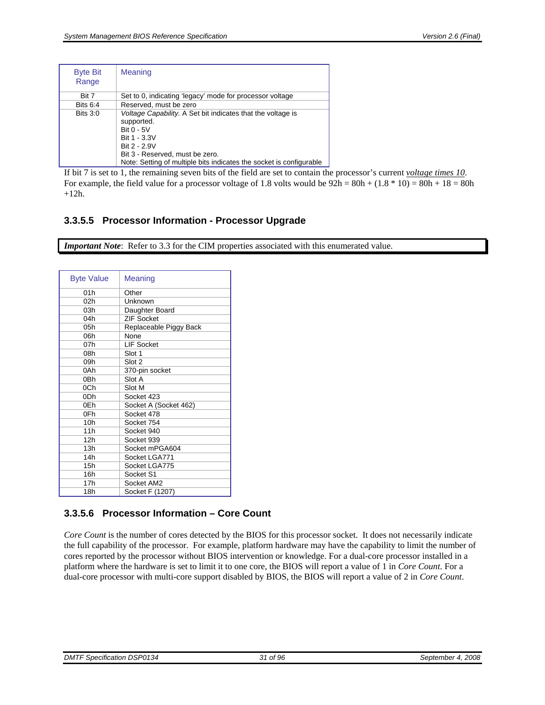<span id="page-30-0"></span>

| <b>Byte Bit</b><br>Range | <b>Meaning</b>                                                                                                                                                                                                                    |
|--------------------------|-----------------------------------------------------------------------------------------------------------------------------------------------------------------------------------------------------------------------------------|
| Rit 7                    | Set to 0, indicating 'legacy' mode for processor voltage                                                                                                                                                                          |
| <b>Bits 6:4</b>          | Reserved, must be zero                                                                                                                                                                                                            |
| Bits $3:0$               | Voltage Capability. A Set bit indicates that the voltage is<br>supported.<br>Bit 0 - 5V<br>Bit 1 - 3.3V<br>Bit 2 - 2.9V<br>Bit 3 - Reserved, must be zero.<br>Note: Setting of multiple bits indicates the socket is configurable |

If bit 7 is set to 1, the remaining seven bits of the field are set to contain the processor's current *voltage times 10*. For example, the field value for a processor voltage of 1.8 volts would be  $92h = 80h + (1.8 * 10) = 80h + 18 = 80h$  $+12h$ .

#### <span id="page-30-1"></span>**3.3.5.5 Processor Information - Processor Upgrade**

*Important Note*: Refer to [3.3](#page-16-1) for the CIM properties associated with this enumerated value.

| <b>Byte Value</b> | Meaning                |
|-------------------|------------------------|
| 01h               | Other                  |
| 02h               | Unknown                |
| 03h               | Daughter Board         |
| 04h               | <b>ZIF Socket</b>      |
| 05h               | Replaceable Piggy Back |
| 06h               | None                   |
| 07h               | <b>LIF Socket</b>      |
| 08h               | Slot 1                 |
| 09h               | Slot 2                 |
| 0Ah               | 370-pin socket         |
| 0Bh               | Slot A                 |
| 0Ch               | Slot M                 |
| 0 <sub>Dh</sub>   | Socket 423             |
| 0Eh               | Socket A (Socket 462)  |
| 0Fh               | Socket 478             |
| 10 <sub>h</sub>   | Socket 754             |
| 11h               | Socket 940             |
| 12h               | Socket 939             |
| 13h               | Socket mPGA604         |
| 14h               | Socket LGA771          |
| 15h               | Socket LGA775          |
| 16h               | Socket S1              |
| 17 <sub>h</sub>   | Socket AM2             |
| 18h               | Socket F (1207)        |

#### <span id="page-30-2"></span>**3.3.5.6 Processor Information – Core Count**

*Core Count* is the number of cores detected by the BIOS for this processor socket. It does not necessarily indicate the full capability of the processor. For example, platform hardware may have the capability to limit the number of cores reported by the processor without BIOS intervention or knowledge. For a dual-core processor installed in a platform where the hardware is set to limit it to one core, the BIOS will report a value of 1 in *Core Count*. For a dual-core processor with multi-core support disabled by BIOS, the BIOS will report a value of 2 in *Core Count*.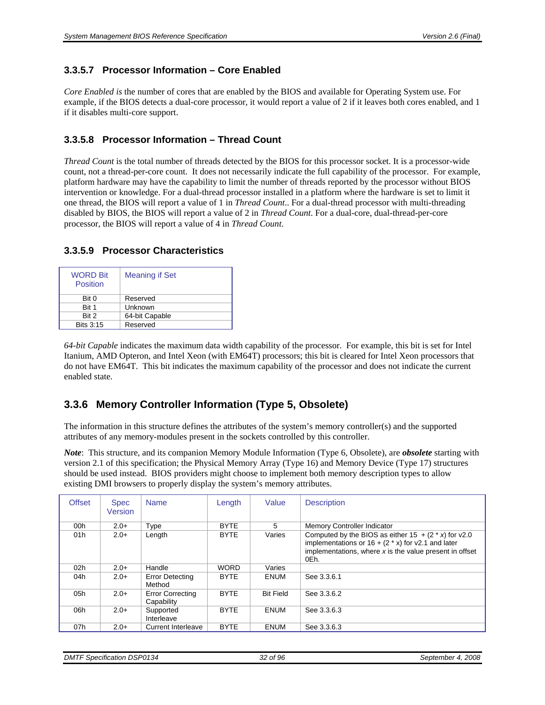#### <span id="page-31-1"></span><span id="page-31-0"></span>**3.3.5.7 Processor Information – Core Enabled**

*Core Enabled is* the number of cores that are enabled by the BIOS and available for Operating System use. For example, if the BIOS detects a dual-core processor, it would report a value of 2 if it leaves both cores enabled, and 1 if it disables multi-core support.

#### <span id="page-31-2"></span>**3.3.5.8 Processor Information – Thread Count**

*Thread Count* is the total number of threads detected by the BIOS for this processor socket. It is a processor-wide count, not a thread-per-core count. It does not necessarily indicate the full capability of the processor. For example, platform hardware may have the capability to limit the number of threads reported by the processor without BIOS intervention or knowledge. For a dual-thread processor installed in a platform where the hardware is set to limit it one thread, the BIOS will report a value of 1 in *Thread Count*.. For a dual-thread processor with multi-threading disabled by BIOS, the BIOS will report a value of 2 in *Thread Count*. For a dual-core, dual-thread-per-core processor, the BIOS will report a value of 4 in *Thread Count*.

| 3.3.5.9 Processor Characteristics |  |
|-----------------------------------|--|
|-----------------------------------|--|

<span id="page-31-3"></span>

| <b>WORD Bit</b><br><b>Position</b> | <b>Meaning if Set</b> |  |
|------------------------------------|-----------------------|--|
| Bit 0                              | Reserved              |  |
| Bit 1                              | Unknown               |  |
| Bit 2                              | 64-bit Capable        |  |
| <b>Bits 3:15</b>                   | Reserved              |  |

*64-bit Capable* indicates the maximum data width capability of the processor. For example, this bit is set for Intel Itanium, AMD Opteron, and Intel Xeon (with EM64T) processors; this bit is cleared for Intel Xeon processors that do not have EM64T. This bit indicates the maximum capability of the processor and does not indicate the current enabled state.

### <span id="page-31-4"></span>**3.3.6 Memory Controller Information (Type 5, Obsolete)**

The information in this structure defines the attributes of the system's memory controller(s) and the supported attributes of any memory-modules present in the sockets controlled by this controller.

*Note*: This structure, and its companion [Memory Module Information \(Type 6, Obsolete\)](#page-33-2), are *obsolete* starting with version 2.1 of this specification; the [Physical Memory Array \(Type 16\)](#page-54-1) and [Memory Device \(Type 17\)](#page-55-3) structures should be used instead. BIOS providers might choose to implement both memory description types to allow existing DMI browsers to properly display the system's memory attributes.

| <b>Offset</b>   | <b>Spec</b><br>Version | <b>Name</b>                           | Length      | Value            | <b>Description</b>                                                                                                                                                                  |
|-----------------|------------------------|---------------------------------------|-------------|------------------|-------------------------------------------------------------------------------------------------------------------------------------------------------------------------------------|
| 00 <sub>h</sub> | $2.0+$                 | Type                                  | <b>BYTE</b> | 5                | <b>Memory Controller Indicator</b>                                                                                                                                                  |
| 01h             | $2.0+$                 | Length                                | <b>BYTE</b> | Varies           | Computed by the BIOS as either $15 + (2 * x)$ for v2.0<br>implementations or $16 + (2 * x)$ for v2.1 and later<br>implementations, where $x$ is the value present in offset<br>0Eh. |
| 02 <sub>h</sub> | $2.0+$                 | Handle                                | <b>WORD</b> | Varies           |                                                                                                                                                                                     |
| 04h             | $2.0+$                 | <b>Error Detecting</b><br>Method      | <b>BYTE</b> | <b>ENUM</b>      | See 3.3.6.1                                                                                                                                                                         |
| 05h             | $2.0+$                 | <b>Error Correcting</b><br>Capability | <b>BYTE</b> | <b>Bit Field</b> | See 3.3.6.2                                                                                                                                                                         |
| 06h             | $2.0+$                 | Supported<br>Interleave               | <b>BYTE</b> | <b>ENUM</b>      | See 3.3.6.3                                                                                                                                                                         |
| 07h             | $2.0+$                 | <b>Current Interleave</b>             | <b>BYTE</b> | <b>ENUM</b>      | See 3.3.6.3                                                                                                                                                                         |

*DMTF Specification DSP0134* 32 of 96 32 of 96 September 4, 2008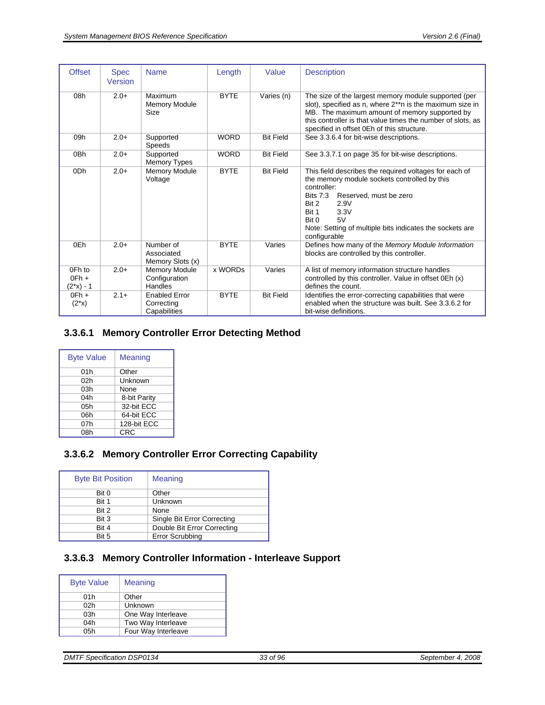<span id="page-32-0"></span>

| <b>Offset</b>                  | <b>Spec</b><br>Version | <b>Name</b>                                        | Length      | Value            | <b>Description</b>                                                                                                                                                                                                                                                                              |
|--------------------------------|------------------------|----------------------------------------------------|-------------|------------------|-------------------------------------------------------------------------------------------------------------------------------------------------------------------------------------------------------------------------------------------------------------------------------------------------|
| 08h                            | $2.0+$                 | Maximum<br><b>Memory Module</b><br>Size            | <b>BYTE</b> | Varies (n)       | The size of the largest memory module supported (per<br>slot), specified as n, where 2**n is the maximum size in<br>MB. The maximum amount of memory supported by<br>this controller is that value times the number of slots, as<br>specified in offset 0Eh of this structure.                  |
| 09h                            | $2.0+$                 | Supported<br>Speeds                                | <b>WORD</b> | <b>Bit Field</b> | See 3.3.6.4 for bit-wise descriptions.                                                                                                                                                                                                                                                          |
| 0Bh                            | $2.0+$                 | Supported<br><b>Memory Types</b>                   | <b>WORD</b> | <b>Bit Field</b> | See 3.3.7.1 on page 35 for bit-wise descriptions.                                                                                                                                                                                                                                               |
| 0 <sub>Dh</sub>                | $2.0+$                 | <b>Memory Module</b><br>Voltage                    | <b>BYTE</b> | <b>Bit Field</b> | This field describes the required voltages for each of<br>the memory module sockets controlled by this<br>controller:<br><b>Bits 7:3</b><br>Reserved, must be zero<br>Bit 2<br>2.9V<br>Bit 1<br>3.3V<br>Bit 0<br>5V<br>Note: Setting of multiple bits indicates the sockets are<br>configurable |
| 0Eh                            | $2.0+$                 | Number of<br>Associated<br>Memory Slots (x)        | <b>BYTE</b> | Varies           | Defines how many of the Memory Module Information<br>blocks are controlled by this controller.                                                                                                                                                                                                  |
| 0Fh to<br>$OFh +$<br>(2*x) - 1 | $2.0+$                 | <b>Memory Module</b><br>Configuration<br>Handles   | x WORDs     | Varies           | A list of memory information structure handles<br>controlled by this controller. Value in offset 0Eh (x)<br>defines the count.                                                                                                                                                                  |
| $OFh +$<br>$(2^*x)$            | $2.1+$                 | <b>Enabled Error</b><br>Correcting<br>Capabilities | <b>BYTE</b> | <b>Bit Field</b> | Identifies the error-correcting capabilities that were<br>enabled when the structure was built. See 3.3.6.2 for<br>bit-wise definitions.                                                                                                                                                        |

## <span id="page-32-1"></span>**3.3.6.1 Memory Controller Error Detecting Method**

| <b>Byte Value</b> | <b>Meaning</b> |
|-------------------|----------------|
| 01h               | Other          |
| 02h               | Unknown        |
| 03h               | None           |
| 04h               | 8-bit Parity   |
| 05h               | 32-bit ECC     |
| 06h               | 64-bit ECC     |
| 07h               | 128-bit ECC    |
| 08h               | CRC            |

## <span id="page-32-2"></span>**3.3.6.2 Memory Controller Error Correcting Capability**

| <b>Byte Bit Position</b> | Meaning                     |
|--------------------------|-----------------------------|
| Bit 0                    | Other                       |
| Bit 1                    | Unknown                     |
| Bit 2                    | None                        |
| Bit 3                    | Single Bit Error Correcting |
| Bit 4                    | Double Bit Error Correcting |
| Bit 5                    | <b>Error Scrubbing</b>      |

#### <span id="page-32-3"></span>**3.3.6.3 Memory Controller Information - Interleave Support**

| <b>Byte Value</b> | Meaning             |
|-------------------|---------------------|
| 01h               | Other               |
| 02h               | Unknown             |
| 03h               | One Way Interleave  |
| 04h               | Two Way Interleave  |
| 05h               | Four Way Interleave |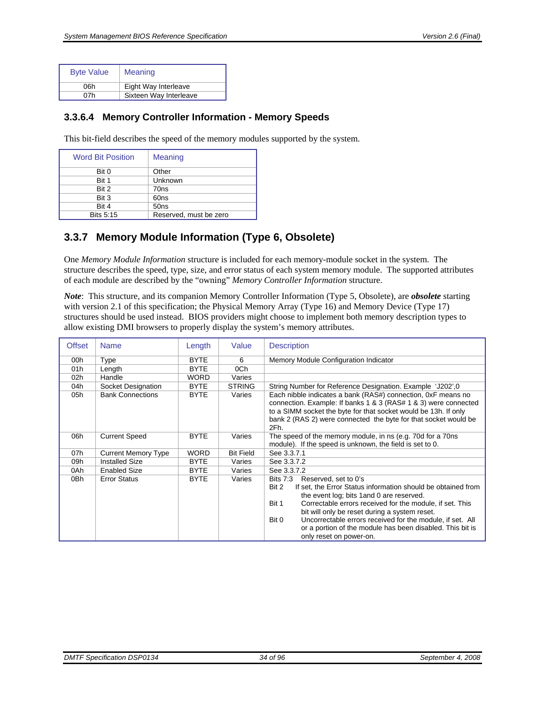<span id="page-33-0"></span>

| <b>Byte Value</b> | <b>Meaning</b>         |
|-------------------|------------------------|
| 06h               | Eight Way Interleave   |
| 07h               | Sixteen Way Interleave |
|                   |                        |

#### <span id="page-33-1"></span>**3.3.6.4 Memory Controller Information - Memory Speeds**

This bit-field describes the speed of the memory modules supported by the system.

| <b>Word Bit Position</b> | Meaning                |
|--------------------------|------------------------|
| Bit 0                    | Other                  |
| Bit 1                    | Unknown                |
| Bit 2                    | 70ns                   |
| Bit 3                    | 60ns                   |
| Bit 4                    | 50 <sub>ns</sub>       |
| <b>Bits 5:15</b>         | Reserved, must be zero |

## <span id="page-33-2"></span>**3.3.7 Memory Module Information (Type 6, Obsolete)**

One *Memory Module Information* structure is included for each memory-module socket in the system. The structure describes the speed, type, size, and error status of each system memory module. The supported attributes of each module are described by the "owning" *Memory Controller Information* structure.

*Note*: This structure, and its companion [Memory Controller Information \(Type 5, Obsolete\)](#page-31-4), are *obsolete* starting with version 2.1 of this specification; the [Physical Memory Array \(Type 16\)](#page-54-1) and [Memory Device \(Type 17\)](#page-55-3) structures should be used instead. BIOS providers might choose to implement both memory description types to allow existing DMI browsers to properly display the system's memory attributes.

| <b>Offset</b>   | <b>Name</b>                | Length      | Value            | <b>Description</b>                                                                                                                                                                                                                                                                                                                                                                                                                                |
|-----------------|----------------------------|-------------|------------------|---------------------------------------------------------------------------------------------------------------------------------------------------------------------------------------------------------------------------------------------------------------------------------------------------------------------------------------------------------------------------------------------------------------------------------------------------|
| 00h             | Type                       | <b>BYTE</b> | 6                | Memory Module Configuration Indicator                                                                                                                                                                                                                                                                                                                                                                                                             |
| 01h             | Length                     | <b>BYTE</b> | 0Ch              |                                                                                                                                                                                                                                                                                                                                                                                                                                                   |
| 02 <sub>h</sub> | Handle                     | <b>WORD</b> | Varies           |                                                                                                                                                                                                                                                                                                                                                                                                                                                   |
| 04h             | Socket Designation         | <b>BYTE</b> | <b>STRING</b>    | String Number for Reference Designation. Example 'J202',0                                                                                                                                                                                                                                                                                                                                                                                         |
| 05h             | <b>Bank Connections</b>    | <b>BYTE</b> | Varies           | Each nibble indicates a bank (RAS#) connection, 0xF means no<br>connection. Example: If banks 1 & 3 (RAS# 1 & 3) were connected<br>to a SIMM socket the byte for that socket would be 13h. If only<br>bank 2 (RAS 2) were connected the byte for that socket would be<br>2Fh.                                                                                                                                                                     |
| 06h             | <b>Current Speed</b>       | <b>BYTE</b> | Varies           | The speed of the memory module, in ns (e.g. 70d for a 70ns<br>module). If the speed is unknown, the field is set to 0.                                                                                                                                                                                                                                                                                                                            |
| 07h             | <b>Current Memory Type</b> | <b>WORD</b> | <b>Bit Field</b> | See 3.3.7.1                                                                                                                                                                                                                                                                                                                                                                                                                                       |
| 09h             | <b>Installed Size</b>      | <b>BYTE</b> | Varies           | See 3.3.7.2                                                                                                                                                                                                                                                                                                                                                                                                                                       |
| 0Ah             | <b>Enabled Size</b>        | <b>BYTE</b> | Varies           | See 3.3.7.2                                                                                                                                                                                                                                                                                                                                                                                                                                       |
| 0Bh             | <b>Error Status</b>        | <b>BYTE</b> | Varies           | <b>Bits 7:3</b><br>Reserved, set to 0's<br>If set, the Error Status information should be obtained from<br>Bit 2<br>the event log; bits 1 and 0 are reserved.<br>Bit 1<br>Correctable errors received for the module, if set. This<br>bit will only be reset during a system reset.<br>Uncorrectable errors received for the module, if set. All<br>Bit 0<br>or a portion of the module has been disabled. This bit is<br>only reset on power-on. |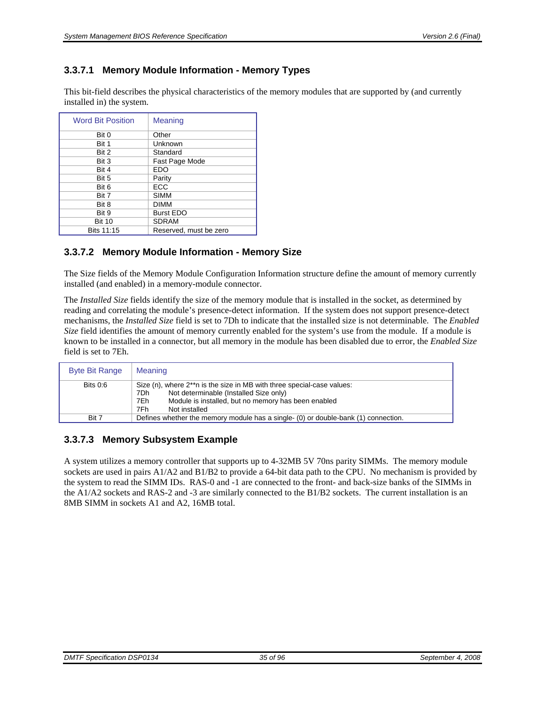#### <span id="page-34-1"></span><span id="page-34-0"></span>**3.3.7.1 Memory Module Information - Memory Types**

This bit-field describes the physical characteristics of the memory modules that are supported by (and currently installed in) the system.

| <b>Word Bit Position</b> | <b>Meaning</b>         |
|--------------------------|------------------------|
| Bit 0                    | Other                  |
| Bit 1                    | Unknown                |
| Bit 2                    | Standard               |
| Bit 3                    | Fast Page Mode         |
| Bit 4                    | <b>EDO</b>             |
| Bit 5                    | Parity                 |
| Bit 6                    | ECC                    |
| Bit 7                    | <b>SIMM</b>            |
| Bit 8                    | <b>DIMM</b>            |
| Bit 9                    | <b>Burst EDO</b>       |
| <b>Bit 10</b>            | <b>SDRAM</b>           |
| Bits 11:15               | Reserved, must be zero |

#### <span id="page-34-2"></span>**3.3.7.2 Memory Module Information - Memory Size**

The Size fields of the Memory Module Configuration Information structure define the amount of memory currently installed (and enabled) in a memory-module connector.

The *Installed Size* fields identify the size of the memory module that is installed in the socket, as determined by reading and correlating the module's presence-detect information. If the system does not support presence-detect mechanisms, the *Installed Size* field is set to 7Dh to indicate that the installed size is not determinable. The *Enabled Size* field identifies the amount of memory currently enabled for the system's use from the module. If a module is known to be installed in a connector, but all memory in the module has been disabled due to error, the *Enabled Size* field is set to 7Eh.

| <b>Byte Bit Range</b> | <b>Meaning</b>                                                                                                                                                                                                             |
|-----------------------|----------------------------------------------------------------------------------------------------------------------------------------------------------------------------------------------------------------------------|
| Bits $0.6$            | Size (n), where 2 <sup>**</sup> n is the size in MB with three special-case values:<br>Not determinable (Installed Size only)<br>7Dh<br>Module is installed, but no memory has been enabled<br>7Eh<br>7Fh<br>Not installed |
| Bit 7                 | Defines whether the memory module has a single- (0) or double-bank (1) connection.                                                                                                                                         |

### <span id="page-34-3"></span>**3.3.7.3 Memory Subsystem Example**

A system utilizes a memory controller that supports up to 4-32MB 5V 70ns parity SIMMs. The memory module sockets are used in pairs A1/A2 and B1/B2 to provide a 64-bit data path to the CPU. No mechanism is provided by the system to read the SIMM IDs. RAS-0 and -1 are connected to the front- and back-size banks of the SIMMs in the A1/A2 sockets and RAS-2 and -3 are similarly connected to the B1/B2 sockets. The current installation is an 8MB SIMM in sockets A1 and A2, 16MB total.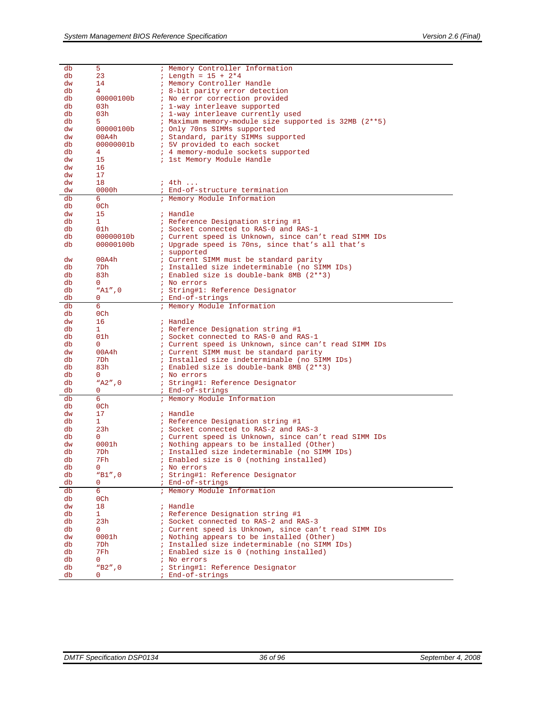| db       | 5                   | ; Memory Controller Information                         |
|----------|---------------------|---------------------------------------------------------|
| db       | 23                  | ; Length = $15 + 2*4$                                   |
| dw       | 14                  | ; Memory Controller Handle                              |
| db       | 4                   | <i>i</i> 8-bit parity error detection                   |
| db       | 00000100b           | ; No error correction provided                          |
| db       | 03h                 | ; 1-way interleave supported                            |
| db       | 03h                 | ; 1-way interleave currently used                       |
| db       | 5                   | ; Maximum memory-module size supported is 32MB (2**5)   |
| dw       | 00000100b           | ; Only 70ns SIMMs supported                             |
| dw       | 00A4h               | ; Standard, parity SIMMs supported                      |
| db       | 00000001b           | ; 5V provided to each socket                            |
| db       | 4                   | ; 4 memory-module sockets supported                     |
| dw       | 15                  | ; 1st Memory Module Handle                              |
| dw       | 16                  |                                                         |
| dw       | 17                  |                                                         |
| dw       | 18                  | ; 4th                                                   |
| dw       | 0000h               | ; End-of-structure termination                          |
| db       | 6                   | ; Memory Module Information                             |
| db       | 0Ch                 |                                                         |
| dw       | 15                  | ; Handle                                                |
| db       | 1                   | ; Reference Designation string #1                       |
| db       | 01 <sub>h</sub>     | ; Socket connected to RAS-0 and RAS-1                   |
| db       | 00000010b           | ; Current speed is Unknown, since can't read SIMM IDs   |
| db       | 00000100b           | ; Upgrade speed is 70ns, since that's all that's        |
| dw       | 00A4h               | ; supported<br>: Current SIMM must be standard parity   |
|          | 7Dh                 |                                                         |
| db<br>db |                     | ; Installed size indeterminable (no SIMM IDs)           |
| db       | 83h<br>0            | ; Enabled size is double-bank 8MB (2**3)<br>; No errors |
| db       | "A1",0              | ; String#1: Reference Designator                        |
| db       | 0                   | ; End-of-strings                                        |
| db       | 6                   | ; Memory Module Information                             |
| db       | 0Ch                 |                                                         |
| dw       | 16                  | ; Handle                                                |
| db       | 1                   | ; Reference Designation string #1                       |
| db       | 01 <sub>h</sub>     | ; Socket connected to RAS-0 and RAS-1                   |
| db       | 0                   | ; Current speed is Unknown, since can't read SIMM IDs   |
| dw       | 00A4h               | ; Current SIMM must be standard parity                  |
| db       | 7Dh                 | ; Installed size indeterminable (no SIMM IDs)           |
| db       | 83h                 | ; Enabled size is double-bank 8MB (2**3)                |
| db       | 0                   | ; No errors                                             |
| db       | $"A2"$ , 0          | ; String#1: Reference Designator                        |
| db       | 0                   | ; End-of-strings                                        |
| db       | 6                   | ; Memory Module Information                             |
| db       | 0Ch                 |                                                         |
| dw       | 17                  | ; Handle                                                |
| db       | 1                   | ; Reference Designation string #1                       |
| db       | 23h                 | ; Socket connected to RAS-2 and RAS-3                   |
| db       | $\Omega$            | ; Current speed is Unknown, since can't read SIMM IDs   |
| dw       | 0001h               | ; Nothing appears to be installed (Other)               |
| db       | 7Dh                 | ; Installed size indeterminable (no SIMM IDs)           |
| db       | 7Fh                 | ; Enabled size is 0 (nothing installed)                 |
| db       | $\mathbf{0}$        | ; No errors                                             |
| db       | "B1",0              | ; String#1: Reference Designator                        |
| db       | 0                   | ; End-of-strings                                        |
| db       | 6                   | ; Memory Module Information                             |
| db       | 0Ch                 |                                                         |
| dw       | 18                  | ; Handle                                                |
| db       | $\mathbf{1}$        | ; Reference Designation string #1                       |
| db       | 23h                 | ; Socket connected to RAS-2 and RAS-3                   |
| db       | 0                   | ; Current speed is Unknown, since can't read SIMM IDs   |
| dw       | 0001h               | ; Nothing appears to be installed (Other)               |
| db       | 7Dh                 | ; Installed size indeterminable (no SIMM IDs)           |
| db       | 7Fh<br>$\mathbf{0}$ | ; Enabled size is 0 (nothing installed)                 |
| db<br>db | "B2",0              | ; No errors<br>; String#1: Reference Designator         |
| db       | $\mathbf 0$         | ; End-of-strings                                        |
|          |                     |                                                         |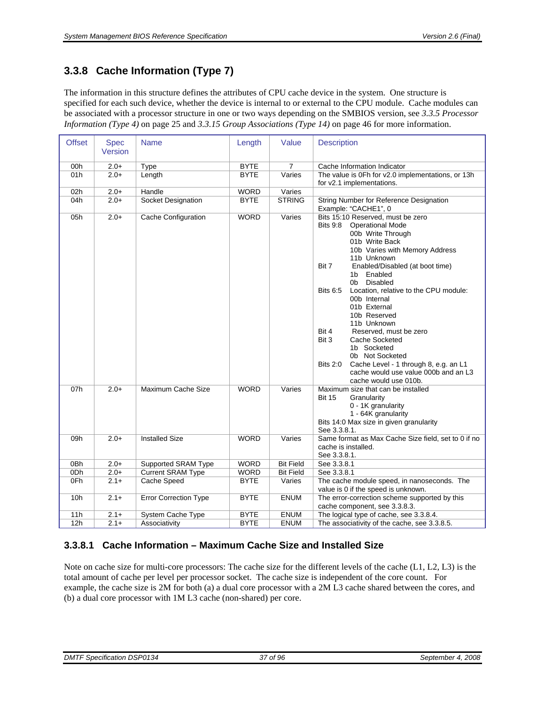# **3.3.8 Cache Information (Type 7)**

The information in this structure defines the attributes of CPU cache device in the system. One structure is specified for each such device, whether the device is internal to or external to the CPU module. Cache modules can be associated with a processor structure in one or two ways depending on the SMBIOS version, see *[3.3.5](#page-24-0) [Processor](#page-24-0)  [Information \(Type 4\)](#page-24-0)* on page [25](#page-24-0) and *[3.3.15 Group Associations \(Type 14\)](#page-45-0)* on page [46](#page-45-0) for more information.

| <b>Offset</b>   | <b>Spec</b><br>Version | <b>Name</b>                  | Length      | Value            | <b>Description</b>                                                                                                                                                                                                                                                                                                                                                                                                                                                                                                                                                                                             |
|-----------------|------------------------|------------------------------|-------------|------------------|----------------------------------------------------------------------------------------------------------------------------------------------------------------------------------------------------------------------------------------------------------------------------------------------------------------------------------------------------------------------------------------------------------------------------------------------------------------------------------------------------------------------------------------------------------------------------------------------------------------|
| 00h             | $2.0+$                 | Type                         | <b>BYTE</b> | $\overline{7}$   | Cache Information Indicator                                                                                                                                                                                                                                                                                                                                                                                                                                                                                                                                                                                    |
| 01h             | $2.0+$                 | Length                       | <b>BYTE</b> | Varies           | The value is 0Fh for v2.0 implementations, or 13h<br>for v2.1 implementations.                                                                                                                                                                                                                                                                                                                                                                                                                                                                                                                                 |
| 02h             | $2.0+$                 | Handle                       | <b>WORD</b> | Varies           |                                                                                                                                                                                                                                                                                                                                                                                                                                                                                                                                                                                                                |
| 04h             | $2.0+$                 | Socket Designation           | <b>BYTE</b> | <b>STRING</b>    | String Number for Reference Designation<br>Example: "CACHE1", 0                                                                                                                                                                                                                                                                                                                                                                                                                                                                                                                                                |
| 05h             | $2.0+$                 | Cache Configuration          | <b>WORD</b> | Varies           | Bits 15:10 Reserved, must be zero<br><b>Operational Mode</b><br><b>Bits 9:8</b><br>00b Write Through<br>01b Write Back<br>10b Varies with Memory Address<br>11b Unknown<br>Enabled/Disabled (at boot time)<br>Bit 7<br>Enabled<br>1b<br>Disabled<br>0b<br><b>Bits 6:5</b><br>Location, relative to the CPU module:<br>00b Internal<br>01b External<br>10b Reserved<br>11b Unknown<br>Reserved, must be zero<br>Bit 4<br>Bit 3<br>Cache Socketed<br>1b Socketed<br>0b Not Socketed<br><b>Bits 2:0</b><br>Cache Level - 1 through 8, e.g. an L1<br>cache would use value 000b and an L3<br>cache would use 010b. |
| 07h             | $2.0+$                 | Maximum Cache Size           | <b>WORD</b> | Varies           | Maximum size that can be installed<br><b>Bit 15</b><br>Granularity<br>0 - 1K granularity<br>1 - 64K granularity<br>Bits 14:0 Max size in given granularity<br>See 3.3.8.1.                                                                                                                                                                                                                                                                                                                                                                                                                                     |
| 09h             | $2.0+$                 | <b>Installed Size</b>        | <b>WORD</b> | Varies           | Same format as Max Cache Size field, set to 0 if no<br>cache is installed.<br>See 3.3.8.1.                                                                                                                                                                                                                                                                                                                                                                                                                                                                                                                     |
| 0 <sub>Bh</sub> | $2.0+$                 | Supported SRAM Type          | <b>WORD</b> | <b>Bit Field</b> | See 3.3.8.1                                                                                                                                                                                                                                                                                                                                                                                                                                                                                                                                                                                                    |
| 0Dh             | $2.0+$                 | <b>Current SRAM Type</b>     | <b>WORD</b> | <b>Bit Field</b> | See 3.3.8.1                                                                                                                                                                                                                                                                                                                                                                                                                                                                                                                                                                                                    |
| 0Fh             | $2.1+$                 | Cache Speed                  | <b>BYTE</b> | Varies           | The cache module speed, in nanoseconds. The<br>value is 0 if the speed is unknown.                                                                                                                                                                                                                                                                                                                                                                                                                                                                                                                             |
| 10 <sub>h</sub> | $2.1+$                 | <b>Error Correction Type</b> | <b>BYTE</b> | <b>ENUM</b>      | The error-correction scheme supported by this<br>cache component, see 3.3.8.3.                                                                                                                                                                                                                                                                                                                                                                                                                                                                                                                                 |
| 11h             | $2.1 +$                | <b>System Cache Type</b>     | <b>BYTE</b> | <b>ENUM</b>      | The logical type of cache, see 3.3.8.4.                                                                                                                                                                                                                                                                                                                                                                                                                                                                                                                                                                        |
| 12h             | $2.1+$                 | Associativity                | <b>BYTE</b> | <b>ENUM</b>      | The associativity of the cache, see 3.3.8.5.                                                                                                                                                                                                                                                                                                                                                                                                                                                                                                                                                                   |

#### <span id="page-36-0"></span>**3.3.8.1 Cache Information – Maximum Cache Size and Installed Size**

Note on cache size for multi-core processors: The cache size for the different levels of the cache (L1, L2, L3) is the total amount of cache per level per processor socket. The cache size is independent of the core count. For example, the cache size is 2M for both (a) a dual core processor with a 2M L3 cache shared between the cores, and (b) a dual core processor with 1M L3 cache (non-shared) per core.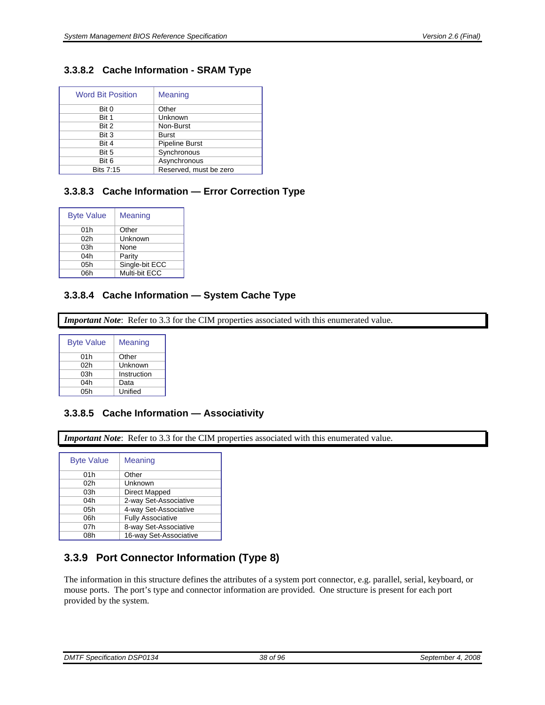### **3.3.8.2 Cache Information - SRAM Type**

| <b>Word Bit Position</b> | <b>Meaning</b>         |
|--------------------------|------------------------|
| Bit 0                    | Other                  |
| Bit 1                    | Unknown                |
| Bit 2                    | Non-Burst              |
| Bit 3                    | <b>Burst</b>           |
| Bit 4                    | <b>Pipeline Burst</b>  |
| Bit 5                    | Synchronous            |
| Bit 6                    | Asynchronous           |
| <b>Bits 7:15</b>         | Reserved, must be zero |

### <span id="page-37-1"></span>**3.3.8.3 Cache Information — Error Correction Type**

| <b>Byte Value</b> | Meaning        |
|-------------------|----------------|
| 01h               | Other          |
| 02 <sub>h</sub>   | Unknown        |
| 03h               | None           |
| 04h               | Parity         |
| 05h               | Single-bit ECC |
| 06h               | Multi-bit ECC  |

#### <span id="page-37-2"></span>**3.3.8.4 Cache Information — System Cache Type**

*Important Note*: Refer to [3.3](#page-16-0) for the CIM properties associated with this enumerated value.

| <b>Byte Value</b> | Meaning     |
|-------------------|-------------|
| 01h               | Other       |
| 02h               | Unknown     |
| 03h               | Instruction |
| 04h               | Data        |
| 05h               | Unified     |

#### <span id="page-37-3"></span>**3.3.8.5 Cache Information — Associativity**

*Important Note*: Refer to [3.3](#page-16-0) for the CIM properties associated with this enumerated value.

| <b>Byte Value</b> | Meaning                  |
|-------------------|--------------------------|
| 01h               | Other                    |
| 02h               | Unknown                  |
| 03h               | Direct Mapped            |
| 04h               | 2-way Set-Associative    |
| 05h               | 4-way Set-Associative    |
| 06h               | <b>Fully Associative</b> |
| 07h               | 8-way Set-Associative    |
| 08h               | 16-way Set-Associative   |

# <span id="page-37-0"></span>**3.3.9 Port Connector Information (Type 8)**

The information in this structure defines the attributes of a system port connector, e.g. parallel, serial, keyboard, or mouse ports. The port's type and connector information are provided. One structure is present for each port provided by the system.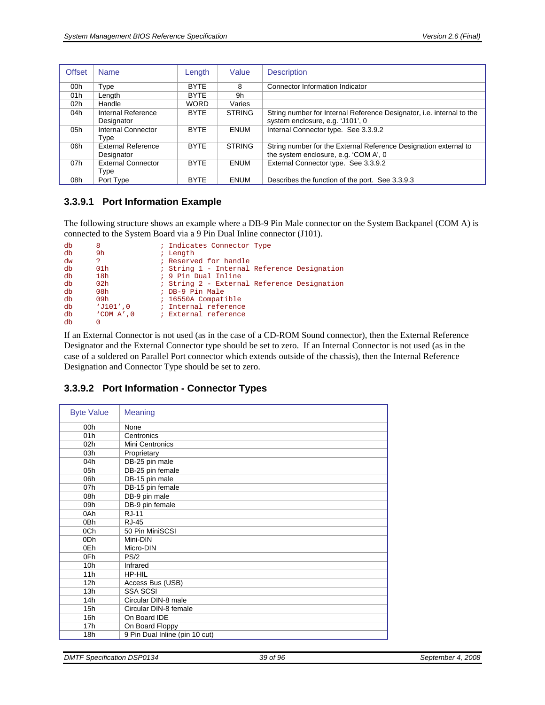| <b>Offset</b> | <b>Name</b>               | Length      | Value         | <b>Description</b>                                                    |
|---------------|---------------------------|-------------|---------------|-----------------------------------------------------------------------|
| 00h           | Type                      | <b>BYTE</b> | 8             | Connector Information Indicator                                       |
| 01h           | Length                    | <b>BYTE</b> | 9h            |                                                                       |
| 02h           | Handle                    | <b>WORD</b> | Varies        |                                                                       |
| 04h           | Internal Reference        | <b>BYTE</b> | <b>STRING</b> | String number for Internal Reference Designator, i.e. internal to the |
|               | Designator                |             |               | system enclosure, e.g. 'J101', 0                                      |
| 05h           | Internal Connector        | <b>BYTF</b> | <b>ENUM</b>   | Internal Connector type. See 3.3.9.2                                  |
|               | Type                      |             |               |                                                                       |
| 06h           | <b>External Reference</b> | <b>BYTE</b> | <b>STRING</b> | String number for the External Reference Designation external to      |
|               | Designator                |             |               | the system enclosure, e.g. 'COM A', 0                                 |
| 07h           | <b>External Connector</b> | <b>BYTE</b> | <b>ENUM</b>   | External Connector type. See 3.3.9.2                                  |
|               | Type                      |             |               |                                                                       |
| 08h           | Port Type                 | <b>BYTE</b> | <b>ENUM</b>   | Describes the function of the port. See 3.3.9.3                       |

#### **3.3.9.1 Port Information Example**

The following structure shows an example where a DB-9 Pin Male connector on the System Backpanel (COM A) is connected to the System Board via a 9 Pin Dual Inline connector (J101).

| db | 8                | ; Indicates Connector Type                  |
|----|------------------|---------------------------------------------|
| db | 9h               | ; Length                                    |
| dw | ?                | ; Reserved for handle                       |
| db | 01 <sub>h</sub>  | ; String 1 - Internal Reference Designation |
| db | 18h              | ; 9 Pin Dual Inline                         |
| db | 02 <sub>h</sub>  | ; String 2 - External Reference Designation |
| db | 08 <sub>h</sub>  | ; DB-9 Pin Male                             |
| db | 09h              | ; 16550A Compatible                         |
| db | $'J101'$ , 0     | ; Internal reference                        |
| db | $'$ COM $A'$ , 0 | ; External reference                        |
| db | O                |                                             |

If an External Connector is not used (as in the case of a CD-ROM Sound connector), then the External Reference Designator and the External Connector type should be set to zero. If an Internal Connector is not used (as in the case of a soldered on Parallel Port connector which extends outside of the chassis), then the Internal Reference Designation and Connector Type should be set to zero.

#### <span id="page-38-0"></span>**3.3.9.2 Port Information - Connector Types**

| <b>Byte Value</b> | Meaning                        |
|-------------------|--------------------------------|
| 00h               | None                           |
| 01h               | Centronics                     |
| 02 <sub>h</sub>   | Mini Centronics                |
| 03h               | Proprietary                    |
| 04h               | DB-25 pin male                 |
| 05h               | DB-25 pin female               |
| 06h               | DB-15 pin male                 |
| 07h               | DB-15 pin female               |
| 08h               | DB-9 pin male                  |
| 09h               | DB-9 pin female                |
| 0Ah               | <b>RJ-11</b>                   |
| 0 <sub>Bh</sub>   | <b>RJ-45</b>                   |
| 0Ch               | 50 Pin MiniSCSI                |
| 0 <sub>Dh</sub>   | Mini-DIN                       |
| 0Eh               | Micro-DIN                      |
| 0Fh               | PS/2                           |
| 10 <sub>h</sub>   | Infrared                       |
| 11h               | HP-HIL                         |
| 12 <sub>h</sub>   | Access Bus (USB)               |
| 13h               | <b>SSA SCSI</b>                |
| 14h               | Circular DIN-8 male            |
| 15h               | Circular DIN-8 female          |
| 16h               | On Board IDE                   |
| 17h               | On Board Floppy                |
| 18h               | 9 Pin Dual Inline (pin 10 cut) |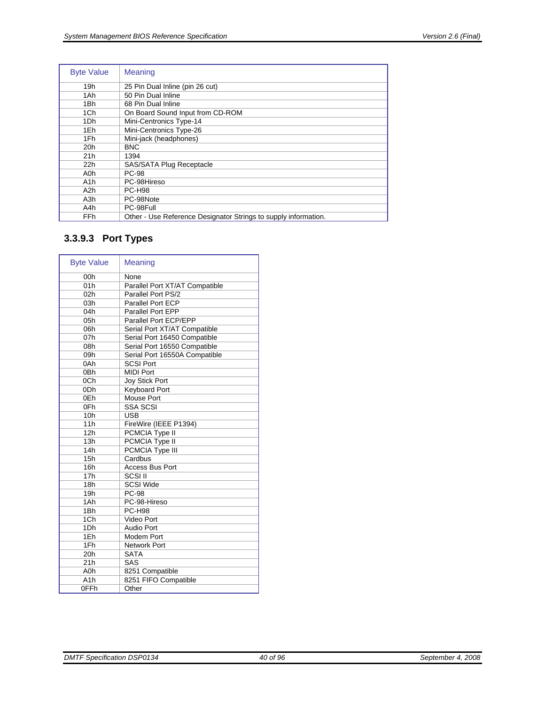| <b>Byte Value</b> | <b>Meaning</b>                                                  |  |
|-------------------|-----------------------------------------------------------------|--|
| 19h               | 25 Pin Dual Inline (pin 26 cut)                                 |  |
| 1Ah               | 50 Pin Dual Inline                                              |  |
| 1Bh               | 68 Pin Dual Inline                                              |  |
| 1Ch               | On Board Sound Input from CD-ROM                                |  |
| 1Dh               | Mini-Centronics Type-14                                         |  |
| 1Eh               | Mini-Centronics Type-26                                         |  |
| 1Fh               | Mini-jack (headphones)                                          |  |
| 20h               | <b>BNC</b>                                                      |  |
| 21h               | 1394                                                            |  |
| 22h               | SAS/SATA Plug Receptacle                                        |  |
| A0h               | <b>PC-98</b>                                                    |  |
| A1h               | PC-98Hireso                                                     |  |
| A2h               | <b>PC-H98</b>                                                   |  |
| A3h               | PC-98Note                                                       |  |
| A4h               | PC-98Full                                                       |  |
| <b>FFh</b>        | Other - Use Reference Designator Strings to supply information. |  |

# <span id="page-39-0"></span>**3.3.9.3 Port Types**

| <b>Byte Value</b> | Meaning                        |
|-------------------|--------------------------------|
| 00 <sub>h</sub>   | None                           |
| 01h               | Parallel Port XT/AT Compatible |
| 02 <sub>h</sub>   | Parallel Port PS/2             |
| 03h               | Parallel Port ECP              |
| 04h               | Parallel Port EPP              |
| 05h               | Parallel Port ECP/EPP          |
| 06h               | Serial Port XT/AT Compatible   |
| 07 <sub>h</sub>   | Serial Port 16450 Compatible   |
| 08h               | Serial Port 16550 Compatible   |
| 09h               | Serial Port 16550A Compatible  |
| 0Ah               | <b>SCSI Port</b>               |
| 0 <sub>Bh</sub>   | <b>MIDI Port</b>               |
| 0Ch               | <b>Joy Stick Port</b>          |
| 0 <sub>Dh</sub>   | <b>Keyboard Port</b>           |
| 0Eh               | Mouse Port                     |
| 0Fh               | <b>SSA SCSI</b>                |
| 10 <sub>h</sub>   | <b>USB</b>                     |
| 11h               | FireWire (IEEE P1394)          |
| 12h               | PCMCIA Type II                 |
| 13h               | <b>PCMCIA Type II</b>          |
| 14h               | PCMCIA Type III                |
| 15h               | Cardbus                        |
| 16h               | <b>Access Bus Port</b>         |
| 17 <sub>h</sub>   | $SCSI$ III                     |
| 18h               | SCSI Wide                      |
| 19h               | <b>PC-98</b>                   |
| 1Ah               | PC-98-Hireso                   |
| 1 <sub>Bh</sub>   | <b>PC-H98</b>                  |
| 1Ch               | Video Port                     |
| 1Dh               | <b>Audio Port</b>              |
| 1Eh               | Modem Port                     |
| 1Fh               | <b>Network Port</b>            |
| 20h               | <b>SATA</b>                    |
| 21h               | SAS                            |
| A <sub>O</sub> h  | 8251 Compatible                |
| A <sub>1</sub> h  | 8251 FIFO Compatible           |
| 0FFh              | Other                          |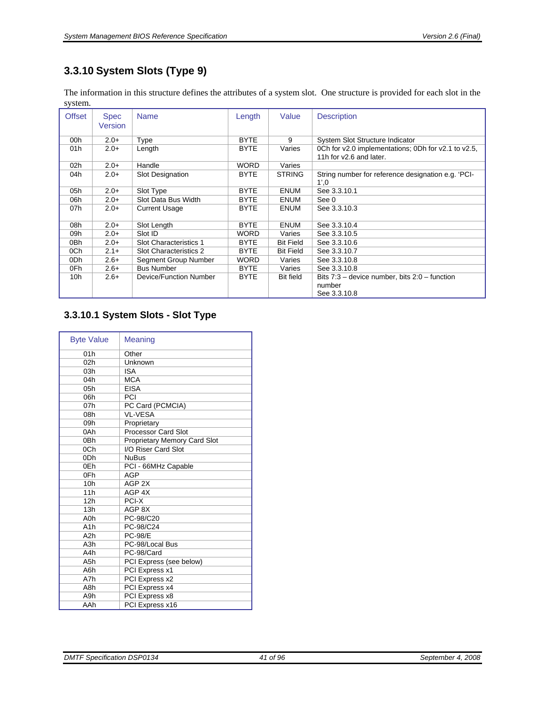# **3.3.10 System Slots (Type 9)**

The information in this structure defines the attributes of a system slot. One structure is provided for each slot in the system.

| <b>Offset</b>   | <b>Spec</b><br><b>Version</b> | <b>Name</b>            | Length      | Value            | <b>Description</b>                                                             |
|-----------------|-------------------------------|------------------------|-------------|------------------|--------------------------------------------------------------------------------|
| 00h             | $2.0+$                        | Type                   | <b>BYTE</b> | 9                | System Slot Structure Indicator                                                |
| 01h             | $2.0 +$                       | Length                 | <b>BYTE</b> | Varies           | 0Ch for v2.0 implementations; 0Dh for v2.1 to v2.5,<br>11h for v2.6 and later. |
| 02 <sub>h</sub> | $2.0+$                        | Handle                 | <b>WORD</b> | Varies           |                                                                                |
| 04h             | $2.0 +$                       | Slot Designation       | <b>BYTE</b> | <b>STRING</b>    | String number for reference designation e.g. 'PCI-<br>1',0                     |
| 05h             | $2.0+$                        | Slot Type              | <b>BYTE</b> | <b>ENUM</b>      | See 3.3.10.1                                                                   |
| 06h             | $2.0+$                        | Slot Data Bus Width    | <b>BYTE</b> | <b>ENUM</b>      | See 0                                                                          |
| 07h             | $2.0+$                        | <b>Current Usage</b>   | <b>BYTE</b> | <b>ENUM</b>      | See 3.3.10.3                                                                   |
| 08h             | $2.0+$                        | Slot Length            | <b>BYTE</b> | <b>ENUM</b>      | See 3.3.10.4                                                                   |
| 09h             | $2.0+$                        | Slot ID                | <b>WORD</b> | Varies           | See 3.3.10.5                                                                   |
| 0Bh             | $2.0+$                        | Slot Characteristics 1 | <b>BYTE</b> | <b>Bit Field</b> | See 3.3.10.6                                                                   |
| 0Ch             | $2.1+$                        | Slot Characteristics 2 | <b>BYTE</b> | <b>Bit Field</b> | See 3.3.10.7                                                                   |
| 0Dh             | $2.6+$                        | Segment Group Number   | <b>WORD</b> | Varies           | See 3.3.10.8                                                                   |
| 0Fh.            | $2.6+$                        | <b>Bus Number</b>      | <b>BYTE</b> | Varies           | See 3.3.10.8                                                                   |
| 10 <sub>h</sub> | $2.6+$                        | Device/Function Number | <b>BYTE</b> | <b>Bit field</b> | Bits $7:3$ – device number, bits $2:0$ – function<br>number<br>See 3.3.10.8    |

# <span id="page-40-0"></span>**3.3.10.1 System Slots - Slot Type**

| <b>Byte Value</b> | <b>Meaning</b>               |
|-------------------|------------------------------|
| 01h               | Other                        |
| 02 <sub>h</sub>   | Unknown                      |
| 03h               | <b>ISA</b>                   |
| 04h               | <b>MCA</b>                   |
| 05h               | <b>EISA</b>                  |
| 06h               | PCI                          |
| 07h               | PC Card (PCMCIA)             |
| 08h               | <b>VL-VESA</b>               |
| 09h               | Proprietary                  |
| 0Ah               | <b>Processor Card Slot</b>   |
| 0 <sub>Bh</sub>   | Proprietary Memory Card Slot |
| 0Ch               | I/O Riser Card Slot          |
| 0 <sub>Dh</sub>   | <b>NuBus</b>                 |
| 0Eh               | PCI - 66MHz Capable          |
| 0Fh               | AGP                          |
| 10 <sub>h</sub>   | AGP <sub>2X</sub>            |
| 11h               | AGP <sub>4X</sub>            |
| 12h               | PCI-X                        |
| 13h               | AGP 8X                       |
| A <sub>0</sub> h  | PC-98/C20                    |
| A <sub>1</sub> h  | PC-98/C24                    |
| A <sub>2</sub> h  | <b>PC-98/E</b>               |
| A <sub>3</sub> h  | PC-98/Local Bus              |
| A4h               | PC-98/Card                   |
| A5h               | PCI Express (see below)      |
| A6h               | PCI Express x1               |
| A7h               | PCI Express x2               |
| A8h               | PCI Express x4               |
| A9h               | PCI Express x8               |
| AAh               | PCI Express x16              |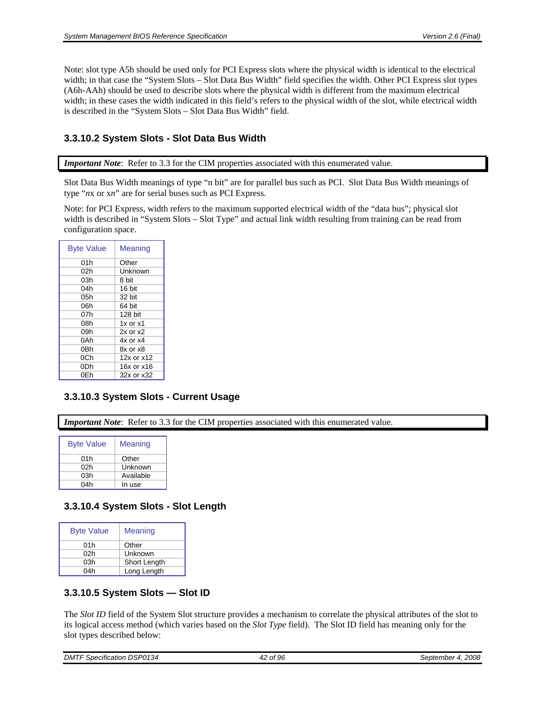Note: slot type A5h should be used only for PCI Express slots where the physical width is identical to the electrical width; in that case the "System Slots – Slot Data Bus Width" field specifies the width. Other PCI Express slot types (A6h-AAh) should be used to describe slots where the physical width is different from the maximum electrical width; in these cases the width indicated in this field's refers to the physical width of the slot, while electrical width is described in the "System Slots – Slot Data Bus Width" field.

#### **3.3.10.2 System Slots - Slot Data Bus Width**

*Important Note*: Refer to [3.3](#page-16-0) for the CIM properties associated with this enumerated value.

Slot Data Bus Width meanings of type "n bit" are for parallel bus such as PCI. Slot Data Bus Width meanings of type "*n*x or x*n*" are for serial buses such as PCI Express.

Note: for PCI Express, width refers to the maximum supported electrical width of the "data bus"; physical slot width is described in "System Slots – Slot Type" and actual link width resulting from training can be read from configuration space.

| <b>Byte Value</b> | Meaning      |
|-------------------|--------------|
| 01h               | Other        |
| 02h               | Unknown      |
| 03h               | 8 bit        |
| 04h               | 16 bit       |
| 05h               | 32 bit       |
| 06h               | 64 bit       |
| 07h               | 128 bit      |
| 08h               | $1x$ or $x1$ |
| 09h               | $2x$ or $x2$ |
| 0Ah               | $4x$ or $x4$ |
| 0Bh               | 8x or x8     |
| 0Ch               | 12x or x12   |
| 0Dh               | 16x or x16   |
| 0Eh               | 32x or x32   |

### <span id="page-41-1"></span>**3.3.10.3 System Slots - Current Usage**

*Important Note*: Refer to [3.3](#page-16-0) for the CIM properties associated with this enumerated value.

| <b>Byte Value</b> | Meaning   |
|-------------------|-----------|
| 01h               | Other     |
| 02h               | Unknown   |
| 03h               | Available |
| 04h               | In use    |

#### <span id="page-41-2"></span>**3.3.10.4 System Slots - Slot Length**

| <b>Byte Value</b> | Meaning      |
|-------------------|--------------|
| 01h               | Other        |
| 02h               | Unknown      |
| 03h               | Short Length |
| 04h               | Long Length  |

#### <span id="page-41-3"></span>**3.3.10.5 System Slots — Slot ID**

<span id="page-41-0"></span>The *Slot ID* field of the System Slot structure provides a mechanism to correlate the physical attributes of the slot to its logical access method (which varies based on the *Slot Type* field). The Slot ID field has meaning only for the slot types described below:

| $\cdots$<br>DМ<br><i>DSP0134</i><br>specification<br>.<br>$\sim$ | . .<br>96<br>οt | 2008<br>Septen<br>.nber<br>- - -<br>$\sim$ |
|------------------------------------------------------------------|-----------------|--------------------------------------------|
|                                                                  |                 |                                            |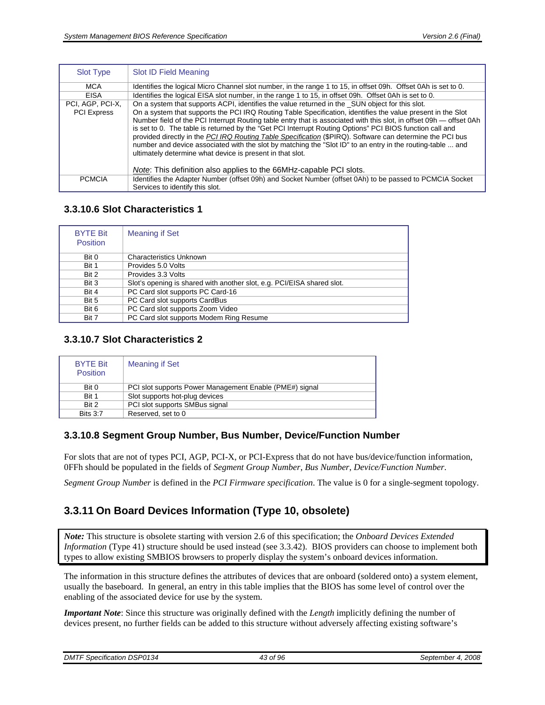| <b>Slot Type</b>   | Slot ID Field Meaning                                                                                                                                                                                                                                                                                                                                                                                                                                                                                                                                                                                                                  |
|--------------------|----------------------------------------------------------------------------------------------------------------------------------------------------------------------------------------------------------------------------------------------------------------------------------------------------------------------------------------------------------------------------------------------------------------------------------------------------------------------------------------------------------------------------------------------------------------------------------------------------------------------------------------|
| <b>MCA</b>         | Identifies the logical Micro Channel slot number, in the range 1 to 15, in offset 09h. Offset 0Ah is set to 0.                                                                                                                                                                                                                                                                                                                                                                                                                                                                                                                         |
| <b>EISA</b>        | Identifies the logical EISA slot number, in the range 1 to 15, in offset 09h. Offset 0Ah is set to 0.                                                                                                                                                                                                                                                                                                                                                                                                                                                                                                                                  |
| PCI, AGP, PCI-X,   | On a system that supports ACPI, identifies the value returned in the SUN object for this slot.                                                                                                                                                                                                                                                                                                                                                                                                                                                                                                                                         |
| <b>PCI Express</b> | On a system that supports the PCI IRQ Routing Table Specification, identifies the value present in the Slot<br>Number field of the PCI Interrupt Routing table entry that is associated with this slot, in offset 09h - offset 0Ah<br>is set to 0. The table is returned by the "Get PCI Interrupt Routing Options" PCI BIOS function call and<br>provided directly in the PCI IRQ Routing Table Specification (\$PIRQ). Software can determine the PCI bus<br>number and device associated with the slot by matching the "Slot ID" to an entry in the routing-table  and<br>ultimately determine what device is present in that slot. |
|                    | Note: This definition also applies to the 66MHz-capable PCI slots.                                                                                                                                                                                                                                                                                                                                                                                                                                                                                                                                                                     |
| <b>PCMCIA</b>      | Identifies the Adapter Number (offset 09h) and Socket Number (offset 0Ah) to be passed to PCMCIA Socket                                                                                                                                                                                                                                                                                                                                                                                                                                                                                                                                |
|                    | Services to identify this slot.                                                                                                                                                                                                                                                                                                                                                                                                                                                                                                                                                                                                        |

#### **3.3.10.6 Slot Characteristics 1**

<span id="page-42-0"></span>

| <b>BYTE Bit</b><br><b>Position</b> | <b>Meaning if Set</b>                                                  |
|------------------------------------|------------------------------------------------------------------------|
| Bit 0                              | <b>Characteristics Unknown</b>                                         |
| Bit 1                              | Provides 5.0 Volts                                                     |
| Bit 2                              | Provides 3.3 Volts                                                     |
| Bit 3                              | Slot's opening is shared with another slot, e.g. PCI/EISA shared slot. |
| Bit 4                              | PC Card slot supports PC Card-16                                       |
| Bit 5                              | PC Card slot supports CardBus                                          |
| Bit 6                              | PC Card slot supports Zoom Video                                       |
| Bit 7                              | PC Card slot supports Modem Ring Resume                                |

### <span id="page-42-1"></span>**3.3.10.7 Slot Characteristics 2**

| <b>BYTE Bit</b><br><b>Position</b> | <b>Meaning if Set</b>                                   |
|------------------------------------|---------------------------------------------------------|
| Bit 0                              | PCI slot supports Power Management Enable (PME#) signal |
| Bit 1                              | Slot supports hot-plug devices                          |
| Bit 2                              | PCI slot supports SMBus signal                          |
| <b>Bits 3:7</b>                    | Reserved, set to 0                                      |

#### <span id="page-42-2"></span>**3.3.10.8 Segment Group Number, Bus Number, Device/Function Number**

For slots that are not of types PCI, AGP, PCI-X, or PCI-Express that do not have bus/device/function information, 0FFh should be populated in the fields of *Segment Group Number*, *Bus Number*, *Device/Function Number*.

*Segment Group Number* is defined in the *PCI Firmware specification*. The value is 0 for a single-segment topology.

# **3.3.11 On Board Devices Information (Type 10, obsolete)**

*Note:* This structure is obsolete starting with version 2.6 of this specification; the *Onboard Devices Extended Information* (Type 41) structure should be used instead (see [3.3.42\)](#page-75-0). BIOS providers can choose to implement both types to allow existing SMBIOS browsers to properly display the system's onboard devices information.

The information in this structure defines the attributes of devices that are onboard (soldered onto) a system element, usually the baseboard. In general, an entry in this table implies that the BIOS has some level of control over the enabling of the associated device for use by the system.

*Important Note*: Since this structure was originally defined with the *Length* implicitly defining the number of devices present, no further fields can be added to this structure without adversely affecting existing software's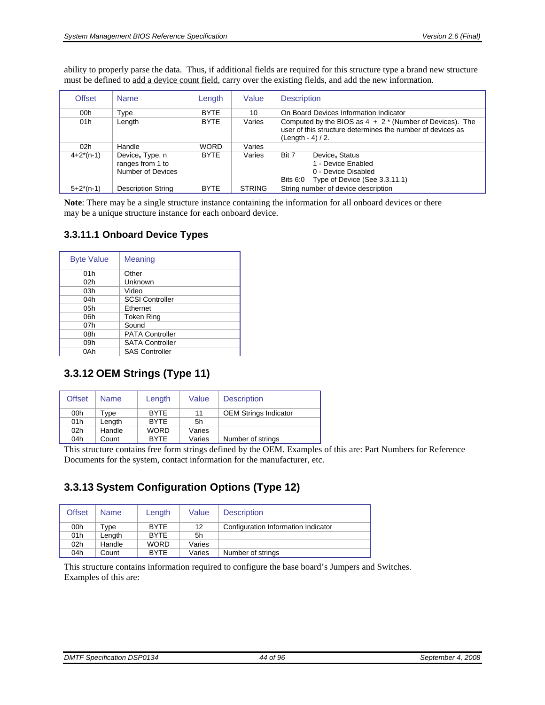ability to properly parse the data. Thus, if additional fields are required for this structure type a brand new structure must be defined to add a device count field, carry over the existing fields, and add the new information.

| <b>Offset</b>  | <b>Name</b>                                                          | Length      | Value         | <b>Description</b>                                                                                                                                         |  |  |
|----------------|----------------------------------------------------------------------|-------------|---------------|------------------------------------------------------------------------------------------------------------------------------------------------------------|--|--|
| 00h            | Type                                                                 | <b>BYTE</b> | 10            | On Board Devices Information Indicator                                                                                                                     |  |  |
| 01h            | Length                                                               | <b>BYTE</b> | Varies        | Computed by the BIOS as $4 + 2$ <sup>*</sup> (Number of Devices). The<br>user of this structure determines the number of devices as<br>$(Lenath - 4) / 2.$ |  |  |
| 02h            | Handle                                                               | <b>WORD</b> | Varies        |                                                                                                                                                            |  |  |
| $4+2^{*}(n-1)$ | Device <sub>n</sub> Type, n<br>ranges from 1 to<br>Number of Devices | <b>BYTE</b> | Varies        | Bit 7<br>Device <sub>n</sub> Status<br>1 - Device Enabled<br>0 - Device Disabled<br>Type of Device (See 3.3.11.1)<br>Bits 6:0                              |  |  |
| $5+2*(n-1)$    | <b>Description String</b>                                            | <b>BYTE</b> | <b>STRING</b> | String number of device description                                                                                                                        |  |  |

**Note**: There may be a single structure instance containing the information for all onboard devices or there may be a unique structure instance for each onboard device.

#### **3.3.11.1 Onboard Device Types**

<span id="page-43-0"></span>

| <b>Byte Value</b> | Meaning                |
|-------------------|------------------------|
| 01h               | Other                  |
| 02 <sub>h</sub>   | Unknown                |
| 03h               | Video                  |
| 04h               | <b>SCSI Controller</b> |
| 05h               | Ethernet               |
| 06h               | <b>Token Ring</b>      |
| 07h               | Sound                  |
| 08h               | <b>PATA Controller</b> |
| 09h               | <b>SATA Controller</b> |
| 0Ah               | <b>SAS Controller</b>  |

## **3.3.12 OEM Strings (Type 11)**

| <b>Offset</b> | <b>Name</b> | Length      | Value  | <b>Description</b>           |
|---------------|-------------|-------------|--------|------------------------------|
| 00h           | Tvpe        | <b>BYTE</b> | 11     | <b>OEM Strings Indicator</b> |
| 01h           | Length      | <b>BYTE</b> | 5h     |                              |
| 02h           | Handle      | <b>WORD</b> | Varies |                              |
| 04h           | Count       | <b>BYTE</b> | Varies | Number of strings            |

This structure contains free form strings defined by the OEM. Examples of this are: Part Numbers for Reference Documents for the system, contact information for the manufacturer, etc.

# **3.3.13 System Configuration Options (Type 12)**

| <b>Offset</b>   | <b>Name</b> | Length      | Value  | <b>Description</b>                  |
|-----------------|-------------|-------------|--------|-------------------------------------|
| 00h             | Type        | <b>BYTE</b> | 12     | Configuration Information Indicator |
| 01h             | Lenath      | <b>BYTE</b> | 5h     |                                     |
| 02 <sub>h</sub> | Handle      | <b>WORD</b> | Varies |                                     |
| 04h             | Count       | <b>BYTE</b> | Varies | Number of strings                   |

This structure contains information required to configure the base board's Jumpers and Switches. Examples of this are: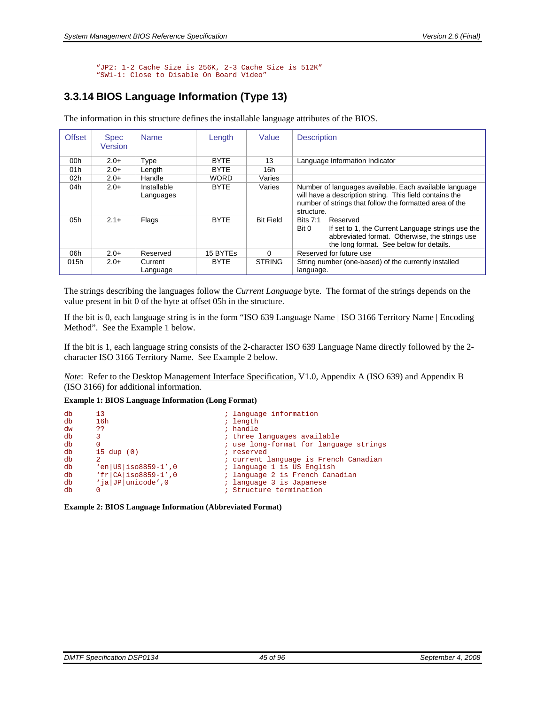"JP2: 1-2 Cache Size is 256K, 2-3 Cache Size is 512K" "SW1-1: Close to Disable On Board Video"

# **3.3.14 BIOS Language Information (Type 13)**

The information in this structure defines the installable language attributes of the BIOS.

| <b>Offset</b> | <b>Spec</b><br>Version | <b>Name</b>              | Length      | Value            | <b>Description</b>                                                                                                                                                                         |
|---------------|------------------------|--------------------------|-------------|------------------|--------------------------------------------------------------------------------------------------------------------------------------------------------------------------------------------|
| 00h           | $2.0+$                 | Type                     | <b>BYTE</b> | 13               | Language Information Indicator                                                                                                                                                             |
| 01h           | $2.0+$                 | Length                   | <b>BYTE</b> | 16h              |                                                                                                                                                                                            |
| 02h           | $2.0+$                 | Handle                   | <b>WORD</b> | Varies           |                                                                                                                                                                                            |
| 04h           | $2.0+$                 | Installable<br>Languages | <b>BYTE</b> | Varies           | Number of languages available. Each available language<br>will have a description string. This field contains the<br>number of strings that follow the formatted area of the<br>structure. |
| 05h           | $2.1+$                 | Flags                    | <b>BYTE</b> | <b>Bit Field</b> | <b>Bits 7:1</b><br>Reserved<br>If set to 1, the Current Language strings use the<br>Bit 0<br>abbreviated format. Otherwise, the strings use<br>the long format. See below for details.     |
| 06h           | $2.0+$                 | Reserved                 | 15 BYTEs    | $\Omega$         | Reserved for future use                                                                                                                                                                    |
| 015h          | $2.0+$                 | Current<br>Language      | <b>BYTE</b> | <b>STRING</b>    | String number (one-based) of the currently installed<br>language.                                                                                                                          |

The strings describing the languages follow the *Current Language* byte. The format of the strings depends on the value present in bit 0 of the byte at offset 05h in the structure.

If the bit is 0, each language string is in the form "ISO 639 Language Name | ISO 3166 Territory Name | Encoding Method". See the Example 1 below.

If the bit is 1, each language string consists of the 2-character ISO 639 Language Name directly followed by the 2 character ISO 3166 Territory Name. See Example 2 below.

*Note*: Refer to the Desktop Management Interface Specification, V1.0, Appendix A (ISO 639) and Appendix B (ISO 3166) for additional information.

**Example 1: BIOS Language Information (Long Format)** 

```
db 13 ; language information<br>db 16h ; length information
db 16h ; length<br>dw ?? ; indle
dw ?? ; handle ab 3 ; handle ab 3 ; three
db 3 3 (a) 3 (a) 3 (a) 3 (a) 3 (a) 3 (a) 3 (a) 3 (a) 3 (a) 3 (a) 3 (a) 3 (a) 3 (a) 3 (a) 3 (a) 3 (a) 3 (a) 3 (a) 3 (a) 3 (a) 3 (a) 3 (a) 3 (a) 3 (a) 3 (a) 3 (a) 3 (a) 3 (a) 3 (a) 3 (a) 3 (a) 3 (a) 3 (a) 3 (a) 3 (a) 3 (a) 3
db 0 \frac{15 \text{ du}}{15 \text{ du}} (0) \frac{1}{15} is use long-format for language strings
db 15 dup (0) <br>db 2 ; reserved
db 2 \frac{1}{2} : current language is French Canadian<br>db \frac{1}{2} en |US | iso8859-1',0 \frac{1}{2} : language 1 is US English
db \text{`en}|\text{US}|\text{iso8859-1'},0 ; language 1 is US English db \text{`fr}|\text{CA}|\text{iso8859-1'},0 ; language 2 is French Can
db \text{if }|CA| \text{ is } 08859-1', 0 ; language 2 is French Canadian db \text{if }|CP| \text{unicode}', 0 ; language 3 is Japanese
              \begin{array}{l} \dot{a} \\ \text{inicode'}, 0 \\ \text{inicode'}, 0 \end{array} ; language 3 is Japanese<br>0 ; Structure termination
db 0 0 intervals of the contractor of the contractor of the contractor of the contractor of the contractor of the contractor of the contractor of the contractor of the contractor of the contractor of the contractor of the
```
**Example 2: BIOS Language Information (Abbreviated Format)**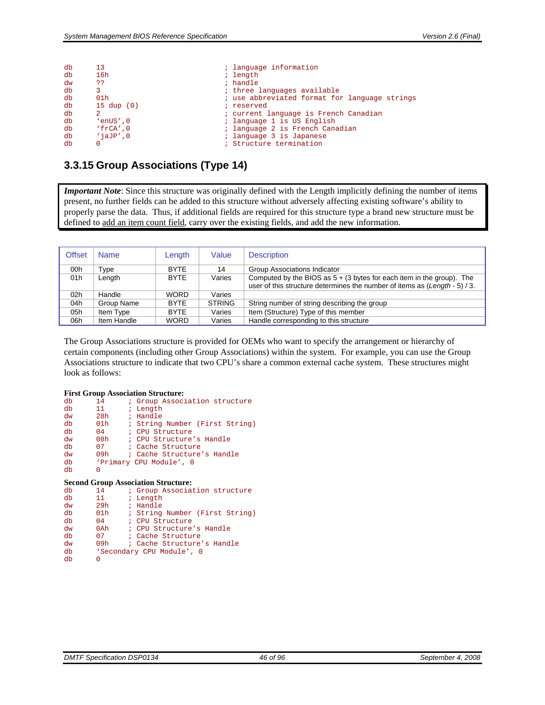| db | 13                    | ; language information                        |
|----|-----------------------|-----------------------------------------------|
| db | 16h                   | ; length                                      |
| dw | ??                    | ; handle                                      |
| db |                       | ; three languages available                   |
| db | 01 <sub>h</sub>       | ; use abbreviated format for language strings |
| db | $15 \text{ dup } (0)$ | ; reserved                                    |
| db | 2                     | ; current language is French Canadian         |
| db | $'envs'$ , $0$        | ; language 1 is US English                    |
| db | $'$ frCA', 0          | ; language 2 is French Canadian               |
| db | $'$ iaJ $P'$ ,0       | ; language 3 is Japanese                      |
| db |                       | ; Structure termination                       |

### <span id="page-45-0"></span>**3.3.15 Group Associations (Type 14)**

*Important Note*: Since this structure was originally defined with the Length implicitly defining the number of items present, no further fields can be added to this structure without adversely affecting existing software's ability to properly parse the data. Thus, if additional fields are required for this structure type a brand new structure must be defined to add an item count field, carry over the existing fields, and add the new information.

| <b>Offset</b>   | <b>Name</b> | Length      | Value         | <b>Description</b>                                                                                                                                     |
|-----------------|-------------|-------------|---------------|--------------------------------------------------------------------------------------------------------------------------------------------------------|
| 00h             | Type        | <b>BYTE</b> | 14            | Group Associations Indicator                                                                                                                           |
| 01h             | Length      | <b>BYTE</b> | Varies        | Computed by the BIOS as $5 + (3)$ bytes for each item in the group). The<br>user of this structure determines the number of items as (Length - 5) / 3. |
| 02 <sub>h</sub> | Handle      | <b>WORD</b> | Varies        |                                                                                                                                                        |
| 04h             | Group Name  | <b>BYTE</b> | <b>STRING</b> | String number of string describing the group                                                                                                           |
| 05h             | Item Type   | <b>BYTE</b> | Varies        | Item (Structure) Type of this member                                                                                                                   |
| 06h             | Item Handle | <b>WORD</b> | Varies        | Handle corresponding to this structure                                                                                                                 |

The Group Associations structure is provided for OEMs who want to specify the arrangement or hierarchy of certain components (including other Group Associations) within the system. For example, you can use the Group Associations structure to indicate that two CPU's share a common external cache system. These structures might look as follows:

#### **First Group Association Structure:**

| db | 14              | ; Group Association structure  |
|----|-----------------|--------------------------------|
| db | 11              | ; Length                       |
| dw | 28h             | ; Handle                       |
| db | 01 <sub>h</sub> | ; String Number (First String) |
| db | 04              | ; CPU Structure                |
| dw | 08 <sub>h</sub> | ; CPU Structure's Handle       |
| db | 07              | ; Cache Structure              |
| dw | 09h             | ; Cache Structure's Handle     |
| db |                 | 'Primary CPU Module', 0        |
| db | O               |                                |

#### **Second Group Association Structure:**

| db | 14              | ; Group Association structure  |
|----|-----------------|--------------------------------|
| db | 11              | ; Length                       |
| dw | 29h             | ; Handle                       |
| db | 01 <sub>h</sub> | ; String Number (First String) |
| db | 04              | ; CPU Structure                |
| dw | $0$ Ah          | ; CPU Structure's Handle       |
| db | 07              | ; Cache Structure              |
| dw | 09h             | ; Cache Structure's Handle     |
| db |                 | 'Secondary CPU Module', 0      |
| db | 0               |                                |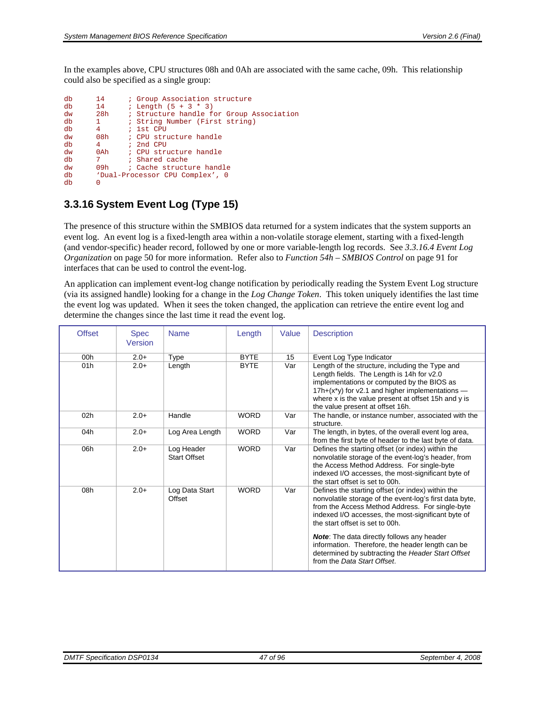In the examples above, CPU structures 08h and 0Ah are associated with the same cache, 09h. This relationship could also be specified as a single group:

| db<br>db | 14<br>14     | ; Group Association structure<br>; Length $(5 + 3 * 3)$ |
|----------|--------------|---------------------------------------------------------|
| dw       | 28h          | : Structure handle for Group Association                |
| db       | $\mathbf{1}$ | ; String Number (First string)                          |
| db       | 4            | $: 1st$ CPU                                             |
| dw       | 08h          | : CPU structure handle                                  |
| db       | $4^{\circ}$  | $:$ 2nd CPU                                             |
| dw       |              | 0Ah : CPU structure handle                              |
| db       | 7            | ; Shared cache                                          |
| dw       | 09h -        | ; Cache structure handle                                |
| db       |              | 'Dual-Processor CPU Complex', 0                         |
| db       | 0            |                                                         |

# **3.3.16 System Event Log (Type 15)**

The presence of this structure within the SMBIOS data returned for a system indicates that the system supports an event log. An event log is a fixed-length area within a non-volatile storage element, starting with a fixed-length (and vendor-specific) header record, followed by one or more variable-length log records. See *[3.3.16.4 Event Log](#page-49-0)  [Organization](#page-49-0)* on page [50](#page-49-0) for more information. Refer also to *[Function 54h – SMBIOS Control](#page-90-0)* on page [91](#page-90-0) for interfaces that can be used to control the event-log.

An application can implement event-log change notification by periodically reading the System Event Log structure (via its assigned handle) looking for a change in the *Log Change Token*. This token uniquely identifies the last time the event log was updated. When it sees the token changed, the application can retrieve the entire event log and determine the changes since the last time it read the event log.

| <b>Offset</b> | <b>Spec</b><br>Version | <b>Name</b>                       | Length      | Value | <b>Description</b>                                                                                                                                                                                                                                                                       |
|---------------|------------------------|-----------------------------------|-------------|-------|------------------------------------------------------------------------------------------------------------------------------------------------------------------------------------------------------------------------------------------------------------------------------------------|
| 00h           | $2.0+$                 | Type                              | <b>BYTE</b> | 15    | Event Log Type Indicator                                                                                                                                                                                                                                                                 |
| 01h           | $2.0+$                 | Length                            | <b>BYTE</b> | Var   | Length of the structure, including the Type and<br>Length fields. The Length is 14h for v2.0<br>implementations or computed by the BIOS as<br>17h+(x*y) for v2.1 and higher implementations -<br>where x is the value present at offset 15h and y is<br>the value present at offset 16h. |
| 02h           | $2.0+$                 | Handle                            | <b>WORD</b> | Var   | The handle, or instance number, associated with the<br>structure.                                                                                                                                                                                                                        |
| 04h           | $2.0+$                 | Log Area Length                   | <b>WORD</b> | Var   | The length, in bytes, of the overall event log area,<br>from the first byte of header to the last byte of data.                                                                                                                                                                          |
| 06h           | $2.0+$                 | Log Header<br><b>Start Offset</b> | <b>WORD</b> | Var   | Defines the starting offset (or index) within the<br>nonvolatile storage of the event-log's header, from<br>the Access Method Address. For single-byte<br>indexed I/O accesses, the most-significant byte of<br>the start offset is set to 00h.                                          |
| 08h           | $2.0+$                 | Log Data Start<br>Offset          | <b>WORD</b> | Var   | Defines the starting offset (or index) within the<br>nonvolatile storage of the event-log's first data byte,<br>from the Access Method Address. For single-byte<br>indexed I/O accesses, the most-significant byte of<br>the start offset is set to 00h.                                 |
|               |                        |                                   |             |       | <b>Note:</b> The data directly follows any header<br>information. Therefore, the header length can be<br>determined by subtracting the Header Start Offset<br>from the Data Start Offset.                                                                                                |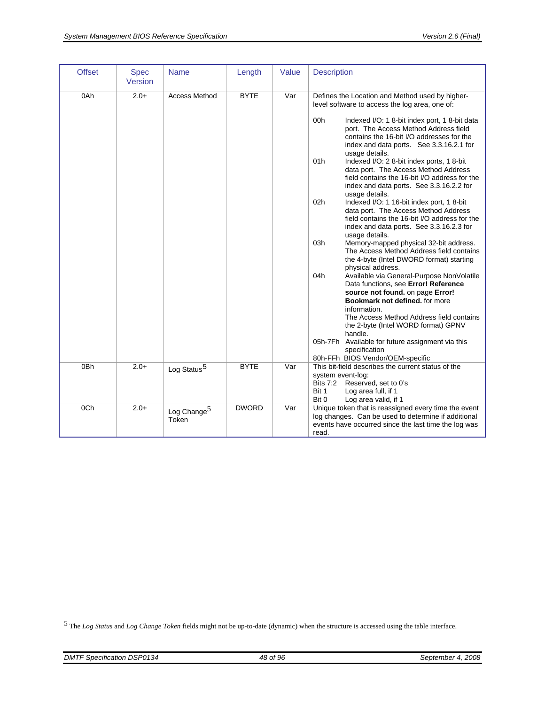| <b>Offset</b>          | <b>Spec</b><br>Version | <b>Name</b>                      | Length                     | Value      | <b>Description</b>                                                                                                                                                                                                                                                                                                                                                                                                                                                                                                                                                                                                                                                                                                                                                                                                                                                                                                                                                                                                                                                                                                                                                                                                                                                                                                                               |
|------------------------|------------------------|----------------------------------|----------------------------|------------|--------------------------------------------------------------------------------------------------------------------------------------------------------------------------------------------------------------------------------------------------------------------------------------------------------------------------------------------------------------------------------------------------------------------------------------------------------------------------------------------------------------------------------------------------------------------------------------------------------------------------------------------------------------------------------------------------------------------------------------------------------------------------------------------------------------------------------------------------------------------------------------------------------------------------------------------------------------------------------------------------------------------------------------------------------------------------------------------------------------------------------------------------------------------------------------------------------------------------------------------------------------------------------------------------------------------------------------------------|
| 0Ah<br>0 <sub>Bh</sub> | $2.0+$<br>$2.0+$       | <b>Access Method</b>             | <b>BYTE</b><br><b>BYTE</b> | Var<br>Var | Defines the Location and Method used by higher-<br>level software to access the log area, one of:<br>00h<br>Indexed I/O: 1 8-bit index port, 1 8-bit data<br>port. The Access Method Address field<br>contains the 16-bit I/O addresses for the<br>index and data ports. See 3.3.16.2.1 for<br>usage details.<br>01h<br>Indexed I/O: 2 8-bit index ports, 1 8-bit<br>data port. The Access Method Address<br>field contains the 16-bit I/O address for the<br>index and data ports. See 3.3.16.2.2 for<br>usage details.<br>02h<br>Indexed I/O: 1 16-bit index port, 1 8-bit<br>data port. The Access Method Address<br>field contains the 16-bit I/O address for the<br>index and data ports. See 3.3.16.2.3 for<br>usage details.<br>03h<br>Memory-mapped physical 32-bit address.<br>The Access Method Address field contains<br>the 4-byte (Intel DWORD format) starting<br>physical address.<br>04h<br>Available via General-Purpose NonVolatile<br>Data functions, see Error! Reference<br>source not found. on page Error!<br>Bookmark not defined, for more<br>information.<br>The Access Method Address field contains<br>the 2-byte (Intel WORD format) GPNV<br>handle.<br>05h-7Fh Available for future assignment via this<br>specification<br>80h-FFh BIOS Vendor/OEM-specific<br>This bit-field describes the current status of the |
|                        |                        | Log Status <sup>5</sup>          |                            |            | system event-log:<br><b>Bits 7:2</b><br>Reserved, set to 0's<br>Bit 1<br>Log area full, if 1<br>Bit 0<br>Log area valid, if 1                                                                                                                                                                                                                                                                                                                                                                                                                                                                                                                                                                                                                                                                                                                                                                                                                                                                                                                                                                                                                                                                                                                                                                                                                    |
| 0 <sub>Ch</sub>        | $2.0+$                 | Log Change <sup>5</sup><br>Token | <b>DWORD</b>               | Var        | Unique token that is reassigned every time the event<br>log changes. Can be used to determine if additional<br>events have occurred since the last time the log was<br>read.                                                                                                                                                                                                                                                                                                                                                                                                                                                                                                                                                                                                                                                                                                                                                                                                                                                                                                                                                                                                                                                                                                                                                                     |

<span id="page-47-1"></span> $\overline{a}$ 

<span id="page-47-0"></span><sup>5</sup> The *Log Status* and *Log Change Token* fields might not be up-to-date (dynamic) when the structure is accessed using the table interface.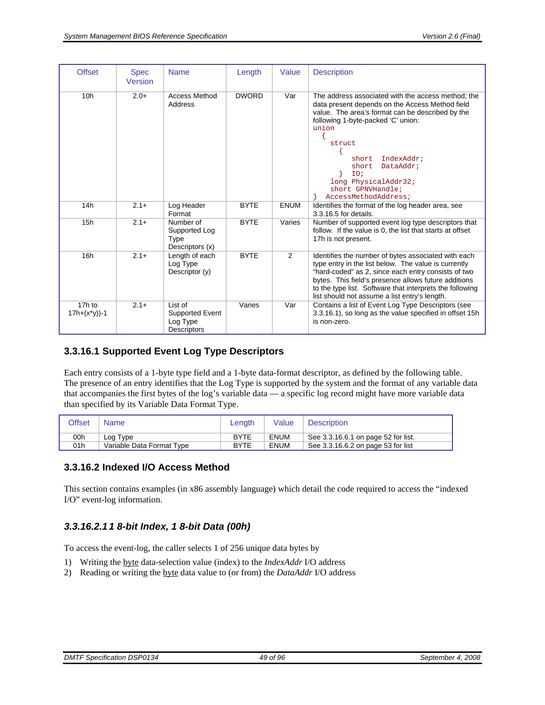| <b>Offset</b>            | <b>Spec</b><br>Version | <b>Name</b>                                                  | Length       | Value       | <b>Description</b>                                                                                                                                                                                                                                                                                                                          |
|--------------------------|------------------------|--------------------------------------------------------------|--------------|-------------|---------------------------------------------------------------------------------------------------------------------------------------------------------------------------------------------------------------------------------------------------------------------------------------------------------------------------------------------|
| 10 <sub>h</sub>          | $2.0+$                 | <b>Access Method</b><br>Address                              | <b>DWORD</b> | Var         | The address associated with the access method; the<br>data present depends on the Access Method field<br>value. The area's format can be described by the<br>following 1-byte-packed 'C' union:<br>union<br>struct<br>IndexAddr;<br>short<br>DataAddr;<br>short<br>IO;<br>long PhysicalAddr32;<br>short GPNVHandle;<br>AccessMethodAddress; |
| 14h                      | $2.1+$                 | Log Header<br>Format                                         | <b>BYTE</b>  | <b>ENUM</b> | Identifies the format of the log header area, see<br>3.3.16.5 for details.                                                                                                                                                                                                                                                                  |
| 15h                      | $2.1+$                 | Number of<br>Supported Log<br>Type<br>Descriptors (x)        | <b>BYTE</b>  | Varies      | Number of supported event log type descriptors that<br>follow. If the value is 0, the list that starts at offset<br>17h is not present.                                                                                                                                                                                                     |
| 16h                      | $2.1+$                 | Length of each<br>Log Type<br>Descriptor (y)                 | <b>BYTE</b>  | 2           | Identifies the number of bytes associated with each<br>type entry in the list below. The value is currently<br>"hard-coded" as 2, since each entry consists of two<br>bytes. This field's presence allows future additions<br>to the type list. Software that interprets the following<br>list should not assume a list entry's length.     |
| 17h to<br>$17h+(x*y)$ -1 | $2.1+$                 | List of<br>Supported Event<br>Log Type<br><b>Descriptors</b> | Varies       | Var         | Contains a list of Event Log Type Descriptors (see<br>3.3.16.1), so long as the value specified in offset 15h<br>is non-zero.                                                                                                                                                                                                               |

### <span id="page-48-1"></span>**3.3.16.1 Supported Event Log Type Descriptors**

Each entry consists of a 1-byte type field and a 1-byte data-format descriptor, as defined by the following table. The presence of an entry identifies that the Log Type is supported by the system and the format of any variable data that accompanies the first bytes of the log's variable data — a specific log record might have more variable data than specified by its Variable Data Format Type.

| <b>Offset</b> | Name                      | Lenath      | Value       | <b>Description</b>                  |
|---------------|---------------------------|-------------|-------------|-------------------------------------|
| 00h           | Log Type                  | <b>BYTE</b> | <b>ENUM</b> | See 3.3.16.6.1 on page 52 for list. |
| 01h           | Variable Data Format Type | <b>BYTE</b> | <b>ENUM</b> | See 3.3.16.6.2 on page 53 for list  |

#### **3.3.16.2 Indexed I/O Access Method**

This section contains examples (in x86 assembly language) which detail the code required to access the "indexed I/O" event-log information.

#### <span id="page-48-0"></span>*3.3.16.2.1 1 8-bit Index, 1 8-bit Data (00h)*

To access the event-log, the caller selects 1 of 256 unique data bytes by

- 1) Writing the byte data-selection value (index) to the *IndexAddr* I/O address
- 2) Reading or writing the byte data value to (or from) the *DataAddr* I/O address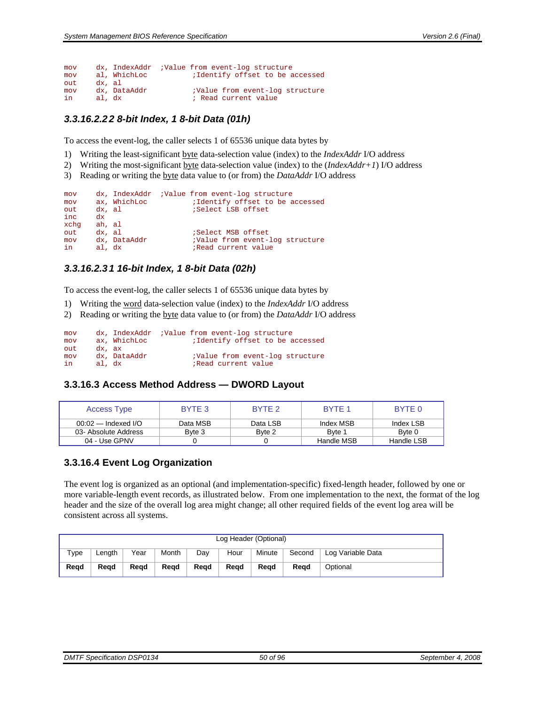```
mov dx, IndexAddr ;Value from event-log structure<br>mov al, WhichLoc :Identify offset to be a
                                   ; Identify offset to be accessed
out dx, al<br>mov dx, DataAddr
mov dx, DataAddr ;Value from event-log structure 
                                    ; Read current value
```
#### <span id="page-49-1"></span>*3.3.16.2.2 2 8-bit Index, 1 8-bit Data (01h)*

To access the event-log, the caller selects 1 of 65536 unique data bytes by

- 1) Writing the least-significant byte data-selection value (index) to the *IndexAddr* I/O address
- 2) Writing the most-significant byte data-selection value (index) to the (*IndexAddr+1*) I/O address
- 3) Reading or writing the byte data value to (or from) the *DataAddr* I/O address

```
mov dx, IndexAddr ;Value from event-log structure 
mov ax, WhichLoc ;Identify offset to be accessed<br>out dx, al ;Select LSB offset
                           ;Select LSB offset
inc dx 
      ah, al<br>dx, al
out dx, al ;Select MSB offset 
mov dx, DataAddr :Value from event-log structure
in al, dx ; ;Read current value
```
#### <span id="page-49-2"></span>*3.3.16.2.3 1 16-bit Index, 1 8-bit Data (02h)*

To access the event-log, the caller selects 1 of 65536 unique data bytes by

- 1) Writing the word data-selection value (index) to the *IndexAddr* I/O address
- 2) Reading or writing the byte data value to (or from) the *DataAddr* I/O address

```
mov dx, IndexAddr ;Value from event-log structure<br>mov ax, WhichLoc :Identify offset to be a
                                 ; Identify offset to be accessed
out dx, ax<br>mov dx, DataAddr
        mov dx, DataAddr ;Value from event-log structure 
in al, dx ; Read current value
```
#### **3.3.16.3 Access Method Address — DWORD Layout**

| Access Type           | BYTE 3   | BYTE 2   | BYTE 1     | BYTE 0     |
|-----------------------|----------|----------|------------|------------|
| $00:02$ — Indexed I/O | Data MSB | Data LSB | Index MSB  | Index LSB  |
| 03- Absolute Address  | Byte 3   | Byte 2   | Byte 1     | Byte 0     |
| 04 - Use GPNV         |          |          | Handle MSB | Handle LSB |

#### <span id="page-49-0"></span>**3.3.16.4 Event Log Organization**

The event log is organized as an optional (and implementation-specific) fixed-length header, followed by one or more variable-length event records, as illustrated below. From one implementation to the next, the format of the log header and the size of the overall log area might change; all other required fields of the event log area will be consistent across all systems.

|      | Log Header (Optional) |      |       |      |      |        |        |                   |  |  |
|------|-----------------------|------|-------|------|------|--------|--------|-------------------|--|--|
| Type | Lenath                | Year | Month | Dav  | Hour | Minute | Second | Log Variable Data |  |  |
| Read | Read                  | Read | Read  | Read | Read | Read   | Read   | Optional          |  |  |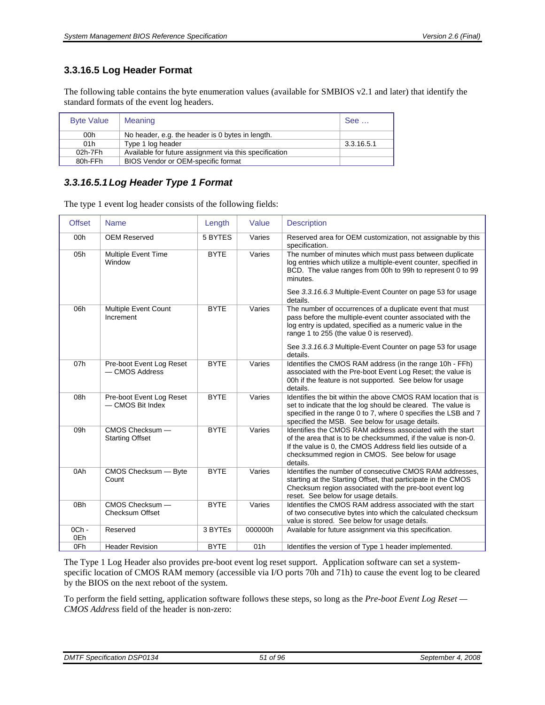### <span id="page-50-0"></span>**3.3.16.5 Log Header Format**

The following table contains the byte enumeration values (available for SMBIOS v2.1 and later) that identify the standard formats of the event log headers.

| <b>Byte Value</b> | Meaning                                                | See        |
|-------------------|--------------------------------------------------------|------------|
| 00h               | No header, e.g. the header is 0 bytes in length.       |            |
| 01h               | Type 1 log header                                      | 3.3.16.5.1 |
| 02h-7Fh           | Available for future assignment via this specification |            |
| 80h-FFh           | BIOS Vendor or OEM-specific format                     |            |

#### <span id="page-50-1"></span>*3.3.16.5.1 Log Header Type 1 Format*

The type 1 event log header consists of the following fields:

| <b>Offset</b>  | <b>Name</b>                                  | Length      | Value   | <b>Description</b>                                                                                                                                                                                                                                                                                         |
|----------------|----------------------------------------------|-------------|---------|------------------------------------------------------------------------------------------------------------------------------------------------------------------------------------------------------------------------------------------------------------------------------------------------------------|
| 00h            | <b>OEM Reserved</b>                          | 5 BYTES     | Varies  | Reserved area for OEM customization, not assignable by this<br>specification.                                                                                                                                                                                                                              |
| 05h            | Multiple Event Time<br>Window                | <b>BYTE</b> | Varies  | The number of minutes which must pass between duplicate<br>log entries which utilize a multiple-event counter, specified in<br>BCD. The value ranges from 00h to 99h to represent 0 to 99<br>minutes.<br>See 3.3.16.6.3 Multiple-Event Counter on page 53 for usage<br>details.                            |
| 06h            | Multiple Event Count<br>Increment            | <b>BYTE</b> | Varies  | The number of occurrences of a duplicate event that must<br>pass before the multiple-event counter associated with the<br>log entry is updated, specified as a numeric value in the<br>range 1 to 255 (the value 0 is reserved).<br>See 3.3.16.6.3 Multiple-Event Counter on page 53 for usage<br>details. |
| 07h            | Pre-boot Event Log Reset<br>- CMOS Address   | <b>BYTE</b> | Varies  | Identifies the CMOS RAM address (in the range 10h - FFh)<br>associated with the Pre-boot Event Log Reset; the value is<br>00h if the feature is not supported. See below for usage<br>details.                                                                                                             |
| 08h            | Pre-boot Event Log Reset<br>- CMOS Bit Index | <b>BYTE</b> | Varies  | Identifies the bit within the above CMOS RAM location that is<br>set to indicate that the log should be cleared. The value is<br>specified in the range 0 to 7, where 0 specifies the LSB and 7<br>specified the MSB. See below for usage details.                                                         |
| 09h            | CMOS Checksum -<br><b>Starting Offset</b>    | <b>BYTE</b> | Varies  | Identifies the CMOS RAM address associated with the start<br>of the area that is to be checksummed, if the value is non-0.<br>If the value is 0, the CMOS Address field lies outside of a<br>checksummed region in CMOS. See below for usage<br>details.                                                   |
| 0Ah            | CMOS Checksum - Byte<br>Count                | <b>BYTE</b> | Varies  | Identifies the number of consecutive CMOS RAM addresses,<br>starting at the Starting Offset, that participate in the CMOS<br>Checksum region associated with the pre-boot event log<br>reset. See below for usage details.                                                                                 |
| 0Bh            | CMOS Checksum -<br>Checksum Offset           | <b>BYTE</b> | Varies  | Identifies the CMOS RAM address associated with the start<br>of two consecutive bytes into which the calculated checksum<br>value is stored. See below for usage details.                                                                                                                                  |
| $0Ch$ -<br>0Eh | Reserved                                     | 3 BYTEs     | 000000h | Available for future assignment via this specification.                                                                                                                                                                                                                                                    |
| 0Fh            | <b>Header Revision</b>                       | <b>BYTE</b> | 01h     | Identifies the version of Type 1 header implemented.                                                                                                                                                                                                                                                       |

The Type 1 Log Header also provides pre-boot event log reset support. Application software can set a systemspecific location of CMOS RAM memory (accessible via I/O ports 70h and 71h) to cause the event log to be cleared by the BIOS on the next reboot of the system.

To perform the field setting, application software follows these steps, so long as the *Pre-boot Event Log Reset — CMOS Address* field of the header is non-zero: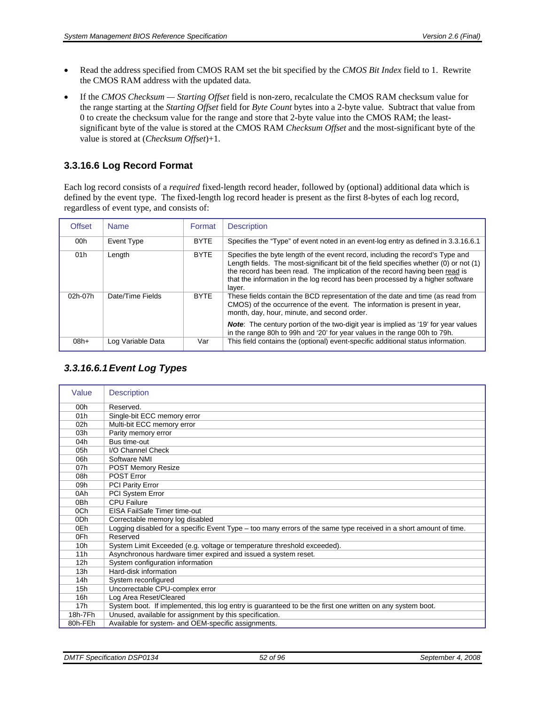- Read the address specified from CMOS RAM set the bit specified by the *CMOS Bit Index* field to 1. Rewrite the CMOS RAM address with the updated data.
- If the *CMOS Checksum Starting Offset* field is non-zero, recalculate the CMOS RAM checksum value for the range starting at the *Starting Offset* field for *Byte Count* bytes into a 2-byte value. Subtract that value from 0 to create the checksum value for the range and store that 2-byte value into the CMOS RAM; the leastsignificant byte of the value is stored at the CMOS RAM *Checksum Offset* and the most-significant byte of the value is stored at (*Checksum Offset*)+1.

#### **3.3.16.6 Log Record Format**

Each log record consists of a *required* fixed-length record header, followed by (optional) additional data which is defined by the event type. The fixed-length log record header is present as the first 8-bytes of each log record, regardless of event type, and consists of:

| <b>Offset</b> | <b>Name</b>       | Format      | <b>Description</b>                                                                                                                                                                                                                                                                                                                                 |
|---------------|-------------------|-------------|----------------------------------------------------------------------------------------------------------------------------------------------------------------------------------------------------------------------------------------------------------------------------------------------------------------------------------------------------|
| 00h           | Event Type        | <b>BYTE</b> | Specifies the "Type" of event noted in an event-log entry as defined in 3.3.16.6.1                                                                                                                                                                                                                                                                 |
| 01h           | Length            | <b>BYTE</b> | Specifies the byte length of the event record, including the record's Type and<br>Length fields. The most-significant bit of the field specifies whether (0) or not (1)<br>the record has been read. The implication of the record having been read is<br>that the information in the log record has been processed by a higher software<br>layer. |
| 02h-07h       | Date/Time Fields  | <b>BYTE</b> | These fields contain the BCD representation of the date and time (as read from<br>CMOS) of the occurrence of the event. The information is present in year,<br>month, day, hour, minute, and second order.                                                                                                                                         |
|               |                   |             | <b>Note:</b> The century portion of the two-digit year is implied as '19' for year values<br>in the range 80h to 99h and '20' for year values in the range 00h to 79h.                                                                                                                                                                             |
| $08h+$        | Log Variable Data | Var         | This field contains the (optional) event-specific additional status information.                                                                                                                                                                                                                                                                   |

#### *3.3.16.6.1 Event Log Types*

<span id="page-51-0"></span>

| Value           | <b>Description</b>                                                                                                |
|-----------------|-------------------------------------------------------------------------------------------------------------------|
| 00 <sub>h</sub> | Reserved.                                                                                                         |
| 01h             | Single-bit ECC memory error                                                                                       |
| 02 <sub>h</sub> | Multi-bit ECC memory error                                                                                        |
| 03h             | Parity memory error                                                                                               |
| 04h             | Bus time-out                                                                                                      |
| 05h             | I/O Channel Check                                                                                                 |
| 06h             | Software NMI                                                                                                      |
| 07h             | <b>POST Memory Resize</b>                                                                                         |
| 08h             | <b>POST Error</b>                                                                                                 |
| 09h             | PCI Parity Error                                                                                                  |
| 0Ah             | PCI System Error                                                                                                  |
| 0 <sub>Bh</sub> | <b>CPU Failure</b>                                                                                                |
| 0Ch             | EISA FailSafe Timer time-out                                                                                      |
| 0 <sub>Dh</sub> | Correctable memory log disabled                                                                                   |
| 0Eh             | Logging disabled for a specific Event Type - too many errors of the same type received in a short amount of time. |
| 0Fh             | Reserved                                                                                                          |
| 10 <sub>h</sub> | System Limit Exceeded (e.g. voltage or temperature threshold exceeded).                                           |
| 11h             | Asynchronous hardware timer expired and issued a system reset.                                                    |
| 12h             | System configuration information                                                                                  |
| 13h             | Hard-disk information                                                                                             |
| 14h             | System reconfigured                                                                                               |
| 15h             | Uncorrectable CPU-complex error                                                                                   |
| 16h             | Log Area Reset/Cleared                                                                                            |
| 17 <sub>h</sub> | System boot. If implemented, this log entry is guaranteed to be the first one written on any system boot.         |
| 18h-7Fh         | Unused, available for assignment by this specification.                                                           |
| 80h-FEh         | Available for system- and OEM-specific assignments.                                                               |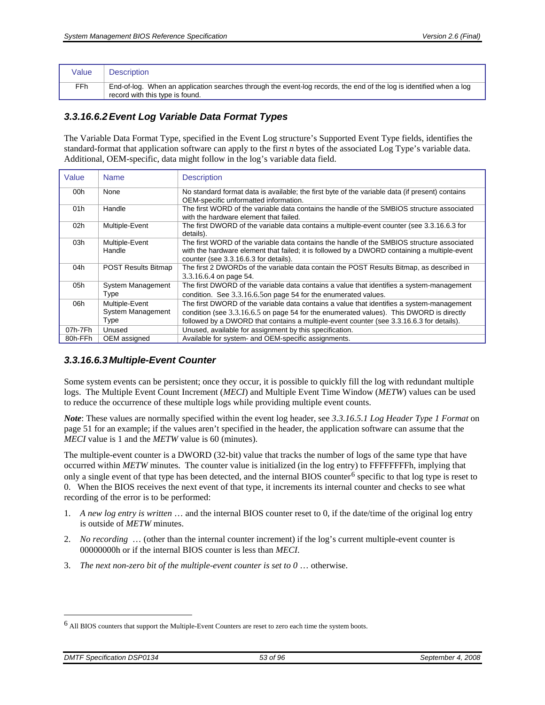| Value           | <b>Description</b>                                                                                                                                     |
|-----------------|--------------------------------------------------------------------------------------------------------------------------------------------------------|
| FF <sub>h</sub> | End-of-log. When an application searches through the event-log records, the end of the log is identified when a log<br>record with this type is found. |

#### <span id="page-52-0"></span>*3.3.16.6.2 Event Log Variable Data Format Types*

The Variable Data Format Type, specified in the Event Log structure's Supported Event Type fields, identifies the standard-format that application software can apply to the first *n* bytes of the associated Log Type's variable data. Additional, OEM-specific, data might follow in the log's variable data field.

| Value   | <b>Name</b>                                 | <b>Description</b>                                                                                                                                                                                                                                                               |
|---------|---------------------------------------------|----------------------------------------------------------------------------------------------------------------------------------------------------------------------------------------------------------------------------------------------------------------------------------|
| 00h     | None                                        | No standard format data is available; the first byte of the variable data (if present) contains<br>OEM-specific unformatted information.                                                                                                                                         |
| 01h     | Handle                                      | The first WORD of the variable data contains the handle of the SMBIOS structure associated<br>with the hardware element that failed.                                                                                                                                             |
| 02h     | Multiple-Event                              | The first DWORD of the variable data contains a multiple-event counter (see 3.3.16.6.3 for<br>details).                                                                                                                                                                          |
| 03h     | Multiple-Event<br>Handle                    | The first WORD of the variable data contains the handle of the SMBIOS structure associated<br>with the hardware element that failed; it is followed by a DWORD containing a multiple-event<br>counter (see 3.3.16.6.3 for details).                                              |
| 04h     | <b>POST Results Bitmap</b>                  | The first 2 DWORDs of the variable data contain the POST Results Bitmap, as described in<br>3.3.16.6.4 on page 54.                                                                                                                                                               |
| 05h     | System Management<br>Type                   | The first DWORD of the variable data contains a value that identifies a system-management<br>condition. See 3.3.16.6.5 on page 54 for the enumerated values.                                                                                                                     |
| 06h     | Multiple-Event<br>System Management<br>Type | The first DWORD of the variable data contains a value that identifies a system-management<br>condition (see 3.3.16.6.5 on page 54 for the enumerated values). This DWORD is directly<br>followed by a DWORD that contains a multiple-event counter (see 3.3.16.6.3 for details). |
| 07h-7Fh | Unused                                      | Unused, available for assignment by this specification.                                                                                                                                                                                                                          |
| 80h-FFh | OEM assigned                                | Available for system- and OEM-specific assignments.                                                                                                                                                                                                                              |

#### <span id="page-52-1"></span>*3.3.16.6.3 Multiple-Event Counter*

Some system events can be persistent; once they occur, it is possible to quickly fill the log with redundant multiple logs. The Multiple Event Count Increment (*MECI*) and Multiple Event Time Window (*METW*) values can be used to reduce the occurrence of these multiple logs while providing multiple event counts.

*Note*: These values are normally specified within the event log header, see *[3.3.16.5.1](#page-50-1) [Log Header Type 1 Format](#page-50-1)* on page [51](#page-50-1) for an example; if the values aren't specified in the header, the application software can assume that the *MECI* value is 1 and the *METW* value is 60 (minutes).

The multiple-event counter is a DWORD (32-bit) value that tracks the number of logs of the same type that have occurred within *METW* minutes. The counter value is initialized (in the log entry) to FFFFFFFFh, implying that only a single event of that type has been detected, and the internal BIOS counter<sup>6</sup> specific to that  $log$  type is reset to 0. When the BIOS receives the next event of that type, it increments its internal counter and checks to see what recording of the error is to be performed:

- 1. *A new log entry is written* … and the internal BIOS counter reset to 0, if the date/time of the original log entry is outside of *METW* minutes.
- 2. *No recording* … (other than the internal counter increment) if the log's current multiple-event counter is 00000000h or if the internal BIOS counter is less than *MECI*.
- 3. *The next non-zero bit of the multiple-event counter is set to 0* … otherwise.

-

<span id="page-52-2"></span><sup>6</sup> All BIOS counters that support the Multiple-Event Counters are reset to zero each time the system boots.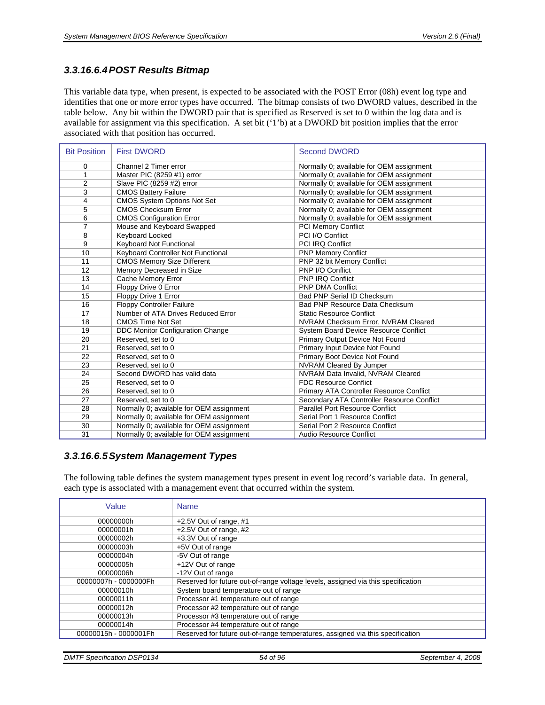#### <span id="page-53-0"></span>*3.3.16.6.4 POST Results Bitmap*

This variable data type, when present, is expected to be associated with the POST Error (08h) event log type and identifies that one or more error types have occurred. The bitmap consists of two DWORD values, described in the table below. Any bit within the DWORD pair that is specified as Reserved is set to 0 within the log data and is available for assignment via this specification. A set bit ('1'b) at a DWORD bit position implies that the error associated with that position has occurred.

| <b>Bit Position</b> | <b>First DWORD</b>                       | <b>Second DWORD</b>                        |
|---------------------|------------------------------------------|--------------------------------------------|
| 0                   | Channel 2 Timer error                    | Normally 0; available for OEM assignment   |
| $\mathbf{1}$        | Master PIC (8259 #1) error               | Normally 0; available for OEM assignment   |
| $\overline{2}$      | Slave PIC (8259 #2) error                | Normally 0; available for OEM assignment   |
| 3                   | <b>CMOS Battery Failure</b>              | Normally 0; available for OEM assignment   |
| 4                   | <b>CMOS System Options Not Set</b>       | Normally 0; available for OEM assignment   |
| 5                   | <b>CMOS Checksum Error</b>               | Normally 0; available for OEM assignment   |
| 6                   | <b>CMOS Configuration Error</b>          | Normally 0; available for OEM assignment   |
| $\overline{7}$      | Mouse and Keyboard Swapped               | <b>PCI Memory Conflict</b>                 |
| 8                   | Keyboard Locked                          | PCI I/O Conflict                           |
| 9                   | Keyboard Not Functional                  | <b>PCI IRQ Conflict</b>                    |
| 10                  | Keyboard Controller Not Functional       | <b>PNP Memory Conflict</b>                 |
| 11                  | <b>CMOS Memory Size Different</b>        | PNP 32 bit Memory Conflict                 |
| 12                  | Memory Decreased in Size                 | PNP I/O Conflict                           |
| 13                  | Cache Memory Error                       | <b>PNP IRQ Conflict</b>                    |
| 14                  | Floppy Drive 0 Error                     | <b>PNP DMA Conflict</b>                    |
| 15                  | Floppy Drive 1 Error                     | Bad PNP Serial ID Checksum                 |
| 16                  | <b>Floppy Controller Failure</b>         | Bad PNP Resource Data Checksum             |
| 17                  | Number of ATA Drives Reduced Error       | <b>Static Resource Conflict</b>            |
| 18                  | <b>CMOS Time Not Set</b>                 | NVRAM Checksum Error, NVRAM Cleared        |
| 19                  | <b>DDC Monitor Configuration Change</b>  | System Board Device Resource Conflict      |
| 20                  | Reserved, set to 0                       | Primary Output Device Not Found            |
| 21                  | Reserved, set to 0                       | Primary Input Device Not Found             |
| 22                  | Reserved, set to 0                       | Primary Boot Device Not Found              |
| 23                  | Reserved, set to 0                       | NVRAM Cleared By Jumper                    |
| 24                  | Second DWORD has valid data              | NVRAM Data Invalid, NVRAM Cleared          |
| 25                  | Reserved, set to 0                       | <b>FDC Resource Conflict</b>               |
| 26                  | Reserved, set to 0                       | Primary ATA Controller Resource Conflict   |
| 27                  | Reserved, set to 0                       | Secondary ATA Controller Resource Conflict |
| 28                  | Normally 0; available for OEM assignment | <b>Parallel Port Resource Conflict</b>     |
| 29                  | Normally 0; available for OEM assignment | Serial Port 1 Resource Conflict            |
| 30                  | Normally 0; available for OEM assignment | Serial Port 2 Resource Conflict            |
| 31                  | Normally 0; available for OEM assignment | Audio Resource Conflict                    |

#### <span id="page-53-1"></span>*3.3.16.6.5 System Management Types*

The following table defines the system management types present in event log record's variable data. In general, each type is associated with a management event that occurred within the system.

| Value                 | <b>Name</b>                                                                      |
|-----------------------|----------------------------------------------------------------------------------|
| 00000000h             | +2.5V Out of range, #1                                                           |
| 00000001h             | +2.5V Out of range, #2                                                           |
| 00000002h             | +3.3V Out of range                                                               |
| 00000003h             | +5V Out of range                                                                 |
| 00000004h             | -5V Out of range                                                                 |
| 00000005h             | +12V Out of range                                                                |
| 00000006h             | -12V Out of range                                                                |
| 00000007h - 0000000Fh | Reserved for future out-of-range voltage levels, assigned via this specification |
| 00000010h             | System board temperature out of range                                            |
| 00000011h             | Processor #1 temperature out of range                                            |
| 00000012h             | Processor #2 temperature out of range                                            |
| 00000013h             | Processor #3 temperature out of range                                            |
| 00000014h             | Processor #4 temperature out of range                                            |
| 00000015h - 0000001Fh | Reserved for future out-of-range temperatures, assigned via this specification   |

*DMTF Specification DSP0134 54 of 96 September 4, 2008*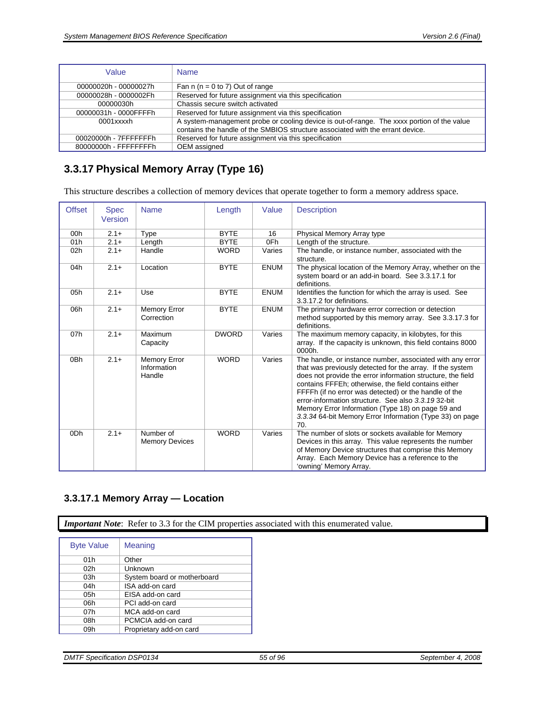| Value                 | <b>Name</b>                                                                                                                                                                  |
|-----------------------|------------------------------------------------------------------------------------------------------------------------------------------------------------------------------|
| 00000020h - 00000027h | Fan $n (n = 0 to 7)$ Out of range                                                                                                                                            |
| 00000028h - 0000002Fh | Reserved for future assignment via this specification                                                                                                                        |
| 00000030h             | Chassis secure switch activated                                                                                                                                              |
| 00000031h - 0000FFFFh | Reserved for future assignment via this specification                                                                                                                        |
| 0001xxxxh             | A system-management probe or cooling device is out-of-range. The xxxx portion of the value<br>contains the handle of the SMBIOS structure associated with the errant device. |
| 00020000h - 7FFFFFFFh | Reserved for future assignment via this specification                                                                                                                        |
| 80000000h - FFFFFFFFh | OEM assigned                                                                                                                                                                 |

# <span id="page-54-1"></span>**3.3.17 Physical Memory Array (Type 16)**

This structure describes a collection of memory devices that operate together to form a memory address space.

| <b>Offset</b>   | <b>Spec</b><br>Version | <b>Name</b>                           | Length       | Value       | <b>Description</b>                                                                                                                                                                                                                                                                                                                                                                                                                                                                   |
|-----------------|------------------------|---------------------------------------|--------------|-------------|--------------------------------------------------------------------------------------------------------------------------------------------------------------------------------------------------------------------------------------------------------------------------------------------------------------------------------------------------------------------------------------------------------------------------------------------------------------------------------------|
| 00 <sub>h</sub> | $2.1 +$                | Type                                  | <b>BYTE</b>  | 16          | Physical Memory Array type                                                                                                                                                                                                                                                                                                                                                                                                                                                           |
| 01h             | $2.1 +$                | Length                                | <b>BYTE</b>  | 0Fh         | Length of the structure.                                                                                                                                                                                                                                                                                                                                                                                                                                                             |
| 02h             | $2.1+$                 | Handle                                | <b>WORD</b>  | Varies      | The handle, or instance number, associated with the<br>structure.                                                                                                                                                                                                                                                                                                                                                                                                                    |
| 04h             | $2.1 +$                | Location                              | <b>BYTE</b>  | <b>ENUM</b> | The physical location of the Memory Array, whether on the<br>system board or an add-in board. See 3.3.17.1 for<br>definitions.                                                                                                                                                                                                                                                                                                                                                       |
| 05h             | $2.1+$                 | Use                                   | <b>BYTE</b>  | <b>ENUM</b> | Identifies the function for which the array is used. See<br>3.3.17.2 for definitions.                                                                                                                                                                                                                                                                                                                                                                                                |
| 06h             | $2.1+$                 | <b>Memory Error</b><br>Correction     | <b>BYTE</b>  | <b>ENUM</b> | The primary hardware error correction or detection<br>method supported by this memory array. See 3.3.17.3 for<br>definitions.                                                                                                                                                                                                                                                                                                                                                        |
| 07h             | $2.1+$                 | Maximum<br>Capacity                   | <b>DWORD</b> | Varies      | The maximum memory capacity, in kilobytes, for this<br>array. If the capacity is unknown, this field contains 8000<br>0000h.                                                                                                                                                                                                                                                                                                                                                         |
| 0 <sub>Bh</sub> | $2.1+$                 | Memory Error<br>Information<br>Handle | <b>WORD</b>  | Varies      | The handle, or instance number, associated with any error<br>that was previously detected for the array. If the system<br>does not provide the error information structure, the field<br>contains FFFEh; otherwise, the field contains either<br>FFFFh (if no error was detected) or the handle of the<br>error-information structure. See also 3.3.1932-bit<br>Memory Error Information (Type 18) on page 59 and<br>3.3.34 64-bit Memory Error Information (Type 33) on page<br>70. |
| 0 <sub>Dh</sub> | $2.1+$                 | Number of<br><b>Memory Devices</b>    | <b>WORD</b>  | Varies      | The number of slots or sockets available for Memory<br>Devices in this array. This value represents the number<br>of Memory Device structures that comprise this Memory<br>Array. Each Memory Device has a reference to the<br>'owning' Memory Array.                                                                                                                                                                                                                                |

# <span id="page-54-0"></span>**3.3.17.1 Memory Array — Location**

*Important Note*: Refer to [3.3](#page-16-0) for the CIM properties associated with this enumerated value.

| <b>Byte Value</b> | Meaning                     |
|-------------------|-----------------------------|
| 01h               | Other                       |
| 02h               | Unknown                     |
| 03h               | System board or motherboard |
| 04h               | ISA add-on card             |
| 05h               | EISA add-on card            |
| 06h               | PCI add-on card             |
| 07h               | MCA add-on card             |
| 08h               | PCMCIA add-on card          |
| 09h               | Proprietary add-on card     |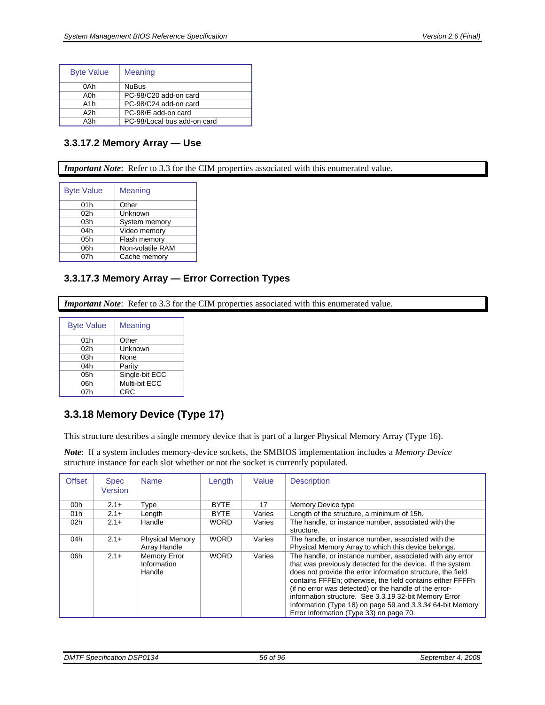| <b>Byte Value</b> | Meaning                     |
|-------------------|-----------------------------|
| 0Ah               | <b>NuBus</b>                |
| A0h               | PC-98/C20 add-on card       |
| A <sub>1</sub> h  | PC-98/C24 add-on card       |
| A2h               | PC-98/E add-on card         |
| A3h               | PC-98/Local bus add-on card |

### <span id="page-55-0"></span>**3.3.17.2 Memory Array — Use**

*Important Note*: Refer to [3.3](#page-16-0) for the CIM properties associated with this enumerated value.

| <b>Byte Value</b> | Meaning          |
|-------------------|------------------|
| 01h               | Other            |
| 02 <sub>h</sub>   | Unknown          |
| 03h               | System memory    |
| 04h               | Video memory     |
| 05h               | Flash memory     |
| 06h               | Non-volatile RAM |
| 07h               | Cache memory     |

### <span id="page-55-1"></span>**3.3.17.3 Memory Array — Error Correction Types**

*Important Note*: Refer to [3.3](#page-16-0) for the CIM properties associated with this enumerated value.

| <b>Byte Value</b> | Meaning        |
|-------------------|----------------|
| 01h               | Other          |
| 02h               | Unknown        |
| 03h               | None           |
| 04h               | Parity         |
| 05h               | Single-bit ECC |
| 06h               | Multi-bit ECC  |
| 07h               | <b>CRC</b>     |

# <span id="page-55-2"></span>**3.3.18 Memory Device (Type 17)**

This structure describes a single memory device that is part of a larger [Physical Memory Array \(Type 16\)](#page-54-1).

*Note*: If a system includes memory-device sockets, the SMBIOS implementation includes a *Memory Device* structure instance for each slot whether or not the socket is currently populated.

| <b>Offset</b> | <b>Spec</b><br><b>Version</b> | <b>Name</b>                                  | Length      | Value  | <b>Description</b>                                                                                                                                                                                                                                                                                                                                                                                                                                                              |
|---------------|-------------------------------|----------------------------------------------|-------------|--------|---------------------------------------------------------------------------------------------------------------------------------------------------------------------------------------------------------------------------------------------------------------------------------------------------------------------------------------------------------------------------------------------------------------------------------------------------------------------------------|
| 00h           | $2.1+$                        | Type                                         | <b>BYTE</b> | 17     | Memory Device type                                                                                                                                                                                                                                                                                                                                                                                                                                                              |
| 01h           | $2.1+$                        | Length                                       | <b>BYTE</b> | Varies | Length of the structure, a minimum of 15h.                                                                                                                                                                                                                                                                                                                                                                                                                                      |
| 02h           | $2.1+$                        | Handle                                       | <b>WORD</b> | Varies | The handle, or instance number, associated with the<br>structure.                                                                                                                                                                                                                                                                                                                                                                                                               |
| 04h           | $2.1+$                        | <b>Physical Memory</b><br>Array Handle       | <b>WORD</b> | Varies | The handle, or instance number, associated with the<br>Physical Memory Array to which this device belongs.                                                                                                                                                                                                                                                                                                                                                                      |
| 06h           | $2.1 +$                       | <b>Memory Error</b><br>Information<br>Handle | <b>WORD</b> | Varies | The handle, or instance number, associated with any error<br>that was previously detected for the device. If the system<br>does not provide the error information structure, the field<br>contains FFFEh; otherwise, the field contains either FFFFh<br>(if no error was detected) or the handle of the error-<br>information structure. See 3.3.19 32-bit Memory Error<br>Information (Type 18) on page 59 and 3.3.34 64-bit Memory<br>Error Information (Type 33) on page 70. |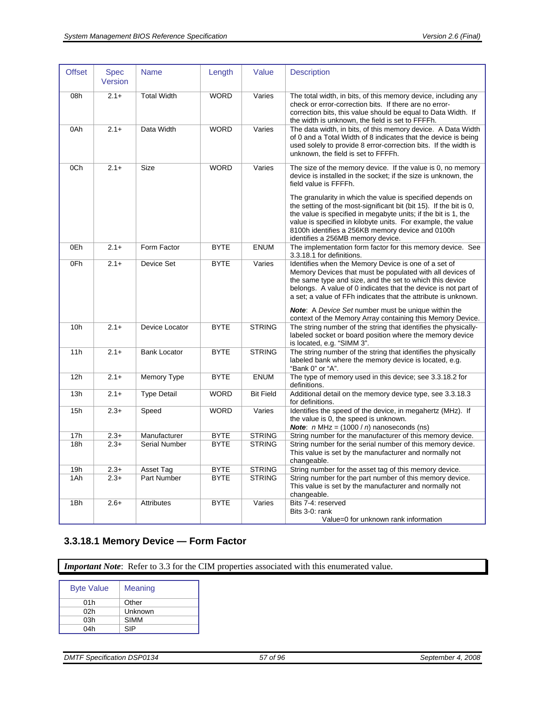| <b>Offset</b>   | <b>Spec</b><br>Version | <b>Name</b>         | Length      | Value            | <b>Description</b>                                                                                                                                                                                                                                                                                                                                                                                                                                                                                                    |
|-----------------|------------------------|---------------------|-------------|------------------|-----------------------------------------------------------------------------------------------------------------------------------------------------------------------------------------------------------------------------------------------------------------------------------------------------------------------------------------------------------------------------------------------------------------------------------------------------------------------------------------------------------------------|
| 08h             | $2.1+$                 | <b>Total Width</b>  | <b>WORD</b> | Varies           | The total width, in bits, of this memory device, including any<br>check or error-correction bits. If there are no error-<br>correction bits, this value should be equal to Data Width. If<br>the width is unknown, the field is set to FFFFh.                                                                                                                                                                                                                                                                         |
| 0Ah             | $2.1+$                 | Data Width          | <b>WORD</b> | Varies           | The data width, in bits, of this memory device. A Data Width<br>of 0 and a Total Width of 8 indicates that the device is being<br>used solely to provide 8 error-correction bits. If the width is<br>unknown, the field is set to FFFFh.                                                                                                                                                                                                                                                                              |
| 0Ch             | $2.1+$                 | Size                | <b>WORD</b> | Varies           | The size of the memory device. If the value is 0, no memory<br>device is installed in the socket; if the size is unknown, the<br>field value is FFFFh.<br>The granularity in which the value is specified depends on<br>the setting of the most-significant bit (bit 15). If the bit is 0,<br>the value is specified in megabyte units; if the bit is 1, the<br>value is specified in kilobyte units. For example, the value<br>8100h identifies a 256KB memory device and 0100h<br>identifies a 256MB memory device. |
| 0Eh             | $2.1+$                 | Form Factor         | <b>BYTE</b> | <b>ENUM</b>      | The implementation form factor for this memory device. See<br>3.3.18.1 for definitions.                                                                                                                                                                                                                                                                                                                                                                                                                               |
| 0Fh             | $2.1 +$                | Device Set          | <b>BYTE</b> | Varies           | Identifies when the Memory Device is one of a set of<br>Memory Devices that must be populated with all devices of<br>the same type and size, and the set to which this device<br>belongs. A value of 0 indicates that the device is not part of<br>a set; a value of FFh indicates that the attribute is unknown.<br><b>Note:</b> A Device Set number must be unique within the<br>context of the Memory Array containing this Memory Device.                                                                         |
| 10 <sub>h</sub> | $2.1+$                 | Device Locator      | <b>BYTE</b> | <b>STRING</b>    | The string number of the string that identifies the physically-<br>labeled socket or board position where the memory device<br>is located, e.g. "SIMM 3".                                                                                                                                                                                                                                                                                                                                                             |
| 11h             | $2.1+$                 | <b>Bank Locator</b> | <b>BYTE</b> | <b>STRING</b>    | The string number of the string that identifies the physically<br>labeled bank where the memory device is located, e.g.<br>"Bank 0" or "A".                                                                                                                                                                                                                                                                                                                                                                           |
| 12h             | $2.1+$                 | Memory Type         | <b>BYTE</b> | <b>ENUM</b>      | The type of memory used in this device; see 3.3.18.2 for<br>definitions.                                                                                                                                                                                                                                                                                                                                                                                                                                              |
| 13h             | $2.1+$                 | <b>Type Detail</b>  | <b>WORD</b> | <b>Bit Field</b> | Additional detail on the memory device type, see 3.3.18.3<br>for definitions.                                                                                                                                                                                                                                                                                                                                                                                                                                         |
| 15h             | $2.3+$                 | Speed               | <b>WORD</b> | Varies           | Identifies the speed of the device, in megahertz (MHz). If<br>the value is 0, the speed is unknown.<br><b>Note:</b> $n$ MHz = $(1000 / n)$ nanoseconds (ns)                                                                                                                                                                                                                                                                                                                                                           |
| 17h             | $2.3+$                 | Manufacturer        | <b>BYTE</b> | <b>STRING</b>    | String number for the manufacturer of this memory device.                                                                                                                                                                                                                                                                                                                                                                                                                                                             |
| 18h             | $2.3+$                 | Serial Number       | <b>BYTE</b> | <b>STRING</b>    | String number for the serial number of this memory device.<br>This value is set by the manufacturer and normally not<br>changeable.                                                                                                                                                                                                                                                                                                                                                                                   |
| 19h             | $2.3+$                 | Asset Tag           | <b>BYTE</b> | <b>STRING</b>    | String number for the asset tag of this memory device.                                                                                                                                                                                                                                                                                                                                                                                                                                                                |
| 1Ah             | $2.3+$                 | Part Number         | <b>BYTE</b> | <b>STRING</b>    | String number for the part number of this memory device.<br>This value is set by the manufacturer and normally not<br>changeable.                                                                                                                                                                                                                                                                                                                                                                                     |
| 1Bh             | $2.6+$                 | <b>Attributes</b>   | <b>BYTE</b> | Varies           | Bits 7-4: reserved<br>Bits 3-0: rank<br>Value=0 for unknown rank information                                                                                                                                                                                                                                                                                                                                                                                                                                          |

# <span id="page-56-0"></span>**3.3.18.1 Memory Device — Form Factor**

*Important Note*: Refer to [3.3](#page-16-0) for the CIM properties associated with this enumerated value.

| <b>Byte Value</b> | Meaning     |
|-------------------|-------------|
| 01h               | Other       |
| 02h               | Unknown     |
| 03h               | <b>SIMM</b> |
| 04h               | SIP         |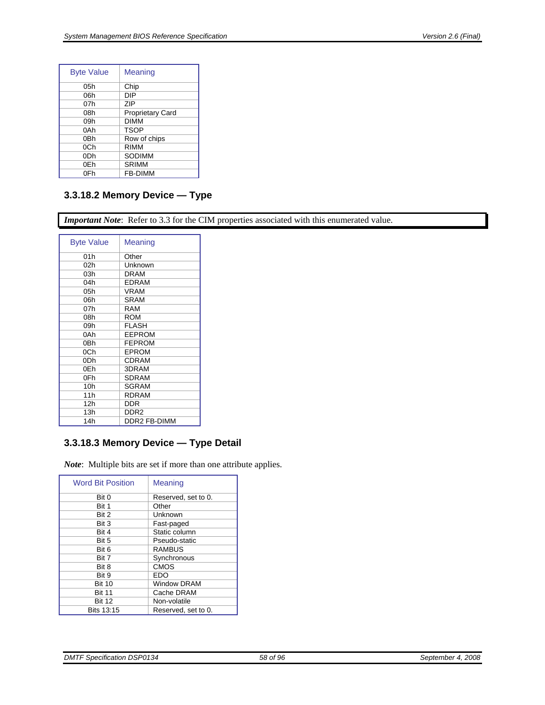| <b>Byte Value</b> | Meaning                 |
|-------------------|-------------------------|
| 05h               | Chip                    |
| 06h               | DIP                     |
| 07h               | 7IP                     |
| 08h               | <b>Proprietary Card</b> |
| 09h               | DIMM                    |
| 0Ah               | <b>TSOP</b>             |
| 0Bh               | Row of chips            |
| 0Ch               | RIMM                    |
| 0Dh               | SODIMM                  |
| 0Eh               | <b>SRIMM</b>            |
| 0Fh               | <b>FB-DIMM</b>          |

## <span id="page-57-0"></span>**3.3.18.2 Memory Device — Type**

*Important Note*: Refer to [3.3](#page-16-0) for the CIM properties associated with this enumerated value.

| <b>Byte Value</b> | Meaning             |
|-------------------|---------------------|
| 01h               | Other               |
| 02h               | Unknown             |
| 03h               | <b>DRAM</b>         |
| 04h               | <b>EDRAM</b>        |
| 05h               | VRAM                |
| 06h               | <b>SRAM</b>         |
| 07h               | RAM                 |
| 08h               | <b>ROM</b>          |
| 09h               | <b>FLASH</b>        |
| 0Ah               | <b>EEPROM</b>       |
| 0Bh               | <b>FEPROM</b>       |
| 0Ch               | <b>EPROM</b>        |
| 0Dh               | CDRAM               |
| 0Eh               | 3DRAM               |
| 0Fh               | SDRAM               |
| 10h               | SGRAM               |
| 11h               | <b>RDRAM</b>        |
| 12h               | DDR                 |
| 13h               | DDR <sub>2</sub>    |
| 14h               | <b>DDR2 FB-DIMM</b> |

### <span id="page-57-1"></span>**3.3.18.3 Memory Device — Type Detail**

*Note*: Multiple bits are set if more than one attribute applies.

| <b>Word Bit Position</b> | Meaning             |
|--------------------------|---------------------|
| Bit 0                    | Reserved, set to 0. |
| Bit 1                    | Other               |
| Bit 2                    | Unknown             |
| Bit 3                    | Fast-paged          |
| Bit 4                    | Static column       |
| Bit 5                    | Pseudo-static       |
| Bit 6                    | <b>RAMBUS</b>       |
| Bit 7                    | Synchronous         |
| Bit 8                    | <b>CMOS</b>         |
| Bit 9                    | EDO                 |
| <b>Bit 10</b>            | <b>Window DRAM</b>  |
| <b>Bit 11</b>            | Cache DRAM          |
| Bit 12                   | Non-volatile        |
| <b>Bits 13:15</b>        | Reserved, set to 0. |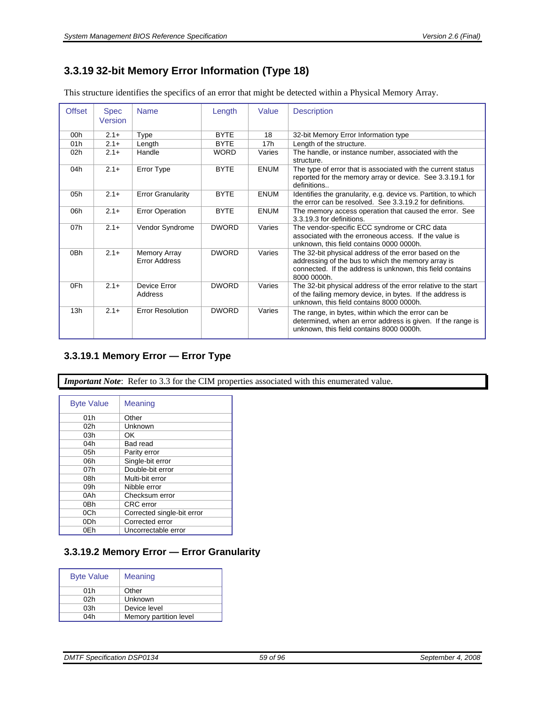# <span id="page-58-0"></span>**3.3.19 32-bit Memory Error Information (Type 18)**

This structure identifies the specifics of an error that might be detected within a Physical Memory Array.

| <b>Offset</b>   | <b>Spec</b><br>Version | <b>Name</b>                          | Length       | Value           | <b>Description</b>                                                                                                                                                                      |
|-----------------|------------------------|--------------------------------------|--------------|-----------------|-----------------------------------------------------------------------------------------------------------------------------------------------------------------------------------------|
| 00 <sub>h</sub> | $2.1+$                 | Type                                 | <b>BYTE</b>  | 18              | 32-bit Memory Error Information type                                                                                                                                                    |
| 01h             | $2.1 +$                | Length                               | <b>BYTE</b>  | 17 <sub>h</sub> | Length of the structure.                                                                                                                                                                |
| 02 <sub>h</sub> | $2.1+$                 | Handle                               | <b>WORD</b>  | Varies          | The handle, or instance number, associated with the<br>structure.                                                                                                                       |
| 04h             | $2.1+$                 | Error Type                           | <b>BYTE</b>  | <b>ENUM</b>     | The type of error that is associated with the current status<br>reported for the memory array or device. See 3.3.19.1 for<br>definitions                                                |
| 05h             | $2.1+$                 | <b>Error Granularity</b>             | <b>BYTE</b>  | <b>ENUM</b>     | Identifies the granularity, e.g. device vs. Partition, to which<br>the error can be resolved. See 3.3.19.2 for definitions.                                                             |
| 06h             | $2.1+$                 | <b>Error Operation</b>               | <b>BYTE</b>  | <b>ENUM</b>     | The memory access operation that caused the error. See<br>3.3.19.3 for definitions.                                                                                                     |
| 07h             | $2.1+$                 | Vendor Syndrome                      | <b>DWORD</b> | Varies          | The vendor-specific ECC syndrome or CRC data<br>associated with the erroneous access. If the value is<br>unknown, this field contains 0000 0000h.                                       |
| 0 <sub>Bh</sub> | $2.1 +$                | Memory Array<br><b>Error Address</b> | <b>DWORD</b> | Varies          | The 32-bit physical address of the error based on the<br>addressing of the bus to which the memory array is<br>connected. If the address is unknown, this field contains<br>8000 0000h. |
| 0Fh             | $2.1+$                 | Device Error<br>Address              | <b>DWORD</b> | Varies          | The 32-bit physical address of the error relative to the start<br>of the failing memory device, in bytes. If the address is<br>unknown, this field contains 8000 0000h.                 |
| 13h             | $2.1+$                 | <b>Error Resolution</b>              | <b>DWORD</b> | Varies          | The range, in bytes, within which the error can be.<br>determined, when an error address is given. If the range is<br>unknown, this field contains 8000 0000h.                          |

### <span id="page-58-1"></span>**3.3.19.1 Memory Error — Error Type**

*Important Note*: Refer to [3.3](#page-16-0) for the CIM properties associated with this enumerated value.

| <b>Byte Value</b> | Meaning                    |
|-------------------|----------------------------|
| 01h               | Other                      |
| 02h               | Unknown                    |
| 03h               | OK                         |
| 04h               | Bad read                   |
| 05h               | Parity error               |
| 06h               | Single-bit error           |
| 07h               | Double-bit error           |
| 08h               | Multi-bit error            |
| 09h               | Nibble error               |
| 0Ah               | Checksum error             |
| 0Bh               | CRC error                  |
| 0Ch               | Corrected single-bit error |
| 0Dh               | Corrected error            |
| 0Eh               | Uncorrectable error        |

#### <span id="page-58-2"></span>**3.3.19.2 Memory Error — Error Granularity**

| <b>Byte Value</b> | Meaning                |
|-------------------|------------------------|
| 01h               | Other                  |
| 02h               | Unknown                |
| 03h               | Device level           |
| 04h               | Memory partition level |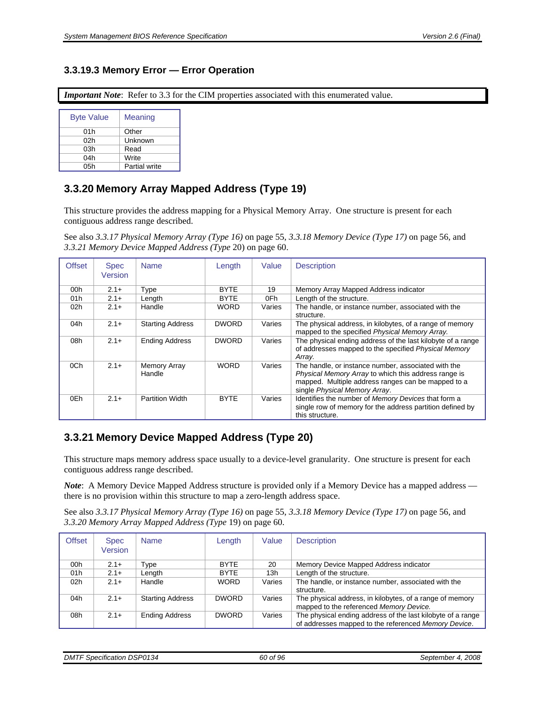### <span id="page-59-0"></span>**3.3.19.3 Memory Error — Error Operation**

*Important Note*: Refer to [3.3](#page-16-0) for the CIM properties associated with this enumerated value.

| <b>Byte Value</b> | Meaning              |
|-------------------|----------------------|
| 01h               | Other                |
| 02 <sub>h</sub>   | Unknown              |
| 03h               | Read                 |
| 04h               | Write                |
| 05h               | <b>Partial write</b> |

# <span id="page-59-2"></span>**3.3.20 Memory Array Mapped Address (Type 19)**

This structure provides the address mapping for a Physical Memory Array. One structure is present for each contiguous address range described.

See also *[3.3.17 Physical Memory Array \(Type 16\)](#page-54-1)* on page [55,](#page-54-1) *[3.3.18 Memory Device \(Type 17\)](#page-55-2)* on page [56,](#page-55-2) and *[3.3.21](#page-59-1) [Memory Device Mapped Address \(Type](#page-59-1)* 20) on page [60.](#page-59-1)

| <b>Offset</b>   | <b>Spec</b><br>Version | <b>Name</b>                   | Length       | Value  | <b>Description</b>                                                                                                                                                                                 |
|-----------------|------------------------|-------------------------------|--------------|--------|----------------------------------------------------------------------------------------------------------------------------------------------------------------------------------------------------|
| 00h             | $2.1+$                 | Type                          | <b>BYTE</b>  | 19     | Memory Array Mapped Address indicator                                                                                                                                                              |
| 01h             | $2.1+$                 | Length                        | <b>BYTE</b>  | 0Fh    | Length of the structure.                                                                                                                                                                           |
| 02 <sub>h</sub> | $2.1+$                 | Handle                        | <b>WORD</b>  | Varies | The handle, or instance number, associated with the<br>structure.                                                                                                                                  |
| 04h             | $2.1+$                 | <b>Starting Address</b>       | <b>DWORD</b> | Varies | The physical address, in kilobytes, of a range of memory<br>mapped to the specified Physical Memory Array.                                                                                         |
| 08h             | $2.1+$                 | <b>Ending Address</b>         | <b>DWORD</b> | Varies | The physical ending address of the last kilobyte of a range<br>of addresses mapped to the specified Physical Memory<br>Array.                                                                      |
| 0Ch             | $2.1+$                 | <b>Memory Array</b><br>Handle | <b>WORD</b>  | Varies | The handle, or instance number, associated with the<br>Physical Memory Array to which this address range is<br>mapped. Multiple address ranges can be mapped to a<br>single Physical Memory Array. |
| 0Eh             | $2.1+$                 | <b>Partition Width</b>        | <b>BYTE</b>  | Varies | Identifies the number of Memory Devices that form a<br>single row of memory for the address partition defined by<br>this structure.                                                                |

# <span id="page-59-1"></span>**3.3.21 Memory Device Mapped Address (Type 20)**

This structure maps memory address space usually to a device-level granularity. One structure is present for each contiguous address range described.

*Note*: A Memory Device Mapped Address structure is provided only if a Memory Device has a mapped address there is no provision within this structure to map a zero-length address space.

| See also 3.3.17 Physical Memory Array (Type 16) on page 55, 3.3.18 Memory Device (Type 17) on page 56, and |  |  |
|------------------------------------------------------------------------------------------------------------|--|--|
| 3.3.20 Memory Array Mapped Address (Type 19) on page 60.                                                   |  |  |

| <b>Offset</b> | <b>Spec</b><br>Version | <b>Name</b>             | Length       | Value  | <b>Description</b>                                                                                                  |
|---------------|------------------------|-------------------------|--------------|--------|---------------------------------------------------------------------------------------------------------------------|
| 00h           | $2.1+$                 | Type                    | <b>BYTE</b>  | 20     | Memory Device Mapped Address indicator                                                                              |
| 01h           | $2.1+$                 | Length                  | <b>BYTE</b>  | 13h    | Length of the structure.                                                                                            |
| 02h           | $2.1+$                 | Handle                  | <b>WORD</b>  | Varies | The handle, or instance number, associated with the<br>structure.                                                   |
| 04h           | $2.1+$                 | <b>Starting Address</b> | <b>DWORD</b> | Varies | The physical address, in kilobytes, of a range of memory<br>mapped to the referenced Memory Device.                 |
| 08h           | $2.1 +$                | <b>Ending Address</b>   | <b>DWORD</b> | Varies | The physical ending address of the last kilobyte of a range<br>of addresses mapped to the referenced Memory Device. |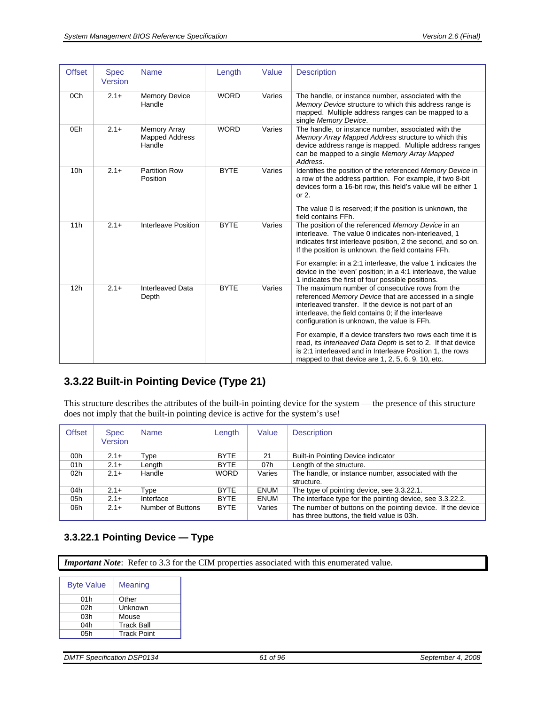| <b>Offset</b>   | <b>Spec</b><br>Version | <b>Name</b>                                     | Length      | Value  | <b>Description</b>                                                                                                                                                                                                                                                                                |
|-----------------|------------------------|-------------------------------------------------|-------------|--------|---------------------------------------------------------------------------------------------------------------------------------------------------------------------------------------------------------------------------------------------------------------------------------------------------|
| 0Ch             | $2.1+$                 | <b>Memory Device</b><br>Handle                  | <b>WORD</b> | Varies | The handle, or instance number, associated with the<br>Memory Device structure to which this address range is<br>mapped. Multiple address ranges can be mapped to a<br>single Memory Device.                                                                                                      |
| 0Eh             | $2.1+$                 | Memory Array<br><b>Mapped Address</b><br>Handle | <b>WORD</b> | Varies | The handle, or instance number, associated with the<br>Memory Array Mapped Address structure to which this<br>device address range is mapped. Multiple address ranges<br>can be mapped to a single Memory Array Mapped<br>Address.                                                                |
| 10 <sub>h</sub> | $2.1+$                 | <b>Partition Row</b><br>Position                | <b>BYTE</b> | Varies | Identifies the position of the referenced Memory Device in<br>a row of the address partition. For example, if two 8-bit<br>devices form a 16-bit row, this field's value will be either 1<br>or $2$ .                                                                                             |
|                 |                        |                                                 |             |        | The value 0 is reserved; if the position is unknown, the<br>field contains FFh.                                                                                                                                                                                                                   |
| 11h             | $2.1 +$                | Interleave Position                             | <b>BYTE</b> | Varies | The position of the referenced Memory Device in an<br>interleave. The value 0 indicates non-interleaved, 1<br>indicates first interleave position, 2 the second, and so on.<br>If the position is unknown, the field contains FFh.<br>For example: in a 2:1 interleave, the value 1 indicates the |
|                 |                        |                                                 |             |        | device in the 'even' position; in a 4:1 interleave, the value<br>1 indicates the first of four possible positions.                                                                                                                                                                                |
| 12h             | $2.1+$                 | <b>Interleaved Data</b><br>Depth                | <b>BYTE</b> | Varies | The maximum number of consecutive rows from the<br>referenced Memory Device that are accessed in a single<br>interleaved transfer. If the device is not part of an<br>interleave, the field contains 0; if the interleave<br>configuration is unknown, the value is FFh.                          |
|                 |                        |                                                 |             |        | For example, if a device transfers two rows each time it is<br>read, its Interleaved Data Depth is set to 2. If that device<br>is 2:1 interleaved and in Interleave Position 1, the rows<br>mapped to that device are 1, 2, 5, 6, 9, 10, etc.                                                     |

# **3.3.22 Built-in Pointing Device (Type 21)**

This structure describes the attributes of the built-in pointing device for the system — the presence of this structure does not imply that the built-in pointing device is active for the system's use!

| <b>Offset</b> | <b>Spec</b><br>Version | <b>Name</b>       | Length      | Value       | <b>Description</b>                                          |
|---------------|------------------------|-------------------|-------------|-------------|-------------------------------------------------------------|
| 00h           | $2.1+$                 | Type              | <b>BYTE</b> | 21          | <b>Built-in Pointing Device indicator</b>                   |
| 01h           | $2.1+$                 | Length            | <b>BYTE</b> | 07h         | Length of the structure.                                    |
| 02h           | $2.1+$                 | Handle            | <b>WORD</b> | Varies      | The handle, or instance number, associated with the         |
|               |                        |                   |             |             | structure.                                                  |
| 04h           | $2.1+$                 | Type              | <b>BYTE</b> | <b>ENUM</b> | The type of pointing device, see 3.3.22.1.                  |
| 05h           | $2.1+$                 | Interface         | <b>BYTE</b> | <b>ENUM</b> | The interface type for the pointing device, see 3.3.22.2.   |
| 06h           | $2.1+$                 | Number of Buttons | <b>BYTE</b> | Varies      | The number of buttons on the pointing device. If the device |
|               |                        |                   |             |             | has three buttons, the field value is 03h.                  |

### <span id="page-60-0"></span>**3.3.22.1 Pointing Device — Type**

*Important Note*: Refer to [3.3](#page-16-0) for the CIM properties associated with this enumerated value.

| <b>Byte Value</b> | Meaning            |
|-------------------|--------------------|
| 01h               | Other              |
| 02h               | Unknown            |
| 03h               | Mouse              |
| 04h               | <b>Track Ball</b>  |
| 05h               | <b>Track Point</b> |

| <b>DMTF Specification DSP0134</b> |  |
|-----------------------------------|--|
|-----------------------------------|--|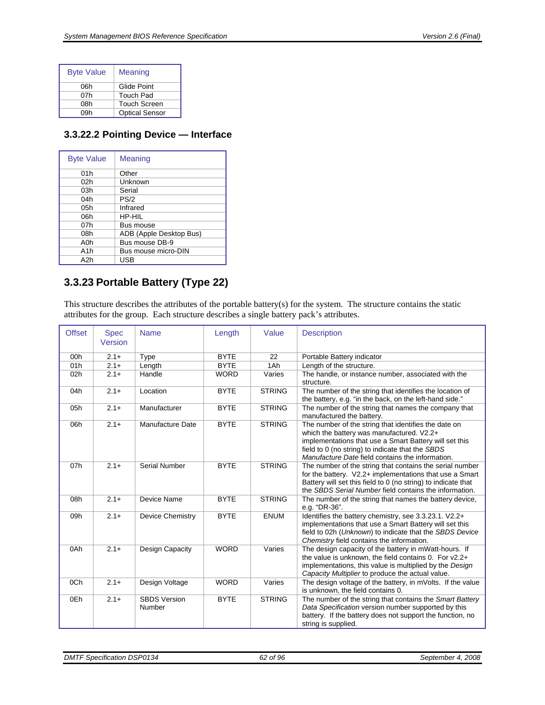| <b>Byte Value</b> | <b>Meaning</b>        |
|-------------------|-----------------------|
| 06h               | Glide Point           |
| 07h               | Touch Pad             |
| 08h               | Touch Screen          |
| 0.9h              | <b>Optical Sensor</b> |

#### <span id="page-61-0"></span>**3.3.22.2 Pointing Device — Interface**

| <b>Byte Value</b> | <b>Meaning</b>          |
|-------------------|-------------------------|
| 01h               | Other                   |
| 02h               | Unknown                 |
| 03h               | Serial                  |
| 04h               | PS/2                    |
| 05h               | Infrared                |
| 06h               | HP-HII                  |
| 07 <sub>h</sub>   | Bus mouse               |
| 08h               | ADB (Apple Desktop Bus) |
| A0h               | Bus mouse DB-9          |
| A <sub>1</sub> h  | Bus mouse micro-DIN     |
| A2h               | <b>USB</b>              |

# **3.3.23 Portable Battery (Type 22)**

This structure describes the attributes of the portable battery(s) for the system. The structure contains the static attributes for the group. Each structure describes a single battery pack's attributes.

| <b>Offset</b> | <b>Spec</b><br>Version | <b>Name</b>                   | Length      | Value         | <b>Description</b>                                                                                                                                                                                                                                                  |
|---------------|------------------------|-------------------------------|-------------|---------------|---------------------------------------------------------------------------------------------------------------------------------------------------------------------------------------------------------------------------------------------------------------------|
| 00h           |                        |                               | <b>BYTE</b> | 22            |                                                                                                                                                                                                                                                                     |
|               | $2.1 +$                | Type                          |             |               | Portable Battery indicator                                                                                                                                                                                                                                          |
| 01h           | $2.1 +$                | Length                        | <b>BYTE</b> | 1Ah           | Length of the structure.                                                                                                                                                                                                                                            |
| 02h           | $2.1 +$                | Handle                        | <b>WORD</b> | Varies        | The handle, or instance number, associated with the<br>structure.                                                                                                                                                                                                   |
| 04h           | $2.1 +$                | Location                      | <b>BYTE</b> | <b>STRING</b> | The number of the string that identifies the location of<br>the battery, e.g. "in the back, on the left-hand side."                                                                                                                                                 |
| 05h           | $2.1+$                 | Manufacturer                  | <b>BYTE</b> | <b>STRING</b> | The number of the string that names the company that<br>manufactured the battery.                                                                                                                                                                                   |
| 06h           | $2.1+$                 | Manufacture Date              | <b>BYTE</b> | <b>STRING</b> | The number of the string that identifies the date on<br>which the battery was manufactured. V2.2+<br>implementations that use a Smart Battery will set this<br>field to 0 (no string) to indicate that the SBDS<br>Manufacture Date field contains the information. |
| 07h           | $2.1 +$                | <b>Serial Number</b>          | <b>BYTE</b> | <b>STRING</b> | The number of the string that contains the serial number<br>for the battery. V2.2+ implementations that use a Smart<br>Battery will set this field to 0 (no string) to indicate that<br>the SBDS Serial Number field contains the information.                      |
| 08h           | $2.1+$                 | Device Name                   | <b>BYTE</b> | <b>STRING</b> | The number of the string that names the battery device,<br>e.g. "DR-36".                                                                                                                                                                                            |
| 09h           | $2.1+$                 | Device Chemistry              | <b>BYTE</b> | <b>ENUM</b>   | Identifies the battery chemistry, see 3.3.23.1. V2.2+<br>implementations that use a Smart Battery will set this<br>field to 02h (Unknown) to indicate that the SBDS Device<br>Chemistry field contains the information.                                             |
| 0Ah           | $2.1+$                 | Design Capacity               | <b>WORD</b> | Varies        | The design capacity of the battery in mWatt-hours. If<br>the value is unknown, the field contains 0. For $v2.2+$<br>implementations, this value is multiplied by the Design<br>Capacity Multiplier to produce the actual value.                                     |
| 0Ch           | $2.1+$                 | Design Voltage                | <b>WORD</b> | Varies        | The design voltage of the battery, in mVolts. If the value<br>is unknown, the field contains 0.                                                                                                                                                                     |
| 0Eh           | $2.1+$                 | <b>SBDS Version</b><br>Number | <b>BYTE</b> | <b>STRING</b> | The number of the string that contains the Smart Battery<br>Data Specification version number supported by this<br>battery. If the battery does not support the function, no<br>string is supplied.                                                                 |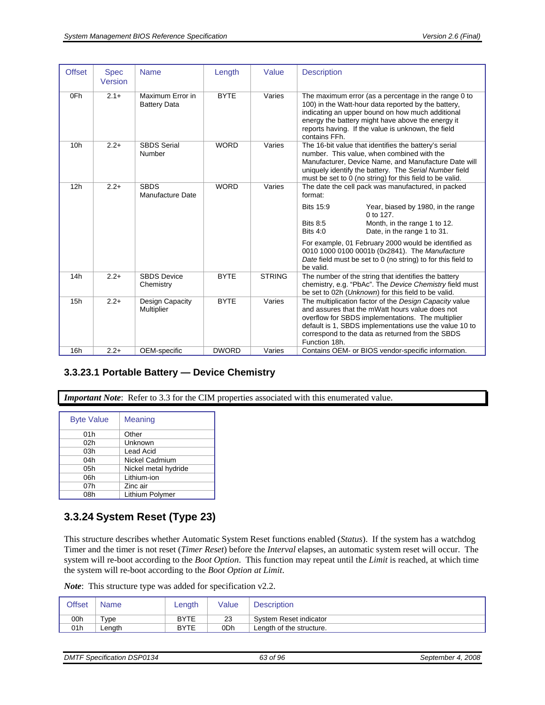| <b>Offset</b>   | <b>Spec</b><br>Version | <b>Name</b>                             | Length       | Value         | <b>Description</b>                                                                                                                                                                                                                                                                            |
|-----------------|------------------------|-----------------------------------------|--------------|---------------|-----------------------------------------------------------------------------------------------------------------------------------------------------------------------------------------------------------------------------------------------------------------------------------------------|
| 0Fh             | $2.1+$                 | Maximum Error in<br><b>Battery Data</b> | <b>BYTE</b>  | Varies        | The maximum error (as a percentage in the range 0 to<br>100) in the Watt-hour data reported by the battery,<br>indicating an upper bound on how much additional<br>energy the battery might have above the energy it<br>reports having. If the value is unknown, the field<br>contains FFh.   |
| 10 <sub>h</sub> | $2.2+$                 | <b>SBDS Serial</b><br>Number            | <b>WORD</b>  | Varies        | The 16-bit value that identifies the battery's serial<br>number. This value, when combined with the<br>Manufacturer, Device Name, and Manufacture Date will<br>uniquely identify the battery. The Serial Number field<br>must be set to 0 (no string) for this field to be valid.             |
| 12h             | $2.2+$                 | <b>SBDS</b><br>Manufacture Date         | <b>WORD</b>  | Varies        | The date the cell pack was manufactured, in packed<br>format:                                                                                                                                                                                                                                 |
|                 |                        |                                         |              |               | <b>Bits 15:9</b><br>Year, biased by 1980, in the range<br>0 to 127.<br><b>Bits 8:5</b><br>Month, in the range 1 to 12.<br><b>Bits 4:0</b><br>Date, in the range 1 to 31.                                                                                                                      |
|                 |                        |                                         |              |               | For example, 01 February 2000 would be identified as<br>0010 1000 0100 0001b (0x2841). The Manufacture<br>Date field must be set to 0 (no string) to for this field to<br>be valid.                                                                                                           |
| 14h             | $2.2+$                 | <b>SBDS</b> Device<br>Chemistry         | <b>BYTE</b>  | <b>STRING</b> | The number of the string that identifies the battery<br>chemistry, e.g. "PbAc". The Device Chemistry field must<br>be set to 02h (Unknown) for this field to be valid.                                                                                                                        |
| 15h             | $2.2+$                 | Design Capacity<br>Multiplier           | <b>BYTE</b>  | Varies        | The multiplication factor of the Design Capacity value<br>and assures that the mWatt hours value does not<br>overflow for SBDS implementations. The multiplier<br>default is 1, SBDS implementations use the value 10 to<br>correspond to the data as returned from the SBDS<br>Function 18h. |
| 16h             | $2.2+$                 | OEM-specific                            | <b>DWORD</b> | Varies        | Contains OEM- or BIOS vendor-specific information.                                                                                                                                                                                                                                            |

#### <span id="page-62-0"></span>**3.3.23.1 Portable Battery — Device Chemistry**

*Important Note*: Refer to [3.3](#page-16-0) for the CIM properties associated with this enumerated value.

| Meaning              |
|----------------------|
| Other                |
| Unknown              |
| Lead Acid            |
| Nickel Cadmium       |
| Nickel metal hydride |
| Lithium-ion          |
| Zinc air             |
| Lithium Polymer      |
|                      |

## **3.3.24 System Reset (Type 23)**

This structure describes whether Automatic System Reset functions enabled (*Status*). If the system has a watchdog Timer and the timer is not reset (*Timer Reset*) before the *Interval* elapses, an automatic system reset will occur. The system will re-boot according to the *Boot Option*. This function may repeat until the *Limit* is reached, at which time the system will re-boot according to the *Boot Option at Limit*.

| Offset          | Name                | Length      | Value | <b>Description</b>       |
|-----------------|---------------------|-------------|-------|--------------------------|
| 00h             | $\tau_\mathsf{VDE}$ | <b>BYTE</b> | 23    | System Reset indicator   |
| 01 <sub>h</sub> | Lenath              | <b>BYTE</b> | 0Dh   | Length of the structure. |

| <b>DMTF SI</b><br><b>DSP0134</b><br>$\cdots$<br>3 of 96<br>ົ<br>.<br>Specification<br>ິ<br>- - - - - | 2008<br>September 4 |
|------------------------------------------------------------------------------------------------------|---------------------|
|------------------------------------------------------------------------------------------------------|---------------------|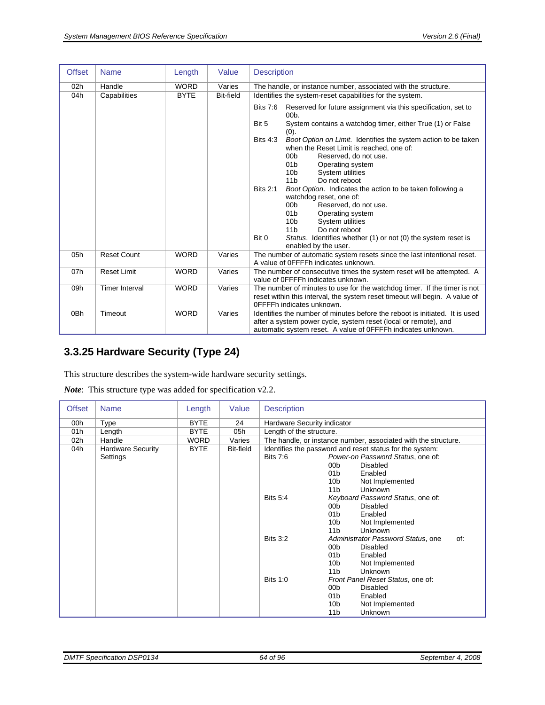| <b>Offset</b>   | <b>Name</b>           | Length      | Value            | <b>Description</b>                                                                                                                                                                                                                                                                                                                                                      |  |
|-----------------|-----------------------|-------------|------------------|-------------------------------------------------------------------------------------------------------------------------------------------------------------------------------------------------------------------------------------------------------------------------------------------------------------------------------------------------------------------------|--|
| 02h             | Handle                | <b>WORD</b> | Varies           | The handle, or instance number, associated with the structure.                                                                                                                                                                                                                                                                                                          |  |
| 04h             | Capabilities          | <b>BYTE</b> | <b>Bit-field</b> | Identifies the system-reset capabilities for the system.                                                                                                                                                                                                                                                                                                                |  |
|                 |                       |             |                  | <b>Bits 7:6</b><br>Reserved for future assignment via this specification, set to<br>$00b$ .                                                                                                                                                                                                                                                                             |  |
|                 |                       |             |                  | Bit 5<br>System contains a watchdog timer, either True (1) or False<br>(0).                                                                                                                                                                                                                                                                                             |  |
|                 |                       |             |                  | <b>Bits 4:3</b><br>Boot Option on Limit. Identifies the system action to be taken<br>when the Reset Limit is reached, one of:<br>00 <sub>b</sub><br>Reserved, do not use.<br>01 <sub>b</sub><br>Operating system<br>10 <sub>b</sub><br>System utilities<br>Do not reboot<br>11 <sub>b</sub>                                                                             |  |
|                 |                       |             |                  | <b>Bits 2:1</b><br>Boot Option. Indicates the action to be taken following a<br>watchdog reset, one of:<br>00 <sub>b</sub><br>Reserved, do not use.<br>01 <sub>b</sub><br>Operating system<br>System utilities<br>10 <sub>b</sub><br>11 <sub>b</sub><br>Do not reboot<br>Status. Identifies whether (1) or not (0) the system reset is<br>Bit 0<br>enabled by the user. |  |
| 05h             | <b>Reset Count</b>    | <b>WORD</b> | Varies           | The number of automatic system resets since the last intentional reset.<br>A value of OFFFFh indicates unknown.                                                                                                                                                                                                                                                         |  |
| 07h             | <b>Reset Limit</b>    | <b>WORD</b> | Varies           | The number of consecutive times the system reset will be attempted. A<br>value of OFFFFh indicates unknown.                                                                                                                                                                                                                                                             |  |
| 09h             | <b>Timer Interval</b> | <b>WORD</b> | Varies           | The number of minutes to use for the watchdog timer. If the timer is not<br>reset within this interval, the system reset timeout will begin. A value of<br>OFFFFh indicates unknown.                                                                                                                                                                                    |  |
| 0 <sub>Bh</sub> | Timeout               | <b>WORD</b> | Varies           | Identifies the number of minutes before the reboot is initiated. It is used<br>after a system power cycle, system reset (local or remote), and<br>automatic system reset. A value of OFFFFh indicates unknown.                                                                                                                                                          |  |

# **3.3.25 Hardware Security (Type 24)**

This structure describes the system-wide hardware security settings.

| <b>Offset</b>   | <b>Name</b>              | Length      | Value     | <b>Description</b>          |                                                                |
|-----------------|--------------------------|-------------|-----------|-----------------------------|----------------------------------------------------------------|
| 00h             | Type                     | <b>BYTE</b> | 24        | Hardware Security indicator |                                                                |
| 01h             | Length                   | <b>BYTE</b> | 05h       | Length of the structure.    |                                                                |
| 02 <sub>h</sub> | Handle                   | <b>WORD</b> | Varies    |                             | The handle, or instance number, associated with the structure. |
| 04h             | <b>Hardware Security</b> | <b>BYTE</b> | Bit-field |                             | Identifies the password and reset status for the system:       |
|                 | Settings                 |             |           | <b>Bits 7:6</b>             | Power-on Password Status, one of:                              |
|                 |                          |             |           |                             | Disabled<br>00 <sub>b</sub>                                    |
|                 |                          |             |           |                             | 01 <sub>b</sub><br>Enabled                                     |
|                 |                          |             |           |                             | 10 <sub>b</sub><br>Not Implemented                             |
|                 |                          |             |           |                             | Unknown<br>11 <sub>b</sub>                                     |
|                 |                          |             |           | <b>Bits 5:4</b>             | Keyboard Password Status, one of:                              |
|                 |                          |             |           |                             | 00b<br><b>Disabled</b>                                         |
|                 |                          |             |           |                             | 01 <sub>b</sub><br>Enabled                                     |
|                 |                          |             |           |                             | 10 <sub>b</sub><br>Not Implemented                             |
|                 |                          |             |           |                             | 11 <sub>b</sub><br>Unknown                                     |
|                 |                          |             |           | <b>Bits 3:2</b>             | Administrator Password Status, one<br>of:                      |
|                 |                          |             |           |                             | 00 <sub>b</sub><br>Disabled                                    |
|                 |                          |             |           |                             | 01b<br>Enabled                                                 |
|                 |                          |             |           |                             | 10 <sub>b</sub><br>Not Implemented                             |
|                 |                          |             |           |                             | 11 <sub>b</sub><br>Unknown                                     |
|                 |                          |             |           | Bits $1:0$                  | Front Panel Reset Status, one of:                              |
|                 |                          |             |           |                             | 00 <sub>b</sub><br>Disabled                                    |
|                 |                          |             |           |                             | 01 <sub>b</sub><br>Enabled                                     |
|                 |                          |             |           |                             | 10 <sub>b</sub><br>Not Implemented                             |
|                 |                          |             |           |                             | 11 <sub>b</sub><br>Unknown                                     |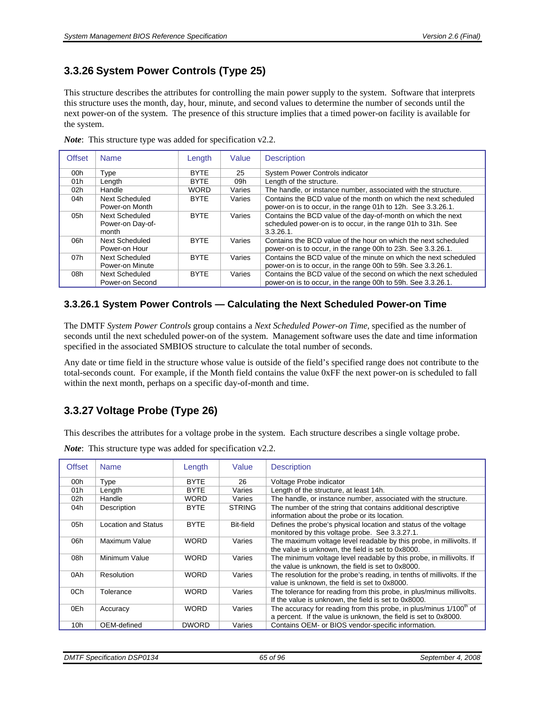# **3.3.26 System Power Controls (Type 25)**

This structure describes the attributes for controlling the main power supply to the system. Software that interprets this structure uses the month, day, hour, minute, and second values to determine the number of seconds until the next power-on of the system. The presence of this structure implies that a timed power-on facility is available for the system.

| <b>Offset</b> | <b>Name</b>           | Length      | Value  | <b>Description</b>                                               |
|---------------|-----------------------|-------------|--------|------------------------------------------------------------------|
| 00h           | Type                  | <b>BYTE</b> | 25     | System Power Controls indicator                                  |
| 01h           | Length                | <b>BYTE</b> | 09h    | Length of the structure.                                         |
| 02h           | Handle                | <b>WORD</b> | Varies | The handle, or instance number, associated with the structure.   |
| 04h           | <b>Next Scheduled</b> | <b>BYTE</b> | Varies | Contains the BCD value of the month on which the next scheduled  |
|               | Power-on Month        |             |        | power-on is to occur, in the range 01h to 12h. See 3.3.26.1.     |
| 05h           | Next Scheduled        | <b>BYTE</b> | Varies | Contains the BCD value of the day-of-month on which the next     |
|               | Power-on Day-of-      |             |        | scheduled power-on is to occur, in the range 01h to 31h. See     |
|               | month                 |             |        | 3.3.26.1                                                         |
| 06h           | Next Scheduled        | <b>BYTE</b> | Varies | Contains the BCD value of the hour on which the next scheduled   |
|               | Power-on Hour         |             |        | power-on is to occur, in the range 00h to 23h. See 3.3.26.1.     |
| 07h           | Next Scheduled        | <b>BYTE</b> | Varies | Contains the BCD value of the minute on which the next scheduled |
|               | Power-on Minute       |             |        | power-on is to occur, in the range 00h to 59h. See 3.3.26.1.     |
| 08h           | Next Scheduled        | <b>BYTE</b> | Varies | Contains the BCD value of the second on which the next scheduled |
|               | Power-on Second       |             |        | power-on is to occur, in the range 00h to 59h. See 3.3.26.1.     |

*Note*: This structure type was added for specification v2.2.

#### <span id="page-64-0"></span>**3.3.26.1 System Power Controls — Calculating the Next Scheduled Power-on Time**

The DMTF *System Power Controls* group contains a *Next Scheduled Power-on Time*, specified as the number of seconds until the next scheduled power-on of the system. Management software uses the date and time information specified in the associated SMBIOS structure to calculate the total number of seconds.

Any date or time field in the structure whose value is outside of the field's specified range does not contribute to the total-seconds count. For example, if the Month field contains the value 0xFF the next power-on is scheduled to fall within the next month, perhaps on a specific day-of-month and time.

# <span id="page-64-1"></span>**3.3.27 Voltage Probe (Type 26)**

This describes the attributes for a voltage probe in the system. Each structure describes a single voltage probe.

| <b>Offset</b>   | <b>Name</b>                | Length       | Value         | <b>Description</b>                                                                                                                                |
|-----------------|----------------------------|--------------|---------------|---------------------------------------------------------------------------------------------------------------------------------------------------|
| 00h             | Type                       | <b>BYTE</b>  | 26            | Voltage Probe indicator                                                                                                                           |
| 01h             | Length                     | <b>BYTE</b>  | Varies        | Length of the structure, at least 14h.                                                                                                            |
| 02h             | Handle                     | <b>WORD</b>  | Varies        | The handle, or instance number, associated with the structure.                                                                                    |
| 04h             | Description                | <b>BYTE</b>  | <b>STRING</b> | The number of the string that contains additional descriptive<br>information about the probe or its location.                                     |
| 05h             | <b>Location and Status</b> | <b>BYTE</b>  | Bit-field     | Defines the probe's physical location and status of the voltage<br>monitored by this voltage probe. See 3.3.27.1.                                 |
| 06h             | Maximum Value              | <b>WORD</b>  | Varies        | The maximum voltage level readable by this probe, in millivolts. If<br>the value is unknown, the field is set to 0x8000.                          |
| 08h             | Minimum Value              | <b>WORD</b>  | Varies        | The minimum voltage level readable by this probe, in millivolts. If<br>the value is unknown, the field is set to 0x8000.                          |
| 0Ah             | Resolution                 | <b>WORD</b>  | Varies        | The resolution for the probe's reading, in tenths of millivolts. If the<br>value is unknown, the field is set to 0x8000.                          |
| 0 <sub>Ch</sub> | Tolerance                  | <b>WORD</b>  | Varies        | The tolerance for reading from this probe, in plus/minus millivolts.<br>If the value is unknown, the field is set to 0x8000.                      |
| 0Eh             | Accuracy                   | <b>WORD</b>  | Varies        | The accuracy for reading from this probe, in plus/minus 1/100 <sup>th</sup> of<br>a percent. If the value is unknown, the field is set to 0x8000. |
| 10 <sub>h</sub> | OEM-defined                | <b>DWORD</b> | Varies        | Contains OEM- or BIOS vendor-specific information.                                                                                                |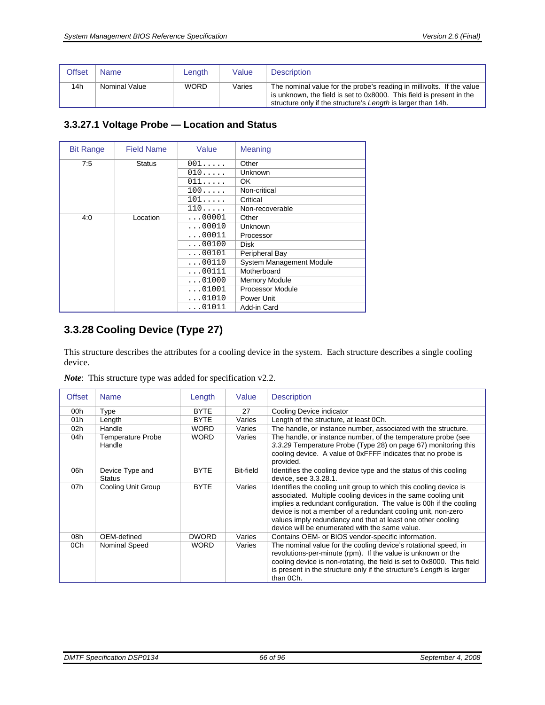| Offset | Name          | Length      | Value  | <b>Description</b>                                                                                                                                                                                            |
|--------|---------------|-------------|--------|---------------------------------------------------------------------------------------------------------------------------------------------------------------------------------------------------------------|
| 14h    | Nominal Value | <b>WORD</b> | Varies | The nominal value for the probe's reading in millivolts. If the value<br>is unknown, the field is set to 0x8000. This field is present in the<br>structure only if the structure's Length is larger than 14h. |

#### <span id="page-65-0"></span>**3.3.27.1 Voltage Probe — Location and Status**

| <b>Bit Range</b> | <b>Field Name</b> | Value          | Meaning                         |
|------------------|-------------------|----------------|---------------------------------|
| 7:5              | <b>Status</b>     | 001            | Other                           |
|                  |                   | 010            | <b>Unknown</b>                  |
|                  |                   | 011            | OK.                             |
|                  |                   | 100            | Non-critical                    |
|                  |                   | $101 \ldots$ . | Critical                        |
|                  |                   | 110            | Non-recoverable                 |
| 4:0              | Location          | $\ldots$ 00001 | Other                           |
|                  |                   | $\ldots$ 00010 | Unknown                         |
|                  |                   | $\ldots$ 00011 | Processor                       |
|                  |                   | $\ldots$ 00100 | <b>Disk</b>                     |
|                  |                   | $\ldots$ 00101 | Peripheral Bay                  |
|                  |                   | $\ldots$ 00110 | <b>System Management Module</b> |
|                  |                   | $\ldots$ 00111 | Motherboard                     |
|                  |                   | $\ldots$ 01000 | <b>Memory Module</b>            |
|                  |                   | $\ldots$ 01001 | Processor Module                |
|                  |                   | $\ldots$ 01010 | Power Unit                      |
|                  |                   | $\ldots$ 01011 | Add-in Card                     |

# <span id="page-65-1"></span>**3.3.28 Cooling Device (Type 27)**

This structure describes the attributes for a cooling device in the system. Each structure describes a single cooling device.

| <b>Offset</b>   | <b>Name</b>                      | Length       | Value            | <b>Description</b>                                                                                                                                                                                                                                                                                                                                                                        |  |
|-----------------|----------------------------------|--------------|------------------|-------------------------------------------------------------------------------------------------------------------------------------------------------------------------------------------------------------------------------------------------------------------------------------------------------------------------------------------------------------------------------------------|--|
| 00h             | Type                             | <b>BYTE</b>  | 27               | Cooling Device indicator                                                                                                                                                                                                                                                                                                                                                                  |  |
| 01h             | Length                           | <b>BYTE</b>  | Varies           | Length of the structure, at least 0Ch.                                                                                                                                                                                                                                                                                                                                                    |  |
| 02 <sub>h</sub> | Handle                           | WORD         | Varies           | The handle, or instance number, associated with the structure.                                                                                                                                                                                                                                                                                                                            |  |
| 04h             | Temperature Probe                | <b>WORD</b>  | Varies           | The handle, or instance number, of the temperature probe (see                                                                                                                                                                                                                                                                                                                             |  |
|                 | Handle                           |              |                  | 3.3.29 Temperature Probe (Type 28) on page 67) monitoring this<br>cooling device. A value of 0xFFFF indicates that no probe is<br>provided.                                                                                                                                                                                                                                               |  |
| 06h             | Device Type and<br><b>Status</b> | <b>BYTE</b>  | <b>Bit-field</b> | Identifies the cooling device type and the status of this cooling<br>device, see 3.3.28.1.                                                                                                                                                                                                                                                                                                |  |
| 07h             | Cooling Unit Group               | <b>BYTE</b>  | Varies           | Identifies the cooling unit group to which this cooling device is<br>associated. Multiple cooling devices in the same cooling unit<br>implies a redundant configuration. The value is 00h if the cooling<br>device is not a member of a redundant cooling unit, non-zero<br>values imply redundancy and that at least one other cooling<br>device will be enumerated with the same value. |  |
| 08h             | OEM-defined                      | <b>DWORD</b> | Varies           | Contains OEM- or BIOS vendor-specific information.                                                                                                                                                                                                                                                                                                                                        |  |
| 0Ch             | Nominal Speed                    | <b>WORD</b>  | Varies           | The nominal value for the cooling device's rotational speed, in<br>revolutions-per-minute (rpm). If the value is unknown or the<br>cooling device is non-rotating, the field is set to 0x8000. This field                                                                                                                                                                                 |  |
|                 |                                  |              |                  | is present in the structure only if the structure's Length is larger<br>than OCh.                                                                                                                                                                                                                                                                                                         |  |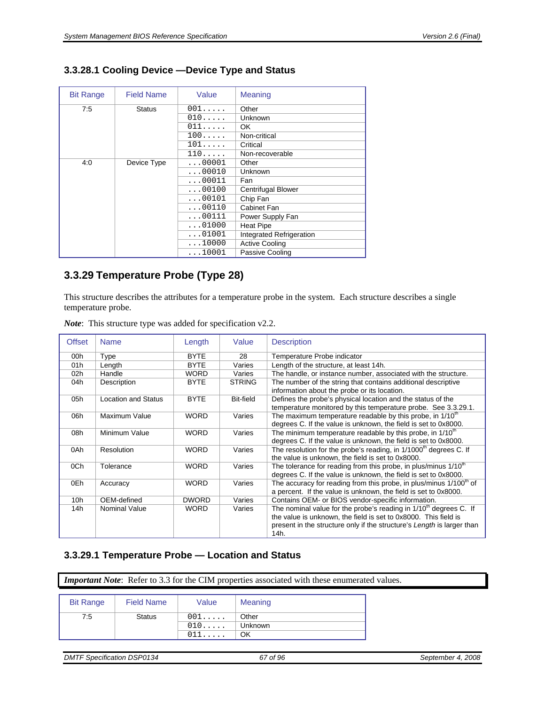| <b>Bit Range</b> | <b>Field Name</b> | Value          | Meaning                  |
|------------------|-------------------|----------------|--------------------------|
| 7:5              | <b>Status</b>     | 001            | Other                    |
|                  |                   | 010            | Unknown                  |
|                  |                   | 011            | OK.                      |
|                  |                   | 100            | Non-critical             |
|                  |                   | 101            | Critical                 |
|                  |                   | 110            | Non-recoverable          |
| 4:0              | Device Type       | $\ldots 00001$ | Other                    |
|                  |                   | $\ldots$ 00010 | Unknown                  |
|                  |                   | $\ldots$ 00011 | Fan                      |
|                  |                   | $\ldots$ 00100 | Centrifugal Blower       |
|                  |                   | $\ldots 00101$ | Chip Fan                 |
|                  |                   | $\ldots$ 00110 | Cabinet Fan              |
|                  |                   | $\ldots$ 00111 | Power Supply Fan         |
|                  |                   | $\ldots$ 01000 | <b>Heat Pipe</b>         |
|                  |                   | $\ldots$ 01001 | Integrated Refrigeration |
|                  |                   | $\ldots$ 10000 | <b>Active Cooling</b>    |
|                  |                   | 10001          | Passive Cooling          |

# <span id="page-66-1"></span>**3.3.28.1 Cooling Device —Device Type and Status**

# <span id="page-66-0"></span>**3.3.29 Temperature Probe (Type 28)**

This structure describes the attributes for a temperature probe in the system. Each structure describes a single temperature probe.

| <b>Offset</b>   | <b>Name</b>                | Length       | Value         | <b>Description</b>                                                                                                                                |  |
|-----------------|----------------------------|--------------|---------------|---------------------------------------------------------------------------------------------------------------------------------------------------|--|
| 00h             | Type                       | <b>BYTE</b>  | 28            | Temperature Probe indicator                                                                                                                       |  |
| 01 h            | Length                     | <b>BYTE</b>  | Varies        | Length of the structure, at least 14h.                                                                                                            |  |
| 02 <sub>h</sub> | Handle                     | <b>WORD</b>  | Varies        | The handle, or instance number, associated with the structure.                                                                                    |  |
| 04h             | Description                | <b>BYTE</b>  | <b>STRING</b> | The number of the string that contains additional descriptive<br>information about the probe or its location.                                     |  |
| 05h             | <b>Location and Status</b> | <b>BYTE</b>  | Bit-field     | Defines the probe's physical location and the status of the<br>temperature monitored by this temperature probe. See 3.3.29.1.                     |  |
| 06h             | Maximum Value              | <b>WORD</b>  | Varies        | The maximum temperature readable by this probe, in 1/10 <sup>th</sup><br>degrees C. If the value is unknown, the field is set to 0x8000.          |  |
| 08h             | Minimum Value              | <b>WORD</b>  | Varies        | The minimum temperature readable by this probe, in 1/10 <sup>th</sup><br>degrees C. If the value is unknown, the field is set to 0x8000.          |  |
| 0Ah             | Resolution                 | <b>WORD</b>  | Varies        | The resolution for the probe's reading, in 1/1000 <sup>th</sup> degrees C. If<br>the value is unknown, the field is set to 0x8000.                |  |
| 0Ch             | Tolerance                  | <b>WORD</b>  | Varies        | The tolerance for reading from this probe, in plus/minus 1/10 <sup>th</sup><br>degrees C. If the value is unknown, the field is set to 0x8000.    |  |
| 0Eh             | Accuracy                   | <b>WORD</b>  | Varies        | The accuracy for reading from this probe, in plus/minus 1/100 <sup>th</sup> of<br>a percent. If the value is unknown, the field is set to 0x8000. |  |
| 10 <sub>h</sub> | OEM-defined                | <b>DWORD</b> | Varies        | Contains OEM- or BIOS vendor-specific information.                                                                                                |  |
| 14h             | <b>Nominal Value</b>       | <b>WORD</b>  | Varies        | The nominal value for the probe's reading in $1/10th$ degrees C. If                                                                               |  |
|                 |                            |              |               | the value is unknown, the field is set to 0x8000. This field is                                                                                   |  |
|                 |                            |              |               | present in the structure only if the structure's Length is larger than<br>14h.                                                                    |  |

*Note*: This structure type was added for specification v2.2.

## <span id="page-66-2"></span>**3.3.29.1 Temperature Probe — Location and Status**

*Important Note*: Refer to [3.3](#page-16-0) for the CIM properties associated with these enumerated values.

| <b>Bit Range</b> | <b>Field Name</b> | Value          | Meaning |
|------------------|-------------------|----------------|---------|
| 7:5              | <b>Status</b>     | $001 \ldots$ . | Other   |
|                  |                   | $010 \ldots$ . | Unknown |
|                  |                   | $011\ldots$ .  | OK      |

*DMTF Specification DSP0134 67 of 96 September 4, 2008*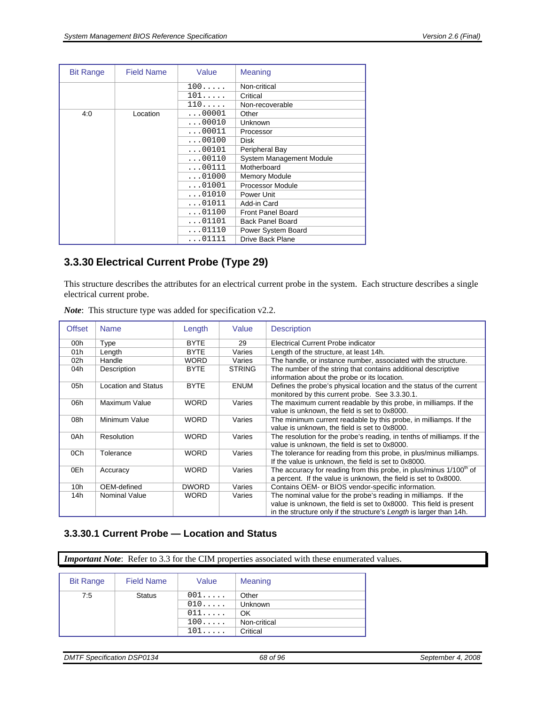| <b>Bit Range</b> | <b>Field Name</b> | Value          | <b>Meaning</b>                  |
|------------------|-------------------|----------------|---------------------------------|
|                  |                   | 100            | Non-critical                    |
|                  |                   | 101            | Critical                        |
|                  |                   | 110            | Non-recoverable                 |
| 4:0              | Location          | $\ldots$ 00001 | Other                           |
|                  |                   | $\ldots$ 00010 | Unknown                         |
|                  |                   | $\ldots$ 00011 | Processor                       |
|                  |                   | $\ldots$ 00100 | <b>Disk</b>                     |
|                  |                   | $\ldots$ 00101 | Peripheral Bay                  |
|                  |                   | $\ldots 00110$ | <b>System Management Module</b> |
|                  |                   | $\ldots$ 00111 | Motherboard                     |
|                  |                   | $\ldots$ 01000 | <b>Memory Module</b>            |
|                  |                   | $\ldots$ 01001 | Processor Module                |
|                  |                   | $\ldots$ 01010 | Power Unit                      |
|                  |                   | $\ldots$ 01011 | Add-in Card                     |
|                  |                   | $\ldots$ 01100 | <b>Front Panel Board</b>        |
|                  |                   | $\ldots$ 01101 | <b>Back Panel Board</b>         |
|                  |                   | $\ldots$ 01110 | Power System Board              |
|                  |                   | 01111          | <b>Drive Back Plane</b>         |

# <span id="page-67-1"></span>**3.3.30 Electrical Current Probe (Type 29)**

This structure describes the attributes for an electrical current probe in the system. Each structure describes a single electrical current probe.

| <b>Offset</b>   | <b>Name</b>                | Length       | Value         | <b>Description</b>                                                                                                                                                                                           |
|-----------------|----------------------------|--------------|---------------|--------------------------------------------------------------------------------------------------------------------------------------------------------------------------------------------------------------|
| 00h             | Type                       | <b>BYTE</b>  | 29            | <b>Electrical Current Probe indicator</b>                                                                                                                                                                    |
| 01h             | Length                     | <b>BYTE</b>  | Varies        | Length of the structure, at least 14h.                                                                                                                                                                       |
| 02 <sub>h</sub> | Handle                     | <b>WORD</b>  | Varies        | The handle, or instance number, associated with the structure.                                                                                                                                               |
| 04h             | Description                | <b>BYTE</b>  | <b>STRING</b> | The number of the string that contains additional descriptive<br>information about the probe or its location.                                                                                                |
| 05h             | <b>Location and Status</b> | <b>BYTE</b>  | <b>ENUM</b>   | Defines the probe's physical location and the status of the current<br>monitored by this current probe. See 3.3.30.1.                                                                                        |
| 06h             | Maximum Value              | <b>WORD</b>  | Varies        | The maximum current readable by this probe, in milliamps. If the<br>value is unknown, the field is set to 0x8000.                                                                                            |
| 08h             | Minimum Value              | <b>WORD</b>  | Varies        | The minimum current readable by this probe, in milliamps. If the<br>value is unknown, the field is set to 0x8000.                                                                                            |
| 0Ah             | Resolution                 | <b>WORD</b>  | Varies        | The resolution for the probe's reading, in tenths of milliamps. If the<br>value is unknown, the field is set to 0x8000.                                                                                      |
| 0Ch             | Tolerance                  | <b>WORD</b>  | Varies        | The tolerance for reading from this probe, in plus/minus milliamps.<br>If the value is unknown, the field is set to 0x8000.                                                                                  |
| 0Eh             | Accuracy                   | <b>WORD</b>  | Varies        | The accuracy for reading from this probe, in plus/minus 1/100 <sup>th</sup> of<br>a percent. If the value is unknown, the field is set to 0x8000.                                                            |
| 10 <sub>h</sub> | OEM-defined                | <b>DWORD</b> | Varies        | Contains OEM- or BIOS vendor-specific information.                                                                                                                                                           |
| 14h             | <b>Nominal Value</b>       | <b>WORD</b>  | Varies        | The nominal value for the probe's reading in milliamps. If the<br>value is unknown, the field is set to 0x8000. This field is present<br>in the structure only if the structure's Length is larger than 14h. |

*Note*: This structure type was added for specification v2.2.

#### <span id="page-67-0"></span>**3.3.30.1 Current Probe — Location and Status**

*Important Note*: Refer to [3.3](#page-16-0) for the CIM properties associated with these enumerated values.

| <b>Bit Range</b> | <b>Field Name</b> | Value          | Meaning      |
|------------------|-------------------|----------------|--------------|
| 7:5              | <b>Status</b>     | $001 \ldots$ . | Other        |
|                  |                   | 010            | Unknown      |
|                  |                   | 011            | OK           |
|                  |                   | $100 \ldots$ . | Non-critical |
|                  |                   | $101 \ldots$   | Critical     |

*DMTF Specification DSP0134* 68 of 96 September 4, 2008 **September 4, 2008** September 4, 2008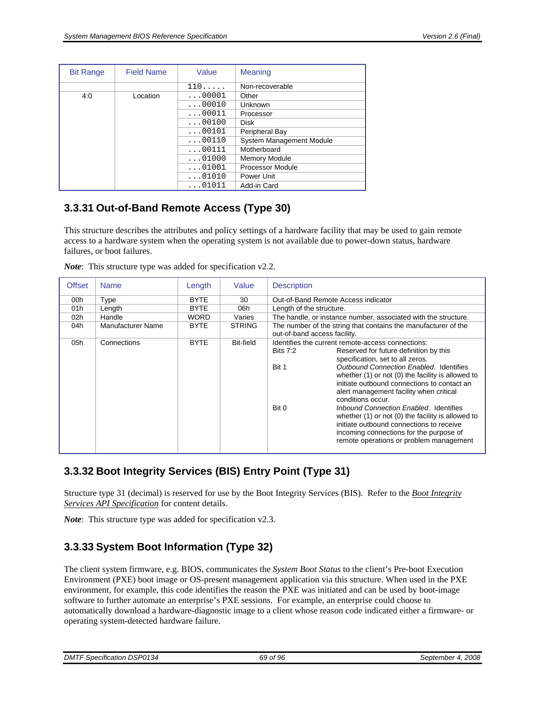| <b>Bit Range</b> | <b>Field Name</b> | Value          | Meaning                         |
|------------------|-------------------|----------------|---------------------------------|
|                  |                   | 110            | Non-recoverable                 |
| 4:0              | Location          | $\ldots$ 00001 | Other                           |
|                  |                   | $\ldots$ 00010 | Unknown                         |
|                  |                   | $\ldots$ 00011 | Processor                       |
|                  |                   | $\ldots$ 00100 | <b>Disk</b>                     |
|                  |                   | $\ldots$ 00101 | Peripheral Bay                  |
|                  |                   | $\ldots$ 00110 | <b>System Management Module</b> |
|                  |                   | $\ldots$ 00111 | Motherboard                     |
|                  |                   | $\ldots$ 01000 | <b>Memory Module</b>            |
|                  |                   | $\ldots$ 01001 | Processor Module                |
|                  |                   | $\ldots$ 01010 | Power Unit                      |
|                  |                   | $\ldots$ 01011 | Add-in Card                     |

# **3.3.31 Out-of-Band Remote Access (Type 30)**

This structure describes the attributes and policy settings of a hardware facility that may be used to gain remote access to a hardware system when the operating system is not available due to power-down status, hardware failures, or boot failures.

| <b>Offset</b> | <b>Name</b>       | Length      | Value         | <b>Description</b>           |                                                                |
|---------------|-------------------|-------------|---------------|------------------------------|----------------------------------------------------------------|
| 00h           | Type              | <b>BYTE</b> | 30            |                              | Out-of-Band Remote Access indicator                            |
| 01h           | Length            | <b>BYTE</b> | 06h           | Length of the structure.     |                                                                |
| 02h           | Handle            | WORD        | Varies        |                              | The handle, or instance number, associated with the structure. |
| 04h           | Manufacturer Name | <b>BYTE</b> | <b>STRING</b> | out-of-band access facility. | The number of the string that contains the manufacturer of the |
| 05h           | Connections       | <b>BYTE</b> | Bit-field     |                              | Identifies the current remote-access connections:              |
|               |                   |             |               | <b>Bits 7:2</b>              | Reserved for future definition by this                         |
|               |                   |             |               |                              | specification, set to all zeros.                               |
|               |                   |             |               | Bit 1                        | Outbound Connection Enabled. Identifies                        |
|               |                   |             |               |                              | whether (1) or not (0) the facility is allowed to              |
|               |                   |             |               |                              | initiate outbound connections to contact an                    |
|               |                   |             |               |                              | alert management facility when critical                        |
|               |                   |             |               |                              | conditions occur.                                              |
|               |                   |             |               | Bit 0                        | Inbound Connection Enabled. Identifies                         |
|               |                   |             |               |                              | whether $(1)$ or not $(0)$ the facility is allowed to          |
|               |                   |             |               |                              | initiate outbound connections to receive                       |
|               |                   |             |               |                              | incoming connections for the purpose of                        |
|               |                   |             |               |                              | remote operations or problem management                        |
|               |                   |             |               |                              |                                                                |

*Note*: This structure type was added for specification v2.2.

# **3.3.32 Boot Integrity Services (BIS) Entry Point (Type 31)**

Structure type 31 (decimal) is reserved for use by the Boot Integrity Services (BIS). Refer to the *Boot Integrity Services API Specification* for content details.

*Note*: This structure type was added for specification v2.3.

# **3.3.33 System Boot Information (Type 32)**

The client system firmware, e.g. BIOS, communicates the *System Boot Status* to the client's Pre-boot Execution Environment (PXE) boot image or OS-present management application via this structure. When used in the PXE environment, for example, this code identifies the reason the PXE was initiated and can be used by boot-image software to further automate an enterprise's PXE sessions. For example, an enterprise could choose to automatically download a hardware-diagnostic image to a client whose reason code indicated either a firmware- or operating system-detected hardware failure.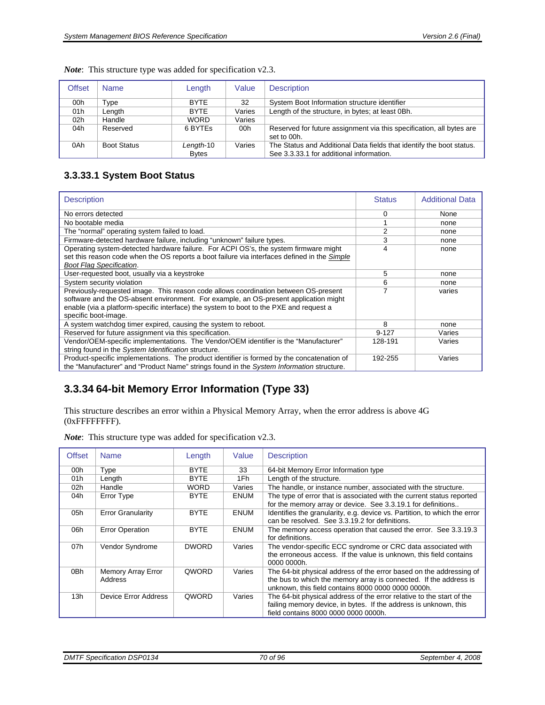| Offset | <b>Name</b>        | Length                    | Value  | <b>Description</b>                                                                                               |
|--------|--------------------|---------------------------|--------|------------------------------------------------------------------------------------------------------------------|
| 00h    | Type               | <b>BYTE</b>               | 32     | System Boot Information structure identifier                                                                     |
| 01h    | Length             | <b>BYTE</b>               | Varies | Length of the structure, in bytes; at least 0Bh.                                                                 |
| 02h    | Handle             | <b>WORD</b>               | Varies |                                                                                                                  |
| 04h    | Reserved           | 6 BYTES                   | 00h    | Reserved for future assignment via this specification, all bytes are<br>set to 00h.                              |
| 0Ah    | <b>Boot Status</b> | Length-10<br><b>Bytes</b> | Varies | The Status and Additional Data fields that identify the boot status.<br>See 3.3.33.1 for additional information. |

*Note*: This structure type was added for specification v2.3.

# <span id="page-69-1"></span>**3.3.33.1 System Boot Status**

| <b>Description</b>                                                                                                                                                                                                                                                                            | <b>Status</b> | <b>Additional Data</b> |
|-----------------------------------------------------------------------------------------------------------------------------------------------------------------------------------------------------------------------------------------------------------------------------------------------|---------------|------------------------|
| No errors detected                                                                                                                                                                                                                                                                            | 0             | None                   |
| No bootable media                                                                                                                                                                                                                                                                             |               | none                   |
| The "normal" operating system failed to load.                                                                                                                                                                                                                                                 | 2             | none                   |
| Firmware-detected hardware failure, including "unknown" failure types.                                                                                                                                                                                                                        | 3             | none                   |
| Operating system-detected hardware failure. For ACPI OS's, the system firmware might<br>set this reason code when the OS reports a boot failure via interfaces defined in the Simple<br><b>Boot Flag Specification.</b>                                                                       | 4             | none                   |
| User-requested boot, usually via a keystroke                                                                                                                                                                                                                                                  | 5             | none                   |
| System security violation                                                                                                                                                                                                                                                                     | 6             | none                   |
| Previously-requested image. This reason code allows coordination between OS-present<br>software and the OS-absent environment. For example, an OS-present application might<br>enable (via a platform-specific interface) the system to boot to the PXE and request a<br>specific boot-image. | 7             | varies                 |
| A system watchdog timer expired, causing the system to reboot.                                                                                                                                                                                                                                | 8             | none                   |
| Reserved for future assignment via this specification.                                                                                                                                                                                                                                        | $9 - 127$     | Varies                 |
| Vendor/OEM-specific implementations. The Vendor/OEM identifier is the "Manufacturer"<br>string found in the System Identification structure.                                                                                                                                                  | 128-191       | Varies                 |
| Product-specific implementations. The product identifier is formed by the concatenation of<br>the "Manufacturer" and "Product Name" strings found in the System Information structure.                                                                                                        | 192-255       | Varies                 |

# <span id="page-69-0"></span>**3.3.34 64-bit Memory Error Information (Type 33)**

This structure describes an error within a Physical Memory Array, when the error address is above 4G (0xFFFFFFFF).

| <b>Offset</b>   | <b>Name</b>                   | Length       | Value       | <b>Description</b>                                                                                                                                                                             |
|-----------------|-------------------------------|--------------|-------------|------------------------------------------------------------------------------------------------------------------------------------------------------------------------------------------------|
| 00h             | Type                          | <b>BYTE</b>  | 33          | 64-bit Memory Error Information type                                                                                                                                                           |
| 01h             | Length                        | <b>BYTE</b>  | 1Fh         | Length of the structure.                                                                                                                                                                       |
| 02 <sub>h</sub> | Handle                        | <b>WORD</b>  | Varies      | The handle, or instance number, associated with the structure.                                                                                                                                 |
| 04h             | Error Type                    | <b>BYTE</b>  | <b>ENUM</b> | The type of error that is associated with the current status reported<br>for the memory array or device. See 3.3.19.1 for definitions                                                          |
| 05h             | <b>Error Granularity</b>      | <b>BYTE</b>  | <b>ENUM</b> | Identifies the granularity, e.g. device vs. Partition, to which the error<br>can be resolved. See 3.3.19.2 for definitions.                                                                    |
| 06h             | <b>Error Operation</b>        | <b>BYTE</b>  | <b>ENUM</b> | The memory access operation that caused the error. See 3.3.19.3<br>for definitions.                                                                                                            |
| 07h             | Vendor Syndrome               | <b>DWORD</b> | Varies      | The vendor-specific ECC syndrome or CRC data associated with<br>the erroneous access. If the value is unknown, this field contains<br>0000 0000h.                                              |
| 0Bh             | Memory Array Error<br>Address | QWORD        | Varies      | The 64-bit physical address of the error based on the addressing of<br>the bus to which the memory array is connected. If the address is<br>unknown, this field contains 8000 0000 0000 0000h. |
| 13h             | Device Error Address          | QWORD        | Varies      | The 64-bit physical address of the error relative to the start of the<br>failing memory device, in bytes. If the address is unknown, this<br>field contains 8000 0000 0000 0000h.              |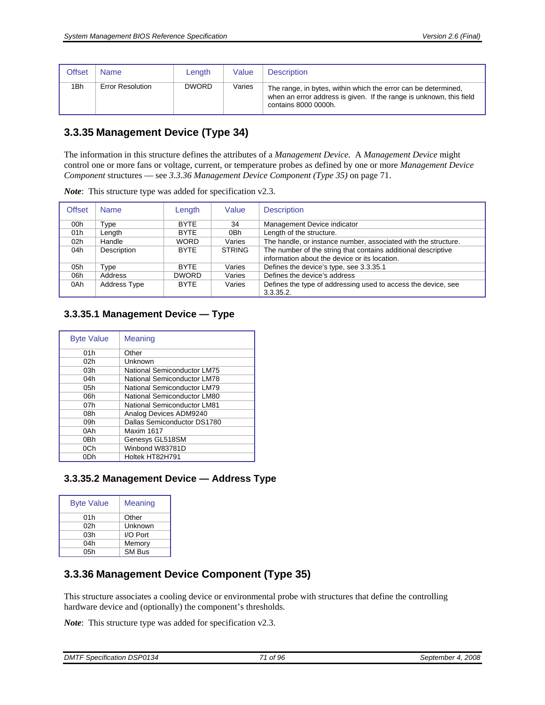| Offset          | <b>Name</b>             | Length       | Value  | <b>Description</b>                                                                                                                                            |
|-----------------|-------------------------|--------------|--------|---------------------------------------------------------------------------------------------------------------------------------------------------------------|
| 1 <sub>Bh</sub> | <b>Error Resolution</b> | <b>DWORD</b> | Varies | The range, in bytes, within which the error can be determined,<br>when an error address is given. If the range is unknown, this field<br>contains 8000 0000h. |

# <span id="page-70-3"></span>**3.3.35 Management Device (Type 34)**

The information in this structure defines the attributes of a *Management Device*. A *Management Device* might control one or more fans or voltage, current, or temperature probes as defined by one or more *Management Device Component* structures — see *[3.3.36](#page-70-0) [Management Device Component \(Type 35\)](#page-70-0)* on page [71](#page-70-0).

| Offset          | <b>Name</b>         | Length       | Value         | <b>Description</b>                                             |
|-----------------|---------------------|--------------|---------------|----------------------------------------------------------------|
| 00h             | Type                | <b>BYTE</b>  | 34            | Management Device indicator                                    |
| 01h             | Length              | <b>BYTE</b>  | 0Bh           | Length of the structure.                                       |
| 02 <sub>h</sub> | Handle              | <b>WORD</b>  | Varies        | The handle, or instance number, associated with the structure. |
| 04h             | Description         | <b>BYTE</b>  | <b>STRING</b> | The number of the string that contains additional descriptive  |
|                 |                     |              |               | information about the device or its location.                  |
| 05h             | Type                | <b>BYTE</b>  | Varies        | Defines the device's type, see 3.3.35.1                        |
| 06h             | Address             | <b>DWORD</b> | Varies        | Defines the device's address                                   |
| 0Ah             | <b>Address Type</b> | <b>BYTE</b>  | Varies        | Defines the type of addressing used to access the device, see  |
|                 |                     |              |               | 3.3.35.2.                                                      |

*Note*: This structure type was added for specification v2.3.

#### <span id="page-70-1"></span>**3.3.35.1 Management Device — Type**

| <b>Byte Value</b> | Meaning                     |
|-------------------|-----------------------------|
| 01h               | Other                       |
| 02h               | Unknown                     |
| 03h               | National Semiconductor LM75 |
| 04h               | National Semiconductor LM78 |
| 05h               | National Semiconductor LM79 |
| 06h               | National Semiconductor LM80 |
| 07h               | National Semiconductor LM81 |
| 08h               | Analog Devices ADM9240      |
| 09h               | Dallas Semiconductor DS1780 |
| 0Ah               | Maxim 1617                  |
| 0Bh               | Genesys GL518SM             |
| 0Ch               | Winbond W83781D             |
| 0Dh               | Holtek HT82H791             |

#### <span id="page-70-2"></span>**3.3.35.2 Management Device — Address Type**

| <b>Byte Value</b> | Meaning       |
|-------------------|---------------|
| 01h               | Other         |
| 02h               | Unknown       |
| 03h               | I/O Port      |
| 04h               | Memory        |
| 05h               | <b>SM Bus</b> |

# <span id="page-70-0"></span>**3.3.36 Management Device Component (Type 35)**

This structure associates a cooling device or environmental probe with structures that define the controlling hardware device and (optionally) the component's thresholds.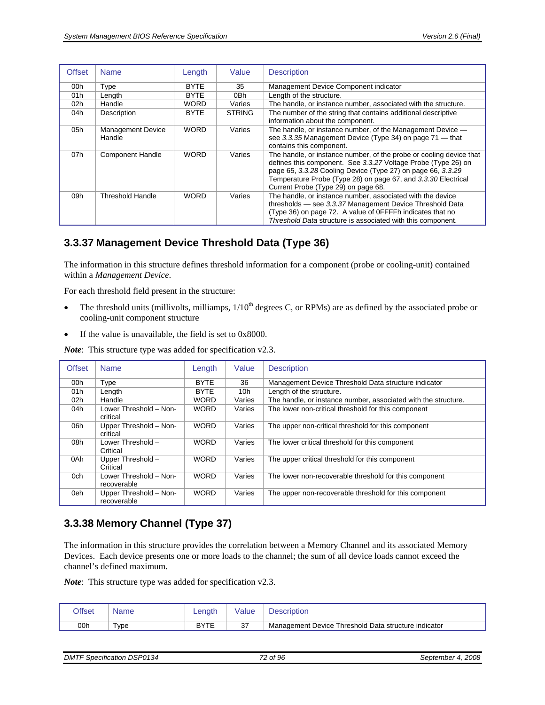| <b>Offset</b>   | <b>Name</b>                        | Length      | Value         | <b>Description</b>                                                                                                                                                                                                                                                                                          |
|-----------------|------------------------------------|-------------|---------------|-------------------------------------------------------------------------------------------------------------------------------------------------------------------------------------------------------------------------------------------------------------------------------------------------------------|
| 00h             | Type                               | <b>BYTE</b> | 35            | Management Device Component indicator                                                                                                                                                                                                                                                                       |
| 01h             | Length                             | <b>BYTE</b> | 0Bh           | Length of the structure.                                                                                                                                                                                                                                                                                    |
| 02 <sub>h</sub> | Handle                             | <b>WORD</b> | Varies        | The handle, or instance number, associated with the structure.                                                                                                                                                                                                                                              |
| 04h             | Description                        | <b>BYTE</b> | <b>STRING</b> | The number of the string that contains additional descriptive<br>information about the component.                                                                                                                                                                                                           |
| 05h             | <b>Management Device</b><br>Handle | <b>WORD</b> | Varies        | The handle, or instance number, of the Management Device -<br>see 3.3.35 Management Device (Type 34) on page 71 - that<br>contains this component.                                                                                                                                                          |
| 07h             | <b>Component Handle</b>            | <b>WORD</b> | Varies        | The handle, or instance number, of the probe or cooling device that<br>defines this component. See 3.3.27 Voltage Probe (Type 26) on<br>page 65, 3.3.28 Cooling Device (Type 27) on page 66, 3.3.29<br>Temperature Probe (Type 28) on page 67, and 3.3.30 Electrical<br>Current Probe (Type 29) on page 68. |
| 09h             | Threshold Handle                   | <b>WORD</b> | Varies        | The handle, or instance number, associated with the device<br>thresholds - see 3.3.37 Management Device Threshold Data<br>(Type 36) on page 72. A value of OFFFFh indicates that no<br>Threshold Data structure is associated with this component.                                                          |

## <span id="page-71-0"></span>**3.3.37 Management Device Threshold Data (Type 36)**

The information in this structure defines threshold information for a component (probe or cooling-unit) contained within a *Management Device*.

For each threshold field present in the structure:

- The threshold units (millivolts, milliamps,  $1/10<sup>th</sup>$  degrees C, or RPMs) are as defined by the associated probe or cooling-unit component structure
- If the value is unavailable, the field is set to 0x8000.

*Note*: This structure type was added for specification v2.3.

| <b>Offset</b>   | <b>Name</b>                           | Length      | Value  | <b>Description</b>                                             |
|-----------------|---------------------------------------|-------------|--------|----------------------------------------------------------------|
| 00h             | Type                                  | <b>BYTE</b> | 36     | Management Device Threshold Data structure indicator           |
| 01 <sub>h</sub> | Length                                | <b>BYTE</b> | 10h    | Length of the structure.                                       |
| 02 <sub>h</sub> | Handle                                | <b>WORD</b> | Varies | The handle, or instance number, associated with the structure. |
| 04h             | Lower Threshold - Non-<br>critical    | <b>WORD</b> | Varies | The lower non-critical threshold for this component            |
| 06h             | Upper Threshold - Non-<br>critical    | <b>WORD</b> | Varies | The upper non-critical threshold for this component            |
| 08h             | Lower Threshold -<br>Critical         | <b>WORD</b> | Varies | The lower critical threshold for this component                |
| 0Ah             | Upper Threshold -<br>Critical         | <b>WORD</b> | Varies | The upper critical threshold for this component                |
| 0ch             | Lower Threshold - Non-<br>recoverable | <b>WORD</b> | Varies | The lower non-recoverable threshold for this component         |
| 0eh             | Upper Threshold - Non-<br>recoverable | <b>WORD</b> | Varies | The upper non-recoverable threshold for this component         |

## **3.3.38 Memory Channel (Type 37)**

The information in this structure provides the correlation between a Memory Channel and its associated Memory Devices. Each device presents one or more loads to the channel; the sum of all device loads cannot exceed the channel's defined maximum.

| <b>Offset</b> | Name | Lenath      | Value | Description                                          |
|---------------|------|-------------|-------|------------------------------------------------------|
| 00h           | vpe  | <b>BYTE</b> | 27    | Management Device Threshold Data structure indicator |

| <b>DMTF</b><br>Specification DSP0134 | of 96 | 2008<br>September 4 |
|--------------------------------------|-------|---------------------|
|--------------------------------------|-------|---------------------|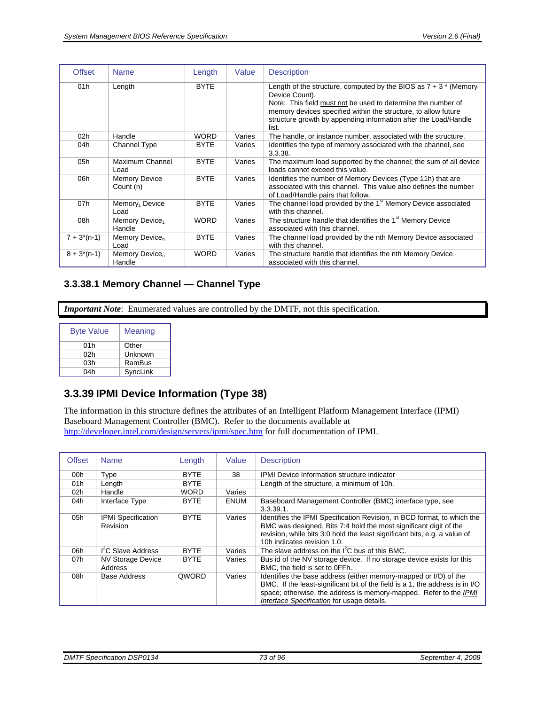| <b>Offset</b>   | <b>Name</b>                          | Length      | Value  | <b>Description</b>                                                                                                                                                                                                                                                                                 |
|-----------------|--------------------------------------|-------------|--------|----------------------------------------------------------------------------------------------------------------------------------------------------------------------------------------------------------------------------------------------------------------------------------------------------|
| 01h             | Length                               | <b>BYTE</b> |        | Length of the structure, computed by the BIOS as $7 + 3$ * (Memory<br>Device Count).<br>Note: This field must not be used to determine the number of<br>memory devices specified within the structure, to allow future<br>structure growth by appending information after the Load/Handle<br>list. |
| 02 <sub>h</sub> | Handle                               | <b>WORD</b> | Varies | The handle, or instance number, associated with the structure.                                                                                                                                                                                                                                     |
| 04h             | Channel Type                         | <b>BYTE</b> | Varies | Identifies the type of memory associated with the channel, see<br>3.3.38.                                                                                                                                                                                                                          |
| 05h             | Maximum Channel<br>Load              | <b>BYTE</b> | Varies | The maximum load supported by the channel; the sum of all device<br>loads cannot exceed this value.                                                                                                                                                                                                |
| 06h             | <b>Memory Device</b><br>Count (n)    | <b>BYTE</b> | Varies | Identifies the number of Memory Devices (Type 11h) that are<br>associated with this channel. This value also defines the number<br>of Load/Handle pairs that follow.                                                                                                                               |
| 07h             | Memory <sub>1</sub> Device<br>Load   | <b>BYTE</b> | Varies | The channel load provided by the 1 <sup>st</sup> Memory Device associated<br>with this channel.                                                                                                                                                                                                    |
| 08h             | Memory Device <sub>1</sub><br>Handle | <b>WORD</b> | Varies | The structure handle that identifies the 1 <sup>st</sup> Memory Device<br>associated with this channel.                                                                                                                                                                                            |
| $7 + 3*(n-1)$   | Memory Device <sub>n</sub><br>Load   | <b>BYTE</b> | Varies | The channel load provided by the nth Memory Device associated<br>with this channel.                                                                                                                                                                                                                |
| $8 + 3*(n-1)$   | Memory Device <sub>n</sub><br>Handle | <b>WORD</b> | Varies | The structure handle that identifies the nth Memory Device<br>associated with this channel.                                                                                                                                                                                                        |

# **3.3.38.1 Memory Channel — Channel Type**

*Important Note*: Enumerated values are controlled by the DMTF, not this specification.

| <b>Byte Value</b> | Meaning  |
|-------------------|----------|
| 01h               | Other    |
| 02h               | Unknown  |
| 03h               | RamBus   |
| 04h               | SyncLink |

# **3.3.39 IPMI Device Information (Type 38)**

The information in this structure defines the attributes of an Intelligent Platform Management Interface (IPMI) Baseboard Management Controller (BMC). Refer to the documents available at <http://developer.intel.com/design/servers/ipmi/spec.htm> for full documentation of IPMI.

| <b>Offset</b> | <b>Name</b>                           | Length       | Value       | <b>Description</b>                                                                                                                                                                                                                                                  |
|---------------|---------------------------------------|--------------|-------------|---------------------------------------------------------------------------------------------------------------------------------------------------------------------------------------------------------------------------------------------------------------------|
| 00h           | Type                                  | <b>BYTE</b>  | 38          | <b>IPMI</b> Device Information structure indicator                                                                                                                                                                                                                  |
| 01h           | Length                                | <b>BYTE</b>  |             | Length of the structure, a minimum of 10h.                                                                                                                                                                                                                          |
| 02h           | Handle                                | <b>WORD</b>  | Varies      |                                                                                                                                                                                                                                                                     |
| 04h           | Interface Type                        | <b>BYTE</b>  | <b>ENUM</b> | Baseboard Management Controller (BMC) interface type, see<br>$3.3.39.1$ .                                                                                                                                                                                           |
| 05h           | <b>IPMI</b> Specification<br>Revision | <b>BYTE</b>  | Varies      | Identifies the IPMI Specification Revision, in BCD format, to which the<br>BMC was designed. Bits 7:4 hold the most significant digit of the<br>revision, while bits 3:0 hold the least significant bits, e.g. a value of<br>10h indicates revision 1.0.            |
| 06h           | I <sup>'</sup> C Slave Address        | <b>BYTE</b>  | Varies      | The slave address on the $I^2C$ bus of this BMC.                                                                                                                                                                                                                    |
| 07h           | <b>NV Storage Device</b><br>Address   | <b>BYTE</b>  | Varies      | Bus id of the NV storage device. If no storage device exists for this<br>BMC, the field is set to OFFh.                                                                                                                                                             |
| 08h           | Base Address                          | <b>OWORD</b> | Varies      | Identifies the base address (either memory-mapped or I/O) of the<br>BMC. If the least-significant bit of the field is a 1, the address is in I/O<br>space; otherwise, the address is memory-mapped. Refer to the IPMI<br>Interface Specification for usage details. |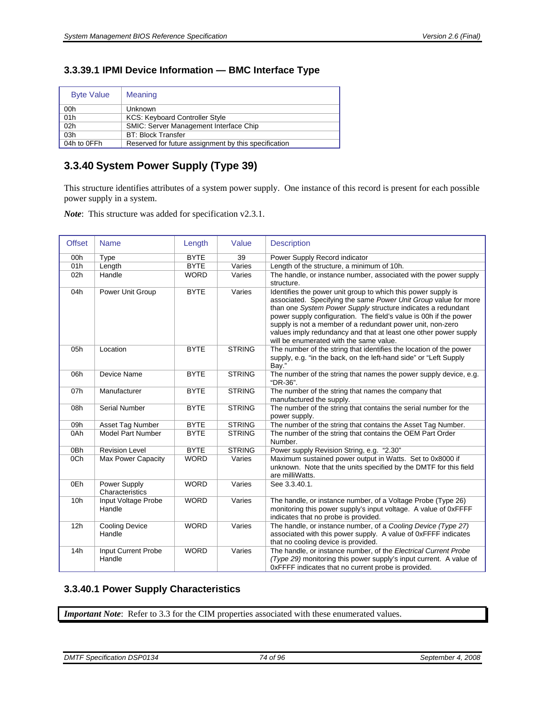# <span id="page-73-0"></span>**3.3.39.1 IPMI Device Information — BMC Interface Type**

| <b>Byte Value</b> | Meaning                                              |
|-------------------|------------------------------------------------------|
| 00h               | Unknown                                              |
| 01h               | <b>KCS: Keyboard Controller Style</b>                |
| 02h               | <b>SMIC: Server Management Interface Chip</b>        |
| 03h               | <b>BT: Block Transfer</b>                            |
| 04h to 0FFh       | Reserved for future assignment by this specification |

# **3.3.40 System Power Supply (Type 39)**

This structure identifies attributes of a system power supply. One instance of this record is present for each possible power supply in a system.

*Note*: This structure was added for specification v2.3.1.

| <b>Offset</b> | <b>Name</b>                     | Length      | Value         | <b>Description</b>                                                                                                                                                                                                                                                                                                                                                                                                                                 |
|---------------|---------------------------------|-------------|---------------|----------------------------------------------------------------------------------------------------------------------------------------------------------------------------------------------------------------------------------------------------------------------------------------------------------------------------------------------------------------------------------------------------------------------------------------------------|
| 00h           | Type                            | <b>BYTE</b> | 39            | Power Supply Record indicator                                                                                                                                                                                                                                                                                                                                                                                                                      |
| 01h           | Length                          | <b>BYTE</b> | Varies        | Length of the structure, a minimum of 10h.                                                                                                                                                                                                                                                                                                                                                                                                         |
| 02h           | Handle                          | <b>WORD</b> | Varies        | The handle, or instance number, associated with the power supply<br>structure.                                                                                                                                                                                                                                                                                                                                                                     |
| 04h           | Power Unit Group                | <b>BYTE</b> | Varies        | Identifies the power unit group to which this power supply is<br>associated. Specifying the same Power Unit Group value for more<br>than one System Power Supply structure indicates a redundant<br>power supply configuration. The field's value is 00h if the power<br>supply is not a member of a redundant power unit, non-zero<br>values imply redundancy and that at least one other power supply<br>will be enumerated with the same value. |
| 05h           | Location                        | <b>BYTE</b> | <b>STRING</b> | The number of the string that identifies the location of the power<br>supply, e.g. "in the back, on the left-hand side" or "Left Supply<br>Bay."                                                                                                                                                                                                                                                                                                   |
| 06h           | Device Name                     | <b>BYTE</b> | <b>STRING</b> | The number of the string that names the power supply device, e.g.<br>"DR-36".                                                                                                                                                                                                                                                                                                                                                                      |
| 07h           | Manufacturer                    | <b>BYTE</b> | <b>STRING</b> | The number of the string that names the company that<br>manufactured the supply.                                                                                                                                                                                                                                                                                                                                                                   |
| 08h           | <b>Serial Number</b>            | <b>BYTE</b> | <b>STRING</b> | The number of the string that contains the serial number for the<br>power supply.                                                                                                                                                                                                                                                                                                                                                                  |
| 09h           | Asset Tag Number                | <b>BYTE</b> | <b>STRING</b> | The number of the string that contains the Asset Tag Number.                                                                                                                                                                                                                                                                                                                                                                                       |
| 0Ah           | <b>Model Part Number</b>        | <b>BYTE</b> | <b>STRING</b> | The number of the string that contains the OEM Part Order<br>Number.                                                                                                                                                                                                                                                                                                                                                                               |
| 0Bh           | <b>Revision Level</b>           | <b>BYTE</b> | <b>STRING</b> | Power supply Revision String, e.g. "2.30"                                                                                                                                                                                                                                                                                                                                                                                                          |
| 0Ch           | <b>Max Power Capacity</b>       | <b>WORD</b> | Varies        | Maximum sustained power output in Watts. Set to 0x8000 if<br>unknown. Note that the units specified by the DMTF for this field<br>are milliWatts.                                                                                                                                                                                                                                                                                                  |
| 0Eh           | Power Supply<br>Characteristics | <b>WORD</b> | Varies        | See 3.3.40.1.                                                                                                                                                                                                                                                                                                                                                                                                                                      |
| 10h           | Input Voltage Probe<br>Handle   | <b>WORD</b> | Varies        | The handle, or instance number, of a Voltage Probe (Type 26)<br>monitoring this power supply's input voltage. A value of 0xFFFF<br>indicates that no probe is provided.                                                                                                                                                                                                                                                                            |
| 12h           | <b>Cooling Device</b><br>Handle | <b>WORD</b> | Varies        | The handle, or instance number, of a Cooling Device (Type 27)<br>associated with this power supply. A value of 0xFFFF indicates<br>that no cooling device is provided.                                                                                                                                                                                                                                                                             |
| 14h           | Input Current Probe<br>Handle   | <b>WORD</b> | Varies        | The handle, or instance number, of the Electrical Current Probe<br>(Type 29) monitoring this power supply's input current. A value of<br>0xFFFF indicates that no current probe is provided.                                                                                                                                                                                                                                                       |

# <span id="page-73-1"></span>**3.3.40.1 Power Supply Characteristics**

*Important Note*: Refer to [3.3](#page-16-0) for the CIM properties associated with these enumerated values.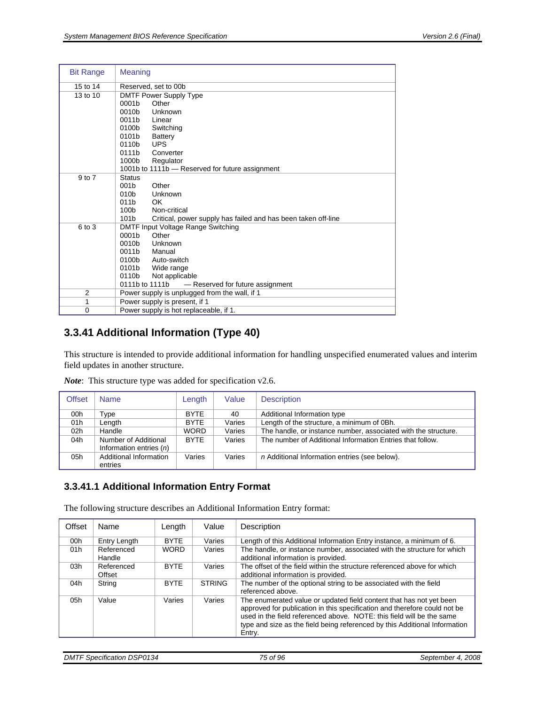| <b>Bit Range</b> | <b>Meaning</b>                                                                    |  |  |  |  |  |  |
|------------------|-----------------------------------------------------------------------------------|--|--|--|--|--|--|
| 15 to 14         | Reserved, set to 00b                                                              |  |  |  |  |  |  |
| 13 to 10         | DMTF Power Supply Type                                                            |  |  |  |  |  |  |
|                  | 0001b<br>Other                                                                    |  |  |  |  |  |  |
|                  | 0010b<br>Unknown                                                                  |  |  |  |  |  |  |
|                  | 0011b<br>Linear                                                                   |  |  |  |  |  |  |
|                  | 0100b<br>Switching                                                                |  |  |  |  |  |  |
|                  | 0101b<br>Battery                                                                  |  |  |  |  |  |  |
|                  | 0110b<br><b>UPS</b>                                                               |  |  |  |  |  |  |
|                  | 0111b<br>Converter                                                                |  |  |  |  |  |  |
|                  | 1000b<br>Regulator                                                                |  |  |  |  |  |  |
|                  | 1001b to 1111b - Reserved for future assignment                                   |  |  |  |  |  |  |
| 9 to 7           | <b>Status</b>                                                                     |  |  |  |  |  |  |
|                  | Other<br>001 <sub>b</sub>                                                         |  |  |  |  |  |  |
|                  | 010 <sub>b</sub><br>Unknown                                                       |  |  |  |  |  |  |
|                  | 011 <sub>b</sub><br>OK.                                                           |  |  |  |  |  |  |
|                  | 100 <sub>b</sub><br>Non-critical                                                  |  |  |  |  |  |  |
|                  | 101 <sub>b</sub><br>Critical, power supply has failed and has been taken off-line |  |  |  |  |  |  |
| 6 to 3           | DMTF Input Voltage Range Switching                                                |  |  |  |  |  |  |
|                  | 0001b<br>Other                                                                    |  |  |  |  |  |  |
|                  | 0010b<br>Unknown                                                                  |  |  |  |  |  |  |
|                  | 0011b<br>Manual                                                                   |  |  |  |  |  |  |
|                  | 0100b<br>Auto-switch<br>0101b<br>Wide range                                       |  |  |  |  |  |  |
|                  | Not applicable<br>0110b                                                           |  |  |  |  |  |  |
|                  | 0111b to 1111b<br>- Reserved for future assignment                                |  |  |  |  |  |  |
| 2                | Power supply is unplugged from the wall, if 1                                     |  |  |  |  |  |  |
| 1                | Power supply is present, if 1                                                     |  |  |  |  |  |  |
| 0                | Power supply is hot replaceable, if 1.                                            |  |  |  |  |  |  |

# **3.3.41 Additional Information (Type 40)**

This structure is intended to provide additional information for handling unspecified enumerated values and interim field updates in another structure.

| <b>Offset</b>   | <b>Name</b>                       | Length      | Value  | <b>Description</b>                                             |
|-----------------|-----------------------------------|-------------|--------|----------------------------------------------------------------|
| 00h             | Type                              | <b>BYTE</b> | 40     | Additional Information type                                    |
| 01h             | Length                            | <b>BYTE</b> | Varies | Length of the structure, a minimum of 0Bh.                     |
| 02 <sub>h</sub> | Handle                            | <b>WORD</b> | Varies | The handle, or instance number, associated with the structure. |
| 04h             | Number of Additional              | <b>BYTE</b> | Varies | The number of Additional Information Entries that follow.      |
|                 | Information entries $(n)$         |             |        |                                                                |
| 05h             | Additional Information<br>entries | Varies      | Varies | n Additional Information entries (see below).                  |

*Note*: This structure type was added for specification v2.6.

### **3.3.41.1 Additional Information Entry Format**

The following structure describes an Additional Information Entry format:

| Offset | Name                 | Length      | Value         | Description                                                                                                                                                                                                                                                                                                       |
|--------|----------------------|-------------|---------------|-------------------------------------------------------------------------------------------------------------------------------------------------------------------------------------------------------------------------------------------------------------------------------------------------------------------|
| 00h    | Entry Length         | <b>BYTE</b> | Varies        | Length of this Additional Information Entry instance, a minimum of 6.                                                                                                                                                                                                                                             |
| 01h    | Referenced<br>Handle | <b>WORD</b> | Varies        | The handle, or instance number, associated with the structure for which<br>additional information is provided.                                                                                                                                                                                                    |
| 03h    | Referenced<br>Offset | <b>BYTF</b> | Varies        | The offset of the field within the structure referenced above for which<br>additional information is provided.                                                                                                                                                                                                    |
| 04h    | String               | <b>BYTE</b> | <b>STRING</b> | The number of the optional string to be associated with the field<br>referenced above.                                                                                                                                                                                                                            |
| 05h    | Value                | Varies      | Varies        | The enumerated value or updated field content that has not yet been<br>approved for publication in this specification and therefore could not be<br>used in the field referenced above. NOTE: this field will be the same<br>type and size as the field being referenced by this Additional Information<br>Entry. |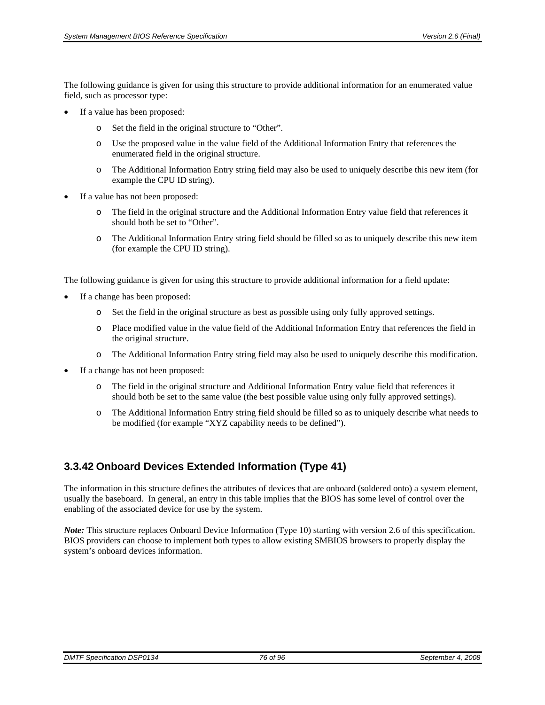The following guidance is given for using this structure to provide additional information for an enumerated value field, such as processor type:

- If a value has been proposed:
	- o Set the field in the original structure to "Other".
	- o Use the proposed value in the value field of the Additional Information Entry that references the enumerated field in the original structure.
	- o The Additional Information Entry string field may also be used to uniquely describe this new item (for example the CPU ID string).
- If a value has not been proposed:
	- o The field in the original structure and the Additional Information Entry value field that references it should both be set to "Other".
	- o The Additional Information Entry string field should be filled so as to uniquely describe this new item (for example the CPU ID string).

The following guidance is given for using this structure to provide additional information for a field update:

- If a change has been proposed:
	- o Set the field in the original structure as best as possible using only fully approved settings.
	- o Place modified value in the value field of the Additional Information Entry that references the field in the original structure.
	- o The Additional Information Entry string field may also be used to uniquely describe this modification.
- If a change has not been proposed:
	- o The field in the original structure and Additional Information Entry value field that references it should both be set to the same value (the best possible value using only fully approved settings).
	- o The Additional Information Entry string field should be filled so as to uniquely describe what needs to be modified (for example "XYZ capability needs to be defined").

# **3.3.42 Onboard Devices Extended Information (Type 41)**

The information in this structure defines the attributes of devices that are onboard (soldered onto) a system element, usually the baseboard. In general, an entry in this table implies that the BIOS has some level of control over the enabling of the associated device for use by the system.

*Note:* This structure replaces Onboard Device Information (Type 10) starting with version 2.6 of this specification. BIOS providers can choose to implement both types to allow existing SMBIOS browsers to properly display the system's onboard devices information.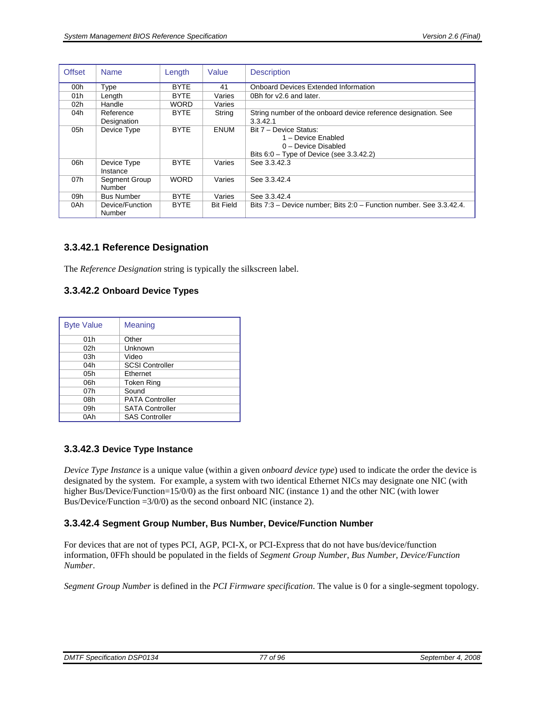| <b>Offset</b> | <b>Name</b>       | Length      | Value            | <b>Description</b>                                                  |
|---------------|-------------------|-------------|------------------|---------------------------------------------------------------------|
| 00h           | Type              | <b>BYTE</b> | 41               | <b>Onboard Devices Extended Information</b>                         |
| 01h           | Length            | <b>BYTE</b> | Varies           | 0Bh for y2.6 and later.                                             |
| 02h           | Handle            | <b>WORD</b> | Varies           |                                                                     |
| 04h           | Reference         | <b>BYTE</b> | String           | String number of the onboard device reference designation. See      |
|               | Designation       |             |                  | 3.3.42.1                                                            |
| 05h           | Device Type       | <b>BYTE</b> | <b>ENUM</b>      | Bit 7 - Device Status:                                              |
|               |                   |             |                  | 1 - Device Enabled                                                  |
|               |                   |             |                  | 0 - Device Disabled                                                 |
|               |                   |             |                  | Bits $6.0$ – Type of Device (see 3.3.42.2)                          |
| 06h           | Device Type       | <b>BYTE</b> | Varies           | See 3.3.42.3                                                        |
|               | Instance          |             |                  |                                                                     |
| 07h           | Segment Group     | <b>WORD</b> | Varies           | See 3.3.42.4                                                        |
|               | Number            |             |                  |                                                                     |
| 09h           | <b>Bus Number</b> | <b>BYTE</b> | Varies           | See 3.3.42.4                                                        |
| 0Ah           | Device/Function   | <b>BYTE</b> | <b>Bit Field</b> | Bits 7:3 – Device number; Bits 2:0 – Function number. See 3.3.42.4. |
|               | Number            |             |                  |                                                                     |

#### <span id="page-76-0"></span>**3.3.42.1 Reference Designation**

The *Reference Designation* string is typically the silkscreen label.

#### <span id="page-76-1"></span>**3.3.42.2 Onboard Device Types**

| <b>Byte Value</b> | Meaning                |
|-------------------|------------------------|
| 01h               | Other                  |
| 02h               | Unknown                |
| 03h               | Video                  |
| 04h               | <b>SCSI Controller</b> |
| 05h               | Ethernet               |
| 06h               | <b>Token Ring</b>      |
| 07h               | Sound                  |
| 08h               | <b>PATA Controller</b> |
| 09h               | <b>SATA Controller</b> |
| 0Ah               | <b>SAS Controller</b>  |

#### <span id="page-76-2"></span>**3.3.42.3 Device Type Instance**

*Device Type Instance* is a unique value (within a given *onboard device type*) used to indicate the order the device is designated by the system. For example, a system with two identical Ethernet NICs may designate one NIC (with higher Bus/Device/Function=15/0/0) as the first onboard NIC (instance 1) and the other NIC (with lower Bus/Device/Function =3/0/0) as the second onboard NIC (instance 2).

#### <span id="page-76-3"></span>**3.3.42.4 Segment Group Number, Bus Number, Device/Function Number**

For devices that are not of types PCI, AGP, PCI-X, or PCI-Express that do not have bus/device/function information, 0FFh should be populated in the fields of *Segment Group Number*, *Bus Number*, *Device/Function Number*.

*Segment Group Number* is defined in the *PCI Firmware specification*. The value is 0 for a single-segment topology.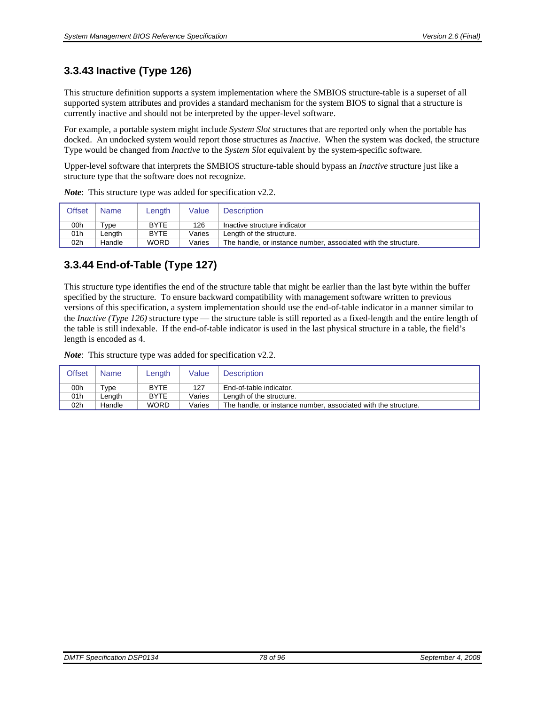# **3.3.43 Inactive (Type 126)**

This structure definition supports a system implementation where the SMBIOS structure-table is a superset of all supported system attributes and provides a standard mechanism for the system BIOS to signal that a structure is currently inactive and should not be interpreted by the upper-level software.

For example, a portable system might include *System Slot* structures that are reported only when the portable has docked. An undocked system would report those structures as *Inactive*. When the system was docked, the structure Type would be changed from *Inactive* to the *System Slot* equivalent by the system-specific software.

Upper-level software that interprets the SMBIOS structure-table should bypass an *Inactive* structure just like a structure type that the software does not recognize.

| Offset          | <b>Name</b> | Length      | Value  | <b>Description</b>                                             |
|-----------------|-------------|-------------|--------|----------------------------------------------------------------|
| 00h             | Type        | <b>BYTE</b> | 126    | Inactive structure indicator                                   |
| 01h             | ∟ength      | <b>BYTE</b> | Varies | Length of the structure.                                       |
| 02 <sub>h</sub> | Handle      | <b>WORD</b> | Varies | The handle, or instance number, associated with the structure. |

*Note*: This structure type was added for specification v2.2.

# **3.3.44 End-of-Table (Type 127)**

This structure type identifies the end of the structure table that might be earlier than the last byte within the buffer specified by the structure. To ensure backward compatibility with management software written to previous versions of this specification, a system implementation should use the end-of-table indicator in a manner similar to the *Inactive (Type 126)* structure type — the structure table is still reported as a fixed-length and the entire length of the table is still indexable. If the end-of-table indicator is used in the last physical structure in a table, the field's length is encoded as 4.

*Note*: This structure type was added for specification v2.2.

| <b>Offset</b>   | <b>Name</b>         | Length      | Value  | Description                                                    |
|-----------------|---------------------|-------------|--------|----------------------------------------------------------------|
| 00h             | $\tau_\mathsf{VDE}$ | <b>BYTE</b> | 127    | End-of-table indicator.                                        |
| 01h             | .enath              | <b>BYTE</b> | Varies | Length of the structure.                                       |
| 02 <sub>h</sub> | Handle              | <b>WORD</b> | Varies | The handle, or instance number, associated with the structure. |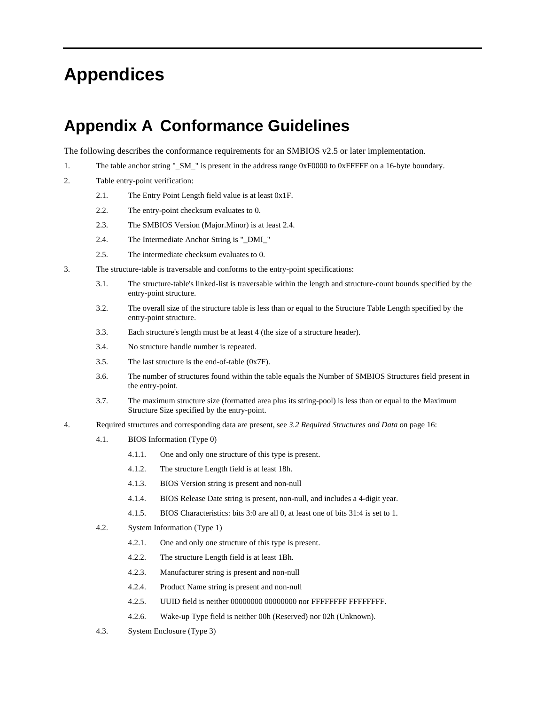# **Appendices**

# **Appendix A Conformance Guidelines**

The following describes the conformance requirements for an SMBIOS v2.5 or later implementation.

- 1. The table anchor string "\_SM\_" is present in the address range 0xF0000 to 0xFFFFF on a 16-byte boundary.
- 2. Table entry-point verification:
	- 2.1. The Entry Point Length field value is at least 0x1F.
	- 2.2. The entry-point checksum evaluates to 0.
	- 2.3. The SMBIOS Version (Major.Minor) is at least 2.4.
	- 2.4. The Intermediate Anchor String is "\_DMI\_"
	- 2.5. The intermediate checksum evaluates to 0.
- 3. The structure-table is traversable and conforms to the entry-point specifications:
	- 3.1. The structure-table's linked-list is traversable within the length and structure-count bounds specified by the entry-point structure.
	- 3.2. The overall size of the structure table is less than or equal to the Structure Table Length specified by the entry-point structure.
	- 3.3. Each structure's length must be at least 4 (the size of a structure header).
	- 3.4. No structure handle number is repeated.
	- 3.5. The last structure is the end-of-table (0x7F).
	- 3.6. The number of structures found within the table equals the Number of SMBIOS Structures field present in the entry-point.
	- 3.7. The maximum structure size (formatted area plus its string-pool) is less than or equal to the Maximum Structure Size specified by the entry-point.
- 4. Required structures and corresponding data are present, see *[3.2 Required Structures and Data](#page-15-0)* on page [16:](#page-15-0)
	- 4.1. BIOS Information (Type 0)
		- 4.1.1. One and only one structure of this type is present.
		- 4.1.2. The structure Length field is at least 18h.
		- 4.1.3. BIOS Version string is present and non-null
		- 4.1.4. BIOS Release Date string is present, non-null, and includes a 4-digit year.
		- 4.1.5. BIOS Characteristics: bits 3:0 are all 0, at least one of bits 31:4 is set to 1.
	- 4.2. System Information (Type 1)
		- 4.2.1. One and only one structure of this type is present.
		- 4.2.2. The structure Length field is at least 1Bh.
		- 4.2.3. Manufacturer string is present and non-null
		- 4.2.4. Product Name string is present and non-null
		- 4.2.5. UUID field is neither 00000000 00000000 nor FFFFFFFF FFFFFFFF.
		- 4.2.6. Wake-up Type field is neither 00h (Reserved) nor 02h (Unknown).
	- 4.3. System Enclosure (Type 3)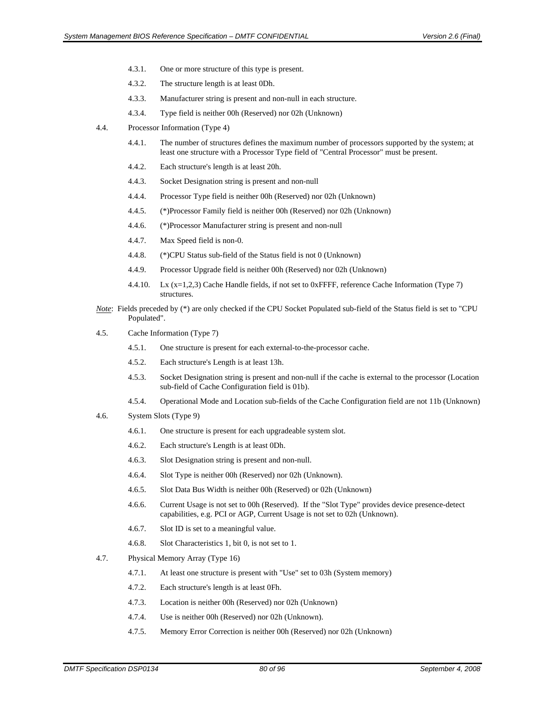- 4.3.1. One or more structure of this type is present.
- 4.3.2. The structure length is at least 0Dh.
- 4.3.3. Manufacturer string is present and non-null in each structure.
- 4.3.4. Type field is neither 00h (Reserved) nor 02h (Unknown)
- 4.4. Processor Information (Type 4)
	- 4.4.1. The number of structures defines the maximum number of processors supported by the system; at least one structure with a Processor Type field of "Central Processor" must be present.
	- 4.4.2. Each structure's length is at least 20h.
	- 4.4.3. Socket Designation string is present and non-null
	- 4.4.4. Processor Type field is neither 00h (Reserved) nor 02h (Unknown)
	- 4.4.5. (\*)Processor Family field is neither 00h (Reserved) nor 02h (Unknown)
	- 4.4.6. (\*)Processor Manufacturer string is present and non-null
	- 4.4.7. Max Speed field is non-0.
	- 4.4.8. (\*)CPU Status sub-field of the Status field is not 0 (Unknown)
	- 4.4.9. Processor Upgrade field is neither 00h (Reserved) nor 02h (Unknown)
	- 4.4.10. Lx (x=1,2,3) Cache Handle fields, if not set to 0xFFFF, reference Cache Information (Type 7) structures.
- *Note*: Fields preceded by (\*) are only checked if the CPU Socket Populated sub-field of the Status field is set to "CPU Populated".
- 4.5. Cache Information (Type 7)
	- 4.5.1. One structure is present for each external-to-the-processor cache.
	- 4.5.2. Each structure's Length is at least 13h.
	- 4.5.3. Socket Designation string is present and non-null if the cache is external to the processor (Location sub-field of Cache Configuration field is 01b).
	- 4.5.4. Operational Mode and Location sub-fields of the Cache Configuration field are not 11b (Unknown)
- 4.6. System Slots (Type 9)
	- 4.6.1. One structure is present for each upgradeable system slot.
	- 4.6.2. Each structure's Length is at least 0Dh.
	- 4.6.3. Slot Designation string is present and non-null.
	- 4.6.4. Slot Type is neither 00h (Reserved) nor 02h (Unknown).
	- 4.6.5. Slot Data Bus Width is neither 00h (Reserved) or 02h (Unknown)
	- 4.6.6. Current Usage is not set to 00h (Reserved). If the "Slot Type" provides device presence-detect capabilities, e.g. PCI or AGP, Current Usage is not set to 02h (Unknown).
	- 4.6.7. Slot ID is set to a meaningful value.
	- 4.6.8. Slot Characteristics 1, bit 0, is not set to 1.
- 4.7. Physical Memory Array (Type 16)
	- 4.7.1. At least one structure is present with "Use" set to 03h (System memory)
	- 4.7.2. Each structure's length is at least 0Fh.
	- 4.7.3. Location is neither 00h (Reserved) nor 02h (Unknown)
	- 4.7.4. Use is neither 00h (Reserved) nor 02h (Unknown).
	- 4.7.5. Memory Error Correction is neither 00h (Reserved) nor 02h (Unknown)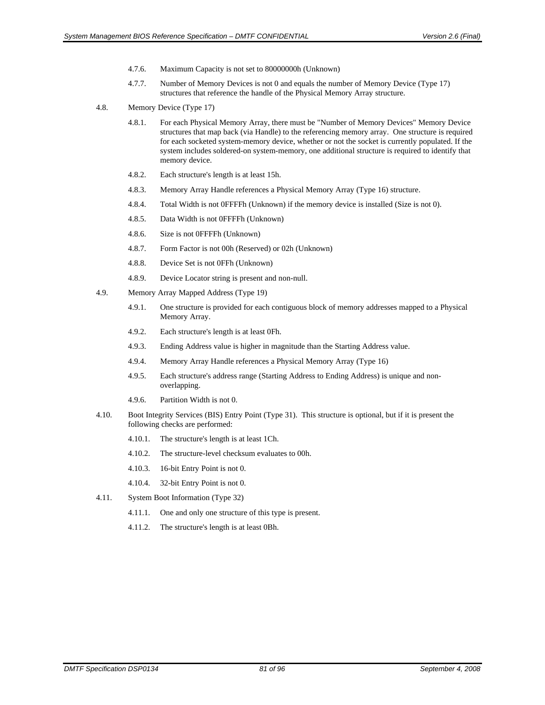- 4.7.6. Maximum Capacity is not set to 80000000h (Unknown)
- 4.7.7. Number of Memory Devices is not 0 and equals the number of Memory Device (Type 17) structures that reference the handle of the Physical Memory Array structure.
- 4.8. Memory Device (Type 17)
	- 4.8.1. For each Physical Memory Array, there must be "Number of Memory Devices" Memory Device structures that map back (via Handle) to the referencing memory array. One structure is required for each socketed system-memory device, whether or not the socket is currently populated. If the system includes soldered-on system-memory, one additional structure is required to identify that memory device.
	- 4.8.2. Each structure's length is at least 15h.
	- 4.8.3. Memory Array Handle references a Physical Memory Array (Type 16) structure.
	- 4.8.4. Total Width is not 0FFFFh (Unknown) if the memory device is installed (Size is not 0).
	- 4.8.5. Data Width is not 0FFFFh (Unknown)
	- 4.8.6. Size is not 0FFFFh (Unknown)
	- 4.8.7. Form Factor is not 00h (Reserved) or 02h (Unknown)
	- 4.8.8. Device Set is not 0FFh (Unknown)
	- 4.8.9. Device Locator string is present and non-null.
- 4.9. Memory Array Mapped Address (Type 19)
	- 4.9.1. One structure is provided for each contiguous block of memory addresses mapped to a Physical Memory Array.
	- 4.9.2. Each structure's length is at least 0Fh.
	- 4.9.3. Ending Address value is higher in magnitude than the Starting Address value.
	- 4.9.4. Memory Array Handle references a Physical Memory Array (Type 16)
	- 4.9.5. Each structure's address range (Starting Address to Ending Address) is unique and nonoverlapping.
	- 4.9.6. Partition Width is not 0.
- 4.10. Boot Integrity Services (BIS) Entry Point (Type 31). This structure is optional, but if it is present the following checks are performed:
	- 4.10.1. The structure's length is at least 1Ch.
	- 4.10.2. The structure-level checksum evaluates to 00h.
	- 4.10.3. 16-bit Entry Point is not 0.
	- 4.10.4. 32-bit Entry Point is not 0.
- 4.11. System Boot Information (Type 32)
	- 4.11.1. One and only one structure of this type is present.
	- 4.11.2. The structure's length is at least 0Bh.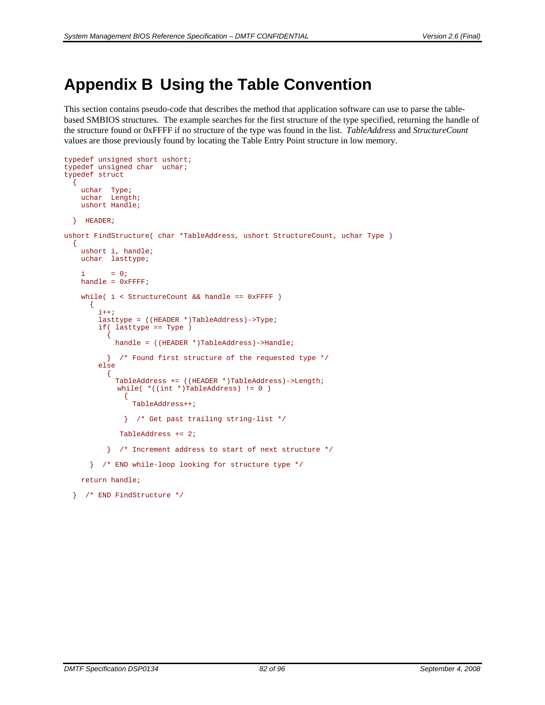# **Appendix B Using the Table Convention**

This section contains pseudo-code that describes the method that application software can use to parse the tablebased SMBIOS structures. The example searches for the first structure of the type specified, returning the handle of the structure found or 0xFFFF if no structure of the type was found in the list. *TableAddress* and *StructureCount* values are those previously found by locating the Table Entry Point structure in low memory.

```
typedef unsigned short ushort; 
typedef unsigned char uchar; 
typedef struct 
\{ uchar Type; 
 uchar Length; 
      ushort Handle; 
    } HEADER; 
ushort FindStructure( char *TableAddress, ushort StructureCount, uchar Type ) 
    { 
      ushort i, handle; 
      uchar lasttype; 
     i = 0;handle = 0xFFFF; while( i < StructureCount && handle == 0xFFFF ) 
        \{i++; lasttype = ((HEADER *)TableAddress)->Type; 
            if( lasttype == Type ) 
\left\{ \begin{array}{ccc} 0 & 0 & 0 \\ 0 & 0 & 0 \\ 0 & 0 & 0 \\ 0 & 0 & 0 \\ 0 & 0 & 0 \\ 0 & 0 & 0 \\ 0 & 0 & 0 \\ 0 & 0 & 0 \\ 0 & 0 & 0 \\ 0 & 0 & 0 \\ 0 & 0 & 0 \\ 0 & 0 & 0 \\ 0 & 0 & 0 \\ 0 & 0 & 0 & 0 \\ 0 & 0 & 0 & 0 \\ 0 & 0 & 0 & 0 \\ 0 & 0 & 0 & 0 \\ 0 & 0 & 0 & 0 & 0 \\ 0 & 0 & 0 & 0 & 0 \\ 0 & 0 & 0 & 0 & 0 handle = ((HEADER *)TableAddress)->Handle; 
               } /* Found first structure of the requested type */ 
            else 
\{ \} TableAddress += ((HEADER *)TableAddress)->Length; 
                 while( *((int *)TableAddress) != 0 )
\{ TableAddress++; 
                    } /* Get past trailing string-list */ 
                  TableAddress += 2; 
               } /* Increment address to start of next structure */ 
         } /* END while-loop looking for structure type */
```
return handle;

```
 } /* END FindStructure */
```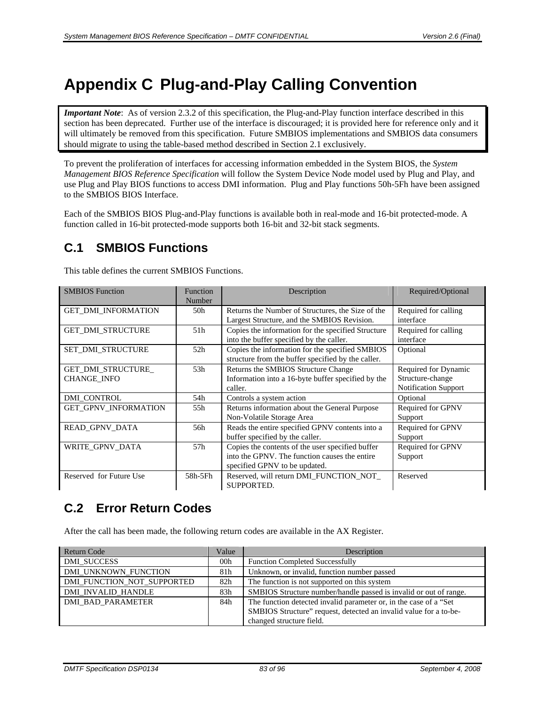# **Appendix C Plug-and-Play Calling Convention**

*Important Note*: As of version 2.3.2 of this specification, the Plug-and-Play function interface described in this section has been deprecated. Further use of the interface is discouraged; it is provided here for reference only and it will ultimately be removed from this specification. Future SMBIOS implementations and SMBIOS data consumers should migrate to using the table-based method described in Section [2.1](#page-11-0) exclusively.

To prevent the proliferation of interfaces for accessing information embedded in the System BIOS, the *System Management BIOS Reference Specification* will follow the System Device Node model used by Plug and Play, and use Plug and Play BIOS functions to access DMI information. Plug and Play functions 50h-5Fh have been assigned to the SMBIOS BIOS Interface.

Each of the SMBIOS BIOS Plug-and-Play functions is available both in real-mode and 16-bit protected-mode. A function called in 16-bit protected-mode supports both 16-bit and 32-bit stack segments.

# **C.1 SMBIOS Functions**

This table defines the current SMBIOS Functions.

| <b>SMBIOS</b> Function                   | Function<br>Number | Description                                                                                                                        | Required/Optional                                                |
|------------------------------------------|--------------------|------------------------------------------------------------------------------------------------------------------------------------|------------------------------------------------------------------|
| <b>GET DMI INFORMATION</b>               | 50h                | Returns the Number of Structures, the Size of the<br>Largest Structure, and the SMBIOS Revision.                                   | Required for calling<br>interface                                |
| <b>GET_DMI_STRUCTURE</b>                 | 51 <sub>h</sub>    | Copies the information for the specified Structure<br>into the buffer specified by the caller.                                     | Required for calling<br>interface                                |
| <b>SET DMI STRUCTURE</b>                 | 52 <sub>h</sub>    | Copies the information for the specified SMBIOS<br>structure from the buffer specified by the caller.                              | Optional                                                         |
| GET_DMI_STRUCTURE_<br><b>CHANGE_INFO</b> | 53h                | Returns the SMBIOS Structure Change<br>Information into a 16-byte buffer specified by the<br>caller.                               | Required for Dynamic<br>Structure-change<br>Notification Support |
| <b>DMI CONTROL</b>                       | 54h                | Controls a system action                                                                                                           | Optional                                                         |
| GET_GPNV_INFORMATION                     | 55h                | Returns information about the General Purpose<br>Non-Volatile Storage Area                                                         | Required for GPNV<br>Support                                     |
| READ_GPNV_DATA                           | 56h                | Reads the entire specified GPNV contents into a<br>buffer specified by the caller.                                                 | Required for GPNV<br>Support                                     |
| WRITE_GPNV_DATA                          | 57h                | Copies the contents of the user specified buffer<br>into the GPNV. The function causes the entire<br>specified GPNV to be updated. | Required for GPNV<br>Support                                     |
| Reserved for Future Use                  | 58h-5Fh            | Reserved, will return DMI FUNCTION NOT<br>SUPPORTED.                                                                               | Reserved                                                         |

# **C.2 Error Return Codes**

After the call has been made, the following return codes are available in the AX Register.

| Return Code                | Value | Description                                                        |
|----------------------------|-------|--------------------------------------------------------------------|
| <b>DMI SUCCESS</b>         | 00h   | <b>Function Completed Successfully</b>                             |
| DMI UNKNOWN FUNCTION       | 81h   | Unknown, or invalid, function number passed                        |
| DMI FUNCTION NOT SUPPORTED | 82h   | The function is not supported on this system                       |
| DMI INVALID HANDLE         | 83h   | SMBIOS Structure number/handle passed is invalid or out of range.  |
| <b>DMI BAD PARAMETER</b>   | 84h   | The function detected invalid parameter or, in the case of a "Set" |
|                            |       | SMBIOS Structure" request, detected an invalid value for a to-be-  |
|                            |       | changed structure field.                                           |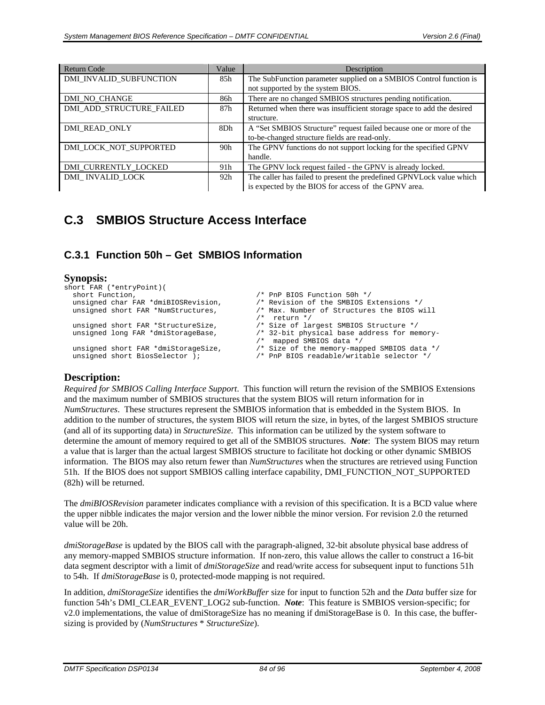| <b>Return Code</b>              | Value           | Description                                                           |
|---------------------------------|-----------------|-----------------------------------------------------------------------|
| DMI_INVALID_SUBFUNCTION         | 85h             | The SubFunction parameter supplied on a SMBIOS Control function is    |
|                                 |                 | not supported by the system BIOS.                                     |
| DMI NO CHANGE                   | 86h             | There are no changed SMBIOS structures pending notification.          |
| <b>DMI ADD STRUCTURE FAILED</b> | 87h             | Returned when there was insufficient storage space to add the desired |
|                                 |                 | structure.                                                            |
| DMI READ ONLY                   | 8Dh             | A "Set SMBIOS Structure" request failed because one or more of the    |
|                                 |                 | to-be-changed structure fields are read-only.                         |
| DMI LOCK NOT SUPPORTED          | 90 <sub>h</sub> | The GPNV functions do not support locking for the specified GPNV      |
|                                 |                 | handle.                                                               |
| DMI CURRENTLY LOCKED            | 91h             | The GPNV lock request failed - the GPNV is already locked.            |
| DMI INVALID LOCK                | 92h             | The caller has failed to present the predefined GPNVLock value which  |
|                                 |                 | is expected by the BIOS for access of the GPNV area.                  |

# **C.3 SMBIOS Structure Access Interface**

# <span id="page-83-0"></span>**C.3.1 Function 50h – Get SMBIOS Information**

#### **Synopsis:**

```
short FAR (*entryPoint)( 
   short Function,<br>unsigned char FAR *dmiBIOSRevision, \frac{1}{2} /* Revision of the SMBIOS E:
   unsigned char FAR *dmiBIOSRevision, \frac{1}{2} /* Revision of the SMBIOS Extensions */<br>unsigned short FAR *NumStructures, \frac{1}{2} /* Max. Number of Structures the BIOS w
                                                                           /* Max. Number of Structures the BIOS will
   \frac{1}{x} return */<br>unsigned short FAR *StructureSize, \frac{1}{x} Size of lart
   unsigned short FAR *StructureSize, \frac{1}{2} /* Size of largest SMBIOS Structure */<br>unsigned long FAR *dmiStorageBase, \frac{1}{2} /* 32-bit physical base address for mer
                                                                           /* 32-bit physical base address for memory-
   /* mapped SMBIOS data */<br>unsigned short FAR *dmiStorageSize, \begin{array}{ccc} & \mbox{/}^* & \mbox{mapped SMBIOS data *} \end{array}unsigned short FAR *dmiStorageSize, \frac{1}{2} /* Size of the memory-mapped SMBIOS data */<br>unsigned short BiosSelector ); \frac{1}{2} /* PnP BIOS readable/writable selector */
                                                                           /* PnP BIOS readable/writable selector */
```
### **Description:**

*Required for SMBIOS Calling Interface Support*. This function will return the revision of the SMBIOS Extensions and the maximum number of SMBIOS structures that the system BIOS will return information for in *NumStructures*. These structures represent the SMBIOS information that is embedded in the System BIOS. In addition to the number of structures, the system BIOS will return the size, in bytes, of the largest SMBIOS structure (and all of its supporting data) in *StructureSize*. This information can be utilized by the system software to determine the amount of memory required to get all of the SMBIOS structures. *Note*: The system BIOS may return a value that is larger than the actual largest SMBIOS structure to facilitate hot docking or other dynamic SMBIOS information. The BIOS may also return fewer than *NumStructures* when the structures are retrieved using Function 51h. If the BIOS does not support SMBIOS calling interface capability, DMI\_FUNCTION\_NOT\_SUPPORTED (82h) will be returned.

The *dmiBIOSRevision* parameter indicates compliance with a revision of this specification. It is a BCD value where the upper nibble indicates the major version and the lower nibble the minor version. For revision 2.0 the returned value will be 20h.

*dmiStorageBase* is updated by the BIOS call with the paragraph-aligned, 32-bit absolute physical base address of any memory-mapped SMBIOS structure information. If non-zero, this value allows the caller to construct a 16-bit data segment descriptor with a limit of *dmiStorageSize* and read/write access for subsequent input to functions 51h to 54h. If *dmiStorageBase* is 0, protected-mode mapping is not required.

In addition*, dmiStorageSize* identifies the *dmiWorkBuffer* size for input to function 52h and the *Data* buffer size for function 54h's DMI\_CLEAR\_EVENT\_LOG2 sub-function. *Note*: This feature is SMBIOS version-specific; for v2.0 implementations, the value of dmiStorageSize has no meaning if dmiStorageBase is 0. In this case, the buffersizing is provided by (*NumStructures* \* *StructureSize*).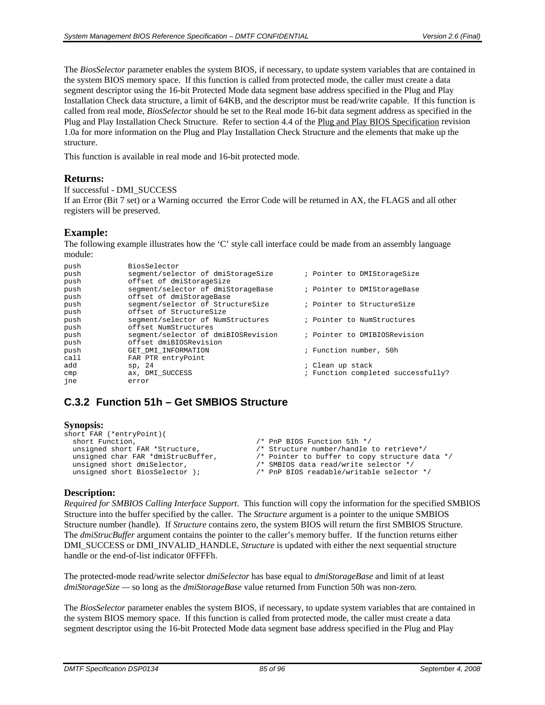The *BiosSelector* parameter enables the system BIOS, if necessary, to update system variables that are contained in the system BIOS memory space. If this function is called from protected mode, the caller must create a data segment descriptor using the 16-bit Protected Mode data segment base address specified in the Plug and Play Installation Check data structure, a limit of 64KB, and the descriptor must be read/write capable. If this function is called from real mode, *BiosSelector* should be set to the Real mode 16-bit data segment address as specified in the Plug and Play Installation Check Structure. Refer to section 4.4 of the Plug and Play BIOS Specification revision 1.0a for more information on the Plug and Play Installation Check Structure and the elements that make up the structure.

This function is available in real mode and 16-bit protected mode.

#### **Returns:**

```
If successful - DMI_SUCCESS
```
If an Error (Bit 7 set) or a Warning occurred the Error Code will be returned in AX, the FLAGS and all other registers will be preserved.

#### **Example:**

The following example illustrates how the 'C' style call interface could be made from an assembly language module:

| push | BiosSelector                        |                                    |
|------|-------------------------------------|------------------------------------|
| push | segment/selector of dmiStorageSize  | ; Pointer to DMIStorageSize        |
| push | offset of dmiStorageSize            |                                    |
| push | segment/selector of dmiStorageBase  | ; Pointer to DMIStorageBase        |
| push | offset of dmiStorageBase            |                                    |
| push | segment/selector of StructureSize   | ; Pointer to StructureSize         |
| push | offset of StructureSize             |                                    |
| push | segment/selector of NumStructures   | ; Pointer to NumStructures         |
| push | offset NumStructures                |                                    |
| push | segment/selector of dmiBIOSRevision | ; Pointer to DMIBIOSRevision       |
| push | offset dmiBIOSRevision              |                                    |
| push | GET_DMI_INFORMATION                 | ; Function number, 50h             |
| call | FAR PTR entryPoint                  |                                    |
| add  | sp, 24                              | ; Clean up stack                   |
| cmp  | ax, DMI SUCCESS                     | ; Function completed successfully? |
| ine  | error                               |                                    |

# **C.3.2 Function 51h – Get SMBIOS Structure**

#### **Synopsis:**

| short FAR (*entryPoint)(           |                                                |
|------------------------------------|------------------------------------------------|
| short Function,                    | /* PnP BIOS Function 51h */                    |
| unsigned short FAR *Structure,     | /* Structure number/handle to retrieve*/       |
| unsigned char FAR *dmiStrucBuffer, | /* Pointer to buffer to copy structure data */ |
| unsigned short dmiSelector,        | /* SMBIOS data read/write selector */          |
| unsigned short BiosSelector );     | /* PnP BIOS readable/writable selector */      |
|                                    |                                                |

#### **Description:**

*Required for SMBIOS Calling Interface Support*. This function will copy the information for the specified SMBIOS Structure into the buffer specified by the caller. The *Structure* argument is a pointer to the unique SMBIOS Structure number (handle). If *Structure* contains zero, the system BIOS will return the first SMBIOS Structure. The *dmiStrucBuffer* argument contains the pointer to the caller's memory buffer. If the function returns either DMI\_SUCCESS or DMI\_INVALID\_HANDLE, *Structure* is updated with either the next sequential structure handle or the end-of-list indicator 0FFFFh.

The protected-mode read/write selector *dmiSelector* has base equal to *dmiStorageBase* and limit of at least *dmiStorageSize —* so long as the *dmiStorageBase* value returned from Function 50h was non-zero*.*

The *BiosSelector* parameter enables the system BIOS, if necessary, to update system variables that are contained in the system BIOS memory space. If this function is called from protected mode, the caller must create a data segment descriptor using the 16-bit Protected Mode data segment base address specified in the Plug and Play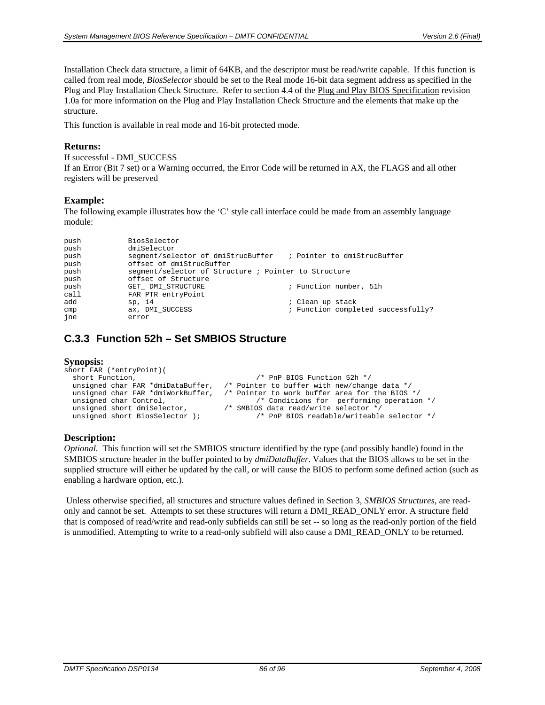Installation Check data structure, a limit of 64KB, and the descriptor must be read/write capable. If this function is called from real mode, *BiosSelector* should be set to the Real mode 16-bit data segment address as specified in the Plug and Play Installation Check Structure. Refer to section 4.4 of the Plug and Play BIOS Specification revision 1.0a for more information on the Plug and Play Installation Check Structure and the elements that make up the structure.

This function is available in real mode and 16-bit protected mode.

#### **Returns:**

```
If successful - DMI_SUCCESS
```
If an Error (Bit 7 set) or a Warning occurred, the Error Code will be returned in AX, the FLAGS and all other registers will be preserved

#### **Example:**

The following example illustrates how the 'C' style call interface could be made from an assembly language module:

| push | BiosSelector                                                   |                                    |
|------|----------------------------------------------------------------|------------------------------------|
| push | dmiSelector                                                    |                                    |
| push | seqment/selector of dmiStrucBuffer ; Pointer to dmiStrucBuffer |                                    |
| push | offset of dmiStrucBuffer                                       |                                    |
| push | seqment/selector of Structure ; Pointer to Structure           |                                    |
| push | offset of Structure                                            |                                    |
| push | GET DMI STRUCTURE                                              | ; Function number, 51h             |
| call | FAR PTR entryPoint                                             |                                    |
| add  | sp, 14                                                         | ; Clean up stack                   |
| cmp  | ax, DMI SUCCESS                                                | ; Function completed successfully? |
| ine  | error                                                          |                                    |

# **C.3.3 Function 52h – Set SMBIOS Structure**

#### **Synopsis:**

```
short FAR (*entryPoint)( 
  short Function,<br>unsigned char FAR *dmiDataBuffer, /* Pointer to buffer with new/chance
  unsigned char FAR *dmiDataBuffer, /* Pointer to buffer with new/change data */<br>unsigned char FAR *dmiWorkBuffer, /* Pointer to work buffer area for the BIOS
  unsigned char FAR *dmiWorkBuffer, /* Pointer to work buffer area for the BIOS */<br>unsigned char Control, /* Conditions for performing operation
 unsigned char Control, /* Conditions for performing operation */ 
 unsigned short dmiSelector, /* SMBIOS data read/write selector */ 
  unsigned short BiosSelector ); \qquad /* PnP BIOS readable/writeable selector */
```
#### **Description:**

*Optional.* This function will set the SMBIOS structure identified by the type (and possibly handle) found in the SMBIOS structure header in the buffer pointed to by *dmiDataBuffer*. Values that the BIOS allows to be set in the supplied structure will either be updated by the call, or will cause the BIOS to perform some defined action (such as enabling a hardware option, etc.).

Unless otherwise specified, all structures and structure values defined in Section 3, *SMBIOS Structures*, are readonly and cannot be set. Attempts to set these structures will return a DMI\_READ\_ONLY error. A structure field that is composed of read/write and read-only subfields can still be set -- so long as the read-only portion of the field is unmodified. Attempting to write to a read-only subfield will also cause a DMI\_READ\_ONLY to be returned.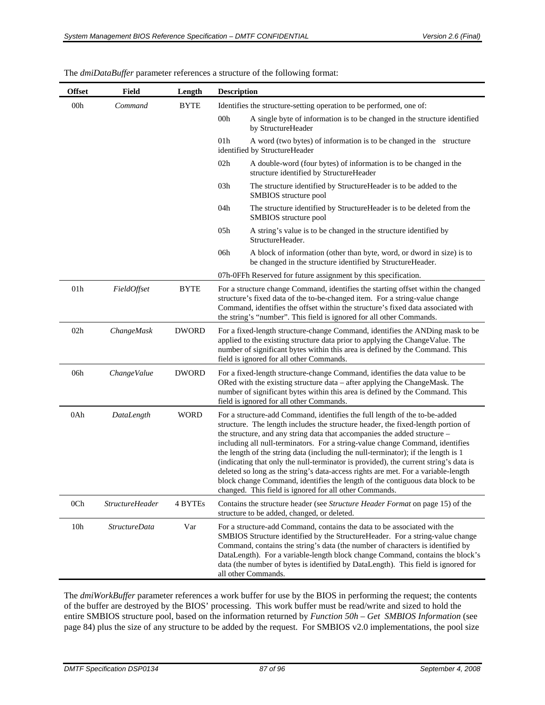| <b>Offset</b>   | Field                  | Length       | <b>Description</b>                                                                                                                                                                                                                                                                                                                                                                                                                                                                                                                                                                                                                                                                                                                         |  |
|-----------------|------------------------|--------------|--------------------------------------------------------------------------------------------------------------------------------------------------------------------------------------------------------------------------------------------------------------------------------------------------------------------------------------------------------------------------------------------------------------------------------------------------------------------------------------------------------------------------------------------------------------------------------------------------------------------------------------------------------------------------------------------------------------------------------------------|--|
| 00h             | Command                | <b>BYTE</b>  | Identifies the structure-setting operation to be performed, one of:                                                                                                                                                                                                                                                                                                                                                                                                                                                                                                                                                                                                                                                                        |  |
|                 |                        |              | 00h<br>A single byte of information is to be changed in the structure identified<br>by StructureHeader                                                                                                                                                                                                                                                                                                                                                                                                                                                                                                                                                                                                                                     |  |
|                 |                        |              | 01 <sub>h</sub><br>A word (two bytes) of information is to be changed in the structure<br>identified by StructureHeader                                                                                                                                                                                                                                                                                                                                                                                                                                                                                                                                                                                                                    |  |
|                 |                        |              | 02h<br>A double-word (four bytes) of information is to be changed in the<br>structure identified by StructureHeader                                                                                                                                                                                                                                                                                                                                                                                                                                                                                                                                                                                                                        |  |
|                 |                        |              | 03h<br>The structure identified by StructureHeader is to be added to the<br>SMBIOS structure pool                                                                                                                                                                                                                                                                                                                                                                                                                                                                                                                                                                                                                                          |  |
|                 |                        |              | 04h<br>The structure identified by StructureHeader is to be deleted from the<br>SMBIOS structure pool                                                                                                                                                                                                                                                                                                                                                                                                                                                                                                                                                                                                                                      |  |
|                 |                        |              | 05h<br>A string's value is to be changed in the structure identified by<br>StructureHeader.                                                                                                                                                                                                                                                                                                                                                                                                                                                                                                                                                                                                                                                |  |
|                 |                        |              | 06h<br>A block of information (other than byte, word, or dword in size) is to<br>be changed in the structure identified by StructureHeader.                                                                                                                                                                                                                                                                                                                                                                                                                                                                                                                                                                                                |  |
|                 |                        |              | 07h-0FFh Reserved for future assignment by this specification.                                                                                                                                                                                                                                                                                                                                                                                                                                                                                                                                                                                                                                                                             |  |
| 01 <sub>h</sub> | FieldOffset            | <b>BYTE</b>  | For a structure change Command, identifies the starting offset within the changed<br>structure's fixed data of the to-be-changed item. For a string-value change<br>Command, identifies the offset within the structure's fixed data associated with<br>the string's "number". This field is ignored for all other Commands.                                                                                                                                                                                                                                                                                                                                                                                                               |  |
| 02h             | ChangeMask             | <b>DWORD</b> | For a fixed-length structure-change Command, identifies the ANDing mask to be<br>applied to the existing structure data prior to applying the ChangeValue. The<br>number of significant bytes within this area is defined by the Command. This<br>field is ignored for all other Commands.                                                                                                                                                                                                                                                                                                                                                                                                                                                 |  |
| 06h             | ChangeValue            | <b>DWORD</b> | For a fixed-length structure-change Command, identifies the data value to be<br>ORed with the existing structure data – after applying the ChangeMask. The<br>number of significant bytes within this area is defined by the Command. This<br>field is ignored for all other Commands.                                                                                                                                                                                                                                                                                                                                                                                                                                                     |  |
| 0Ah             | DataLength             | <b>WORD</b>  | For a structure-add Command, identifies the full length of the to-be-added<br>structure. The length includes the structure header, the fixed-length portion of<br>the structure, and any string data that accompanies the added structure –<br>including all null-terminators. For a string-value change Command, identifies<br>the length of the string data (including the null-terminator); if the length is 1<br>(indicating that only the null-terminator is provided), the current string's data is<br>deleted so long as the string's data-access rights are met. For a variable-length<br>block change Command, identifies the length of the contiguous data block to be<br>changed. This field is ignored for all other Commands. |  |
| 0 <sub>Ch</sub> | <b>StructureHeader</b> | 4 BYTEs      | Contains the structure header (see Structure Header Format on page 15) of the<br>structure to be added, changed, or deleted.                                                                                                                                                                                                                                                                                                                                                                                                                                                                                                                                                                                                               |  |
| 10 <sub>h</sub> | <b>StructureData</b>   | Var          | For a structure-add Command, contains the data to be associated with the<br>SMBIOS Structure identified by the StructureHeader. For a string-value change<br>Command, contains the string's data (the number of characters is identified by<br>DataLength). For a variable-length block change Command, contains the block's<br>data (the number of bytes is identified by DataLength). This field is ignored for<br>all other Commands.                                                                                                                                                                                                                                                                                                   |  |

The *dmiDataBuffer* parameter references a structure of the following format:

The *dmiWorkBuffer* parameter references a work buffer for use by the BIOS in performing the request; the contents of the buffer are destroyed by the BIOS' processing. This work buffer must be read/write and sized to hold the entire SMBIOS structure pool, based on the information returned by *[Function 50h – Get SMBIOS Information](#page-83-0)* (see page [84\)](#page-83-0) plus the size of any structure to be added by the request. For SMBIOS v2.0 implementations, the pool size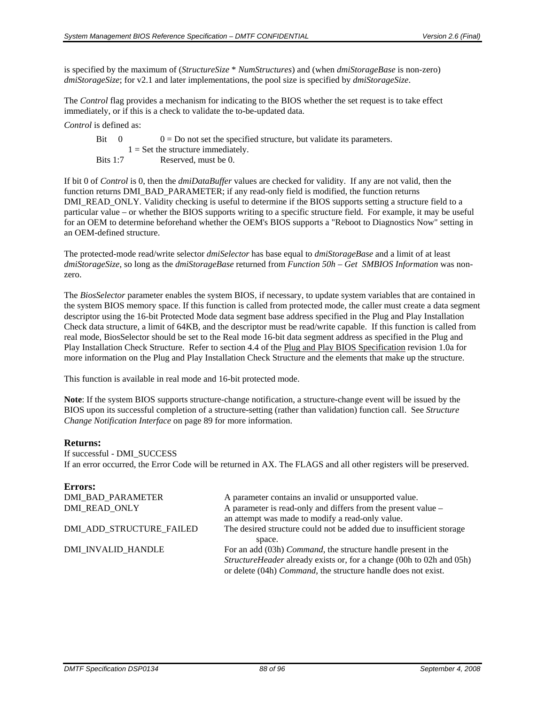is specified by the maximum of (*StructureSize* \* *NumStructures*) and (when *dmiStorageBase* is non-zero) *dmiStorageSize*; for v2.1 and later implementations, the pool size is specified by *dmiStorageSize*.

The *Control* flag provides a mechanism for indicating to the BIOS whether the set request is to take effect immediately, or if this is a check to validate the to-be-updated data.

*Control* is defined as:

| Bit 0      | $0 = Do$ not set the specified structure, but validate its parameters. |
|------------|------------------------------------------------------------------------|
|            | $1 =$ Set the structure immediately.                                   |
| Bits $1:7$ | Reserved, must be 0.                                                   |

If bit 0 of *Control* is 0, then the *dmiDataBuffer* values are checked for validity. If any are not valid, then the function returns DMI\_BAD\_PARAMETER; if any read-only field is modified, the function returns DMI\_READ\_ONLY. Validity checking is useful to determine if the BIOS supports setting a structure field to a particular value – or whether the BIOS supports writing to a specific structure field. For example, it may be useful for an OEM to determine beforehand whether the OEM's BIOS supports a "Reboot to Diagnostics Now" setting in an OEM-defined structure.

The protected-mode read/write selector *dmiSelector* has base equal to *dmiStorageBase* and a limit of at least *dmiStorageSize*, so long as the *dmiStorageBase* returned from *[Function 50h – Get SMBIOS Information](#page-83-0)* was nonzero.

The *BiosSelector* parameter enables the system BIOS, if necessary, to update system variables that are contained in the system BIOS memory space. If this function is called from protected mode, the caller must create a data segment descriptor using the 16-bit Protected Mode data segment base address specified in the Plug and Play Installation Check data structure, a limit of 64KB, and the descriptor must be read/write capable. If this function is called from real mode, BiosSelector should be set to the Real mode 16-bit data segment address as specified in the Plug and Play Installation Check Structure. Refer to section 4.4 of the Plug and Play BIOS Specification revision 1.0a for more information on the Plug and Play Installation Check Structure and the elements that make up the structure.

This function is available in real mode and 16-bit protected mode.

**Note**: If the system BIOS supports structure-change notification, a structure-change event will be issued by the BIOS upon its successful completion of a structure-setting (rather than validation) function call. See *[Structure](#page-88-0)  [Change Notification Interface](#page-88-0)* on page [89](#page-88-0) for more information.

#### **Returns:**

```
If successful - DMI_SUCCESS
```
If an error occurred, the Error Code will be returned in AX. The FLAGS and all other registers will be preserved.

| A parameter contains an invalid or unsupported value.                                                                                         |
|-----------------------------------------------------------------------------------------------------------------------------------------------|
| A parameter is read-only and differs from the present value –                                                                                 |
| an attempt was made to modify a read-only value.                                                                                              |
| The desired structure could not be added due to insufficient storage                                                                          |
| space.                                                                                                                                        |
| For an add (03h) <i>Command</i> , the structure handle present in the                                                                         |
| StructureHeader already exists or, for a change (00h to 02h and 05h)<br>or delete (04h) <i>Command</i> , the structure handle does not exist. |
|                                                                                                                                               |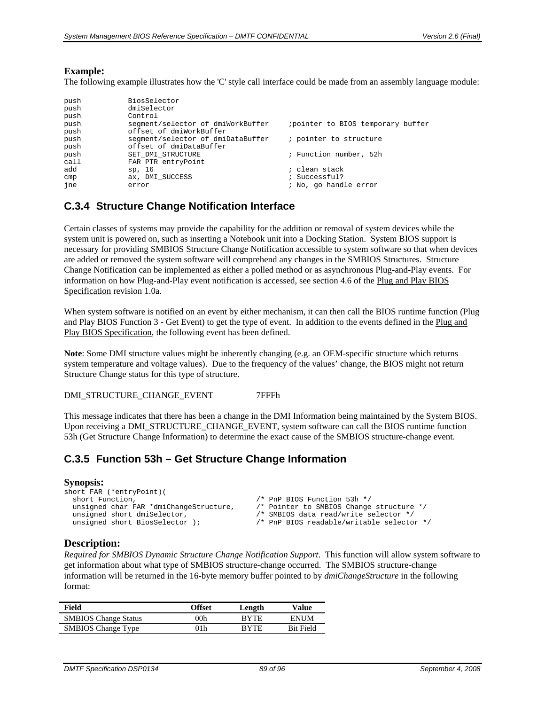#### **Example:**

The following example illustrates how the 'C' style call interface could be made from an assembly language module:

| push<br>push<br>push | BiosSelector<br>dmiSelector<br>Control |                                    |
|----------------------|----------------------------------------|------------------------------------|
| push                 | segment/selector of dmiWorkBuffer      | ; pointer to BIOS temporary buffer |
| push                 | offset of dmiWorkBuffer                |                                    |
| push                 | segment/selector of dmiDataBuffer      | ; pointer to structure             |
| push                 | offset of dmiDataBuffer                |                                    |
| push                 | SET DMI STRUCTURE                      | ; Function number, 52h             |
| call                 | FAR PTR entryPoint                     |                                    |
| add                  | sp, 16                                 | ; clean stack                      |
| cmp                  | ax, DMI SUCCESS                        | ; Successful?                      |
| ine                  | error                                  | ; No, go handle error              |

# <span id="page-88-0"></span>**C.3.4 Structure Change Notification Interface**

Certain classes of systems may provide the capability for the addition or removal of system devices while the system unit is powered on, such as inserting a Notebook unit into a Docking Station. System BIOS support is necessary for providing SMBIOS Structure Change Notification accessible to system software so that when devices are added or removed the system software will comprehend any changes in the SMBIOS Structures. Structure Change Notification can be implemented as either a polled method or as asynchronous Plug-and-Play events. For information on how Plug-and-Play event notification is accessed, see section 4.6 of the Plug and Play BIOS Specification revision 1.0a.

When system software is notified on an event by either mechanism, it can then call the BIOS runtime function (Plug and Play BIOS Function 3 - Get Event) to get the type of event. In addition to the events defined in the Plug and Play BIOS Specification, the following event has been defined.

**Note**: Some DMI structure values might be inherently changing (e.g. an OEM-specific structure which returns system temperature and voltage values). Due to the frequency of the values' change, the BIOS might not return Structure Change status for this type of structure.

DMI\_STRUCTURE\_CHANGE\_EVENT 7FFFh

This message indicates that there has been a change in the DMI Information being maintained by the System BIOS. Upon receiving a DMI\_STRUCTURE\_CHANGE\_EVENT, system software can call the BIOS runtime function 53h (Get Structure Change Information) to determine the exact cause of the SMBIOS structure-change event.

# **C.3.5 Function 53h – Get Structure Change Information**

#### **Synopsis:**

| short FAR (*entryPoint)(               |                                           |
|----------------------------------------|-------------------------------------------|
| short Function,                        | /* PnP BIOS Function 53h */               |
| unsigned char FAR *dmiChangeStructure, | /* Pointer to SMBIOS Change structure */  |
| unsigned short dmiSelector,            | /* SMBIOS data read/write selector */     |
| unsigned short BiosSelector );         | /* PnP BIOS readable/writable selector */ |
|                                        |                                           |

#### **Description:**

*Required for SMBIOS Dynamic Structure Change Notification Support*. This function will allow system software to get information about what type of SMBIOS structure-change occurred. The SMBIOS structure-change information will be returned in the 16-byte memory buffer pointed to by *dmiChangeStructure* in the following format:

| Field                       | Offset | Length      | Value            |
|-----------------------------|--------|-------------|------------------|
| <b>SMBIOS</b> Change Status | 00h    | <b>RYTE</b> | <b>ENUM</b>      |
| <b>SMBIOS</b> Change Type   | )1h    | <b>RYTE</b> | <b>Bit Field</b> |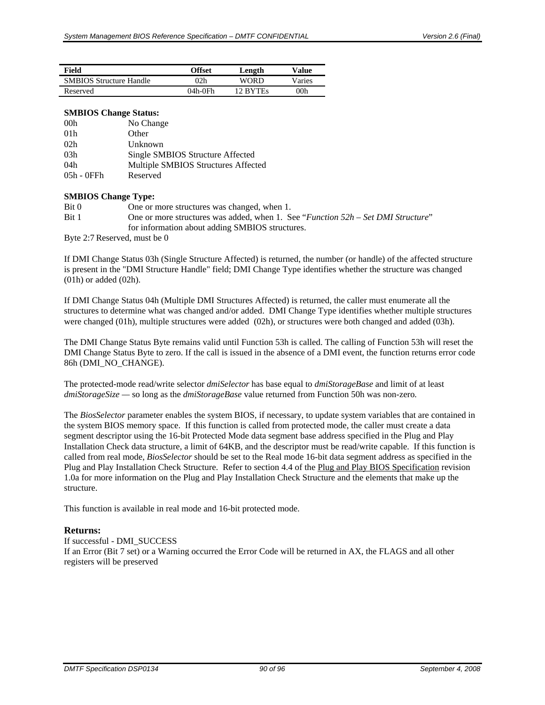| Field                          | Offset  | Length   | Value  |
|--------------------------------|---------|----------|--------|
| <b>SMBIOS Structure Handle</b> | 02h     | WORD     | Varies |
| Reserved                       | 04h-0Fh | 12 RYTEs | 00h    |

#### **SMBIOS Change Status:**

| 00 <sub>h</sub> | No Change                           |
|-----------------|-------------------------------------|
| 01 <sub>h</sub> | Other                               |
| 02h             | Unknown                             |
| 03h             | Single SMBIOS Structure Affected    |
| 04h             | Multiple SMBIOS Structures Affected |
| 05h - 0FFh      | Reserved                            |

#### **SMBIOS Change Type:**

| Bit 0 | One or more structures was changed, when 1.                                        |
|-------|------------------------------------------------------------------------------------|
| Bit 1 | One or more structures was added, when 1. See "Function $52h$ – Set DMI Structure" |
|       | for information about adding SMBIOS structures.                                    |

Byte 2:7 Reserved, must be 0

If DMI Change Status 03h (Single Structure Affected) is returned, the number (or handle) of the affected structure is present in the "DMI Structure Handle" field; DMI Change Type identifies whether the structure was changed (01h) or added (02h).

If DMI Change Status 04h (Multiple DMI Structures Affected) is returned, the caller must enumerate all the structures to determine what was changed and/or added. DMI Change Type identifies whether multiple structures were changed (01h), multiple structures were added (02h), or structures were both changed and added (03h).

The DMI Change Status Byte remains valid until Function 53h is called. The calling of Function 53h will reset the DMI Change Status Byte to zero. If the call is issued in the absence of a DMI event, the function returns error code 86h (DMI\_NO\_CHANGE).

The protected-mode read/write selector *dmiSelector* has base equal to *dmiStorageBase* and limit of at least *dmiStorageSize —* so long as the *dmiStorageBase* value returned from Function 50h was non-zero*.*

The *BiosSelector* parameter enables the system BIOS, if necessary, to update system variables that are contained in the system BIOS memory space. If this function is called from protected mode, the caller must create a data segment descriptor using the 16-bit Protected Mode data segment base address specified in the Plug and Play Installation Check data structure, a limit of 64KB, and the descriptor must be read/write capable. If this function is called from real mode, *BiosSelector* should be set to the Real mode 16-bit data segment address as specified in the Plug and Play Installation Check Structure. Refer to section 4.4 of the Plug and Play BIOS Specification revision 1.0a for more information on the Plug and Play Installation Check Structure and the elements that make up the structure.

This function is available in real mode and 16-bit protected mode.

#### **Returns:**

If successful - DMI\_SUCCESS If an Error (Bit 7 set) or a Warning occurred the Error Code will be returned in AX, the FLAGS and all other registers will be preserved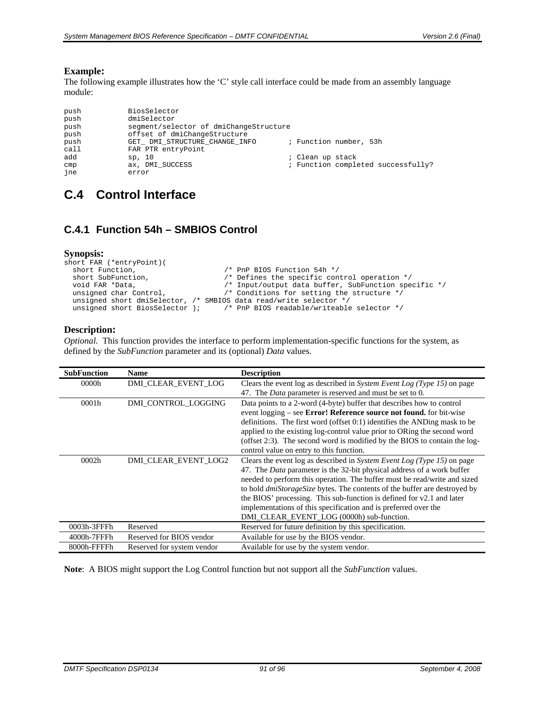#### **Example:**

The following example illustrates how the 'C' style call interface could be made from an assembly language module:

| push<br>push<br>push<br>push | BiosSelector<br>dmiSelector<br>segment/selector of dmiChangeStructure<br>offset of dmiChangeStructure |                  |                                    |
|------------------------------|-------------------------------------------------------------------------------------------------------|------------------|------------------------------------|
| push<br>call                 | GET DMI STRUCTURE CHANGE INFO<br>FAR PTR entryPoint                                                   |                  | ; Function number, 53h             |
| add                          | sp, 10                                                                                                | ; Clean up stack |                                    |
| cmp<br>ine                   | ax, DMI SUCCESS<br>error                                                                              |                  | ; Function completed successfully? |

# **C.4 Control Interface**

# **C.4.1 Function 54h – SMBIOS Control**

#### **Synopsis:**

```
short FAR (*entryPoint)(<br>short Function,
   short Function, \frac{1}{1} /* PnP BIOS Function 54h */<br>short SubFunction, \frac{1}{1} /* Defines the specific con-
  short SubFunction, \begin{array}{ccc} \n\star & \text{Defines the specific control operation } \star / \\
\text{void FAR *Data}, & \text{}/\star & \text{Input/output data buffer, SubFunction spe}\n\end{array}void FAR *Data, \begin{array}{ccc} \gamma^* & \text{Input/output data buffer, SubFunction specific */} \\ \text{unsigned char Control,} & \gamma^* & \text{Conditions for setting the structure */} \end{array}/* Conditions for setting the structure */
    unsigned short dmiSelector, /* SMBIOS data read/write selector */ 
   unsigned short BiosSelector ); \qquad /* PnP BIOS readable/writeable selector */
```
#### **Description:**

*Optional.* This function provides the interface to perform implementation-specific functions for the system, as defined by the *SubFunction* parameter and its (optional) *Data* values.

| <b>SubFunction</b> | <b>Name</b>                | <b>Description</b>                                                                                                                                                                                                                                                                                                                                                                                                                                                                                                 |
|--------------------|----------------------------|--------------------------------------------------------------------------------------------------------------------------------------------------------------------------------------------------------------------------------------------------------------------------------------------------------------------------------------------------------------------------------------------------------------------------------------------------------------------------------------------------------------------|
| 0000h              | DMI CLEAR EVENT LOG        | Clears the event log as described in System Event Log (Type 15) on page<br>47. The <i>Data</i> parameter is reserved and must be set to 0.                                                                                                                                                                                                                                                                                                                                                                         |
| 0001h              | DMI CONTROL LOGGING        | Data points to a 2-word (4-byte) buffer that describes how to control<br>event logging – see <b>Error! Reference source not found.</b> for bit-wise<br>definitions. The first word (offset 0:1) identifies the ANDing mask to be<br>applied to the existing log-control value prior to ORing the second word<br>(offset 2:3). The second word is modified by the BIOS to contain the log-<br>control value on entry to this function.                                                                              |
| 0002h              | DMI_CLEAR_EVENT_LOG2       | Clears the event log as described in System Event Log (Type 15) on page<br>47. The <i>Data</i> parameter is the 32-bit physical address of a work buffer<br>needed to perform this operation. The buffer must be read/write and sized<br>to hold <i>dmiStorageSize</i> bytes. The contents of the buffer are destroyed by<br>the BIOS' processing. This sub-function is defined for v2.1 and later<br>implementations of this specification and is preferred over the<br>DMI_CLEAR_EVENT_LOG (0000h) sub-function. |
| 0003h-3FFFh        | Reserved                   | Reserved for future definition by this specification.                                                                                                                                                                                                                                                                                                                                                                                                                                                              |
| 4000h-7FFFh        | Reserved for BIOS vendor   | Available for use by the BIOS vendor.                                                                                                                                                                                                                                                                                                                                                                                                                                                                              |
| 8000h-FFFFh        | Reserved for system vendor | Available for use by the system vendor.                                                                                                                                                                                                                                                                                                                                                                                                                                                                            |

**Note**: A BIOS might support the Log Control function but not support all the *SubFunction* values.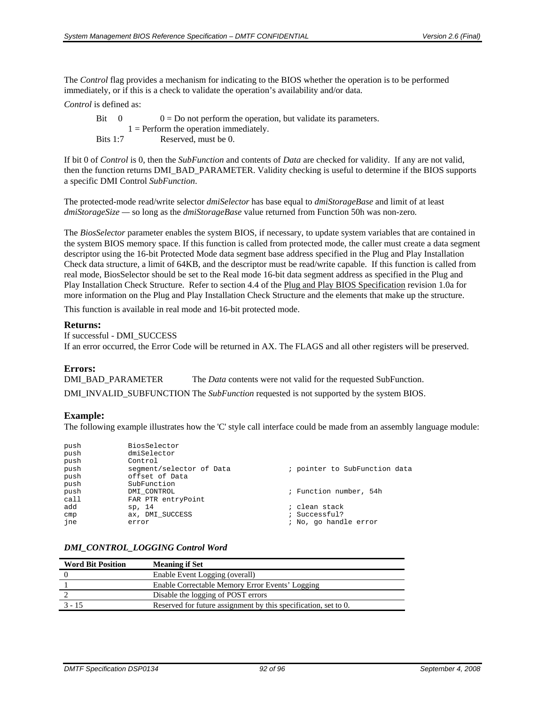The *Control* flag provides a mechanism for indicating to the BIOS whether the operation is to be performed immediately, or if this is a check to validate the operation's availability and/or data.

*Control* is defined as:

Bit  $0 = Do$  not perform the operation, but validate its parameters.  $1 =$  Perform the operation immediately. Bits 1:7 Reserved, must be 0.

If bit 0 of *Control* is 0, then the *SubFunction* and contents of *Data* are checked for validity. If any are not valid, then the function returns DMI\_BAD\_PARAMETER. Validity checking is useful to determine if the BIOS supports a specific DMI Control *SubFunction*.

The protected-mode read/write selector *dmiSelector* has base equal to *dmiStorageBase* and limit of at least *dmiStorageSize —* so long as the *dmiStorageBase* value returned from Function 50h was non-zero*.* 

The *BiosSelector* parameter enables the system BIOS, if necessary, to update system variables that are contained in the system BIOS memory space. If this function is called from protected mode, the caller must create a data segment descriptor using the 16-bit Protected Mode data segment base address specified in the Plug and Play Installation Check data structure, a limit of 64KB, and the descriptor must be read/write capable. If this function is called from real mode, BiosSelector should be set to the Real mode 16-bit data segment address as specified in the Plug and Play Installation Check Structure. Refer to section 4.4 of the Plug and Play BIOS Specification revision 1.0a for more information on the Plug and Play Installation Check Structure and the elements that make up the structure.

This function is available in real mode and 16-bit protected mode.

#### **Returns:**

```
If successful - DMI_SUCCESS
```
If an error occurred, the Error Code will be returned in AX. The FLAGS and all other registers will be preserved.

#### **Errors:**

DMI\_BAD\_PARAMETER The *Data* contents were not valid for the requested SubFunction. DMI\_INVALID\_SUBFUNCTION The *SubFunction* requested is not supported by the system BIOS.

#### **Example:**

The following example illustrates how the 'C' style call interface could be made from an assembly language module:

| push | BiosSelector             |                               |
|------|--------------------------|-------------------------------|
| push | dmiSelector              |                               |
| push | Control                  |                               |
| push | segment/selector of Data | ; pointer to SubFunction data |
| push | offset of Data           |                               |
| push | SubFunction              |                               |
| push | DMI CONTROL              | ; Function number, 54h        |
| call | FAR PTR entryPoint       |                               |
| add  | sp, 14                   | ; clean stack                 |
| cmp  | ax, DMI SUCCESS          | ; Successful?                 |
| ine  | error                    | ; No, go handle error         |
|      |                          |                               |

#### *DMI\_CONTROL\_LOGGING Control Word*

| <b>Word Bit Position</b> | <b>Meaning if Set</b>                                           |
|--------------------------|-----------------------------------------------------------------|
|                          | Enable Event Logging (overall)                                  |
|                          | Enable Correctable Memory Error Events' Logging                 |
|                          | Disable the logging of POST errors                              |
| $3 - 15$                 | Reserved for future assignment by this specification, set to 0. |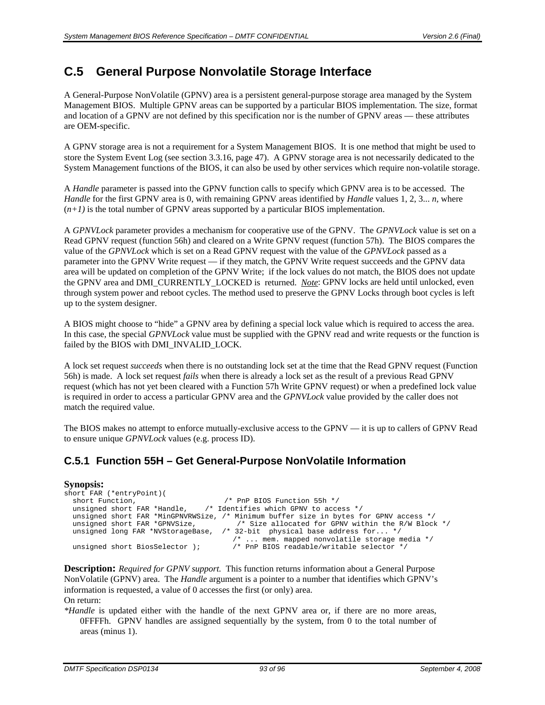# **C.5 General Purpose Nonvolatile Storage Interface**

A General-Purpose NonVolatile (GPNV) area is a persistent general-purpose storage area managed by the System Management BIOS. Multiple GPNV areas can be supported by a particular BIOS implementation. The size, format and location of a GPNV are not defined by this specification nor is the number of GPNV areas — these attributes are OEM-specific.

A GPNV storage area is not a requirement for a System Management BIOS. It is one method that might be used to store the System Event Log (see section [3.3.16,](#page-46-0) page [47\)](#page-46-0). A GPNV storage area is not necessarily dedicated to the System Management functions of the BIOS, it can also be used by other services which require non-volatile storage.

A *Handle* parameter is passed into the GPNV function calls to specify which GPNV area is to be accessed. The *Handle* for the first GPNV area is 0, with remaining GPNV areas identified by *Handle* values 1, 2, 3... *n,* where  $(n+1)$  is the total number of GPNV areas supported by a particular BIOS implementation.

A *GPNVLock* parameter provides a mechanism for cooperative use of the GPNV. The *GPNVLock* value is set on a Read GPNV request (function 56h) and cleared on a Write GPNV request (function 57h). The BIOS compares the value of the *GPNVLock* which is set on a Read GPNV request with the value of the *GPNVLock* passed as a parameter into the GPNV Write request — if they match, the GPNV Write request succeeds and the GPNV data area will be updated on completion of the GPNV Write; if the lock values do not match, the BIOS does not update the GPNV area and DMI\_CURRENTLY\_LOCKED is returned. *Note*: GPNV locks are held until unlocked, even through system power and reboot cycles. The method used to preserve the GPNV Locks through boot cycles is left up to the system designer.

A BIOS might choose to "hide" a GPNV area by defining a special lock value which is required to access the area. In this case, the special *GPNVLock* value must be supplied with the GPNV read and write requests or the function is failed by the BIOS with DMI\_INVALID\_LOCK.

A lock set request *succeeds* when there is no outstanding lock set at the time that the Read GPNV request (Function 56h) is made. A lock set request *fails* when there is already a lock set as the result of a previous Read GPNV request (which has not yet been cleared with a Function 57h Write GPNV request) or when a predefined lock value is required in order to access a particular GPNV area and the *GPNVLock* value provided by the caller does not match the required value.

The BIOS makes no attempt to enforce mutually-exclusive access to the GPNV — it is up to callers of GPNV Read to ensure unique *GPNVLock* values (e.g. process ID).

# **C.5.1 Function 55H – Get General-Purpose NonVolatile Information**

#### **Synopsis:**

```
short FAR (*entryPoint)(<br>short Function,
   short Function, \frac{1}{2} /* PnP BIOS Function 55h */<br>unsigned short FAR *Handle, \frac{1}{2} /* Identifies which GPNV to acce
                                                      /* Identifies which GPNV to access */
   unsigned short FAR *MinGPNVRWSize, /* Minimum buffer size in bytes for GPNV access */<br>unsigned short FAR *GPNVSize, \qquad/* Size allocated for GPNV within the R/W Block
  unsigned short FAR *GPNVSize, \frac{1}{2} /* Size allocated for GPNV within the R/W Block */<br>unsigned long FAR *NVStorageBase, /* 32-bit physical base address for... */
                                                            /* 32-bit physical base address for... */
   /* ... mem. mapped nonvolatile storage media */<br>unsigned short BiosSelector ); <br>/* PnP BIOS readable/writable selector */
                                                                 \frac{1}{4} PnP BIOS readable/writable selector */
```
**Description:** *Required for GPNV support.* This function returns information about a General Purpose NonVolatile (GPNV) area. The *Handle* argument is a pointer to a number that identifies which GPNV's information is requested, a value of 0 accesses the first (or only) area. On return:

*\*Handle* is updated either with the handle of the next GPNV area or, if there are no more areas, 0FFFFh. GPNV handles are assigned sequentially by the system, from 0 to the total number of areas (minus 1).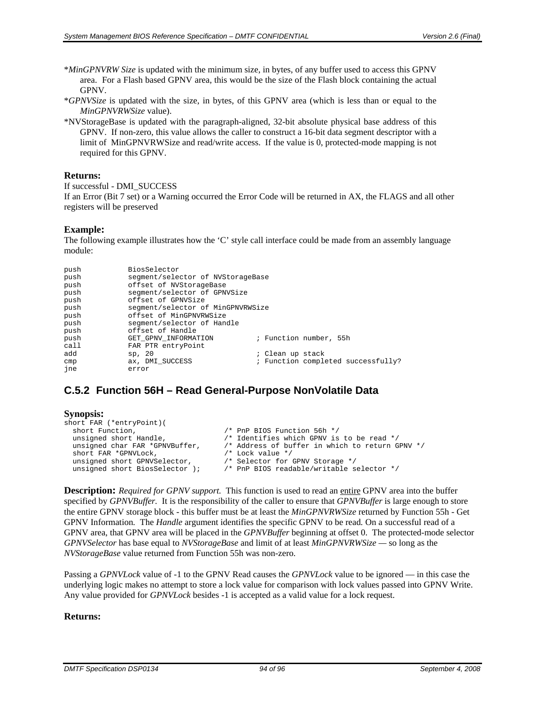- \**MinGPNVRW Size* is updated with the minimum size, in bytes, of any buffer used to access this GPNV area. For a Flash based GPNV area, this would be the size of the Flash block containing the actual GPNV.
- \**GPNVSize* is updated with the size, in bytes, of this GPNV area (which is less than or equal to the *MinGPNVRWSize* value).
- \*NVStorageBase is updated with the paragraph-aligned, 32-bit absolute physical base address of this GPNV. If non-zero, this value allows the caller to construct a 16-bit data segment descriptor with a limit of MinGPNVRWSize and read/write access. If the value is 0, protected-mode mapping is not required for this GPNV.

#### **Returns:**

```
If successful - DMI_SUCCESS
```
If an Error (Bit 7 set) or a Warning occurred the Error Code will be returned in AX, the FLAGS and all other registers will be preserved

#### **Example:**

The following example illustrates how the 'C' style call interface could be made from an assembly language module:

| push | BiosSelector                      |                                    |
|------|-----------------------------------|------------------------------------|
| push | segment/selector of NVStorageBase |                                    |
| push | offset of NVStorageBase           |                                    |
| push | seqment/selector of GPNVSize      |                                    |
| push | offset of GPNVSize                |                                    |
| push | segment/selector of MinGPNVRWSize |                                    |
| push | offset of MinGPNVRWSize           |                                    |
| push | segment/selector of Handle        |                                    |
| push | offset of Handle                  |                                    |
| push | GET GPNV INFORMATION              | ; Function number, 55h             |
| call | FAR PTR entryPoint                |                                    |
| add  | sp, 20                            | ; Clean up stack                   |
| cmp  | ax, DMI SUCCESS                   | ; Function completed successfully? |
| ine  | error                             |                                    |

# <span id="page-93-0"></span>**C.5.2 Function 56H – Read General-Purpose NonVolatile Data**

```
Synopsis: 
short FAR (*entryPoint)(<br>short Function,
   short Function, \begin{array}{ccc} & /* & \text{PnP BIOS Function 56h } * / \\ \text{unsigned short Handle}, & /* \text{ Identities which GPNV is} \end{array}unsigned short Handle, \frac{1}{2} /* Identifies which GPNV is to be read */<br>unsigned char FAR *GPNVBuffer, \frac{1}{2} Address of buffer in which to return G
                                                               \prime\ast Address of buffer in which to return GPNV ^*/ /* Lock value ^*/short FAR *GPNVLock, \frac{1}{2} /* Lock value */<br>unsigned short GPNVSelector, \frac{1}{2} /* Selector for GPNV Storage */
   unsigned short GPNVSelector,
    unsigned short BiosSelector ); /* PnP BIOS readable/writable selector */
```
**Description:** *Required for GPNV support.* This function is used to read an entire GPNV area into the buffer specified by *GPNVBuffer.* It is the responsibility of the caller to ensure that *GPNVBuffer* is large enough to store the entire GPNV storage block - this buffer must be at least the *MinGPNVRWSize* returned by Function 55h - Get GPNV Information*.* The *Handle* argument identifies the specific GPNV to be read*.* On a successful read of a GPNV area, that GPNV area will be placed in the *GPNVBuffer* beginning at offset 0.The protected-mode selector *GPNVSelector* has base equal to *NVStorageBase* and limit of at least *MinGPNVRWSize —* so long as the *NVStorageBase* value returned from Function 55h was non-zero*.*

Passing a *GPNVLock* value of -1 to the GPNV Read causes the *GPNVLock* value to be ignored — in this case the underlying logic makes no attempt to store a lock value for comparison with lock values passed into GPNV Write. Any value provided for *GPNVLock* besides -1 is accepted as a valid value for a lock request.

#### **Returns:**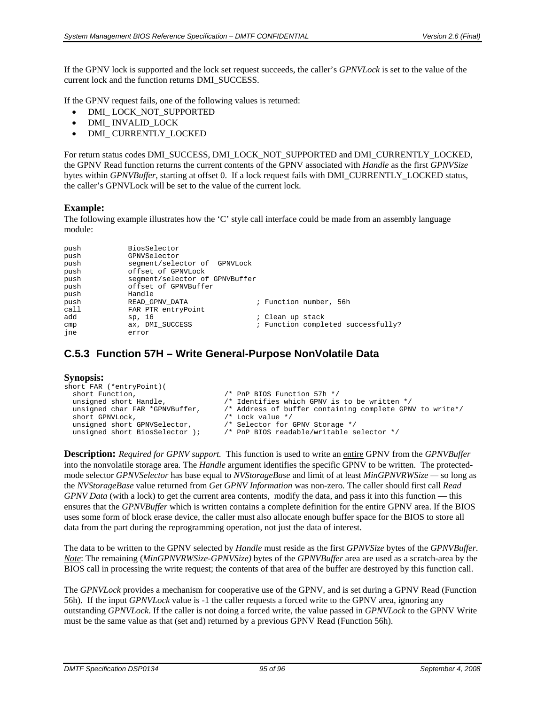If the GPNV lock is supported and the lock set request succeeds, the caller's *GPNVLock* is set to the value of the current lock and the function returns DMI\_SUCCESS.

If the GPNV request fails, one of the following values is returned:

- DMI\_LOCK\_NOT\_SUPPORTED
- DMI\_ INVALID\_LOCK
- DMI\_ CURRENTLY\_LOCKED

For return status codes DMI\_SUCCESS, DMI\_LOCK\_NOT\_SUPPORTED and DMI\_CURRENTLY\_LOCKED, the GPNV Read function returns the current contents of the GPNV associated with *Handle* as the first *GPNVSize* bytes within *GPNVBuffer*, starting at offset 0. If a lock request fails with DMI\_CURRENTLY\_LOCKED status, the caller's GPNVLock will be set to the value of the current lock*.* 

#### **Example:**

The following example illustrates how the 'C' style call interface could be made from an assembly language module:

| push | BiosSelector                   |                  |                                    |
|------|--------------------------------|------------------|------------------------------------|
| push | GPNVSelector                   |                  |                                    |
| push | segment/selector of GPNVLock   |                  |                                    |
| push | offset of GPNVLock             |                  |                                    |
| push | seqment/selector of GPNVBuffer |                  |                                    |
| push | offset of GPNVBuffer           |                  |                                    |
| push | Handle                         |                  |                                    |
| push | READ GPNV DATA                 |                  | ; Function number, 56h             |
| call | FAR PTR entryPoint             |                  |                                    |
| add  | sp, 16                         | ; Clean up stack |                                    |
| cmp  | ax, DMI SUCCESS                |                  | ; Function completed successfully? |
| ine  | error                          |                  |                                    |

# **C.5.3 Function 57H – Write General-Purpose NonVolatile Data**

#### **Synopsis:**

| short FAR (*entryPoint)(       |                                                          |
|--------------------------------|----------------------------------------------------------|
| short Function,                | /* PnP BIOS Function 57h */                              |
| unsigned short Handle,         | /* Identifies which GPNV is to be written */             |
| unsigned char FAR *GPNVBuffer, | /* Address of buffer containing complete GPNV to write*/ |
| short GPNVLock,                | $/*$ Lock value $*/$                                     |
| unsigned short GPNVSelector,   | /* Selector for GPNV Storage */                          |
| unsigned short BiosSelector ); | /* PnP BIOS readable/writable selector */                |
|                                |                                                          |

**Description:** *Required for GPNV support.* This function is used to write an entire GPNV from the *GPNVBuffer*  into the nonvolatile storage area*.* The *Handle* argument identifies the specific GPNV to be written*.* The protectedmode selector *GPNVSelector* has base equal to *NVStorageBase* and limit of at least *MinGPNVRWSize —* so long as the *NVStorageBase* value returned from *Get GPNV Information* was non-zero*.* The caller should first call *Read GPNV Data* (with a lock) to get the current area contents, modify the data, and pass it into this function — this ensures that the *GPNVBuffer* which is written contains a complete definition for the entire GPNV area. If the BIOS uses some form of block erase device, the caller must also allocate enough buffer space for the BIOS to store all data from the part during the reprogramming operation, not just the data of interest.

The data to be written to the GPNV selected by *Handle* must reside as the first *GPNVSize* bytes of the *GPNVBuffer*. *Note*: The remaining (*MinGPNVRWSize*-*GPNVSize)* bytes of the *GPNVBuffer* area are used as a scratch-area by the BIOS call in processing the write request; the contents of that area of the buffer are destroyed by this function call.

The *GPNVLock* provides a mechanism for cooperative use of the GPNV, and is set during a GPNV Read (Function 56h). If the input *GPNVLock* value is -1 the caller requests a forced write to the GPNV area, ignoring any outstanding *GPNVLock*. If the caller is not doing a forced write, the value passed in *GPNVLock* to the GPNV Write must be the same value as that (set and) returned by a previous GPNV Read (Function 56h).